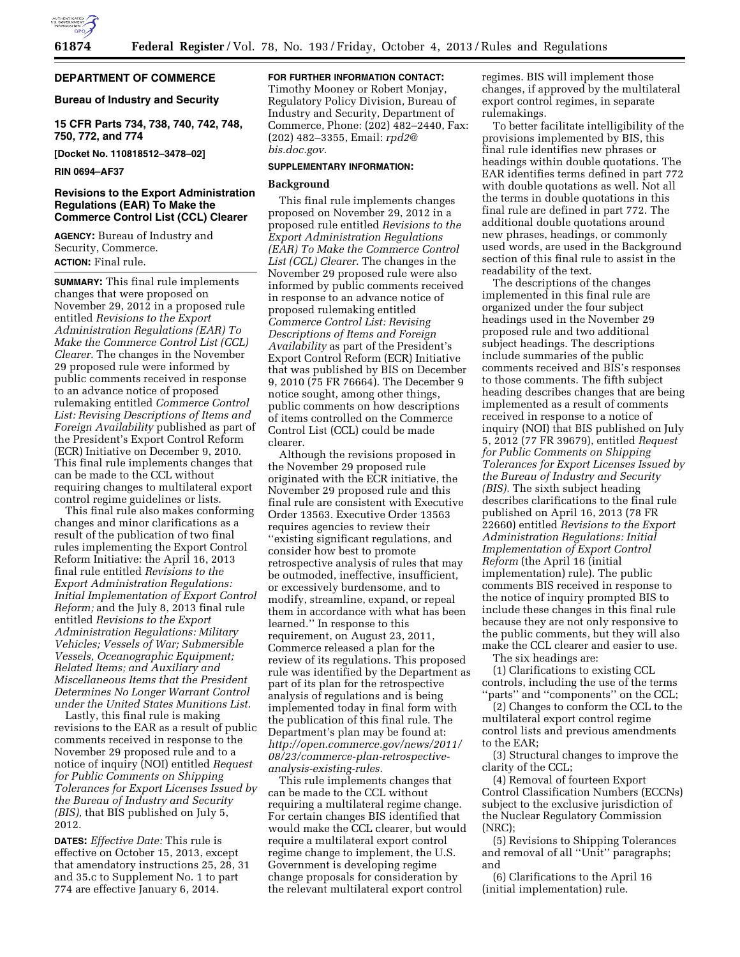

### **DEPARTMENT OF COMMERCE**

#### **Bureau of Industry and Security**

**15 CFR Parts 734, 738, 740, 742, 748, 750, 772, and 774** 

**[Docket No. 110818512–3478–02]** 

#### **RIN 0694–AF37**

#### **Revisions to the Export Administration Regulations (EAR) To Make the Commerce Control List (CCL) Clearer**

**AGENCY:** Bureau of Industry and Security, Commerce. **ACTION:** Final rule.

**SUMMARY:** This final rule implements changes that were proposed on November 29, 2012 in a proposed rule entitled *Revisions to the Export Administration Regulations (EAR) To Make the Commerce Control List (CCL) Clearer.* The changes in the November 29 proposed rule were informed by public comments received in response to an advance notice of proposed rulemaking entitled *Commerce Control List: Revising Descriptions of Items and Foreign Availability* published as part of the President's Export Control Reform (ECR) Initiative on December 9, 2010. This final rule implements changes that can be made to the CCL without requiring changes to multilateral export control regime guidelines or lists.

This final rule also makes conforming changes and minor clarifications as a result of the publication of two final rules implementing the Export Control Reform Initiative: the April 16, 2013 final rule entitled *Revisions to the Export Administration Regulations: Initial Implementation of Export Control Reform;* and the July 8, 2013 final rule entitled *Revisions to the Export Administration Regulations: Military Vehicles; Vessels of War; Submersible Vessels, Oceanographic Equipment; Related Items; and Auxiliary and Miscellaneous Items that the President Determines No Longer Warrant Control under the United States Munitions List.* 

Lastly, this final rule is making revisions to the EAR as a result of public comments received in response to the November 29 proposed rule and to a notice of inquiry (NOI) entitled *Request for Public Comments on Shipping Tolerances for Export Licenses Issued by the Bureau of Industry and Security (BIS),* that BIS published on July 5, 2012.

**DATES:** *Effective Date:* This rule is effective on October 15, 2013, except that amendatory instructions 25, 28, 31 and 35.c to Supplement No. 1 to part 774 are effective January 6, 2014.

#### **FOR FURTHER INFORMATION CONTACT:**

Timothy Mooney or Robert Monjay, Regulatory Policy Division, Bureau of Industry and Security, Department of Commerce, Phone: (202) 482–2440, Fax: (202) 482–3355, Email: *[rpd2@](mailto:rpd2@bis.doc.gov) [bis.doc.gov.](mailto:rpd2@bis.doc.gov)* 

#### **SUPPLEMENTARY INFORMATION:**

#### **Background**

This final rule implements changes proposed on November 29, 2012 in a proposed rule entitled *Revisions to the Export Administration Regulations (EAR) To Make the Commerce Control List (CCL) Clearer.* The changes in the November 29 proposed rule were also informed by public comments received in response to an advance notice of proposed rulemaking entitled *Commerce Control List: Revising Descriptions of Items and Foreign Availability* as part of the President's Export Control Reform (ECR) Initiative that was published by BIS on December 9, 2010 (75 FR 76664). The December 9 notice sought, among other things, public comments on how descriptions of items controlled on the Commerce Control List (CCL) could be made clearer.

Although the revisions proposed in the November 29 proposed rule originated with the ECR initiative, the November 29 proposed rule and this final rule are consistent with Executive Order 13563. Executive Order 13563 requires agencies to review their ''existing significant regulations, and consider how best to promote retrospective analysis of rules that may be outmoded, ineffective, insufficient, or excessively burdensome, and to modify, streamline, expand, or repeal them in accordance with what has been learned.'' In response to this requirement, on August 23, 2011, Commerce released a plan for the review of its regulations. This proposed rule was identified by the Department as part of its plan for the retrospective analysis of regulations and is being implemented today in final form with the publication of this final rule. The Department's plan may be found at: *[http://open.commerce.gov/news/2011/](http://open.commerce.gov/news/2011/08/23/commerce-plan-retrospective-analysis-existing-rules) [08/23/commerce-plan-retrospective](http://open.commerce.gov/news/2011/08/23/commerce-plan-retrospective-analysis-existing-rules)[analysis-existing-rules.](http://open.commerce.gov/news/2011/08/23/commerce-plan-retrospective-analysis-existing-rules)* 

This rule implements changes that can be made to the CCL without requiring a multilateral regime change. For certain changes BIS identified that would make the CCL clearer, but would require a multilateral export control regime change to implement, the U.S. Government is developing regime change proposals for consideration by the relevant multilateral export control

regimes. BIS will implement those changes, if approved by the multilateral export control regimes, in separate rulemakings.

To better facilitate intelligibility of the provisions implemented by BIS, this final rule identifies new phrases or headings within double quotations. The EAR identifies terms defined in part 772 with double quotations as well. Not all the terms in double quotations in this final rule are defined in part 772. The additional double quotations around new phrases, headings, or commonly used words, are used in the Background section of this final rule to assist in the readability of the text.

The descriptions of the changes implemented in this final rule are organized under the four subject headings used in the November 29 proposed rule and two additional subject headings. The descriptions include summaries of the public comments received and BIS's responses to those comments. The fifth subject heading describes changes that are being implemented as a result of comments received in response to a notice of inquiry (NOI) that BIS published on July 5, 2012 (77 FR 39679), entitled *Request for Public Comments on Shipping Tolerances for Export Licenses Issued by the Bureau of Industry and Security (BIS).* The sixth subject heading describes clarifications to the final rule published on April 16, 2013 (78 FR 22660) entitled *Revisions to the Export Administration Regulations: Initial Implementation of Export Control Reform* (the April 16 (initial implementation) rule). The public comments BIS received in response to the notice of inquiry prompted BIS to include these changes in this final rule because they are not only responsive to the public comments, but they will also make the CCL clearer and easier to use.

The six headings are:

(1) Clarifications to existing CCL controls, including the use of the terms ''parts'' and ''components'' on the CCL;

(2) Changes to conform the CCL to the multilateral export control regime control lists and previous amendments to the EAR;

(3) Structural changes to improve the clarity of the CCL;

(4) Removal of fourteen Export Control Classification Numbers (ECCNs) subject to the exclusive jurisdiction of the Nuclear Regulatory Commission (NRC);

(5) Revisions to Shipping Tolerances and removal of all ''Unit'' paragraphs; and

(6) Clarifications to the April 16 (initial implementation) rule.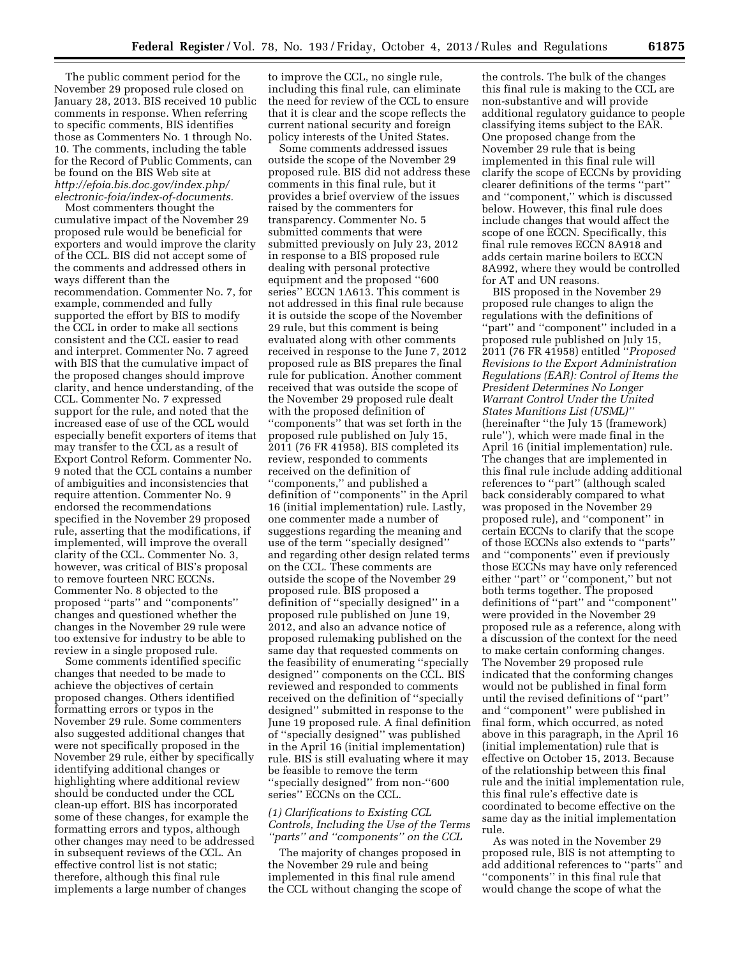The public comment period for the November 29 proposed rule closed on January 28, 2013. BIS received 10 public comments in response. When referring to specific comments, BIS identifies those as Commenters No. 1 through No. 10. The comments, including the table for the Record of Public Comments, can be found on the BIS Web site at *[http://efoia.bis.doc.gov/index.php/](http://efoia.bis.doc.gov/index.php/electronic-foia/index-of-documents) [electronic-foia/index-of-documents.](http://efoia.bis.doc.gov/index.php/electronic-foia/index-of-documents)* 

Most commenters thought the cumulative impact of the November 29 proposed rule would be beneficial for exporters and would improve the clarity of the CCL. BIS did not accept some of the comments and addressed others in ways different than the recommendation. Commenter No. 7, for example, commended and fully supported the effort by BIS to modify the CCL in order to make all sections consistent and the CCL easier to read and interpret. Commenter No. 7 agreed with BIS that the cumulative impact of the proposed changes should improve clarity, and hence understanding, of the CCL. Commenter No. 7 expressed support for the rule, and noted that the increased ease of use of the CCL would especially benefit exporters of items that may transfer to the CCL as a result of Export Control Reform. Commenter No. 9 noted that the CCL contains a number of ambiguities and inconsistencies that require attention. Commenter No. 9 endorsed the recommendations specified in the November 29 proposed rule, asserting that the modifications, if implemented, will improve the overall clarity of the CCL. Commenter No. 3, however, was critical of BIS's proposal to remove fourteen NRC ECCNs. Commenter No. 8 objected to the proposed ''parts'' and ''components'' changes and questioned whether the changes in the November 29 rule were too extensive for industry to be able to review in a single proposed rule.

Some comments identified specific changes that needed to be made to achieve the objectives of certain proposed changes. Others identified formatting errors or typos in the November 29 rule. Some commenters also suggested additional changes that were not specifically proposed in the November 29 rule, either by specifically identifying additional changes or highlighting where additional review should be conducted under the CCL clean-up effort. BIS has incorporated some of these changes, for example the formatting errors and typos, although other changes may need to be addressed in subsequent reviews of the CCL. An effective control list is not static; therefore, although this final rule implements a large number of changes

to improve the CCL, no single rule, including this final rule, can eliminate the need for review of the CCL to ensure that it is clear and the scope reflects the current national security and foreign policy interests of the United States.

Some comments addressed issues outside the scope of the November 29 proposed rule. BIS did not address these comments in this final rule, but it provides a brief overview of the issues raised by the commenters for transparency. Commenter No. 5 submitted comments that were submitted previously on July 23, 2012 in response to a BIS proposed rule dealing with personal protective equipment and the proposed ''600 series'' ECCN 1A613. This comment is not addressed in this final rule because it is outside the scope of the November 29 rule, but this comment is being evaluated along with other comments received in response to the June 7, 2012 proposed rule as BIS prepares the final rule for publication. Another comment received that was outside the scope of the November 29 proposed rule dealt with the proposed definition of ''components'' that was set forth in the proposed rule published on July 15, 2011 (76 FR 41958). BIS completed its review, responded to comments received on the definition of ''components,'' and published a definition of ''components'' in the April 16 (initial implementation) rule. Lastly, one commenter made a number of suggestions regarding the meaning and use of the term ''specially designed'' and regarding other design related terms on the CCL. These comments are outside the scope of the November 29 proposed rule. BIS proposed a definition of ''specially designed'' in a proposed rule published on June 19, 2012, and also an advance notice of proposed rulemaking published on the same day that requested comments on the feasibility of enumerating ''specially designed'' components on the CCL. BIS reviewed and responded to comments received on the definition of ''specially designed'' submitted in response to the June 19 proposed rule. A final definition of ''specially designed'' was published in the April 16 (initial implementation) rule. BIS is still evaluating where it may be feasible to remove the term ''specially designed'' from non-''600 series'' ECCNs on the CCL.

#### *(1) Clarifications to Existing CCL Controls, Including the Use of the Terms ''parts'' and ''components'' on the CCL*

The majority of changes proposed in the November 29 rule and being implemented in this final rule amend the CCL without changing the scope of

the controls. The bulk of the changes this final rule is making to the CCL are non-substantive and will provide additional regulatory guidance to people classifying items subject to the EAR. One proposed change from the November 29 rule that is being implemented in this final rule will clarify the scope of ECCNs by providing clearer definitions of the terms ''part'' and ''component,'' which is discussed below. However, this final rule does include changes that would affect the scope of one ECCN. Specifically, this final rule removes ECCN 8A918 and adds certain marine boilers to ECCN 8A992, where they would be controlled for AT and UN reasons.

BIS proposed in the November 29 proposed rule changes to align the regulations with the definitions of ''part'' and ''component'' included in a proposed rule published on July 15, 2011 (76 FR 41958) entitled ''*Proposed Revisions to the Export Administration Regulations (EAR): Control of Items the President Determines No Longer Warrant Control Under the United States Munitions List (USML)''*  (hereinafter ''the July 15 (framework) rule''), which were made final in the April 16 (initial implementation) rule. The changes that are implemented in this final rule include adding additional references to ''part'' (although scaled back considerably compared to what was proposed in the November 29 proposed rule), and ''component'' in certain ECCNs to clarify that the scope of those ECCNs also extends to ''parts'' and ''components'' even if previously those ECCNs may have only referenced either ''part'' or ''component,'' but not both terms together. The proposed definitions of ''part'' and ''component'' were provided in the November 29 proposed rule as a reference, along with a discussion of the context for the need to make certain conforming changes. The November 29 proposed rule indicated that the conforming changes would not be published in final form until the revised definitions of ''part'' and ''component'' were published in final form, which occurred, as noted above in this paragraph, in the April 16 (initial implementation) rule that is effective on October 15, 2013. Because of the relationship between this final rule and the initial implementation rule, this final rule's effective date is coordinated to become effective on the same day as the initial implementation rule.

As was noted in the November 29 proposed rule, BIS is not attempting to add additional references to ''parts'' and ''components'' in this final rule that would change the scope of what the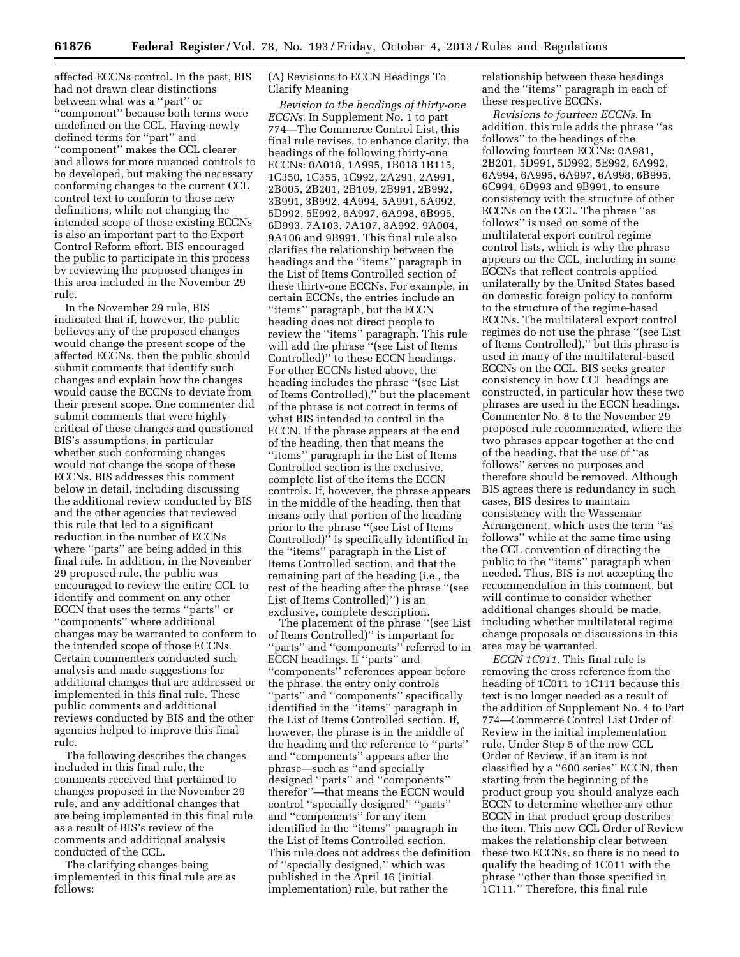**61876 Federal Register** / Vol. 78, No. 193 / Friday, October 4, 2013 / Rules and Regulations

affected ECCNs control. In the past, BIS had not drawn clear distinctions between what was a ''part'' or ''component'' because both terms were undefined on the CCL. Having newly defined terms for ''part'' and ''component'' makes the CCL clearer and allows for more nuanced controls to be developed, but making the necessary conforming changes to the current CCL control text to conform to those new definitions, while not changing the intended scope of those existing ECCNs is also an important part to the Export Control Reform effort. BIS encouraged the public to participate in this process by reviewing the proposed changes in this area included in the November 29 rule.

In the November 29 rule, BIS indicated that if, however, the public believes any of the proposed changes would change the present scope of the affected ECCNs, then the public should submit comments that identify such changes and explain how the changes would cause the ECCNs to deviate from their present scope. One commenter did submit comments that were highly critical of these changes and questioned BIS's assumptions, in particular whether such conforming changes would not change the scope of these ECCNs. BIS addresses this comment below in detail, including discussing the additional review conducted by BIS and the other agencies that reviewed this rule that led to a significant reduction in the number of ECCNs where ''parts'' are being added in this final rule. In addition, in the November 29 proposed rule, the public was encouraged to review the entire CCL to identify and comment on any other ECCN that uses the terms ''parts'' or ''components'' where additional changes may be warranted to conform to the intended scope of those ECCNs. Certain commenters conducted such analysis and made suggestions for additional changes that are addressed or implemented in this final rule. These public comments and additional reviews conducted by BIS and the other agencies helped to improve this final rule.

The following describes the changes included in this final rule, the comments received that pertained to changes proposed in the November 29 rule, and any additional changes that are being implemented in this final rule as a result of BIS's review of the comments and additional analysis conducted of the CCL.

The clarifying changes being implemented in this final rule are as follows:

#### (A) Revisions to ECCN Headings To Clarify Meaning

*Revision to the headings of thirty-one ECCNs.* In Supplement No. 1 to part 774—The Commerce Control List, this final rule revises, to enhance clarity, the headings of the following thirty-one ECCNs: 0A018, 1A995, 1B018 1B115, 1C350, 1C355, 1C992, 2A291, 2A991, 2B005, 2B201, 2B109, 2B991, 2B992, 3B991, 3B992, 4A994, 5A991, 5A992, 5D992, 5E992, 6A997, 6A998, 6B995, 6D993, 7A103, 7A107, 8A992, 9A004, 9A106 and 9B991. This final rule also clarifies the relationship between the headings and the ''items'' paragraph in the List of Items Controlled section of these thirty-one ECCNs. For example, in certain ECCNs, the entries include an ''items'' paragraph, but the ECCN heading does not direct people to review the ''items'' paragraph. This rule will add the phrase ''(see List of Items Controlled)'' to these ECCN headings. For other ECCNs listed above, the heading includes the phrase ''(see List of Items Controlled),'' but the placement of the phrase is not correct in terms of what BIS intended to control in the ECCN. If the phrase appears at the end of the heading, then that means the ''items'' paragraph in the List of Items Controlled section is the exclusive, complete list of the items the ECCN controls. If, however, the phrase appears in the middle of the heading, then that means only that portion of the heading prior to the phrase ''(see List of Items Controlled)<sup>7</sup> is specifically identified in the ''items'' paragraph in the List of Items Controlled section, and that the remaining part of the heading (i.e., the rest of the heading after the phrase ''(see List of Items Controlled)'') is an exclusive, complete description.

The placement of the phrase ''(see List of Items Controlled)'' is important for ''parts'' and ''components'' referred to in ECCN headings. If ''parts'' and ''components'' references appear before the phrase, the entry only controls ''parts'' and ''components'' specifically identified in the ''items'' paragraph in the List of Items Controlled section. If, however, the phrase is in the middle of the heading and the reference to ''parts'' and ''components'' appears after the phrase—such as ''and specially designed ''parts'' and ''components'' therefor''—that means the ECCN would control ''specially designed'' ''parts'' and ''components'' for any item identified in the ''items'' paragraph in the List of Items Controlled section. This rule does not address the definition of ''specially designed,'' which was published in the April 16 (initial implementation) rule, but rather the

relationship between these headings and the ''items'' paragraph in each of these respective ECCNs.

*Revisions to fourteen ECCNs.* In addition, this rule adds the phrase ''as follows'' to the headings of the following fourteen ECCNs: 0A981, 2B201, 5D991, 5D992, 5E992, 6A992, 6A994, 6A995, 6A997, 6A998, 6B995, 6C994, 6D993 and 9B991, to ensure consistency with the structure of other ECCNs on the CCL. The phrase ''as follows'' is used on some of the multilateral export control regime control lists, which is why the phrase appears on the CCL, including in some ECCNs that reflect controls applied unilaterally by the United States based on domestic foreign policy to conform to the structure of the regime-based ECCNs. The multilateral export control regimes do not use the phrase ''(see List of Items Controlled),'' but this phrase is used in many of the multilateral-based ECCNs on the CCL. BIS seeks greater consistency in how CCL headings are constructed, in particular how these two phrases are used in the ECCN headings. Commenter No. 8 to the November 29 proposed rule recommended, where the two phrases appear together at the end of the heading, that the use of ''as follows'' serves no purposes and therefore should be removed. Although BIS agrees there is redundancy in such cases, BIS desires to maintain consistency with the Wassenaar Arrangement, which uses the term ''as follows'' while at the same time using the CCL convention of directing the public to the ''items'' paragraph when needed. Thus, BIS is not accepting the recommendation in this comment, but will continue to consider whether additional changes should be made, including whether multilateral regime change proposals or discussions in this area may be warranted.

*ECCN 1C011.* This final rule is removing the cross reference from the heading of 1C011 to 1C111 because this text is no longer needed as a result of the addition of Supplement No. 4 to Part 774—Commerce Control List Order of Review in the initial implementation rule. Under Step 5 of the new CCL Order of Review, if an item is not classified by a ''600 series'' ECCN, then starting from the beginning of the product group you should analyze each ECCN to determine whether any other ECCN in that product group describes the item. This new CCL Order of Review makes the relationship clear between these two ECCNs, so there is no need to qualify the heading of 1C011 with the phrase ''other than those specified in 1C111.'' Therefore, this final rule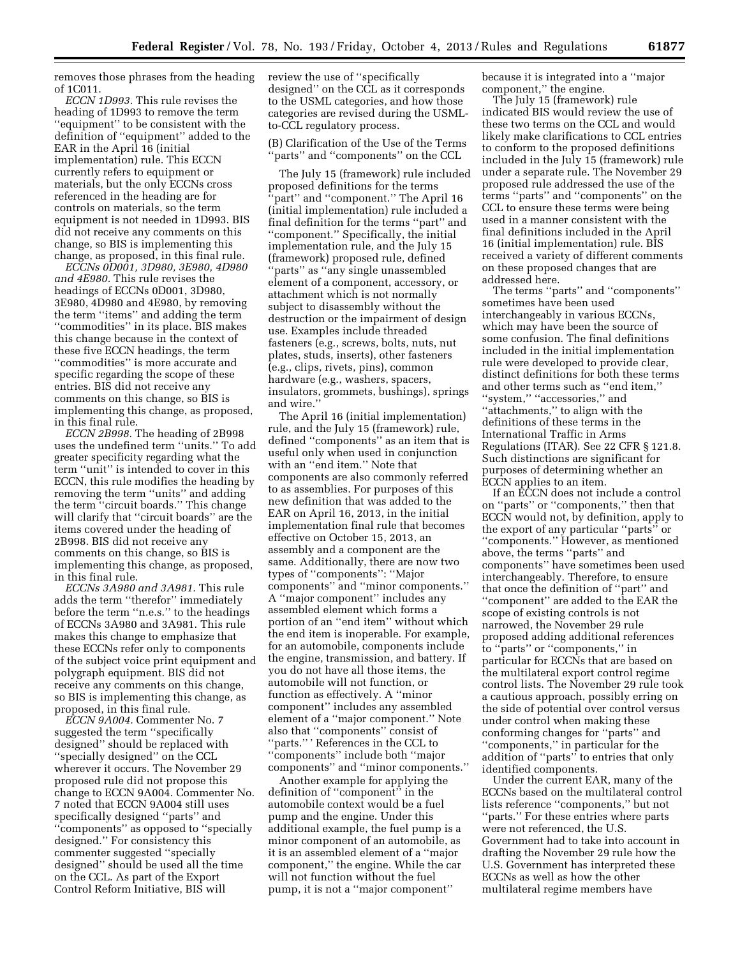removes those phrases from the heading of 1C011.

*ECCN 1D993.* This rule revises the heading of 1D993 to remove the term ''equipment'' to be consistent with the definition of ''equipment'' added to the EAR in the April 16 (initial implementation) rule. This ECCN currently refers to equipment or materials, but the only ECCNs cross referenced in the heading are for controls on materials, so the term equipment is not needed in 1D993. BIS did not receive any comments on this change, so BIS is implementing this change, as proposed, in this final rule.

*ECCNs 0D001, 3D980, 3E980, 4D980 and 4E980.* This rule revises the headings of ECCNs 0D001, 3D980, 3E980, 4D980 and 4E980, by removing the term ''items'' and adding the term ''commodities'' in its place. BIS makes this change because in the context of these five ECCN headings, the term ''commodities'' is more accurate and specific regarding the scope of these entries. BIS did not receive any comments on this change, so BIS is implementing this change, as proposed, in this final rule.

*ECCN 2B998.* The heading of 2B998 uses the undefined term ''units.'' To add greater specificity regarding what the term ''unit'' is intended to cover in this ECCN, this rule modifies the heading by removing the term ''units'' and adding the term ''circuit boards.'' This change will clarify that ''circuit boards'' are the items covered under the heading of 2B998. BIS did not receive any comments on this change, so BIS is implementing this change, as proposed, in this final rule.

*ECCNs 3A980 and 3A981.* This rule adds the term ''therefor'' immediately before the term ''n.e.s.'' to the headings of ECCNs 3A980 and 3A981. This rule makes this change to emphasize that these ECCNs refer only to components of the subject voice print equipment and polygraph equipment. BIS did not receive any comments on this change, so BIS is implementing this change, as proposed, in this final rule.

*ECCN 9A004.* Commenter No. 7 suggested the term ''specifically designed'' should be replaced with ''specially designed'' on the CCL wherever it occurs. The November 29 proposed rule did not propose this change to ECCN 9A004. Commenter No. 7 noted that ECCN 9A004 still uses specifically designed ''parts'' and ''components'' as opposed to ''specially designed.'' For consistency this commenter suggested ''specially designed'' should be used all the time on the CCL. As part of the Export Control Reform Initiative, BIS will

review the use of ''specifically designed'' on the CCL as it corresponds to the USML categories, and how those categories are revised during the USMLto-CCL regulatory process.

(B) Clarification of the Use of the Terms ''parts'' and ''components'' on the CCL

The July 15 (framework) rule included proposed definitions for the terms 'part'' and "component." The April 16 (initial implementation) rule included a final definition for the terms ''part'' and ''component.'' Specifically, the initial implementation rule, and the July 15 (framework) proposed rule, defined ''parts'' as ''any single unassembled element of a component, accessory, or attachment which is not normally subject to disassembly without the destruction or the impairment of design use. Examples include threaded fasteners (e.g., screws, bolts, nuts, nut plates, studs, inserts), other fasteners (e.g., clips, rivets, pins), common hardware (e.g., washers, spacers, insulators, grommets, bushings), springs and wire.''

The April 16 (initial implementation) rule, and the July 15 (framework) rule, defined ''components'' as an item that is useful only when used in conjunction with an ''end item.'' Note that components are also commonly referred to as assemblies. For purposes of this new definition that was added to the EAR on April 16, 2013, in the initial implementation final rule that becomes effective on October 15, 2013, an assembly and a component are the same. Additionally, there are now two types of ''components'': ''Major components'' and ''minor components.'' A ''major component'' includes any assembled element which forms a portion of an ''end item'' without which the end item is inoperable. For example, for an automobile, components include the engine, transmission, and battery. If you do not have all those items, the automobile will not function, or function as effectively. A ''minor component'' includes any assembled element of a ''major component.'' Note also that ''components'' consist of ''parts.'' ' References in the CCL to ''components'' include both ''major components'' and ''minor components.''

Another example for applying the definition of ''component'' in the automobile context would be a fuel pump and the engine. Under this additional example, the fuel pump is a minor component of an automobile, as it is an assembled element of a ''major component,'' the engine. While the car will not function without the fuel pump, it is not a ''major component''

because it is integrated into a ''major component,'' the engine.

The July 15 (framework) rule indicated BIS would review the use of these two terms on the CCL and would likely make clarifications to CCL entries to conform to the proposed definitions included in the July 15 (framework) rule under a separate rule. The November 29 proposed rule addressed the use of the terms ''parts'' and ''components'' on the CCL to ensure these terms were being used in a manner consistent with the final definitions included in the April 16 (initial implementation) rule. BIS received a variety of different comments on these proposed changes that are addressed here.

The terms ''parts'' and ''components'' sometimes have been used interchangeably in various ECCNs, which may have been the source of some confusion. The final definitions included in the initial implementation rule were developed to provide clear, distinct definitions for both these terms and other terms such as ''end item,'' ''system,'' ''accessories,'' and ''attachments,'' to align with the definitions of these terms in the International Traffic in Arms Regulations (ITAR). See 22 CFR § 121.8. Such distinctions are significant for purposes of determining whether an ECCN applies to an item.

If an ECCN does not include a control on ''parts'' or ''components,'' then that ECCN would not, by definition, apply to the export of any particular ''parts'' or ''components.'' However, as mentioned above, the terms ''parts'' and components'' have sometimes been used interchangeably. Therefore, to ensure that once the definition of ''part'' and ''component'' are added to the EAR the scope of existing controls is not narrowed, the November 29 rule proposed adding additional references to ''parts'' or ''components,'' in particular for ECCNs that are based on the multilateral export control regime control lists. The November 29 rule took a cautious approach, possibly erring on the side of potential over control versus under control when making these conforming changes for ''parts'' and ''components,'' in particular for the addition of ''parts'' to entries that only identified components.

Under the current EAR, many of the ECCNs based on the multilateral control lists reference ''components,'' but not ''parts.'' For these entries where parts were not referenced, the U.S. Government had to take into account in drafting the November 29 rule how the U.S. Government has interpreted these ECCNs as well as how the other multilateral regime members have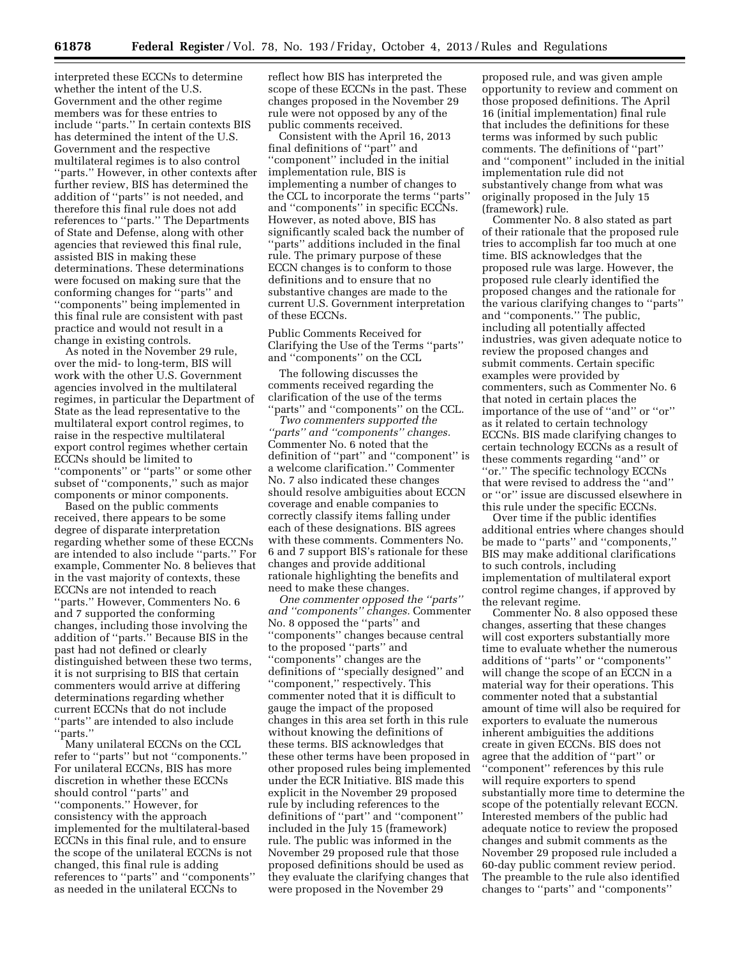interpreted these ECCNs to determine whether the intent of the U.S. Government and the other regime members was for these entries to include ''parts.'' In certain contexts BIS has determined the intent of the U.S. Government and the respective multilateral regimes is to also control ''parts.'' However, in other contexts after further review, BIS has determined the addition of ''parts'' is not needed, and therefore this final rule does not add references to ''parts.'' The Departments of State and Defense, along with other agencies that reviewed this final rule, assisted BIS in making these determinations. These determinations were focused on making sure that the conforming changes for ''parts'' and ''components'' being implemented in this final rule are consistent with past practice and would not result in a change in existing controls.

As noted in the November 29 rule, over the mid- to long-term, BIS will work with the other U.S. Government agencies involved in the multilateral regimes, in particular the Department of State as the lead representative to the multilateral export control regimes, to raise in the respective multilateral export control regimes whether certain ECCNs should be limited to ''components'' or ''parts'' or some other subset of "components," such as major components or minor components.

Based on the public comments received, there appears to be some degree of disparate interpretation regarding whether some of these ECCNs are intended to also include ''parts.'' For example, Commenter No. 8 believes that in the vast majority of contexts, these ECCNs are not intended to reach ''parts.'' However, Commenters No. 6 and 7 supported the conforming changes, including those involving the addition of ''parts.'' Because BIS in the past had not defined or clearly distinguished between these two terms, it is not surprising to BIS that certain commenters would arrive at differing determinations regarding whether current ECCNs that do not include ''parts'' are intended to also include 'parts."

Many unilateral ECCNs on the CCL refer to ''parts'' but not ''components.'' For unilateral ECCNs, BIS has more discretion in whether these ECCNs should control ''parts'' and ''components.'' However, for consistency with the approach implemented for the multilateral-based ECCNs in this final rule, and to ensure the scope of the unilateral ECCNs is not changed, this final rule is adding references to ''parts'' and ''components'' as needed in the unilateral ECCNs to

reflect how BIS has interpreted the scope of these ECCNs in the past. These changes proposed in the November 29 rule were not opposed by any of the public comments received.

Consistent with the April 16, 2013 final definitions of ''part'' and ''component'' included in the initial implementation rule, BIS is implementing a number of changes to the CCL to incorporate the terms ''parts'' and ''components'' in specific ECCNs. However, as noted above, BIS has significantly scaled back the number of ''parts'' additions included in the final rule. The primary purpose of these ECCN changes is to conform to those definitions and to ensure that no substantive changes are made to the current U.S. Government interpretation of these ECCNs.

Public Comments Received for Clarifying the Use of the Terms ''parts'' and ''components'' on the CCL

The following discusses the comments received regarding the clarification of the use of the terms "parts" and "components" on the CCL.

*Two commenters supported the ''parts'' and ''components'' changes.*  Commenter No. 6 noted that the definition of ''part'' and ''component'' is a welcome clarification.'' Commenter No. 7 also indicated these changes should resolve ambiguities about ECCN coverage and enable companies to correctly classify items falling under each of these designations. BIS agrees with these comments. Commenters No. 6 and 7 support BIS's rationale for these changes and provide additional rationale highlighting the benefits and need to make these changes.

*One commenter opposed the ''parts'' and ''components'' changes.* Commenter No. 8 opposed the ''parts'' and ''components'' changes because central to the proposed ''parts'' and ''components'' changes are the definitions of ''specially designed'' and ''component,'' respectively. This commenter noted that it is difficult to gauge the impact of the proposed changes in this area set forth in this rule without knowing the definitions of these terms. BIS acknowledges that these other terms have been proposed in other proposed rules being implemented under the ECR Initiative. BIS made this explicit in the November 29 proposed rule by including references to the definitions of ''part'' and ''component'' included in the July 15 (framework) rule. The public was informed in the November 29 proposed rule that those proposed definitions should be used as they evaluate the clarifying changes that were proposed in the November 29

proposed rule, and was given ample opportunity to review and comment on those proposed definitions. The April 16 (initial implementation) final rule that includes the definitions for these terms was informed by such public comments. The definitions of ''part'' and ''component'' included in the initial implementation rule did not substantively change from what was originally proposed in the July 15 (framework) rule.

Commenter No. 8 also stated as part of their rationale that the proposed rule tries to accomplish far too much at one time. BIS acknowledges that the proposed rule was large. However, the proposed rule clearly identified the proposed changes and the rationale for the various clarifying changes to ''parts'' and ''components.'' The public, including all potentially affected industries, was given adequate notice to review the proposed changes and submit comments. Certain specific examples were provided by commenters, such as Commenter No. 6 that noted in certain places the importance of the use of ''and'' or ''or'' as it related to certain technology ECCNs. BIS made clarifying changes to certain technology ECCNs as a result of these comments regarding ''and'' or ''or.'' The specific technology ECCNs that were revised to address the ''and'' or ''or'' issue are discussed elsewhere in this rule under the specific ECCNs.

Over time if the public identifies additional entries where changes should be made to ''parts'' and ''components,'' BIS may make additional clarifications to such controls, including implementation of multilateral export control regime changes, if approved by the relevant regime.

Commenter No. 8 also opposed these changes, asserting that these changes will cost exporters substantially more time to evaluate whether the numerous additions of ''parts'' or ''components'' will change the scope of an ECCN in a material way for their operations. This commenter noted that a substantial amount of time will also be required for exporters to evaluate the numerous inherent ambiguities the additions create in given ECCNs. BIS does not agree that the addition of ''part'' or ''component'' references by this rule will require exporters to spend substantially more time to determine the scope of the potentially relevant ECCN. Interested members of the public had adequate notice to review the proposed changes and submit comments as the November 29 proposed rule included a 60-day public comment review period. The preamble to the rule also identified changes to ''parts'' and ''components''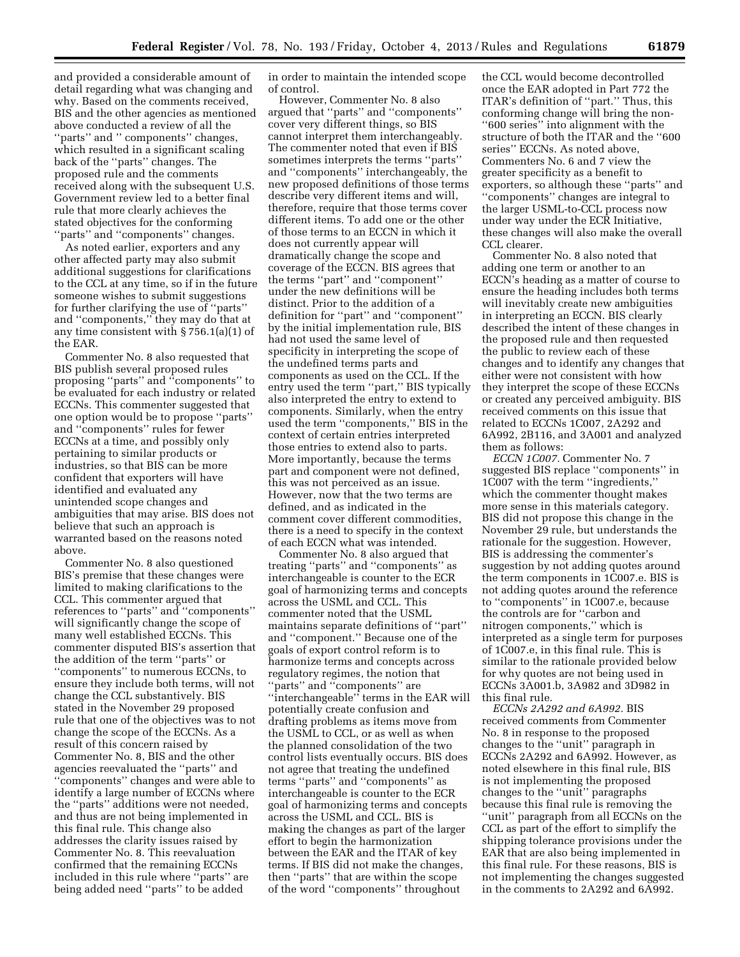and provided a considerable amount of detail regarding what was changing and why. Based on the comments received, BIS and the other agencies as mentioned above conducted a review of all the ''parts'' and '' components'' changes, which resulted in a significant scaling back of the ''parts'' changes. The proposed rule and the comments received along with the subsequent U Government review led to a better final rule that more clearly achieves the stated objectives for the conforming ''parts'' and ''components'' changes.

As noted earlier, exporters and any other affected party may also submit additional suggestions for clarifications to the CCL at any time, so if in the future someone wishes to submit suggestions for further clarifying the use of ''parts'' and ''components,'' they may do that at any time consistent with § 756.1(a)(1) of the EAR.

Commenter No. 8 also requested that BIS publish several proposed rules proposing ''parts'' and ''components'' to be evaluated for each industry or related ECCNs. This commenter suggested that one option would be to propose ''parts'' and ''components'' rules for fewer ECCNs at a time, and possibly only pertaining to similar products or industries, so that BIS can be more confident that exporters will have identified and evaluated any unintended scope changes and ambiguities that may arise. BIS does not believe that such an approach is warranted based on the reasons noted above.

Commenter No. 8 also questioned BIS's premise that these changes were limited to making clarifications to the CCL. This commenter argued that references to ''parts'' and ''components'' will significantly change the scope of many well established ECCNs. This commenter disputed BIS's assertion that the addition of the term ''parts'' or ''components'' to numerous ECCNs, to ensure they include both terms, will not change the CCL substantively. BIS stated in the November 29 proposed rule that one of the objectives was to not change the scope of the ECCNs. As a result of this concern raised by Commenter No. 8, BIS and the other agencies reevaluated the ''parts'' and ''components'' changes and were able to identify a large number of ECCNs where the ''parts'' additions were not needed, and thus are not being implemented in this final rule. This change also addresses the clarity issues raised by Commenter No. 8. This reevaluation confirmed that the remaining ECCNs included in this rule where ''parts'' are being added need ''parts'' to be added

in order to maintain the intended scope of control.

However, Commenter No. 8 also argued that ''parts'' and ''components'' cover very different things, so BIS cannot interpret them interchangeably. The commenter noted that even if BIS sometimes interprets the terms ''parts'' and ''components'' interchangeably, the new proposed definitions of those terms describe very different items and will, therefore, require that those terms cover different items. To add one or the other of those terms to an ECCN in which it does not currently appear will dramatically change the scope and coverage of the ECCN. BIS agrees that the terms ''part'' and ''component'' under the new definitions will be distinct. Prior to the addition of a definition for ''part'' and ''component'' by the initial implementation rule, BIS had not used the same level of specificity in interpreting the scope of the undefined terms parts and components as used on the CCL. If the entry used the term ''part,'' BIS typically also interpreted the entry to extend to components. Similarly, when the entry used the term ''components,'' BIS in the context of certain entries interpreted those entries to extend also to parts. More importantly, because the terms part and component were not defined, this was not perceived as an issue. However, now that the two terms are defined, and as indicated in the comment cover different commodities, there is a need to specify in the context of each ECCN what was intended.

Commenter No. 8 also argued that treating ''parts'' and ''components'' as interchangeable is counter to the ECR goal of harmonizing terms and concepts across the USML and CCL. This commenter noted that the USML maintains separate definitions of ''part'' and ''component.'' Because one of the goals of export control reform is to harmonize terms and concepts across regulatory regimes, the notion that ''parts'' and ''components'' are "interchangeable" terms in the EAR will potentially create confusion and drafting problems as items move from the USML to CCL, or as well as when the planned consolidation of the two control lists eventually occurs. BIS does not agree that treating the undefined terms ''parts'' and ''components'' as interchangeable is counter to the ECR goal of harmonizing terms and concepts across the USML and CCL. BIS is making the changes as part of the larger effort to begin the harmonization between the EAR and the ITAR of key terms. If BIS did not make the changes, then ''parts'' that are within the scope of the word ''components'' throughout

the CCL would become decontrolled once the EAR adopted in Part 772 the ITAR's definition of ''part.'' Thus, this conforming change will bring the non- ''600 series'' into alignment with the structure of both the ITAR and the ''600 series'' ECCNs. As noted above, Commenters No. 6 and 7 view the greater specificity as a benefit to exporters, so although these ''parts'' and ''components'' changes are integral to the larger USML-to-CCL process now under way under the ECR Initiative, these changes will also make the overall CCL clearer.

Commenter No. 8 also noted that adding one term or another to an ECCN's heading as a matter of course to ensure the heading includes both terms will inevitably create new ambiguities in interpreting an ECCN. BIS clearly described the intent of these changes in the proposed rule and then requested the public to review each of these changes and to identify any changes that either were not consistent with how they interpret the scope of these ECCNs or created any perceived ambiguity. BIS received comments on this issue that related to ECCNs 1C007, 2A292 and 6A992, 2B116, and 3A001 and analyzed them as follows:

*ECCN 1C007.* Commenter No. 7 suggested BIS replace ''components'' in 1C007 with the term ''ingredients,'' which the commenter thought makes more sense in this materials category. BIS did not propose this change in the November 29 rule, but understands the rationale for the suggestion. However, BIS is addressing the commenter's suggestion by not adding quotes around the term components in 1C007.e. BIS is not adding quotes around the reference to ''components'' in 1C007.e, because the controls are for ''carbon and nitrogen components,'' which is interpreted as a single term for purposes of 1C007.e, in this final rule. This is similar to the rationale provided below for why quotes are not being used in ECCNs 3A001.b, 3A982 and 3D982 in this final rule.

*ECCNs 2A292 and 6A992.* BIS received comments from Commenter No. 8 in response to the proposed changes to the ''unit'' paragraph in ECCNs 2A292 and 6A992. However, as noted elsewhere in this final rule, BIS is not implementing the proposed changes to the ''unit'' paragraphs because this final rule is removing the ''unit'' paragraph from all ECCNs on the CCL as part of the effort to simplify the shipping tolerance provisions under the EAR that are also being implemented in this final rule. For these reasons, BIS is not implementing the changes suggested in the comments to 2A292 and 6A992.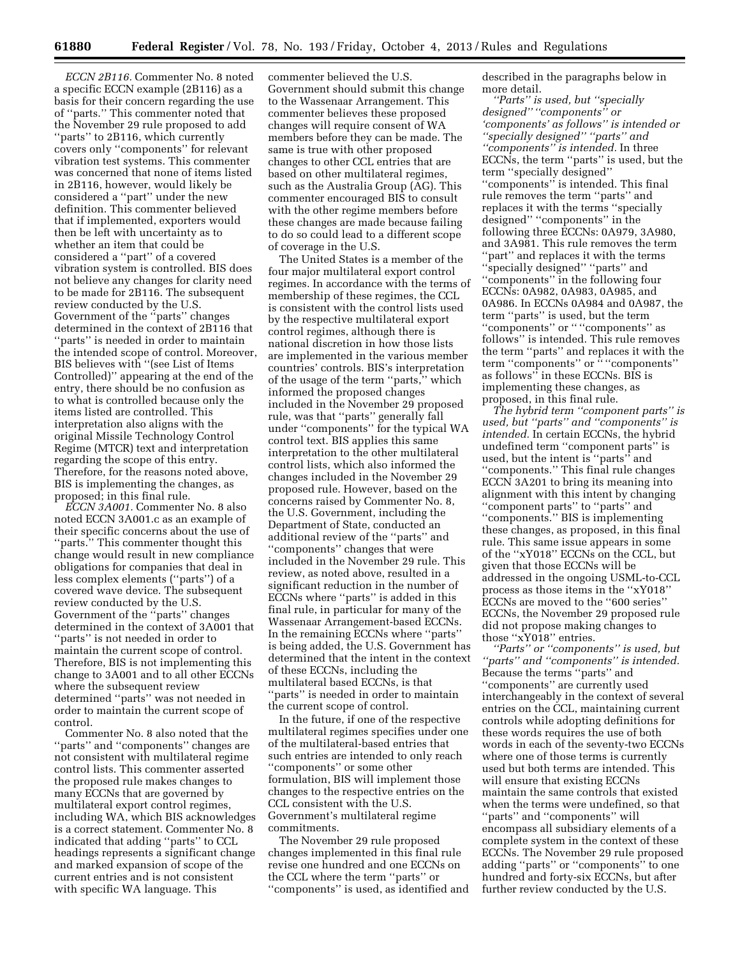*ECCN 2B116.* Commenter No. 8 noted a specific ECCN example (2B116) as a basis for their concern regarding the use of ''parts.'' This commenter noted that the November 29 rule proposed to add ''parts'' to 2B116, which currently covers only ''components'' for relevant vibration test systems. This commenter was concerned that none of items listed in 2B116, however, would likely be considered a ''part'' under the new definition. This commenter believed that if implemented, exporters would then be left with uncertainty as to whether an item that could be considered a ''part'' of a covered vibration system is controlled. BIS does not believe any changes for clarity need to be made for 2B116. The subsequent review conducted by the U.S. Government of the ''parts'' changes determined in the context of 2B116 that ''parts'' is needed in order to maintain the intended scope of control. Moreover, BIS believes with ''(see List of Items Controlled)'' appearing at the end of the entry, there should be no confusion as to what is controlled because only the items listed are controlled. This interpretation also aligns with the original Missile Technology Control Regime (MTCR) text and interpretation regarding the scope of this entry. Therefore, for the reasons noted above, BIS is implementing the changes, as proposed; in this final rule.

*ECCN 3A001.* Commenter No. 8 also noted ECCN 3A001.c as an example of their specific concerns about the use of ''parts.'' This commenter thought this change would result in new compliance obligations for companies that deal in less complex elements (''parts'') of a covered wave device. The subsequent review conducted by the U.S. Government of the ''parts'' changes determined in the context of 3A001 that ''parts'' is not needed in order to maintain the current scope of control. Therefore, BIS is not implementing this change to 3A001 and to all other ECCNs where the subsequent review determined ''parts'' was not needed in order to maintain the current scope of control.

Commenter No. 8 also noted that the ''parts'' and ''components'' changes are not consistent with multilateral regime control lists. This commenter asserted the proposed rule makes changes to many ECCNs that are governed by multilateral export control regimes, including WA, which BIS acknowledges is a correct statement. Commenter No. 8 indicated that adding ''parts'' to CCL headings represents a significant change and marked expansion of scope of the current entries and is not consistent with specific WA language. This

commenter believed the U.S. Government should submit this change to the Wassenaar Arrangement. This commenter believes these proposed changes will require consent of WA members before they can be made. The same is true with other proposed changes to other CCL entries that are based on other multilateral regimes, such as the Australia Group (AG). This commenter encouraged BIS to consult with the other regime members before these changes are made because failing to do so could lead to a different scope of coverage in the U.S.

The United States is a member of the four major multilateral export control regimes. In accordance with the terms of membership of these regimes, the CCL is consistent with the control lists used by the respective multilateral export control regimes, although there is national discretion in how those lists are implemented in the various member countries' controls. BIS's interpretation of the usage of the term ''parts,'' which informed the proposed changes included in the November 29 proposed rule, was that ''parts'' generally fall under ''components'' for the typical WA control text. BIS applies this same interpretation to the other multilateral control lists, which also informed the changes included in the November 29 proposed rule. However, based on the concerns raised by Commenter No. 8, the U.S. Government, including the Department of State, conducted an additional review of the ''parts'' and ''components'' changes that were included in the November 29 rule. This review, as noted above, resulted in a significant reduction in the number of ECCNs where ''parts'' is added in this final rule, in particular for many of the Wassenaar Arrangement-based ECCNs. In the remaining ECCNs where ''parts'' is being added, the U.S. Government has determined that the intent in the context of these ECCNs, including the multilateral based ECCNs, is that ''parts'' is needed in order to maintain the current scope of control.

In the future, if one of the respective multilateral regimes specifies under one of the multilateral-based entries that such entries are intended to only reach ''components'' or some other formulation, BIS will implement those changes to the respective entries on the CCL consistent with the U.S. Government's multilateral regime commitments.

The November 29 rule proposed changes implemented in this final rule revise one hundred and one ECCNs on the CCL where the term ''parts'' or ''components'' is used, as identified and described in the paragraphs below in more detail.

*''Parts'' is used, but ''specially designed'' ''components'' or 'components' as follows'' is intended or ''specially designed'' ''parts'' and ''components'' is intended.* In three ECCNs, the term ''parts'' is used, but the term ''specially designed'' ''components'' is intended. This final rule removes the term ''parts'' and replaces it with the terms ''specially designed'' ''components'' in the following three ECCNs: 0A979, 3A980, and 3A981. This rule removes the term "part" and replaces it with the terms ''specially designed'' ''parts'' and ''components'' in the following four ECCNs: 0A982, 0A983, 0A985, and 0A986. In ECCNs 0A984 and 0A987, the term ''parts'' is used, but the term ''components'' or '' ''components'' as follows'' is intended. This rule removes the term ''parts'' and replaces it with the term ''components'' or '' ''components'' as follows'' in these ECCNs. BIS is implementing these changes, as proposed, in this final rule.

*The hybrid term ''component parts'' is used, but ''parts'' and ''components'' is intended.* In certain ECCNs, the hybrid undefined term ''component parts'' is used, but the intent is ''parts'' and ''components.'' This final rule changes ECCN 3A201 to bring its meaning into alignment with this intent by changing ''component parts'' to ''parts'' and ''components.'' BIS is implementing these changes, as proposed, in this final rule. This same issue appears in some of the ''xY018'' ECCNs on the CCL, but given that those ECCNs will be addressed in the ongoing USML-to-CCL process as those items in the ''xY018'' ECCNs are moved to the ''600 series'' ECCNs, the November 29 proposed rule did not propose making changes to those ''xY018'' entries.

*''Parts'' or ''components'' is used, but ''parts'' and ''components'' is intended.*  Because the terms ''parts'' and ''components'' are currently used interchangeably in the context of several entries on the CCL, maintaining current controls while adopting definitions for these words requires the use of both words in each of the seventy-two ECCNs where one of those terms is currently used but both terms are intended. This will ensure that existing ECCNs maintain the same controls that existed when the terms were undefined, so that ''parts'' and ''components'' will encompass all subsidiary elements of a complete system in the context of these ECCNs. The November 29 rule proposed adding ''parts'' or ''components'' to one hundred and forty-six ECCNs, but after further review conducted by the U.S.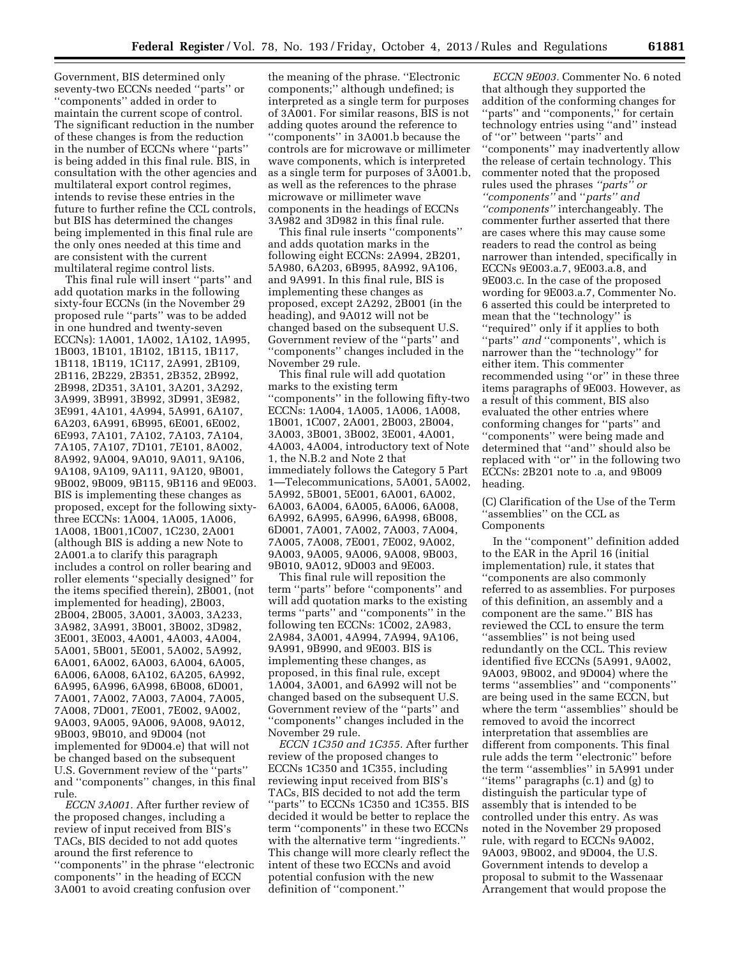Government, BIS determined only seventy-two ECCNs needed ''parts'' or ''components'' added in order to maintain the current scope of control. The significant reduction in the number of these changes is from the reduction in the number of ECCNs where ''parts'' is being added in this final rule. BIS, in consultation with the other agencies and multilateral export control regimes, intends to revise these entries in the future to further refine the CCL controls, but BIS has determined the changes being implemented in this final rule are the only ones needed at this time and are consistent with the current multilateral regime control lists.

This final rule will insert ''parts'' and add quotation marks in the following sixty-four ECCNs (in the November 29 proposed rule ''parts'' was to be added in one hundred and twenty-seven ECCNs): 1A001, 1A002, 1A102, 1A995, 1B003, 1B101, 1B102, 1B115, 1B117, 1B118, 1B119, 1C117, 2A991, 2B109, 2B116, 2B229, 2B351, 2B352, 2B992, 2B998, 2D351, 3A101, 3A201, 3A292, 3A999, 3B991, 3B992, 3D991, 3E982, 3E991, 4A101, 4A994, 5A991, 6A107, 6A203, 6A991, 6B995, 6E001, 6E002, 6E993, 7A101, 7A102, 7A103, 7A104, 7A105, 7A107, 7D101, 7E101, 8A002, 8A992, 9A004, 9A010, 9A011, 9A106, 9A108, 9A109, 9A111, 9A120, 9B001, 9B002, 9B009, 9B115, 9B116 and 9E003. BIS is implementing these changes as proposed, except for the following sixtythree ECCNs: 1A004, 1A005, 1A006, 1A008, 1B001,1C007, 1C230, 2A001 (although BIS is adding a new Note to 2A001.a to clarify this paragraph includes a control on roller bearing and roller elements ''specially designed'' for the items specified therein), 2B001, (not implemented for heading), 2B003, 2B004, 2B005, 3A001, 3A003, 3A233, 3A982, 3A991, 3B001, 3B002, 3D982, 3E001, 3E003, 4A001, 4A003, 4A004, 5A001, 5B001, 5E001, 5A002, 5A992, 6A001, 6A002, 6A003, 6A004, 6A005, 6A006, 6A008, 6A102, 6A205, 6A992, 6A995, 6A996, 6A998, 6B008, 6D001, 7A001, 7A002, 7A003, 7A004, 7A005, 7A008, 7D001, 7E001, 7E002, 9A002, 9A003, 9A005, 9A006, 9A008, 9A012, 9B003, 9B010, and 9D004 (not implemented for 9D004.e) that will not be changed based on the subsequent U.S. Government review of the ''parts'' and ''components'' changes, in this final rule.

*ECCN 3A001.* After further review of the proposed changes, including a review of input received from BIS's TACs, BIS decided to not add quotes around the first reference to ''components'' in the phrase ''electronic components'' in the heading of ECCN 3A001 to avoid creating confusion over

the meaning of the phrase. ''Electronic components;'' although undefined; is interpreted as a single term for purposes of 3A001. For similar reasons, BIS is not adding quotes around the reference to ''components'' in 3A001.b because the controls are for microwave or millimeter wave components, which is interpreted as a single term for purposes of 3A001.b, as well as the references to the phrase microwave or millimeter wave components in the headings of ECCNs 3A982 and 3D982 in this final rule.

This final rule inserts ''components'' and adds quotation marks in the following eight ECCNs: 2A994, 2B201, 5A980, 6A203, 6B995, 8A992, 9A106, and 9A991. In this final rule, BIS is implementing these changes as proposed, except 2A292, 2B001 (in the heading), and 9A012 will not be changed based on the subsequent U.S. Government review of the ''parts'' and ''components'' changes included in the November 29 rule.

This final rule will add quotation marks to the existing term ''components'' in the following fifty-two ECCNs: 1A004, 1A005, 1A006, 1A008, 1B001, 1C007, 2A001, 2B003, 2B004, 3A003, 3B001, 3B002, 3E001, 4A001, 4A003, 4A004, introductory text of Note 1, the N.B.2 and Note 2 that immediately follows the Category 5 Part 1—Telecommunications, 5A001, 5A002, 5A992, 5B001, 5E001, 6A001, 6A002, 6A003, 6A004, 6A005, 6A006, 6A008, 6A992, 6A995, 6A996, 6A998, 6B008, 6D001, 7A001, 7A002, 7A003, 7A004, 7A005, 7A008, 7E001, 7E002, 9A002, 9A003, 9A005, 9A006, 9A008, 9B003, 9B010, 9A012, 9D003 and 9E003.

This final rule will reposition the term ''parts'' before ''components'' and will add quotation marks to the existing terms ''parts'' and ''components'' in the following ten ECCNs: 1C002, 2A983, 2A984, 3A001, 4A994, 7A994, 9A106, 9A991, 9B990, and 9E003. BIS is implementing these changes, as proposed, in this final rule, except 1A004, 3A001, and 6A992 will not be changed based on the subsequent U.S. Government review of the ''parts'' and ''components'' changes included in the November 29 rule.

*ECCN 1C350 and 1C355.* After further review of the proposed changes to ECCNs 1C350 and 1C355, including reviewing input received from BIS's TACs, BIS decided to not add the term ''parts'' to ECCNs 1C350 and 1C355. BIS decided it would be better to replace the term ''components'' in these two ECCNs with the alternative term ''ingredients.'' This change will more clearly reflect the intent of these two ECCNs and avoid potential confusion with the new definition of ''component.''

*ECCN 9E003.* Commenter No. 6 noted that although they supported the addition of the conforming changes for ''parts'' and ''components,'' for certain technology entries using ''and'' instead of ''or'' between ''parts'' and ''components'' may inadvertently allow the release of certain technology. This commenter noted that the proposed rules used the phrases *''parts'' or ''components''* and ''*parts'' and ''components''* interchangeably. The commenter further asserted that there are cases where this may cause some readers to read the control as being narrower than intended, specifically in ECCNs 9E003.a.7, 9E003.a.8, and 9E003.c. In the case of the proposed wording for 9E003.a.7, Commenter No. 6 asserted this could be interpreted to mean that the ''technology'' is ''required'' only if it applies to both ''parts'' *and* ''components'', which is narrower than the ''technology'' for either item. This commenter recommended using ''or'' in these three items paragraphs of 9E003. However, as a result of this comment, BIS also evaluated the other entries where conforming changes for ''parts'' and ''components'' were being made and determined that ''and'' should also be replaced with ''or'' in the following two ECCNs: 2B201 note to .a, and 9B009 heading.

(C) Clarification of the Use of the Term ''assemblies'' on the CCL as Components

In the ''component'' definition added to the EAR in the April 16 (initial implementation) rule, it states that ''components are also commonly referred to as assemblies. For purposes of this definition, an assembly and a component are the same.'' BIS has reviewed the CCL to ensure the term "assemblies" is not being used redundantly on the CCL. This review identified five ECCNs (5A991, 9A002, 9A003, 9B002, and 9D004) where the terms ''assemblies'' and ''components'' are being used in the same ECCN, but where the term ''assemblies'' should be removed to avoid the incorrect interpretation that assemblies are different from components. This final rule adds the term ''electronic'' before the term ''assemblies'' in 5A991 under ''items'' paragraphs (c.1) and (g) to distinguish the particular type of assembly that is intended to be controlled under this entry. As was noted in the November 29 proposed rule, with regard to ECCNs 9A002, 9A003, 9B002, and 9D004, the U.S. Government intends to develop a proposal to submit to the Wassenaar Arrangement that would propose the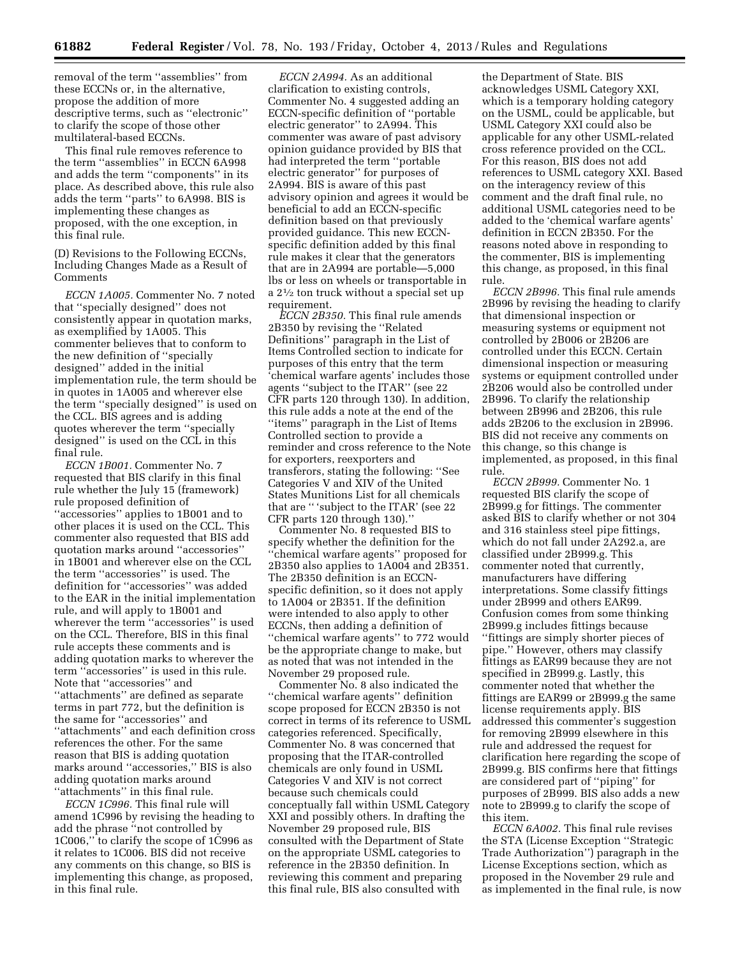removal of the term ''assemblies'' from these ECCNs or, in the alternative, propose the addition of more descriptive terms, such as ''electronic'' to clarify the scope of those other multilateral-based ECCNs.

This final rule removes reference to the term ''assemblies'' in ECCN 6A998 and adds the term ''components'' in its place. As described above, this rule also adds the term ''parts'' to 6A998. BIS is implementing these changes as proposed, with the one exception, in this final rule.

(D) Revisions to the Following ECCNs, Including Changes Made as a Result of Comments

*ECCN 1A005.* Commenter No. 7 noted that ''specially designed'' does not consistently appear in quotation marks, as exemplified by 1A005. This commenter believes that to conform to the new definition of ''specially designed'' added in the initial implementation rule, the term should be in quotes in 1A005 and wherever else the term ''specially designed'' is used on the CCL. BIS agrees and is adding quotes wherever the term ''specially designed'' is used on the CCL in this final rule.

*ECCN 1B001.* Commenter No. 7 requested that BIS clarify in this final rule whether the July 15 (framework) rule proposed definition of ''accessories'' applies to 1B001 and to other places it is used on the CCL. This commenter also requested that BIS add quotation marks around ''accessories'' in 1B001 and wherever else on the CCL the term ''accessories'' is used. The definition for ''accessories'' was added to the EAR in the initial implementation rule, and will apply to 1B001 and wherever the term ''accessories'' is used on the CCL. Therefore, BIS in this final rule accepts these comments and is adding quotation marks to wherever the term ''accessories'' is used in this rule. Note that ''accessories'' and ''attachments'' are defined as separate terms in part 772, but the definition is the same for ''accessories'' and ''attachments'' and each definition cross references the other. For the same reason that BIS is adding quotation marks around ''accessories,'' BIS is also adding quotation marks around ''attachments'' in this final rule.

*ECCN 1C996.* This final rule will amend 1C996 by revising the heading to add the phrase ''not controlled by 1C006,'' to clarify the scope of 1C996 as it relates to 1C006. BIS did not receive any comments on this change, so BIS is implementing this change, as proposed, in this final rule.

*ECCN 2A994.* As an additional clarification to existing controls, Commenter No. 4 suggested adding an ECCN-specific definition of ''portable electric generator'' to 2A994. This commenter was aware of past advisory opinion guidance provided by BIS that had interpreted the term ''portable electric generator'' for purposes of 2A994. BIS is aware of this past advisory opinion and agrees it would be beneficial to add an ECCN-specific definition based on that previously provided guidance. This new ECCNspecific definition added by this final rule makes it clear that the generators that are in 2A994 are portable—5,000 lbs or less on wheels or transportable in a 21⁄2 ton truck without a special set up requirement.

*ECCN 2B350.* This final rule amends 2B350 by revising the ''Related Definitions'' paragraph in the List of Items Controlled section to indicate for purposes of this entry that the term 'chemical warfare agents' includes those agents ''subject to the ITAR'' (see 22 CFR parts 120 through 130). In addition, this rule adds a note at the end of the ''items'' paragraph in the List of Items Controlled section to provide a reminder and cross reference to the Note for exporters, reexporters and transferors, stating the following: ''See Categories V and XIV of the United States Munitions List for all chemicals that are '' 'subject to the ITAR' (see 22 CFR parts 120 through 130).''

Commenter No. 8 requested BIS to specify whether the definition for the ''chemical warfare agents'' proposed for 2B350 also applies to 1A004 and 2B351. The 2B350 definition is an ECCNspecific definition, so it does not apply to 1A004 or 2B351. If the definition were intended to also apply to other ECCNs, then adding a definition of ''chemical warfare agents'' to 772 would be the appropriate change to make, but as noted that was not intended in the November 29 proposed rule.

Commenter No. 8 also indicated the ''chemical warfare agents'' definition scope proposed for ECCN 2B350 is not correct in terms of its reference to USML categories referenced. Specifically, Commenter No. 8 was concerned that proposing that the ITAR-controlled chemicals are only found in USML Categories V and XIV is not correct because such chemicals could conceptually fall within USML Category XXI and possibly others. In drafting the November 29 proposed rule, BIS consulted with the Department of State on the appropriate USML categories to reference in the 2B350 definition. In reviewing this comment and preparing this final rule, BIS also consulted with

the Department of State. BIS acknowledges USML Category XXI, which is a temporary holding category on the USML, could be applicable, but USML Category XXI could also be applicable for any other USML-related cross reference provided on the CCL. For this reason, BIS does not add references to USML category XXI. Based on the interagency review of this comment and the draft final rule, no additional USML categories need to be added to the 'chemical warfare agents' definition in ECCN 2B350. For the reasons noted above in responding to the commenter, BIS is implementing this change, as proposed, in this final rule.

*ECCN 2B996.* This final rule amends 2B996 by revising the heading to clarify that dimensional inspection or measuring systems or equipment not controlled by 2B006 or 2B206 are controlled under this ECCN. Certain dimensional inspection or measuring systems or equipment controlled under 2B206 would also be controlled under 2B996. To clarify the relationship between 2B996 and 2B206, this rule adds 2B206 to the exclusion in 2B996. BIS did not receive any comments on this change, so this change is implemented, as proposed, in this final rule.

*ECCN 2B999.* Commenter No. 1 requested BIS clarify the scope of 2B999.g for fittings. The commenter asked BIS to clarify whether or not 304 and 316 stainless steel pipe fittings, which do not fall under 2A292.a, are classified under 2B999.g. This commenter noted that currently, manufacturers have differing interpretations. Some classify fittings under 2B999 and others EAR99. Confusion comes from some thinking 2B999.g includes fittings because ''fittings are simply shorter pieces of pipe.'' However, others may classify fittings as EAR99 because they are not specified in 2B999.g. Lastly, this commenter noted that whether the fittings are EAR99 or 2B999.g the same license requirements apply. BIS addressed this commenter's suggestion for removing 2B999 elsewhere in this rule and addressed the request for clarification here regarding the scope of 2B999.g. BIS confirms here that fittings are considered part of ''piping'' for purposes of 2B999. BIS also adds a new note to 2B999.g to clarify the scope of this item.

*ECCN 6A002.* This final rule revises the STA (License Exception ''Strategic Trade Authorization'') paragraph in the License Exceptions section, which as proposed in the November 29 rule and as implemented in the final rule, is now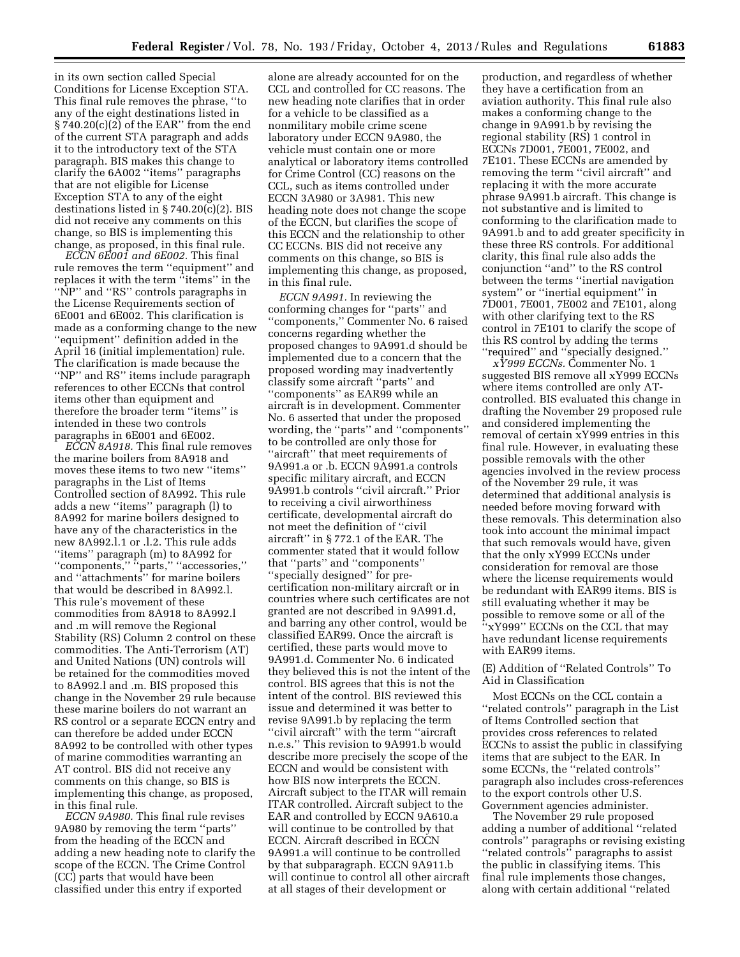in its own section called Special Conditions for License Exception STA. This final rule removes the phrase, ''to any of the eight destinations listed in § 740.20(c)(2) of the EAR'' from the end of the current STA paragraph and adds it to the introductory text of the STA paragraph. BIS makes this change to clarify the 6A002 ''items'' paragraphs that are not eligible for License Exception STA to any of the eight destinations listed in § 740.20(c)(2). BIS did not receive any comments on this change, so BIS is implementing this change, as proposed, in this final rule.

*ECCN 6E001 and 6E002.* This final rule removes the term ''equipment'' and replaces it with the term ''items'' in the ''NP'' and ''RS'' controls paragraphs in the License Requirements section of 6E001 and 6E002. This clarification is made as a conforming change to the new ''equipment'' definition added in the April 16 (initial implementation) rule. The clarification is made because the ''NP'' and RS'' items include paragraph references to other ECCNs that control items other than equipment and therefore the broader term ''items'' is intended in these two controls paragraphs in 6E001 and 6E002.

*ECCN 8A918.* This final rule removes the marine boilers from 8A918 and moves these items to two new ''items'' paragraphs in the List of Items Controlled section of 8A992. This rule adds a new ''items'' paragraph (l) to 8A992 for marine boilers designed to have any of the characteristics in the new 8A992.l.1 or .l.2. This rule adds ''items'' paragraph (m) to 8A992 for ''components,'' ''parts,'' ''accessories,'' and ''attachments'' for marine boilers that would be described in 8A992.l. This rule's movement of these commodities from 8A918 to 8A992.l and .m will remove the Regional Stability (RS) Column 2 control on these commodities. The Anti-Terrorism (AT) and United Nations (UN) controls will be retained for the commodities moved to 8A992.l and .m. BIS proposed this change in the November 29 rule because these marine boilers do not warrant an RS control or a separate ECCN entry and can therefore be added under ECCN 8A992 to be controlled with other types of marine commodities warranting an AT control. BIS did not receive any comments on this change, so BIS is implementing this change, as proposed, in this final rule.

*ECCN 9A980.* This final rule revises 9A980 by removing the term ''parts'' from the heading of the ECCN and adding a new heading note to clarify the scope of the ECCN. The Crime Control (CC) parts that would have been classified under this entry if exported

alone are already accounted for on the CCL and controlled for CC reasons. The new heading note clarifies that in order for a vehicle to be classified as a nonmilitary mobile crime scene laboratory under ECCN 9A980, the vehicle must contain one or more analytical or laboratory items controlled for Crime Control (CC) reasons on the CCL, such as items controlled under ECCN 3A980 or 3A981. This new heading note does not change the scope of the ECCN, but clarifies the scope of this ECCN and the relationship to other CC ECCNs. BIS did not receive any comments on this change, so BIS is implementing this change, as proposed, in this final rule.

*ECCN 9A991.* In reviewing the conforming changes for ''parts'' and ''components,'' Commenter No. 6 raised concerns regarding whether the proposed changes to 9A991.d should be implemented due to a concern that the proposed wording may inadvertently classify some aircraft ''parts'' and ''components'' as EAR99 while an aircraft is in development. Commenter No. 6 asserted that under the proposed wording, the ''parts'' and ''components'' to be controlled are only those for ''aircraft'' that meet requirements of 9A991.a or .b. ECCN 9A991.a controls specific military aircraft, and ECCN 9A991.b controls ''civil aircraft.'' Prior to receiving a civil airworthiness certificate, developmental aircraft do not meet the definition of ''civil aircraft'' in § 772.1 of the EAR. The commenter stated that it would follow that ''parts'' and ''components'' ''specially designed'' for precertification non-military aircraft or in countries where such certificates are not granted are not described in 9A991.d, and barring any other control, would be classified EAR99. Once the aircraft is certified, these parts would move to 9A991.d. Commenter No. 6 indicated they believed this is not the intent of the control. BIS agrees that this is not the intent of the control. BIS reviewed this issue and determined it was better to revise 9A991.b by replacing the term ''civil aircraft'' with the term ''aircraft n.e.s.'' This revision to 9A991.b would describe more precisely the scope of the ECCN and would be consistent with how BIS now interprets the ECCN. Aircraft subject to the ITAR will remain ITAR controlled. Aircraft subject to the EAR and controlled by ECCN 9A610.a will continue to be controlled by that ECCN. Aircraft described in ECCN 9A991.a will continue to be controlled by that subparagraph. ECCN 9A911.b will continue to control all other aircraft at all stages of their development or

production, and regardless of whether they have a certification from an aviation authority. This final rule also makes a conforming change to the change in 9A991.b by revising the regional stability (RS) 1 control in ECCNs 7D001, 7E001, 7E002, and 7E101. These ECCNs are amended by removing the term ''civil aircraft'' and replacing it with the more accurate phrase 9A991.b aircraft. This change is not substantive and is limited to conforming to the clarification made to 9A991.b and to add greater specificity in these three RS controls. For additional clarity, this final rule also adds the conjunction ''and'' to the RS control between the terms ''inertial navigation system'' or ''inertial equipment'' in 7D001, 7E001, 7E002 and 7E101, along with other clarifying text to the RS control in 7E101 to clarify the scope of this RS control by adding the terms ''required'' and ''specially designed.''

*xY999 ECCNs.* Commenter No. 1 suggested BIS remove all xY999 ECCNs where items controlled are only ATcontrolled. BIS evaluated this change in drafting the November 29 proposed rule and considered implementing the removal of certain xY999 entries in this final rule. However, in evaluating these possible removals with the other agencies involved in the review process of the November 29 rule, it was determined that additional analysis is needed before moving forward with these removals. This determination also took into account the minimal impact that such removals would have, given that the only xY999 ECCNs under consideration for removal are those where the license requirements would be redundant with EAR99 items. BIS is still evaluating whether it may be possible to remove some or all of the ''xY999'' ECCNs on the CCL that may have redundant license requirements with EAR99 items.

### (E) Addition of ''Related Controls'' To Aid in Classification

Most ECCNs on the CCL contain a ''related controls'' paragraph in the List of Items Controlled section that provides cross references to related ECCNs to assist the public in classifying items that are subject to the EAR. In some ECCNs, the ''related controls'' paragraph also includes cross-references to the export controls other U.S. Government agencies administer.

The November 29 rule proposed adding a number of additional ''related controls'' paragraphs or revising existing ''related controls'' paragraphs to assist the public in classifying items. This final rule implements those changes, along with certain additional ''related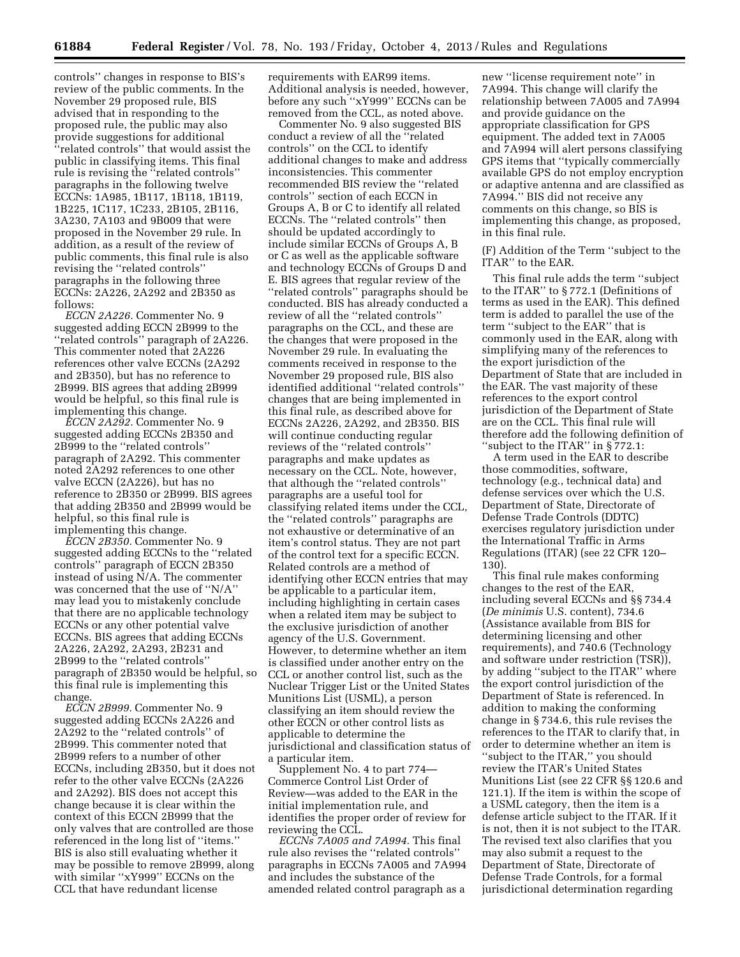controls'' changes in response to BIS's review of the public comments. In the November 29 proposed rule, BIS advised that in responding to the proposed rule, the public may also provide suggestions for additional ''related controls'' that would assist the public in classifying items. This final rule is revising the ''related controls'' paragraphs in the following twelve ECCNs: 1A985, 1B117, 1B118, 1B119, 1B225, 1C117, 1C233, 2B105, 2B116, 3A230, 7A103 and 9B009 that were proposed in the November 29 rule. In addition, as a result of the review of public comments, this final rule is also revising the ''related controls'' paragraphs in the following three ECCNs: 2A226, 2A292 and 2B350 as follows:

*ECCN 2A226.* Commenter No. 9 suggested adding ECCN 2B999 to the ''related controls'' paragraph of 2A226. This commenter noted that 2A226 references other valve ECCNs (2A292 and 2B350), but has no reference to 2B999. BIS agrees that adding 2B999 would be helpful, so this final rule is implementing this change.

*ECCN 2A292.* Commenter No. 9 suggested adding ECCNs 2B350 and 2B999 to the ''related controls'' paragraph of 2A292. This commenter noted 2A292 references to one other valve ECCN (2A226), but has no reference to 2B350 or 2B999. BIS agrees that adding 2B350 and 2B999 would be helpful, so this final rule is implementing this change.

*ECCN 2B350.* Commenter No. 9 suggested adding ECCNs to the ''related controls'' paragraph of ECCN 2B350 instead of using N/A. The commenter was concerned that the use of ''N/A'' may lead you to mistakenly conclude that there are no applicable technology ECCNs or any other potential valve ECCNs. BIS agrees that adding ECCNs 2A226, 2A292, 2A293, 2B231 and 2B999 to the ''related controls'' paragraph of 2B350 would be helpful, so this final rule is implementing this change.

*ECCN 2B999.* Commenter No. 9 suggested adding ECCNs 2A226 and 2A292 to the ''related controls'' of 2B999. This commenter noted that 2B999 refers to a number of other ECCNs, including 2B350, but it does not refer to the other valve ECCNs (2A226 and 2A292). BIS does not accept this change because it is clear within the context of this ECCN 2B999 that the only valves that are controlled are those referenced in the long list of ''items.'' BIS is also still evaluating whether it may be possible to remove 2B999, along with similar ''xY999'' ECCNs on the CCL that have redundant license

requirements with EAR99 items. Additional analysis is needed, however, before any such ''xY999'' ECCNs can be removed from the CCL, as noted above.

Commenter No. 9 also suggested BIS conduct a review of all the ''related controls'' on the CCL to identify additional changes to make and address inconsistencies. This commenter recommended BIS review the ''related controls'' section of each ECCN in Groups A, B or C to identify all related ECCNs. The ''related controls'' then should be updated accordingly to include similar ECCNs of Groups A, B or C as well as the applicable software and technology ECCNs of Groups D and E. BIS agrees that regular review of the ''related controls'' paragraphs should be conducted. BIS has already conducted a review of all the ''related controls'' paragraphs on the CCL, and these are the changes that were proposed in the November 29 rule. In evaluating the comments received in response to the November 29 proposed rule, BIS also identified additional ''related controls'' changes that are being implemented in this final rule, as described above for ECCNs 2A226, 2A292, and 2B350. BIS will continue conducting regular reviews of the ''related controls'' paragraphs and make updates as necessary on the CCL. Note, however, that although the ''related controls'' paragraphs are a useful tool for classifying related items under the CCL, the ''related controls'' paragraphs are not exhaustive or determinative of an item's control status. They are not part of the control text for a specific ECCN. Related controls are a method of identifying other ECCN entries that may be applicable to a particular item, including highlighting in certain cases when a related item may be subject to the exclusive jurisdiction of another agency of the U.S. Government. However, to determine whether an item is classified under another entry on the CCL or another control list, such as the Nuclear Trigger List or the United States Munitions List (USML), a person classifying an item should review the other ECCN or other control lists as applicable to determine the jurisdictional and classification status of a particular item.

Supplement No. 4 to part 774— Commerce Control List Order of Review—was added to the EAR in the initial implementation rule, and identifies the proper order of review for reviewing the CCL.

*ECCNs 7A005 and 7A994.* This final rule also revises the ''related controls'' paragraphs in ECCNs 7A005 and 7A994 and includes the substance of the amended related control paragraph as a

new ''license requirement note'' in 7A994. This change will clarify the relationship between 7A005 and 7A994 and provide guidance on the appropriate classification for GPS equipment. The added text in 7A005 and 7A994 will alert persons classifying GPS items that ''typically commercially available GPS do not employ encryption or adaptive antenna and are classified as 7A994.'' BIS did not receive any comments on this change, so BIS is implementing this change, as proposed, in this final rule.

(F) Addition of the Term ''subject to the ITAR'' to the EAR.

This final rule adds the term ''subject to the ITAR'' to § 772.1 (Definitions of terms as used in the EAR). This defined term is added to parallel the use of the term "subject to the EAR" that is commonly used in the EAR, along with simplifying many of the references to the export jurisdiction of the Department of State that are included in the EAR. The vast majority of these references to the export control jurisdiction of the Department of State are on the CCL. This final rule will therefore add the following definition of ''subject to the ITAR'' in § 772.1:

A term used in the EAR to describe those commodities, software, technology (e.g., technical data) and defense services over which the U.S. Department of State, Directorate of Defense Trade Controls (DDTC) exercises regulatory jurisdiction under the International Traffic in Arms Regulations (ITAR) (see 22 CFR 120– 130).

This final rule makes conforming changes to the rest of the EAR, including several ECCNs and §§ 734.4 (*De minimis* U.S. content), 734.6 (Assistance available from BIS for determining licensing and other requirements), and 740.6 (Technology and software under restriction (TSR)), by adding ''subject to the ITAR'' where the export control jurisdiction of the Department of State is referenced. In addition to making the conforming change in § 734.6, this rule revises the references to the ITAR to clarify that, in order to determine whether an item is ''subject to the ITAR,'' you should review the ITAR's United States Munitions List (see 22 CFR §§ 120.6 and 121.1). If the item is within the scope of a USML category, then the item is a defense article subject to the ITAR. If it is not, then it is not subject to the ITAR. The revised text also clarifies that you may also submit a request to the Department of State, Directorate of Defense Trade Controls, for a formal jurisdictional determination regarding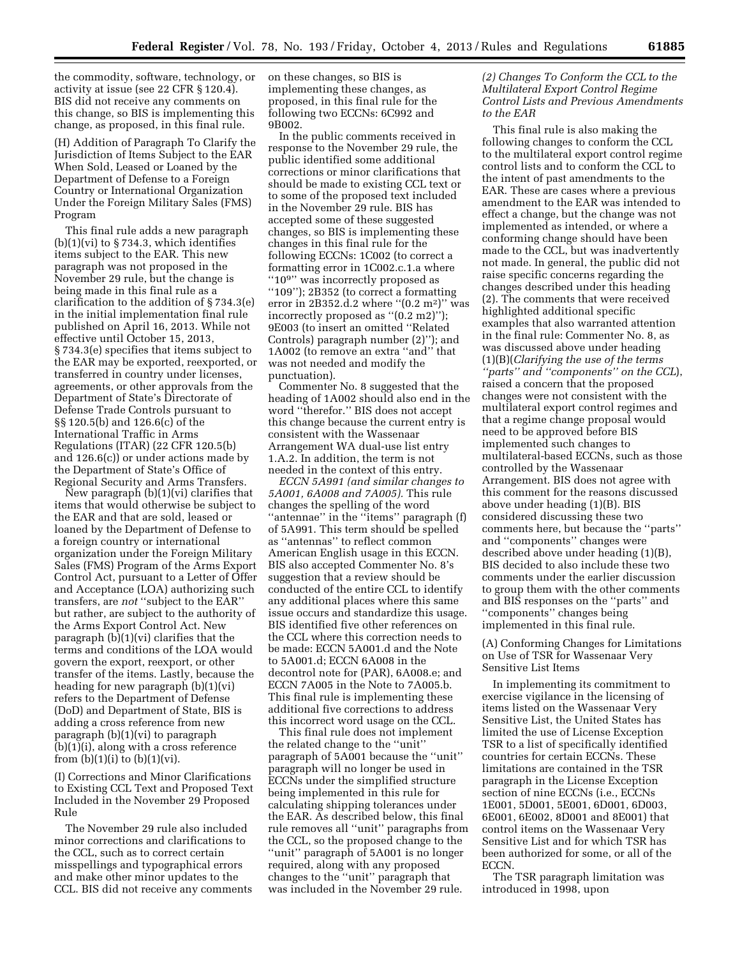the commodity, software, technology, or activity at issue (see 22 CFR § 120.4). BIS did not receive any comments on this change, so BIS is implementing this change, as proposed, in this final rule.

(H) Addition of Paragraph To Clarify the Jurisdiction of Items Subject to the EAR When Sold, Leased or Loaned by the Department of Defense to a Foreign Country or International Organization Under the Foreign Military Sales (FMS) Program

This final rule adds a new paragraph  $(b)(1)(vi)$  to § 734.3, which identifies items subject to the EAR. This new paragraph was not proposed in the November 29 rule, but the change is being made in this final rule as a clarification to the addition of § 734.3(e) in the initial implementation final rule published on April 16, 2013. While not effective until October 15, 2013, § 734.3(e) specifies that items subject to the EAR may be exported, reexported, or transferred in country under licenses, agreements, or other approvals from the Department of State's Directorate of Defense Trade Controls pursuant to §§ 120.5(b) and 126.6(c) of the International Traffic in Arms Regulations (ITAR) (22 CFR 120.5(b) and 126.6(c)) or under actions made by the Department of State's Office of Regional Security and Arms Transfers.

New paragraph (b)(1)(vi) clarifies that items that would otherwise be subject to the EAR and that are sold, leased or loaned by the Department of Defense to a foreign country or international organization under the Foreign Military Sales (FMS) Program of the Arms Export Control Act, pursuant to a Letter of Offer and Acceptance (LOA) authorizing such transfers, are *not* ''subject to the EAR'' but rather, are subject to the authority of the Arms Export Control Act. New paragraph (b)(1)(vi) clarifies that the terms and conditions of the LOA would govern the export, reexport, or other transfer of the items. Lastly, because the heading for new paragraph (b)(1)(vi) refers to the Department of Defense (DoD) and Department of State, BIS is adding a cross reference from new paragraph (b)(1)(vi) to paragraph (b)(1)(i), along with a cross reference from  $(b)(1)(i)$  to  $(b)(1)(vi)$ .

(I) Corrections and Minor Clarifications to Existing CCL Text and Proposed Text Included in the November 29 Proposed Rule

The November 29 rule also included minor corrections and clarifications to the CCL, such as to correct certain misspellings and typographical errors and make other minor updates to the CCL. BIS did not receive any comments on these changes, so BIS is implementing these changes, as proposed, in this final rule for the following two ECCNs: 6C992 and 9B002.

In the public comments received in response to the November 29 rule, the public identified some additional corrections or minor clarifications that should be made to existing CCL text or to some of the proposed text included in the November 29 rule. BIS has accepted some of these suggested changes, so BIS is implementing these changes in this final rule for the following ECCNs: 1C002 (to correct a formatting error in 1C002.c.1.a where "10<sup>9"</sup> was incorrectly proposed as ''109''); 2B352 (to correct a formatting error in 2B352.d.2 where " $(0.2 \text{ m}^2)$ " was incorrectly proposed as ''(0.2 m2)''); 9E003 (to insert an omitted ''Related Controls) paragraph number (2)''); and 1A002 (to remove an extra ''and'' that was not needed and modify the punctuation).

Commenter No. 8 suggested that the heading of 1A002 should also end in the word ''therefor.'' BIS does not accept this change because the current entry is consistent with the Wassenaar Arrangement WA dual-use list entry 1.A.2. In addition, the term is not needed in the context of this entry.

*ECCN 5A991 (and similar changes to 5A001, 6A008 and 7A005).* This rule changes the spelling of the word "antennae" in the "items" paragraph (f) of 5A991. This term should be spelled as ''antennas'' to reflect common American English usage in this ECCN. BIS also accepted Commenter No. 8's suggestion that a review should be conducted of the entire CCL to identify any additional places where this same issue occurs and standardize this usage. BIS identified five other references on the CCL where this correction needs to be made: ECCN 5A001.d and the Note to 5A001.d; ECCN 6A008 in the decontrol note for (PAR), 6A008.e; and ECCN 7A005 in the Note to 7A005.b. This final rule is implementing these additional five corrections to address this incorrect word usage on the CCL.

This final rule does not implement the related change to the ''unit'' paragraph of 5A001 because the ''unit'' paragraph will no longer be used in ECCNs under the simplified structure being implemented in this rule for calculating shipping tolerances under the EAR. As described below, this final rule removes all ''unit'' paragraphs from the CCL, so the proposed change to the ''unit'' paragraph of 5A001 is no longer required, along with any proposed changes to the ''unit'' paragraph that was included in the November 29 rule.

*(2) Changes To Conform the CCL to the Multilateral Export Control Regime Control Lists and Previous Amendments to the EAR* 

This final rule is also making the following changes to conform the CCL to the multilateral export control regime control lists and to conform the CCL to the intent of past amendments to the EAR. These are cases where a previous amendment to the EAR was intended to effect a change, but the change was not implemented as intended, or where a conforming change should have been made to the CCL, but was inadvertently not made. In general, the public did not raise specific concerns regarding the changes described under this heading (2). The comments that were received highlighted additional specific examples that also warranted attention in the final rule: Commenter No. 8, as was discussed above under heading (1)(B)(*Clarifying the use of the terms ''parts'' and ''components'' on the CCL*), raised a concern that the proposed changes were not consistent with the multilateral export control regimes and that a regime change proposal would need to be approved before BIS implemented such changes to multilateral-based ECCNs, such as those controlled by the Wassenaar Arrangement. BIS does not agree with this comment for the reasons discussed above under heading (1)(B). BIS considered discussing these two comments here, but because the ''parts'' and ''components'' changes were described above under heading (1)(B), BIS decided to also include these two comments under the earlier discussion to group them with the other comments and BIS responses on the ''parts'' and ''components'' changes being implemented in this final rule.

(A) Conforming Changes for Limitations on Use of TSR for Wassenaar Very Sensitive List Items

In implementing its commitment to exercise vigilance in the licensing of items listed on the Wassenaar Very Sensitive List, the United States has limited the use of License Exception TSR to a list of specifically identified countries for certain ECCNs. These limitations are contained in the TSR paragraph in the License Exception section of nine ECCNs (i.e., ECCNs 1E001, 5D001, 5E001, 6D001, 6D003, 6E001, 6E002, 8D001 and 8E001) that control items on the Wassenaar Very Sensitive List and for which TSR has been authorized for some, or all of the ECCN.

The TSR paragraph limitation was introduced in 1998, upon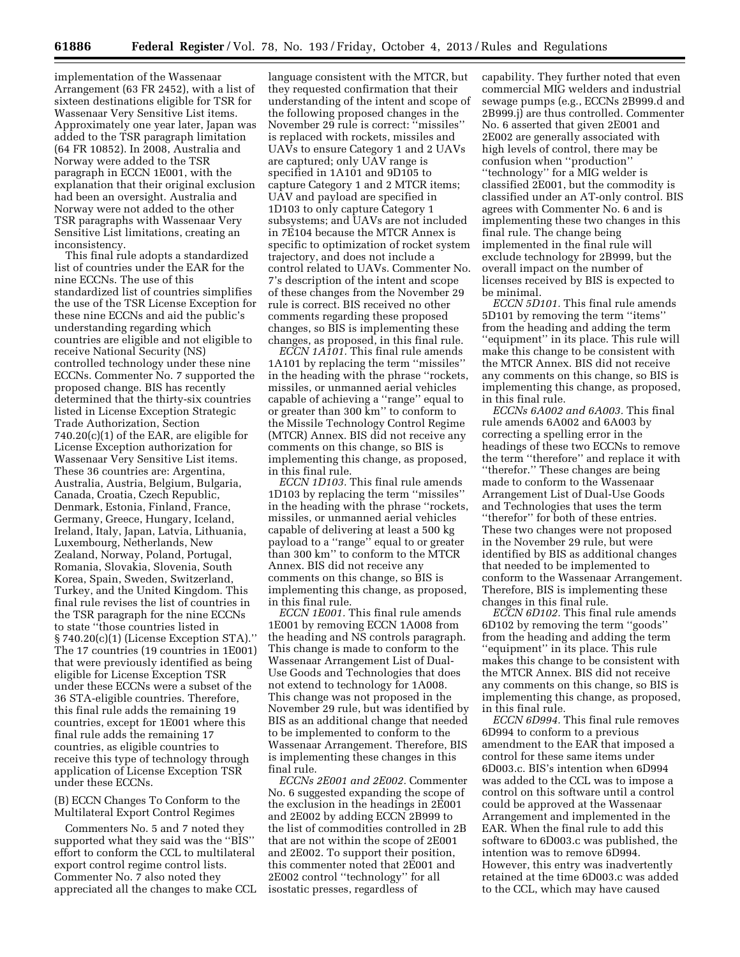implementation of the Wassenaar Arrangement (63 FR 2452), with a list of sixteen destinations eligible for TSR for Wassenaar Very Sensitive List items. Approximately one year later, Japan was added to the TSR paragraph limitation (64 FR 10852). In 2008, Australia and Norway were added to the TSR paragraph in ECCN 1E001, with the explanation that their original exclusion had been an oversight. Australia and Norway were not added to the other TSR paragraphs with Wassenaar Very Sensitive List limitations, creating an inconsistency.

This final rule adopts a standardized list of countries under the EAR for the nine ECCNs. The use of this standardized list of countries simplifies the use of the TSR License Exception for these nine ECCNs and aid the public's understanding regarding which countries are eligible and not eligible to receive National Security (NS) controlled technology under these nine ECCNs. Commenter No. 7 supported the proposed change. BIS has recently determined that the thirty-six countries listed in License Exception Strategic Trade Authorization, Section 740.20(c)(1) of the EAR, are eligible for License Exception authorization for Wassenaar Very Sensitive List items. These 36 countries are: Argentina, Australia, Austria, Belgium, Bulgaria, Canada, Croatia, Czech Republic, Denmark, Estonia, Finland, France, Germany, Greece, Hungary, Iceland, Ireland, Italy, Japan, Latvia, Lithuania, Luxembourg, Netherlands, New Zealand, Norway, Poland, Portugal, Romania, Slovakia, Slovenia, South Korea, Spain, Sweden, Switzerland, Turkey, and the United Kingdom. This final rule revises the list of countries in the TSR paragraph for the nine ECCNs to state ''those countries listed in § 740.20(c)(1) (License Exception STA).'' The 17 countries (19 countries in 1E001) that were previously identified as being eligible for License Exception TSR under these ECCNs were a subset of the 36 STA-eligible countries. Therefore, this final rule adds the remaining 19 countries, except for 1E001 where this final rule adds the remaining 17 countries, as eligible countries to receive this type of technology through application of License Exception TSR under these ECCNs.

#### (B) ECCN Changes To Conform to the Multilateral Export Control Regimes

Commenters No. 5 and 7 noted they supported what they said was the ''BIS'' effort to conform the CCL to multilateral export control regime control lists. Commenter No. 7 also noted they appreciated all the changes to make CCL

language consistent with the MTCR, but they requested confirmation that their understanding of the intent and scope of the following proposed changes in the November 29 rule is correct: ''missiles'' is replaced with rockets, missiles and UAVs to ensure Category 1 and 2 UAVs are captured; only UAV range is specified in 1A101 and 9D105 to capture Category 1 and 2 MTCR items; UAV and payload are specified in 1D103 to only capture Category 1 subsystems; and UAVs are not included in 7E104 because the MTCR Annex is specific to optimization of rocket system trajectory, and does not include a control related to UAVs. Commenter No. 7's description of the intent and scope of these changes from the November 29 rule is correct. BIS received no other comments regarding these proposed changes, so BIS is implementing these changes, as proposed, in this final rule.

*ECCN 1A101.* This final rule amends 1A101 by replacing the term ''missiles'' in the heading with the phrase ''rockets, missiles, or unmanned aerial vehicles capable of achieving a ''range'' equal to or greater than 300 km'' to conform to the Missile Technology Control Regime (MTCR) Annex. BIS did not receive any comments on this change, so BIS is implementing this change, as proposed, in this final rule.

*ECCN 1D103.* This final rule amends 1D103 by replacing the term ''missiles'' in the heading with the phrase ''rockets, missiles, or unmanned aerial vehicles capable of delivering at least a 500 kg payload to a ''range'' equal to or greater than 300 km'' to conform to the MTCR Annex. BIS did not receive any comments on this change, so BIS is implementing this change, as proposed, in this final rule.

*ECCN 1E001.* This final rule amends 1E001 by removing ECCN 1A008 from the heading and NS controls paragraph. This change is made to conform to the Wassenaar Arrangement List of Dual-Use Goods and Technologies that does not extend to technology for 1A008. This change was not proposed in the November 29 rule, but was identified by BIS as an additional change that needed to be implemented to conform to the Wassenaar Arrangement. Therefore, BIS is implementing these changes in this final rule.

*ECCNs 2E001 and 2E002.* Commenter No. 6 suggested expanding the scope of the exclusion in the headings in 2E001 and 2E002 by adding ECCN 2B999 to the list of commodities controlled in 2B that are not within the scope of 2E001 and 2E002. To support their position, this commenter noted that 2E001 and 2E002 control ''technology'' for all isostatic presses, regardless of

capability. They further noted that even commercial MIG welders and industrial sewage pumps (e.g., ECCNs 2B999.d and 2B999.j) are thus controlled. Commenter No. 6 asserted that given 2E001 and 2E002 are generally associated with high levels of control, there may be confusion when ''production'' ''technology'' for a MIG welder is classified 2E001, but the commodity is classified under an AT-only control. BIS agrees with Commenter No. 6 and is implementing these two changes in this final rule. The change being implemented in the final rule will exclude technology for 2B999, but the overall impact on the number of licenses received by BIS is expected to be minimal.

*ECCN 5D101.* This final rule amends 5D101 by removing the term ''items'' from the heading and adding the term ''equipment'' in its place. This rule will make this change to be consistent with the MTCR Annex. BIS did not receive any comments on this change, so BIS is implementing this change, as proposed, in this final rule.

*ECCNs 6A002 and 6A003.* This final rule amends 6A002 and 6A003 by correcting a spelling error in the headings of these two ECCNs to remove the term ''therefore'' and replace it with ''therefor.'' These changes are being made to conform to the Wassenaar Arrangement List of Dual-Use Goods and Technologies that uses the term ''therefor'' for both of these entries. These two changes were not proposed in the November 29 rule, but were identified by BIS as additional changes that needed to be implemented to conform to the Wassenaar Arrangement. Therefore, BIS is implementing these changes in this final rule.

*ECCN 6D102.* This final rule amends 6D102 by removing the term ''goods'' from the heading and adding the term ''equipment'' in its place. This rule makes this change to be consistent with the MTCR Annex. BIS did not receive any comments on this change, so BIS is implementing this change, as proposed, in this final rule.

*ECCN 6D994.* This final rule removes 6D994 to conform to a previous amendment to the EAR that imposed a control for these same items under 6D003.c. BIS's intention when 6D994 was added to the CCL was to impose a control on this software until a control could be approved at the Wassenaar Arrangement and implemented in the EAR. When the final rule to add this software to 6D003.c was published, the intention was to remove 6D994. However, this entry was inadvertently retained at the time 6D003.c was added to the CCL, which may have caused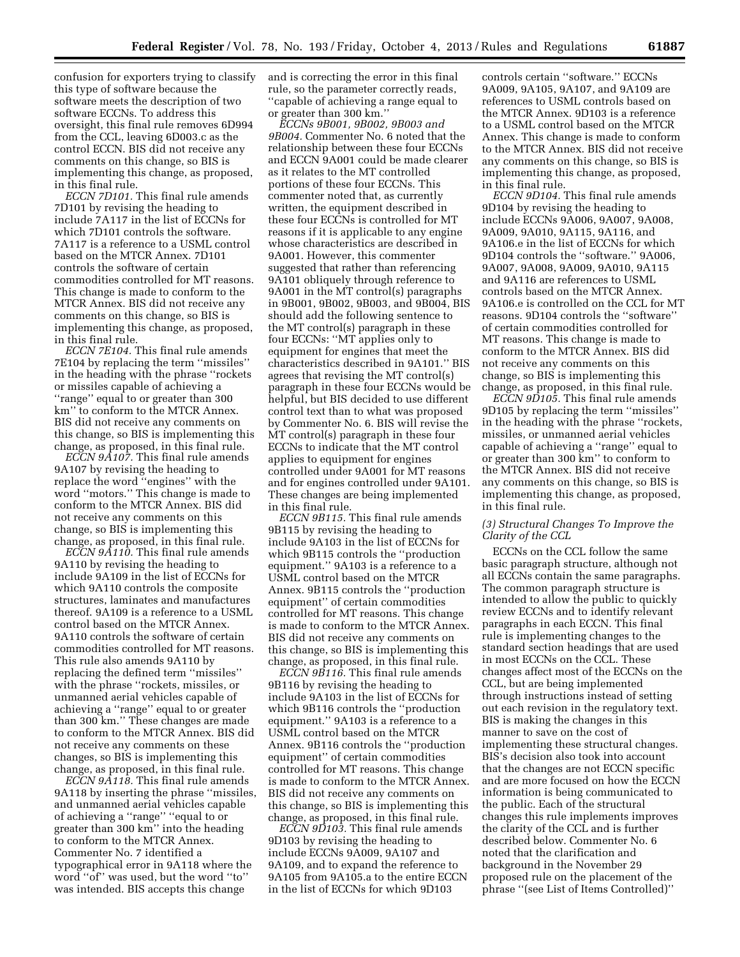confusion for exporters trying to classify this type of software because the software meets the description of two software ECCNs. To address this oversight, this final rule removes 6D994 from the CCL, leaving 6D003.c as the control ECCN. BIS did not receive any comments on this change, so BIS is implementing this change, as proposed, in this final rule.

*ECCN 7D101.* This final rule amends 7D101 by revising the heading to include 7A117 in the list of ECCNs for which 7D101 controls the software. 7A117 is a reference to a USML control based on the MTCR Annex. 7D101 controls the software of certain commodities controlled for MT reasons. This change is made to conform to the MTCR Annex. BIS did not receive any comments on this change, so BIS is implementing this change, as proposed, in this final rule.

*ECCN 7E104.* This final rule amends 7E104 by replacing the term ''missiles'' in the heading with the phrase ''rockets or missiles capable of achieving a ''range'' equal to or greater than 300 km'' to conform to the MTCR Annex. BIS did not receive any comments on this change, so BIS is implementing this change, as proposed, in this final rule.

*ECCN 9A107.* This final rule amends 9A107 by revising the heading to replace the word ''engines'' with the word ''motors.'' This change is made to conform to the MTCR Annex. BIS did not receive any comments on this change, so BIS is implementing this change, as proposed, in this final rule.

*ECCN 9A110.* This final rule amends 9A110 by revising the heading to include 9A109 in the list of ECCNs for which 9A110 controls the composite structures, laminates and manufactures thereof. 9A109 is a reference to a USML control based on the MTCR Annex. 9A110 controls the software of certain commodities controlled for MT reasons. This rule also amends 9A110 by replacing the defined term ''missiles'' with the phrase ''rockets, missiles, or unmanned aerial vehicles capable of achieving a ''range'' equal to or greater than 300 km.'' These changes are made to conform to the MTCR Annex. BIS did not receive any comments on these changes, so BIS is implementing this change, as proposed, in this final rule.

*ECCN 9A118.* This final rule amends 9A118 by inserting the phrase ''missiles, and unmanned aerial vehicles capable of achieving a ''range'' ''equal to or greater than 300 km'' into the heading to conform to the MTCR Annex. Commenter No. 7 identified a typographical error in 9A118 where the word ''of'' was used, but the word ''to'' was intended. BIS accepts this change

and is correcting the error in this final rule, so the parameter correctly reads, ''capable of achieving a range equal to or greater than 300 km.''

*ECCNs 9B001, 9B002, 9B003 and 9B004.* Commenter No. 6 noted that the relationship between these four ECCNs and ECCN 9A001 could be made clearer as it relates to the MT controlled portions of these four ECCNs. This commenter noted that, as currently written, the equipment described in these four ECCNs is controlled for MT reasons if it is applicable to any engine whose characteristics are described in 9A001. However, this commenter suggested that rather than referencing 9A101 obliquely through reference to 9A001 in the MT control(s) paragraphs in 9B001, 9B002, 9B003, and 9B004, BIS should add the following sentence to the MT control(s) paragraph in these four ECCNs: ''MT applies only to equipment for engines that meet the characteristics described in 9A101.'' BIS agrees that revising the MT control(s) paragraph in these four ECCNs would be helpful, but BIS decided to use different control text than to what was proposed by Commenter No. 6. BIS will revise the MT control(s) paragraph in these four ECCNs to indicate that the MT control applies to equipment for engines controlled under 9A001 for MT reasons and for engines controlled under 9A101. These changes are being implemented in this final rule.

*ECCN 9B115.* This final rule amends 9B115 by revising the heading to include 9A103 in the list of ECCNs for which 9B115 controls the ''production equipment.'' 9A103 is a reference to a USML control based on the MTCR Annex. 9B115 controls the ''production equipment'' of certain commodities controlled for MT reasons. This change is made to conform to the MTCR Annex. BIS did not receive any comments on this change, so BIS is implementing this change, as proposed, in this final rule.

*ECCN 9B116.* This final rule amends 9B116 by revising the heading to include 9A103 in the list of ECCNs for which 9B116 controls the ''production equipment.'' 9A103 is a reference to a USML control based on the MTCR Annex. 9B116 controls the ''production equipment'' of certain commodities controlled for MT reasons. This change is made to conform to the MTCR Annex. BIS did not receive any comments on this change, so BIS is implementing this change, as proposed, in this final rule.

*ECCN 9D103.* This final rule amends 9D103 by revising the heading to include ECCNs 9A009, 9A107 and 9A109, and to expand the reference to 9A105 from 9A105.a to the entire ECCN in the list of ECCNs for which 9D103

controls certain ''software.'' ECCNs 9A009, 9A105, 9A107, and 9A109 are references to USML controls based on the MTCR Annex. 9D103 is a reference to a USML control based on the MTCR Annex. This change is made to conform to the MTCR Annex. BIS did not receive any comments on this change, so BIS is implementing this change, as proposed, in this final rule.

*ECCN 9D104.* This final rule amends 9D104 by revising the heading to include ECCNs 9A006, 9A007, 9A008, 9A009, 9A010, 9A115, 9A116, and 9A106.e in the list of ECCNs for which 9D104 controls the ''software.'' 9A006, 9A007, 9A008, 9A009, 9A010, 9A115 and 9A116 are references to USML controls based on the MTCR Annex. 9A106.e is controlled on the CCL for MT reasons. 9D104 controls the ''software'' of certain commodities controlled for MT reasons. This change is made to conform to the MTCR Annex. BIS did not receive any comments on this change, so BIS is implementing this change, as proposed, in this final rule.

*ECCN 9D105.* This final rule amends 9D105 by replacing the term ''missiles'' in the heading with the phrase ''rockets, missiles, or unmanned aerial vehicles capable of achieving a ''range'' equal to or greater than 300 km'' to conform to the MTCR Annex. BIS did not receive any comments on this change, so BIS is implementing this change, as proposed, in this final rule.

### *(3) Structural Changes To Improve the Clarity of the CCL*

ECCNs on the CCL follow the same basic paragraph structure, although not all ECCNs contain the same paragraphs. The common paragraph structure is intended to allow the public to quickly review ECCNs and to identify relevant paragraphs in each ECCN. This final rule is implementing changes to the standard section headings that are used in most ECCNs on the CCL. These changes affect most of the ECCNs on the CCL, but are being implemented through instructions instead of setting out each revision in the regulatory text. BIS is making the changes in this manner to save on the cost of implementing these structural changes. BIS's decision also took into account that the changes are not ECCN specific and are more focused on how the ECCN information is being communicated to the public. Each of the structural changes this rule implements improves the clarity of the CCL and is further described below. Commenter No. 6 noted that the clarification and background in the November 29 proposed rule on the placement of the phrase ''(see List of Items Controlled)''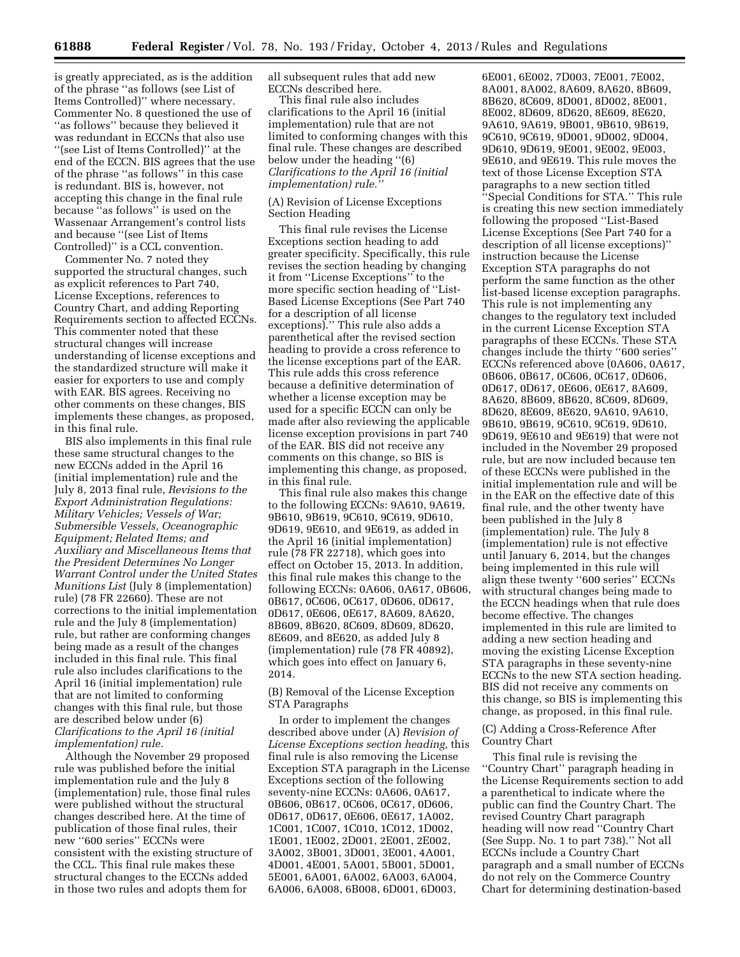is greatly appreciated, as is the addition of the phrase ''as follows (see List of Items Controlled)'' where necessary. Commenter No. 8 questioned the use of ''as follows'' because they believed it was redundant in ECCNs that also use ''(see List of Items Controlled)'' at the end of the ECCN. BIS agrees that the use of the phrase ''as follows'' in this case is redundant. BIS is, however, not accepting this change in the final rule because ''as follows'' is used on the Wassenaar Arrangement's control lists and because ''(see List of Items Controlled)'' is a CCL convention.

Commenter No. 7 noted they supported the structural changes, such as explicit references to Part 740, License Exceptions, references to Country Chart, and adding Reporting Requirements section to affected ECCNs. This commenter noted that these structural changes will increase understanding of license exceptions and the standardized structure will make it easier for exporters to use and comply with EAR. BIS agrees. Receiving no other comments on these changes, BIS implements these changes, as proposed, in this final rule.

BIS also implements in this final rule these same structural changes to the new ECCNs added in the April 16 (initial implementation) rule and the July 8, 2013 final rule, *Revisions to the Export Administration Regulations: Military Vehicles; Vessels of War; Submersible Vessels, Oceanographic Equipment; Related Items; and Auxiliary and Miscellaneous Items that the President Determines No Longer Warrant Control under the United States Munitions List* (July 8 (implementation) rule) (78 FR 22660). These are not corrections to the initial implementation rule and the July 8 (implementation) rule, but rather are conforming changes being made as a result of the changes included in this final rule. This final rule also includes clarifications to the April 16 (initial implementation) rule that are not limited to conforming changes with this final rule, but those are described below under (6) *Clarifications to the April 16 (initial implementation) rule.* 

Although the November 29 proposed rule was published before the initial implementation rule and the July 8 (implementation) rule, those final rules were published without the structural changes described here. At the time of publication of those final rules, their new ''600 series'' ECCNs were consistent with the existing structure of the CCL. This final rule makes these structural changes to the ECCNs added in those two rules and adopts them for

all subsequent rules that add new ECCNs described here.

This final rule also includes clarifications to the April 16 (initial implementation) rule that are not limited to conforming changes with this final rule. These changes are described below under the heading ''(6) *Clarifications to the April 16 (initial implementation) rule.''* 

#### (A) Revision of License Exceptions Section Heading

This final rule revises the License Exceptions section heading to add greater specificity. Specifically, this rule revises the section heading by changing it from ''License Exceptions'' to the more specific section heading of ''List-Based License Exceptions (See Part 740 for a description of all license exceptions).'' This rule also adds a parenthetical after the revised section heading to provide a cross reference to the license exceptions part of the EAR. This rule adds this cross reference because a definitive determination of whether a license exception may be used for a specific ECCN can only be made after also reviewing the applicable license exception provisions in part 740 of the EAR. BIS did not receive any comments on this change, so BIS is implementing this change, as proposed, in this final rule.

This final rule also makes this change to the following ECCNs: 9A610, 9A619, 9B610, 9B619, 9C610, 9C619, 9D610, 9D619, 9E610, and 9E619, as added in the April 16 (initial implementation) rule (78 FR 22718), which goes into effect on October 15, 2013. In addition, this final rule makes this change to the following ECCNs: 0A606, 0A617, 0B606, 0B617, 0C606, 0C617, 0D606, 0D617, 0D617, 0E606, 0E617, 8A609, 8A620, 8B609, 8B620, 8C609, 8D609, 8D620, 8E609, and 8E620, as added July 8 (implementation) rule (78 FR 40892), which goes into effect on January 6, 2014.

(B) Removal of the License Exception STA Paragraphs

In order to implement the changes described above under (A) *Revision of License Exceptions section heading,* this final rule is also removing the License Exception STA paragraph in the License Exceptions section of the following seventy-nine ECCNs: 0A606, 0A617, 0B606, 0B617, 0C606, 0C617, 0D606, 0D617, 0D617, 0E606, 0E617, 1A002, 1C001, 1C007, 1C010, 1C012, 1D002, 1E001, 1E002, 2D001, 2E001, 2E002, 3A002, 3B001, 3D001, 3E001, 4A001, 4D001, 4E001, 5A001, 5B001, 5D001, 5E001, 6A001, 6A002, 6A003, 6A004, 6A006, 6A008, 6B008, 6D001, 6D003,

6E001, 6E002, 7D003, 7E001, 7E002, 8A001, 8A002, 8A609, 8A620, 8B609, 8B620, 8C609, 8D001, 8D002, 8E001, 8E002, 8D609, 8D620, 8E609, 8E620, 9A610, 9A619, 9B001, 9B610, 9B619, 9C610, 9C619, 9D001, 9D002, 9D004, 9D610, 9D619, 9E001, 9E002, 9E003, 9E610, and 9E619. This rule moves the text of those License Exception STA paragraphs to a new section titled ''Special Conditions for STA.'' This rule is creating this new section immediately following the proposed ''List-Based License Exceptions (See Part 740 for a description of all license exceptions)'' instruction because the License Exception STA paragraphs do not perform the same function as the other list-based license exception paragraphs. This rule is not implementing any changes to the regulatory text included in the current License Exception STA paragraphs of these ECCNs. These STA changes include the thirty ''600 series'' ECCNs referenced above (0A606, 0A617, 0B606, 0B617, 0C606, 0C617, 0D606, 0D617, 0D617, 0E606, 0E617, 8A609, 8A620, 8B609, 8B620, 8C609, 8D609, 8D620, 8E609, 8E620, 9A610, 9A610, 9B610, 9B619, 9C610, 9C619, 9D610, 9D619, 9E610 and 9E619) that were not included in the November 29 proposed rule, but are now included because ten of these ECCNs were published in the initial implementation rule and will be in the EAR on the effective date of this final rule, and the other twenty have been published in the July 8 (implementation) rule. The July 8 (implementation) rule is not effective until January 6, 2014, but the changes being implemented in this rule will align these twenty ''600 series'' ECCNs with structural changes being made to the ECCN headings when that rule does become effective. The changes implemented in this rule are limited to adding a new section heading and moving the existing License Exception STA paragraphs in these seventy-nine ECCNs to the new STA section heading. BIS did not receive any comments on this change, so BIS is implementing this change, as proposed, in this final rule.

(C) Adding a Cross-Reference After Country Chart

This final rule is revising the ''Country Chart'' paragraph heading in the License Requirements section to add a parenthetical to indicate where the public can find the Country Chart. The revised Country Chart paragraph heading will now read ''Country Chart (See Supp. No. 1 to part 738).'' Not all ECCNs include a Country Chart paragraph and a small number of ECCNs do not rely on the Commerce Country Chart for determining destination-based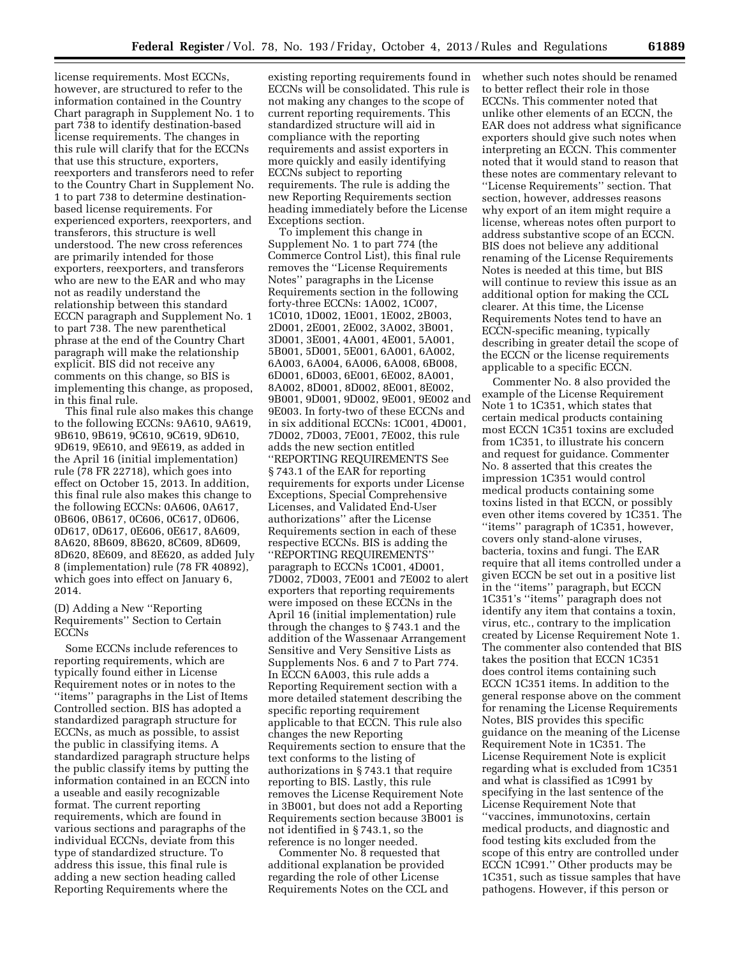license requirements. Most ECCNs, however, are structured to refer to the information contained in the Country Chart paragraph in Supplement No. 1 to part 738 to identify destination-based license requirements. The changes in this rule will clarify that for the ECCNs that use this structure, exporters, reexporters and transferors need to refer to the Country Chart in Supplement No. 1 to part 738 to determine destinationbased license requirements. For experienced exporters, reexporters, and transferors, this structure is well understood. The new cross references are primarily intended for those exporters, reexporters, and transferors who are new to the EAR and who may not as readily understand the relationship between this standard ECCN paragraph and Supplement No. 1 to part 738. The new parenthetical phrase at the end of the Country Chart paragraph will make the relationship explicit. BIS did not receive any comments on this change, so BIS is implementing this change, as proposed, in this final rule.

This final rule also makes this change to the following ECCNs: 9A610, 9A619, 9B610, 9B619, 9C610, 9C619, 9D610, 9D619, 9E610, and 9E619, as added in the April 16 (initial implementation) rule (78 FR 22718), which goes into effect on October 15, 2013. In addition, this final rule also makes this change to the following ECCNs: 0A606, 0A617, 0B606, 0B617, 0C606, 0C617, 0D606, 0D617, 0D617, 0E606, 0E617, 8A609, 8A620, 8B609, 8B620, 8C609, 8D609, 8D620, 8E609, and 8E620, as added July 8 (implementation) rule (78 FR 40892), which goes into effect on January 6, 2014.

(D) Adding a New ''Reporting Requirements'' Section to Certain ECCNs

Some ECCNs include references to reporting requirements, which are typically found either in License Requirement notes or in notes to the ''items'' paragraphs in the List of Items Controlled section. BIS has adopted a standardized paragraph structure for ECCNs, as much as possible, to assist the public in classifying items. A standardized paragraph structure helps the public classify items by putting the information contained in an ECCN into a useable and easily recognizable format. The current reporting requirements, which are found in various sections and paragraphs of the individual ECCNs, deviate from this type of standardized structure. To address this issue, this final rule is adding a new section heading called Reporting Requirements where the

existing reporting requirements found in ECCNs will be consolidated. This rule is not making any changes to the scope of current reporting requirements. This standardized structure will aid in compliance with the reporting requirements and assist exporters in more quickly and easily identifying ECCNs subject to reporting requirements. The rule is adding the new Reporting Requirements section heading immediately before the License Exceptions section.

To implement this change in Supplement No. 1 to part 774 (the Commerce Control List), this final rule removes the ''License Requirements Notes'' paragraphs in the License Requirements section in the following forty-three ECCNs: 1A002, 1C007, 1C010, 1D002, 1E001, 1E002, 2B003, 2D001, 2E001, 2E002, 3A002, 3B001, 3D001, 3E001, 4A001, 4E001, 5A001, 5B001, 5D001, 5E001, 6A001, 6A002, 6A003, 6A004, 6A006, 6A008, 6B008, 6D001, 6D003, 6E001, 6E002, 8A001, 8A002, 8D001, 8D002, 8E001, 8E002, 9B001, 9D001, 9D002, 9E001, 9E002 and 9E003. In forty-two of these ECCNs and in six additional ECCNs: 1C001, 4D001, 7D002, 7D003, 7E001, 7E002, this rule adds the new section entitled ''REPORTING REQUIREMENTS See § 743.1 of the EAR for reporting requirements for exports under License Exceptions, Special Comprehensive Licenses, and Validated End-User authorizations'' after the License Requirements section in each of these respective ECCNs. BIS is adding the ''REPORTING REQUIREMENTS'' paragraph to ECCNs 1C001, 4D001, 7D002, 7D003, 7E001 and 7E002 to alert exporters that reporting requirements were imposed on these ECCNs in the April 16 (initial implementation) rule through the changes to § 743.1 and the addition of the Wassenaar Arrangement Sensitive and Very Sensitive Lists as Supplements Nos. 6 and 7 to Part 774. In ECCN 6A003, this rule adds a Reporting Requirement section with a more detailed statement describing the specific reporting requirement applicable to that ECCN. This rule also changes the new Reporting Requirements section to ensure that the text conforms to the listing of authorizations in § 743.1 that require reporting to BIS. Lastly, this rule removes the License Requirement Note in 3B001, but does not add a Reporting Requirements section because 3B001 is not identified in § 743.1, so the reference is no longer needed.

Commenter No. 8 requested that additional explanation be provided regarding the role of other License Requirements Notes on the CCL and whether such notes should be renamed to better reflect their role in those ECCNs. This commenter noted that unlike other elements of an ECCN, the EAR does not address what significance exporters should give such notes when interpreting an ECCN. This commenter noted that it would stand to reason that these notes are commentary relevant to ''License Requirements'' section. That section, however, addresses reasons why export of an item might require a license, whereas notes often purport to address substantive scope of an ECCN. BIS does not believe any additional renaming of the License Requirements Notes is needed at this time, but BIS will continue to review this issue as an additional option for making the CCL clearer. At this time, the License Requirements Notes tend to have an ECCN-specific meaning, typically describing in greater detail the scope of the ECCN or the license requirements applicable to a specific ECCN.

Commenter No. 8 also provided the example of the License Requirement Note 1 to 1C351, which states that certain medical products containing most ECCN 1C351 toxins are excluded from 1C351, to illustrate his concern and request for guidance. Commenter No. 8 asserted that this creates the impression 1C351 would control medical products containing some toxins listed in that ECCN, or possibly even other items covered by 1C351. The ''items'' paragraph of 1C351, however, covers only stand-alone viruses, bacteria, toxins and fungi. The EAR require that all items controlled under a given ECCN be set out in a positive list in the ''items'' paragraph, but ECCN 1C351's ''items'' paragraph does not identify any item that contains a toxin, virus, etc., contrary to the implication created by License Requirement Note 1. The commenter also contended that BIS takes the position that ECCN 1C351 does control items containing such ECCN 1C351 items. In addition to the general response above on the comment for renaming the License Requirements Notes, BIS provides this specific guidance on the meaning of the License Requirement Note in 1C351. The License Requirement Note is explicit regarding what is excluded from 1C351 and what is classified as 1C991 by specifying in the last sentence of the License Requirement Note that ''vaccines, immunotoxins, certain medical products, and diagnostic and food testing kits excluded from the scope of this entry are controlled under ECCN 1C991.'' Other products may be 1C351, such as tissue samples that have pathogens. However, if this person or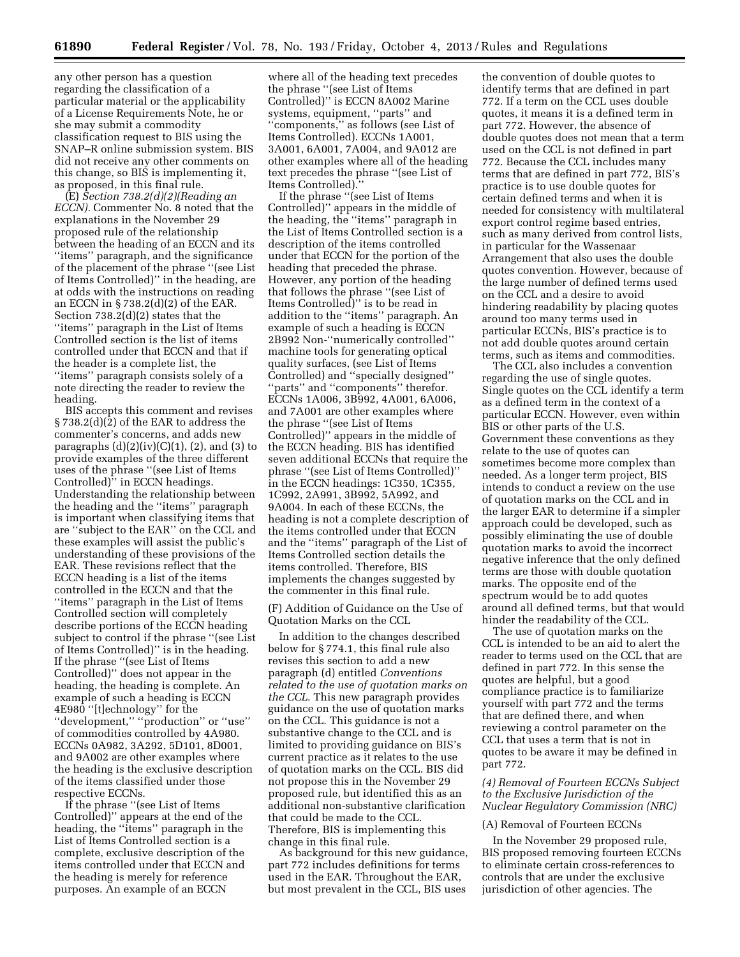any other person has a question regarding the classification of a particular material or the applicability of a License Requirements Note, he or she may submit a commodity classification request to BIS using the SNAP–R online submission system. BIS did not receive any other comments on this change, so BIS is implementing it, as proposed, in this final rule.

(E) *Section 738.2(d)(2)(Reading an ECCN).* Commenter No. 8 noted that the explanations in the November 29 proposed rule of the relationship between the heading of an ECCN and its ''items'' paragraph, and the significance of the placement of the phrase ''(see List of Items Controlled)'' in the heading, are at odds with the instructions on reading an ECCN in § 738.2(d)(2) of the EAR. Section 738.2(d)(2) states that the ''items'' paragraph in the List of Items Controlled section is the list of items controlled under that ECCN and that if the header is a complete list, the ''items'' paragraph consists solely of a note directing the reader to review the heading.

BIS accepts this comment and revises § 738.2(d)(2) of the EAR to address the commenter's concerns, and adds new paragraphs  $(d)(2)(iv)(C)(1)$ ,  $(2)$ , and  $(3)$  to provide examples of the three different uses of the phrase ''(see List of Items Controlled)'' in ECCN headings. Understanding the relationship between the heading and the ''items'' paragraph is important when classifying items that are ''subject to the EAR'' on the CCL and these examples will assist the public's understanding of these provisions of the EAR. These revisions reflect that the ECCN heading is a list of the items controlled in the ECCN and that the ''items'' paragraph in the List of Items Controlled section will completely describe portions of the ECCN heading subject to control if the phrase ''(see List of Items Controlled)'' is in the heading. If the phrase ''(see List of Items Controlled)'' does not appear in the heading, the heading is complete. An example of such a heading is ECCN 4E980 ''[t]echnology'' for the ''development,'' ''production'' or ''use'' of commodities controlled by 4A980. ECCNs 0A982, 3A292, 5D101, 8D001, and 9A002 are other examples where the heading is the exclusive description of the items classified under those respective ECCNs.

If the phrase ''(see List of Items Controlled)'' appears at the end of the heading, the ''items'' paragraph in the List of Items Controlled section is a complete, exclusive description of the items controlled under that ECCN and the heading is merely for reference purposes. An example of an ECCN

where all of the heading text precedes the phrase ''(see List of Items Controlled)'' is ECCN 8A002 Marine systems, equipment, ''parts'' and ''components,'' as follows (see List of Items Controlled). ECCNs 1A001, 3A001, 6A001, 7A004, and 9A012 are other examples where all of the heading text precedes the phrase ''(see List of Items Controlled).''

If the phrase ''(see List of Items Controlled)'' appears in the middle of the heading, the ''items'' paragraph in the List of Items Controlled section is a description of the items controlled under that ECCN for the portion of the heading that preceded the phrase. However, any portion of the heading that follows the phrase ''(see List of Items Controlled)'' is to be read in addition to the ''items'' paragraph. An example of such a heading is ECCN 2B992 Non-''numerically controlled'' machine tools for generating optical quality surfaces, (see List of Items Controlled) and ''specially designed'' ''parts'' and ''components'' therefor. ECCNs 1A006, 3B992, 4A001, 6A006, and 7A001 are other examples where the phrase ''(see List of Items Controlled)'' appears in the middle of the ECCN heading. BIS has identified seven additional ECCNs that require the phrase ''(see List of Items Controlled)'' in the ECCN headings: 1C350, 1C355, 1C992, 2A991, 3B992, 5A992, and 9A004. In each of these ECCNs, the heading is not a complete description of the items controlled under that ECCN and the ''items'' paragraph of the List of Items Controlled section details the items controlled. Therefore, BIS implements the changes suggested by the commenter in this final rule.

(F) Addition of Guidance on the Use of Quotation Marks on the CCL

In addition to the changes described below for § 774.1, this final rule also revises this section to add a new paragraph (d) entitled *Conventions related to the use of quotation marks on the CCL.* This new paragraph provides guidance on the use of quotation marks on the CCL. This guidance is not a substantive change to the CCL and is limited to providing guidance on BIS's current practice as it relates to the use of quotation marks on the CCL. BIS did not propose this in the November 29 proposed rule, but identified this as an additional non-substantive clarification that could be made to the CCL. Therefore, BIS is implementing this change in this final rule.

As background for this new guidance, part 772 includes definitions for terms used in the EAR. Throughout the EAR, but most prevalent in the CCL, BIS uses

the convention of double quotes to identify terms that are defined in part 772. If a term on the CCL uses double quotes, it means it is a defined term in part 772. However, the absence of double quotes does not mean that a term used on the CCL is not defined in part 772. Because the CCL includes many terms that are defined in part 772, BIS's practice is to use double quotes for certain defined terms and when it is needed for consistency with multilateral export control regime based entries, such as many derived from control lists, in particular for the Wassenaar Arrangement that also uses the double quotes convention. However, because of the large number of defined terms used on the CCL and a desire to avoid hindering readability by placing quotes around too many terms used in particular ECCNs, BIS's practice is to not add double quotes around certain terms, such as items and commodities.

The CCL also includes a convention regarding the use of single quotes. Single quotes on the CCL identify a term as a defined term in the context of a particular ECCN. However, even within BIS or other parts of the U.S. Government these conventions as they relate to the use of quotes can sometimes become more complex than needed. As a longer term project, BIS intends to conduct a review on the use of quotation marks on the CCL and in the larger EAR to determine if a simpler approach could be developed, such as possibly eliminating the use of double quotation marks to avoid the incorrect negative inference that the only defined terms are those with double quotation marks. The opposite end of the spectrum would be to add quotes around all defined terms, but that would hinder the readability of the CCL.

The use of quotation marks on the CCL is intended to be an aid to alert the reader to terms used on the CCL that are defined in part 772. In this sense the quotes are helpful, but a good compliance practice is to familiarize yourself with part 772 and the terms that are defined there, and when reviewing a control parameter on the CCL that uses a term that is not in quotes to be aware it may be defined in part 772.

*(4) Removal of Fourteen ECCNs Subject to the Exclusive Jurisdiction of the Nuclear Regulatory Commission (NRC)* 

#### (A) Removal of Fourteen ECCNs

In the November 29 proposed rule, BIS proposed removing fourteen ECCNs to eliminate certain cross-references to controls that are under the exclusive jurisdiction of other agencies. The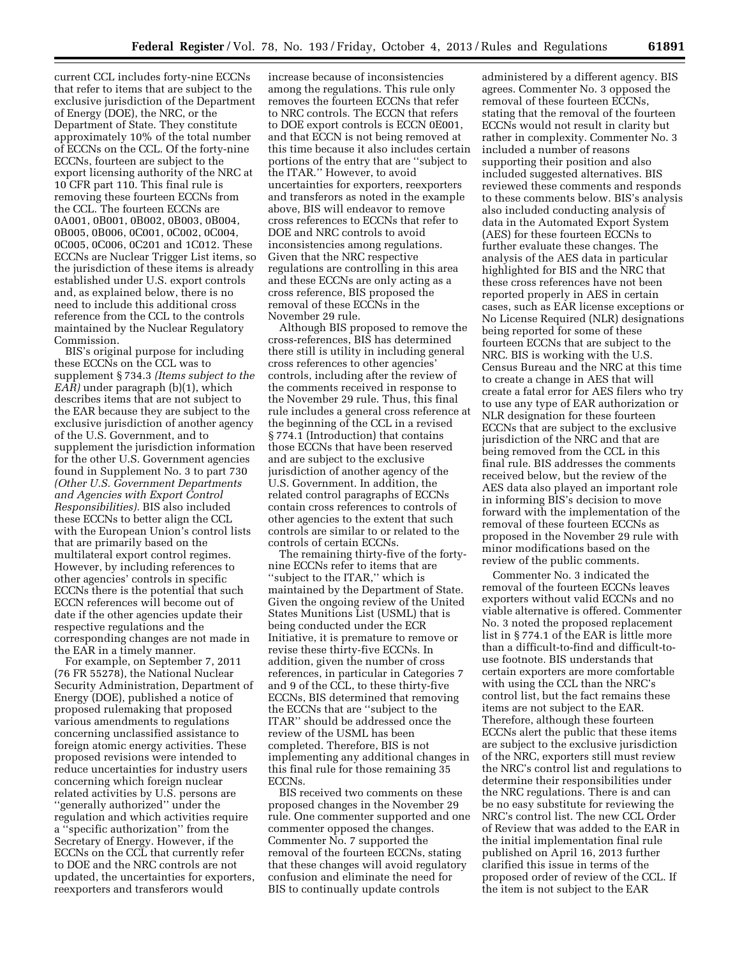current CCL includes forty-nine ECCNs that refer to items that are subject to the exclusive jurisdiction of the Department of Energy (DOE), the NRC, or the Department of State. They constitute approximately 10% of the total number of ECCNs on the CCL. Of the forty-nine ECCNs, fourteen are subject to the export licensing authority of the NRC at 10 CFR part 110. This final rule is removing these fourteen ECCNs from the CCL. The fourteen ECCNs are 0A001, 0B001, 0B002, 0B003, 0B004, 0B005, 0B006, 0C001, 0C002, 0C004, 0C005, 0C006, 0C201 and 1C012. These ECCNs are Nuclear Trigger List items, so the jurisdiction of these items is already established under U.S. export controls and, as explained below, there is no need to include this additional cross reference from the CCL to the controls maintained by the Nuclear Regulatory Commission.

BIS's original purpose for including these ECCNs on the CCL was to supplement § 734.3 *(Items subject to the EAR)* under paragraph (b)(1), which describes items that are not subject to the EAR because they are subject to the exclusive jurisdiction of another agency of the U.S. Government, and to supplement the jurisdiction information for the other U.S. Government agencies found in Supplement No. 3 to part 730 *(Other U.S. Government Departments and Agencies with Export Control Responsibilities).* BIS also included these ECCNs to better align the CCL with the European Union's control lists that are primarily based on the multilateral export control regimes. However, by including references to other agencies' controls in specific ECCNs there is the potential that such ECCN references will become out of date if the other agencies update their respective regulations and the corresponding changes are not made in the EAR in a timely manner.

For example, on September 7, 2011 (76 FR 55278), the National Nuclear Security Administration, Department of Energy (DOE), published a notice of proposed rulemaking that proposed various amendments to regulations concerning unclassified assistance to foreign atomic energy activities. These proposed revisions were intended to reduce uncertainties for industry users concerning which foreign nuclear related activities by U.S. persons are ''generally authorized'' under the regulation and which activities require a ''specific authorization'' from the Secretary of Energy. However, if the ECCNs on the CCL that currently refer to DOE and the NRC controls are not updated, the uncertainties for exporters, reexporters and transferors would

increase because of inconsistencies among the regulations. This rule only removes the fourteen ECCNs that refer to NRC controls. The ECCN that refers to DOE export controls is ECCN 0E001, and that ECCN is not being removed at this time because it also includes certain portions of the entry that are ''subject to the ITAR.'' However, to avoid uncertainties for exporters, reexporters and transferors as noted in the example above, BIS will endeavor to remove cross references to ECCNs that refer to DOE and NRC controls to avoid inconsistencies among regulations. Given that the NRC respective regulations are controlling in this area and these ECCNs are only acting as a cross reference, BIS proposed the removal of these ECCNs in the November 29 rule.

Although BIS proposed to remove the cross-references, BIS has determined there still is utility in including general cross references to other agencies' controls, including after the review of the comments received in response to the November 29 rule. Thus, this final rule includes a general cross reference at the beginning of the CCL in a revised § 774.1 (Introduction) that contains those ECCNs that have been reserved and are subject to the exclusive jurisdiction of another agency of the U.S. Government. In addition, the related control paragraphs of ECCNs contain cross references to controls of other agencies to the extent that such controls are similar to or related to the controls of certain ECCNs.

The remaining thirty-five of the fortynine ECCNs refer to items that are ''subject to the ITAR,'' which is maintained by the Department of State. Given the ongoing review of the United States Munitions List (USML) that is being conducted under the ECR Initiative, it is premature to remove or revise these thirty-five ECCNs. In addition, given the number of cross references, in particular in Categories 7 and 9 of the CCL, to these thirty-five ECCNs, BIS determined that removing the ECCNs that are ''subject to the ITAR'' should be addressed once the review of the USML has been completed. Therefore, BIS is not implementing any additional changes in this final rule for those remaining 35 ECCNs.

BIS received two comments on these proposed changes in the November 29 rule. One commenter supported and one commenter opposed the changes. Commenter No. 7 supported the removal of the fourteen ECCNs, stating that these changes will avoid regulatory confusion and eliminate the need for BIS to continually update controls

administered by a different agency. BIS agrees. Commenter No. 3 opposed the removal of these fourteen ECCNs, stating that the removal of the fourteen ECCNs would not result in clarity but rather in complexity. Commenter No. 3 included a number of reasons supporting their position and also included suggested alternatives. BIS reviewed these comments and responds to these comments below. BIS's analysis also included conducting analysis of data in the Automated Export System (AES) for these fourteen ECCNs to further evaluate these changes. The analysis of the AES data in particular highlighted for BIS and the NRC that these cross references have not been reported properly in AES in certain cases, such as EAR license exceptions or No License Required (NLR) designations being reported for some of these fourteen ECCNs that are subject to the NRC. BIS is working with the U.S. Census Bureau and the NRC at this time to create a change in AES that will create a fatal error for AES filers who try to use any type of EAR authorization or NLR designation for these fourteen ECCNs that are subject to the exclusive jurisdiction of the NRC and that are being removed from the CCL in this final rule. BIS addresses the comments received below, but the review of the AES data also played an important role in informing BIS's decision to move forward with the implementation of the removal of these fourteen ECCNs as proposed in the November 29 rule with minor modifications based on the review of the public comments.

Commenter No. 3 indicated the removal of the fourteen ECCNs leaves exporters without valid ECCNs and no viable alternative is offered. Commenter No. 3 noted the proposed replacement list in § 774.1 of the EAR is little more than a difficult-to-find and difficult-touse footnote. BIS understands that certain exporters are more comfortable with using the CCL than the NRC's control list, but the fact remains these items are not subject to the EAR. Therefore, although these fourteen ECCNs alert the public that these items are subject to the exclusive jurisdiction of the NRC, exporters still must review the NRC's control list and regulations to determine their responsibilities under the NRC regulations. There is and can be no easy substitute for reviewing the NRC's control list. The new CCL Order of Review that was added to the EAR in the initial implementation final rule published on April 16, 2013 further clarified this issue in terms of the proposed order of review of the CCL. If the item is not subject to the EAR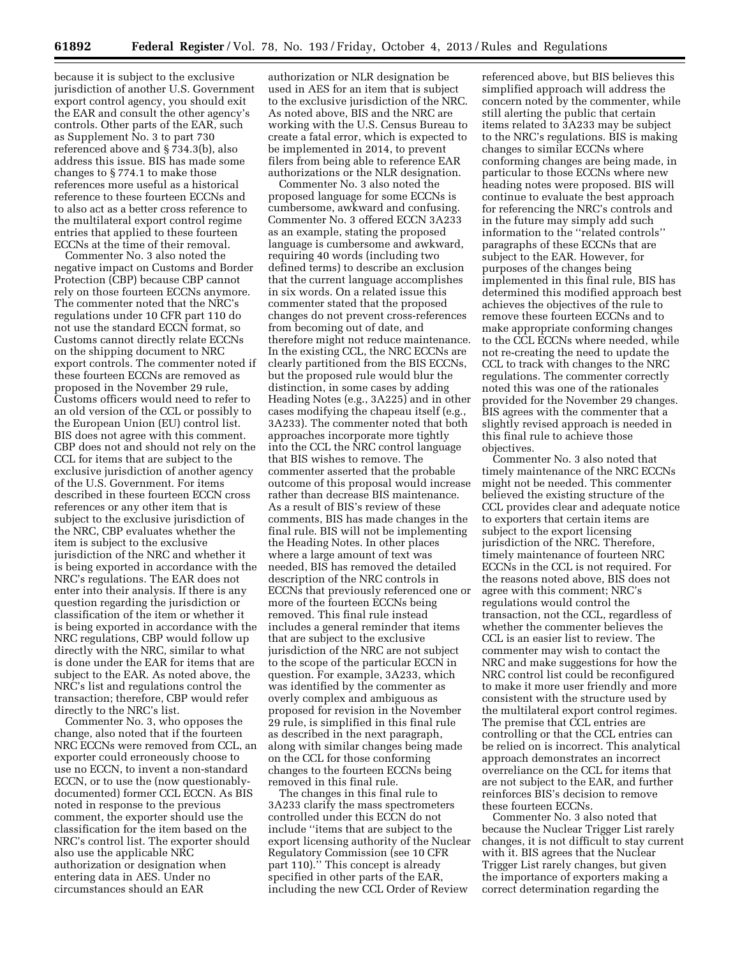because it is subject to the exclusive jurisdiction of another U.S. Government export control agency, you should exit the EAR and consult the other agency's controls. Other parts of the EAR, such as Supplement No. 3 to part 730 referenced above and § 734.3(b), also address this issue. BIS has made some changes to § 774.1 to make those references more useful as a historical reference to these fourteen ECCNs and to also act as a better cross reference to the multilateral export control regime entries that applied to these fourteen ECCNs at the time of their removal.

Commenter No. 3 also noted the negative impact on Customs and Border Protection (CBP) because CBP cannot rely on those fourteen ECCNs anymore. The commenter noted that the NRC's regulations under 10 CFR part 110 do not use the standard ECCN format, so Customs cannot directly relate ECCNs on the shipping document to NRC export controls. The commenter noted if these fourteen ECCNs are removed as proposed in the November 29 rule, Customs officers would need to refer to an old version of the CCL or possibly to the European Union (EU) control list. BIS does not agree with this comment. CBP does not and should not rely on the CCL for items that are subject to the exclusive jurisdiction of another agency of the U.S. Government. For items described in these fourteen ECCN cross references or any other item that is subject to the exclusive jurisdiction of the NRC, CBP evaluates whether the item is subject to the exclusive jurisdiction of the NRC and whether it is being exported in accordance with the NRC's regulations. The EAR does not enter into their analysis. If there is any question regarding the jurisdiction or classification of the item or whether it is being exported in accordance with the NRC regulations, CBP would follow up directly with the NRC, similar to what is done under the EAR for items that are subject to the EAR. As noted above, the NRC's list and regulations control the transaction; therefore, CBP would refer directly to the NRC's list.

Commenter No. 3, who opposes the change, also noted that if the fourteen NRC ECCNs were removed from CCL, an exporter could erroneously choose to use no ECCN, to invent a non-standard ECCN, or to use the (now questionablydocumented) former CCL ECCN. As BIS noted in response to the previous comment, the exporter should use the classification for the item based on the NRC's control list. The exporter should also use the applicable NRC authorization or designation when entering data in AES. Under no circumstances should an EAR

authorization or NLR designation be used in AES for an item that is subject to the exclusive jurisdiction of the NRC. As noted above, BIS and the NRC are working with the U.S. Census Bureau to create a fatal error, which is expected to be implemented in 2014, to prevent filers from being able to reference EAR authorizations or the NLR designation.

Commenter No. 3 also noted the proposed language for some ECCNs is cumbersome, awkward and confusing. Commenter No. 3 offered ECCN 3A233 as an example, stating the proposed language is cumbersome and awkward, requiring 40 words (including two defined terms) to describe an exclusion that the current language accomplishes in six words. On a related issue this commenter stated that the proposed changes do not prevent cross-references from becoming out of date, and therefore might not reduce maintenance. In the existing CCL, the NRC ECCNs are clearly partitioned from the BIS ECCNs, but the proposed rule would blur the distinction, in some cases by adding Heading Notes (e.g., 3A225) and in other cases modifying the chapeau itself (e.g., 3A233). The commenter noted that both approaches incorporate more tightly into the CCL the NRC control language that BIS wishes to remove. The commenter asserted that the probable outcome of this proposal would increase rather than decrease BIS maintenance. As a result of BIS's review of these comments, BIS has made changes in the final rule. BIS will not be implementing the Heading Notes. In other places where a large amount of text was needed, BIS has removed the detailed description of the NRC controls in ECCNs that previously referenced one or more of the fourteen ECCNs being removed. This final rule instead includes a general reminder that items that are subject to the exclusive jurisdiction of the NRC are not subject to the scope of the particular ECCN in question. For example, 3A233, which was identified by the commenter as overly complex and ambiguous as proposed for revision in the November 29 rule, is simplified in this final rule as described in the next paragraph, along with similar changes being made on the CCL for those conforming changes to the fourteen ECCNs being removed in this final rule.

The changes in this final rule to 3A233 clarify the mass spectrometers controlled under this ECCN do not include ''items that are subject to the export licensing authority of the Nuclear Regulatory Commission (see 10 CFR part 110).'' This concept is already specified in other parts of the EAR, including the new CCL Order of Review

referenced above, but BIS believes this simplified approach will address the concern noted by the commenter, while still alerting the public that certain items related to 3A233 may be subject to the NRC's regulations. BIS is making changes to similar ECCNs where conforming changes are being made, in particular to those ECCNs where new heading notes were proposed. BIS will continue to evaluate the best approach for referencing the NRC's controls and in the future may simply add such information to the ''related controls'' paragraphs of these ECCNs that are subject to the EAR. However, for purposes of the changes being implemented in this final rule, BIS has determined this modified approach best achieves the objectives of the rule to remove these fourteen ECCNs and to make appropriate conforming changes to the CCL ECCNs where needed, while not re-creating the need to update the CCL to track with changes to the NRC regulations. The commenter correctly noted this was one of the rationales provided for the November 29 changes. BIS agrees with the commenter that a slightly revised approach is needed in this final rule to achieve those objectives.

Commenter No. 3 also noted that timely maintenance of the NRC ECCNs might not be needed. This commenter believed the existing structure of the CCL provides clear and adequate notice to exporters that certain items are subject to the export licensing jurisdiction of the NRC. Therefore, timely maintenance of fourteen NRC ECCNs in the CCL is not required. For the reasons noted above, BIS does not agree with this comment; NRC's regulations would control the transaction, not the CCL, regardless of whether the commenter believes the CCL is an easier list to review. The commenter may wish to contact the NRC and make suggestions for how the NRC control list could be reconfigured to make it more user friendly and more consistent with the structure used by the multilateral export control regimes. The premise that CCL entries are controlling or that the CCL entries can be relied on is incorrect. This analytical approach demonstrates an incorrect overreliance on the CCL for items that are not subject to the EAR, and further reinforces BIS's decision to remove these fourteen ECCNs.

Commenter No. 3 also noted that because the Nuclear Trigger List rarely changes, it is not difficult to stay current with it. BIS agrees that the Nuclear Trigger List rarely changes, but given the importance of exporters making a correct determination regarding the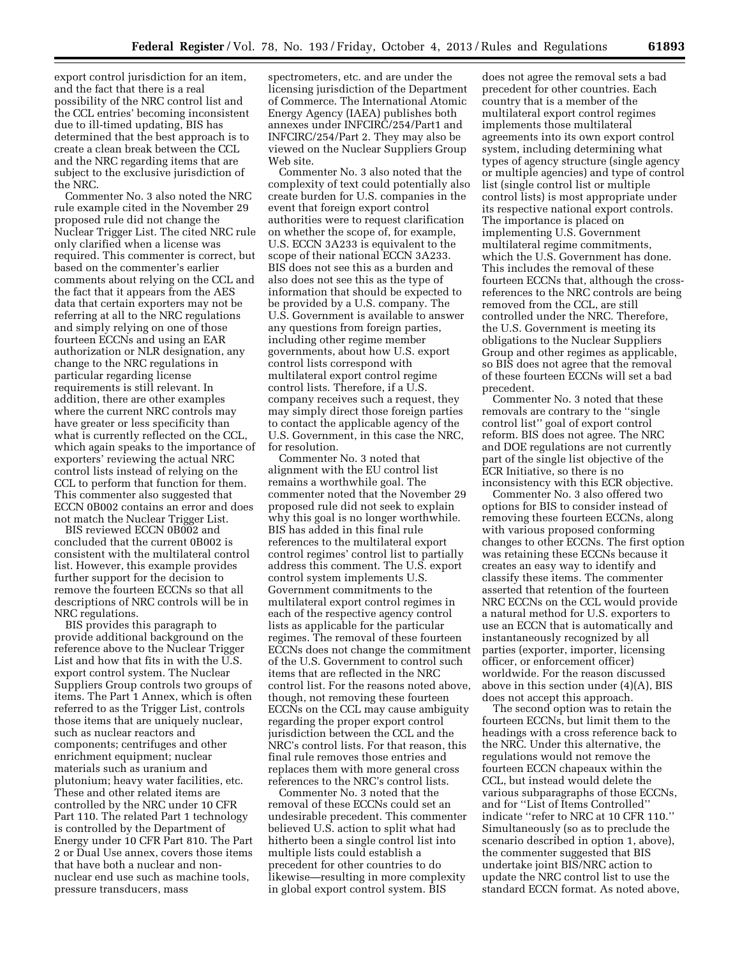export control jurisdiction for an item, and the fact that there is a real possibility of the NRC control list and the CCL entries' becoming inconsistent due to ill-timed updating, BIS has determined that the best approach is to create a clean break between the CCL and the NRC regarding items that are subject to the exclusive jurisdiction of the NRC.

Commenter No. 3 also noted the NRC rule example cited in the November 29 proposed rule did not change the Nuclear Trigger List. The cited NRC rule only clarified when a license was required. This commenter is correct, but based on the commenter's earlier comments about relying on the CCL and the fact that it appears from the AES data that certain exporters may not be referring at all to the NRC regulations and simply relying on one of those fourteen ECCNs and using an EAR authorization or NLR designation, any change to the NRC regulations in particular regarding license requirements is still relevant. In addition, there are other examples where the current NRC controls may have greater or less specificity than what is currently reflected on the CCL, which again speaks to the importance of exporters' reviewing the actual NRC control lists instead of relying on the CCL to perform that function for them. This commenter also suggested that ECCN 0B002 contains an error and does not match the Nuclear Trigger List.

BIS reviewed ECCN 0B002 and concluded that the current 0B002 is consistent with the multilateral control list. However, this example provides further support for the decision to remove the fourteen ECCNs so that all descriptions of NRC controls will be in NRC regulations.

BIS provides this paragraph to provide additional background on the reference above to the Nuclear Trigger List and how that fits in with the U.S. export control system. The Nuclear Suppliers Group controls two groups of items. The Part 1 Annex, which is often referred to as the Trigger List, controls those items that are uniquely nuclear, such as nuclear reactors and components; centrifuges and other enrichment equipment; nuclear materials such as uranium and plutonium; heavy water facilities, etc. These and other related items are controlled by the NRC under 10 CFR Part 110. The related Part 1 technology is controlled by the Department of Energy under 10 CFR Part 810. The Part 2 or Dual Use annex, covers those items that have both a nuclear and nonnuclear end use such as machine tools, pressure transducers, mass

spectrometers, etc. and are under the licensing jurisdiction of the Department of Commerce. The International Atomic Energy Agency (IAEA) publishes both annexes under INFCIRC/254/Part1 and INFCIRC/254/Part 2. They may also be viewed on the Nuclear Suppliers Group Web site.

Commenter No. 3 also noted that the complexity of text could potentially also create burden for U.S. companies in the event that foreign export control authorities were to request clarification on whether the scope of, for example, U.S. ECCN 3A233 is equivalent to the scope of their national ECCN 3A233. BIS does not see this as a burden and also does not see this as the type of information that should be expected to be provided by a U.S. company. The U.S. Government is available to answer any questions from foreign parties, including other regime member governments, about how U.S. export control lists correspond with multilateral export control regime control lists. Therefore, if a U.S. company receives such a request, they may simply direct those foreign parties to contact the applicable agency of the U.S. Government, in this case the NRC, for resolution.

Commenter No. 3 noted that alignment with the EU control list remains a worthwhile goal. The commenter noted that the November 29 proposed rule did not seek to explain why this goal is no longer worthwhile. BIS has added in this final rule references to the multilateral export control regimes' control list to partially address this comment. The U.S. export control system implements U.S. Government commitments to the multilateral export control regimes in each of the respective agency control lists as applicable for the particular regimes. The removal of these fourteen ECCNs does not change the commitment of the U.S. Government to control such items that are reflected in the NRC control list. For the reasons noted above, though, not removing these fourteen ECCNs on the CCL may cause ambiguity regarding the proper export control jurisdiction between the CCL and the NRC's control lists. For that reason, this final rule removes those entries and replaces them with more general cross references to the NRC's control lists.

Commenter No. 3 noted that the removal of these ECCNs could set an undesirable precedent. This commenter believed U.S. action to split what had hitherto been a single control list into multiple lists could establish a precedent for other countries to do likewise—resulting in more complexity in global export control system. BIS

does not agree the removal sets a bad precedent for other countries. Each country that is a member of the multilateral export control regimes implements those multilateral agreements into its own export control system, including determining what types of agency structure (single agency or multiple agencies) and type of control list (single control list or multiple control lists) is most appropriate under its respective national export controls. The importance is placed on implementing U.S. Government multilateral regime commitments, which the U.S. Government has done. This includes the removal of these fourteen ECCNs that, although the crossreferences to the NRC controls are being removed from the CCL, are still controlled under the NRC. Therefore, the U.S. Government is meeting its obligations to the Nuclear Suppliers Group and other regimes as applicable, so BIS does not agree that the removal of these fourteen ECCNs will set a bad precedent.

Commenter No. 3 noted that these removals are contrary to the ''single control list'' goal of export control reform. BIS does not agree. The NRC and DOE regulations are not currently part of the single list objective of the ECR Initiative, so there is no inconsistency with this ECR objective.

Commenter No. 3 also offered two options for BIS to consider instead of removing these fourteen ECCNs, along with various proposed conforming changes to other ECCNs. The first option was retaining these ECCNs because it creates an easy way to identify and classify these items. The commenter asserted that retention of the fourteen NRC ECCNs on the CCL would provide a natural method for U.S. exporters to use an ECCN that is automatically and instantaneously recognized by all parties (exporter, importer, licensing officer, or enforcement officer) worldwide. For the reason discussed above in this section under (4)(A), BIS does not accept this approach.

The second option was to retain the fourteen ECCNs, but limit them to the headings with a cross reference back to the NRC. Under this alternative, the regulations would not remove the fourteen ECCN chapeaux within the CCL, but instead would delete the various subparagraphs of those ECCNs, and for ''List of Items Controlled'' indicate ''refer to NRC at 10 CFR 110.'' Simultaneously (so as to preclude the scenario described in option 1, above), the commenter suggested that BIS undertake joint BIS/NRC action to update the NRC control list to use the standard ECCN format. As noted above,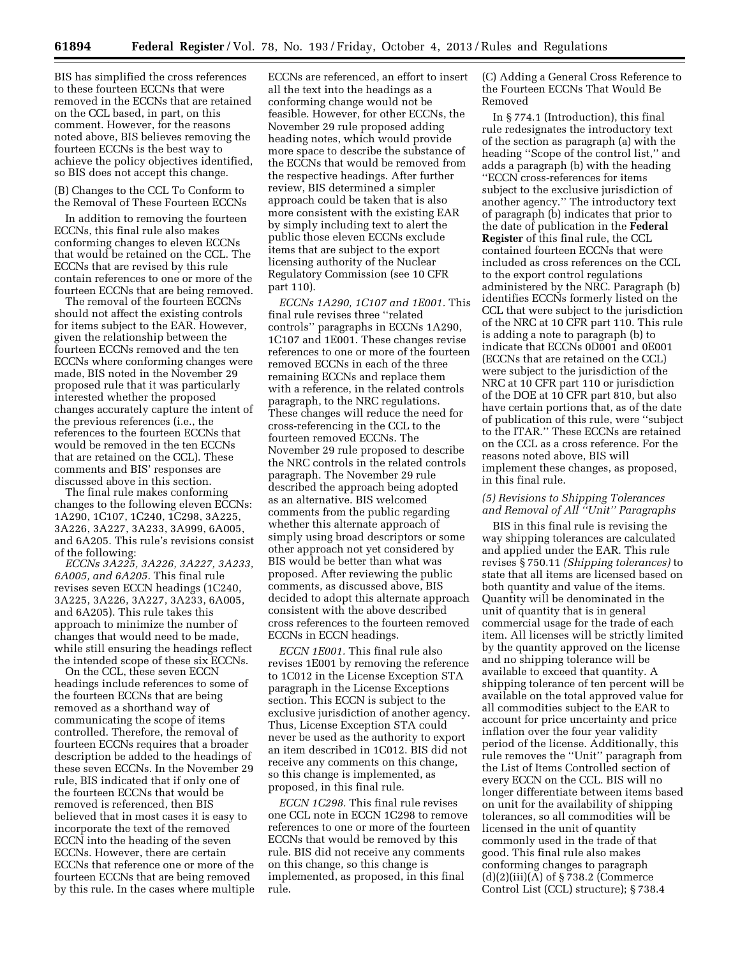BIS has simplified the cross references to these fourteen ECCNs that were removed in the ECCNs that are retained on the CCL based, in part, on this comment. However, for the reasons noted above, BIS believes removing the fourteen ECCNs is the best way to achieve the policy objectives identified, so BIS does not accept this change.

(B) Changes to the CCL To Conform to the Removal of These Fourteen ECCNs

In addition to removing the fourteen ECCNs, this final rule also makes conforming changes to eleven ECCNs that would be retained on the CCL. The ECCNs that are revised by this rule contain references to one or more of the fourteen ECCNs that are being removed.

The removal of the fourteen ECCNs should not affect the existing controls for items subject to the EAR. However, given the relationship between the fourteen ECCNs removed and the ten ECCNs where conforming changes were made, BIS noted in the November 29 proposed rule that it was particularly interested whether the proposed changes accurately capture the intent of the previous references (i.e., the references to the fourteen ECCNs that would be removed in the ten ECCNs that are retained on the CCL). These comments and BIS' responses are discussed above in this section.

The final rule makes conforming changes to the following eleven ECCNs: 1A290, 1C107, 1C240, 1C298, 3A225, 3A226, 3A227, 3A233, 3A999, 6A005, and 6A205. This rule's revisions consist of the following:

*ECCNs 3A225, 3A226, 3A227, 3A233, 6A005, and 6A205.* This final rule revises seven ECCN headings (1C240, 3A225, 3A226, 3A227, 3A233, 6A005, and 6A205). This rule takes this approach to minimize the number of changes that would need to be made, while still ensuring the headings reflect the intended scope of these six ECCNs.

On the CCL, these seven ECCN headings include references to some of the fourteen ECCNs that are being removed as a shorthand way of communicating the scope of items controlled. Therefore, the removal of fourteen ECCNs requires that a broader description be added to the headings of these seven ECCNs. In the November 29 rule, BIS indicated that if only one of the fourteen ECCNs that would be removed is referenced, then BIS believed that in most cases it is easy to incorporate the text of the removed ECCN into the heading of the seven ECCNs. However, there are certain ECCNs that reference one or more of the fourteen ECCNs that are being removed by this rule. In the cases where multiple

ECCNs are referenced, an effort to insert all the text into the headings as a conforming change would not be feasible. However, for other ECCNs, the November 29 rule proposed adding heading notes, which would provide more space to describe the substance of the ECCNs that would be removed from the respective headings. After further review, BIS determined a simpler approach could be taken that is also more consistent with the existing EAR by simply including text to alert the public those eleven ECCNs exclude items that are subject to the export licensing authority of the Nuclear Regulatory Commission (see 10 CFR part 110).

*ECCNs 1A290, 1C107 and 1E001.* This final rule revises three ''related controls'' paragraphs in ECCNs 1A290, 1C107 and 1E001. These changes revise references to one or more of the fourteen removed ECCNs in each of the three remaining ECCNs and replace them with a reference, in the related controls paragraph, to the NRC regulations. These changes will reduce the need for cross-referencing in the CCL to the fourteen removed ECCNs. The November 29 rule proposed to describe the NRC controls in the related controls paragraph. The November 29 rule described the approach being adopted as an alternative. BIS welcomed comments from the public regarding whether this alternate approach of simply using broad descriptors or some other approach not yet considered by BIS would be better than what was proposed. After reviewing the public comments, as discussed above, BIS decided to adopt this alternate approach consistent with the above described cross references to the fourteen removed ECCNs in ECCN headings.

*ECCN 1E001.* This final rule also revises 1E001 by removing the reference to 1C012 in the License Exception STA paragraph in the License Exceptions section. This ECCN is subject to the exclusive jurisdiction of another agency. Thus, License Exception STA could never be used as the authority to export an item described in 1C012. BIS did not receive any comments on this change, so this change is implemented, as proposed, in this final rule.

*ECCN 1C298.* This final rule revises one CCL note in ECCN 1C298 to remove references to one or more of the fourteen ECCNs that would be removed by this rule. BIS did not receive any comments on this change, so this change is implemented, as proposed, in this final rule.

(C) Adding a General Cross Reference to the Fourteen ECCNs That Would Be Removed

In § 774.1 (Introduction), this final rule redesignates the introductory text of the section as paragraph (a) with the heading ''Scope of the control list,'' and adds a paragraph (b) with the heading ''ECCN cross-references for items subject to the exclusive jurisdiction of another agency.'' The introductory text of paragraph (b) indicates that prior to the date of publication in the **Federal Register** of this final rule, the CCL contained fourteen ECCNs that were included as cross references on the CCL to the export control regulations administered by the NRC. Paragraph (b) identifies ECCNs formerly listed on the CCL that were subject to the jurisdiction of the NRC at 10 CFR part 110. This rule is adding a note to paragraph (b) to indicate that ECCNs 0D001 and 0E001 (ECCNs that are retained on the CCL) were subject to the jurisdiction of the NRC at 10 CFR part 110 or jurisdiction of the DOE at 10 CFR part 810, but also have certain portions that, as of the date of publication of this rule, were ''subject to the ITAR.'' These ECCNs are retained on the CCL as a cross reference. For the reasons noted above, BIS will implement these changes, as proposed, in this final rule.

### *(5) Revisions to Shipping Tolerances and Removal of All ''Unit'' Paragraphs*

BIS in this final rule is revising the way shipping tolerances are calculated and applied under the EAR. This rule revises § 750.11 *(Shipping tolerances)* to state that all items are licensed based on both quantity and value of the items. Quantity will be denominated in the unit of quantity that is in general commercial usage for the trade of each item. All licenses will be strictly limited by the quantity approved on the license and no shipping tolerance will be available to exceed that quantity. A shipping tolerance of ten percent will be available on the total approved value for all commodities subject to the EAR to account for price uncertainty and price inflation over the four year validity period of the license. Additionally, this rule removes the ''Unit'' paragraph from the List of Items Controlled section of every ECCN on the CCL. BIS will no longer differentiate between items based on unit for the availability of shipping tolerances, so all commodities will be licensed in the unit of quantity commonly used in the trade of that good. This final rule also makes conforming changes to paragraph  $(d)(2)(iii)(\overline{A})$  of § 738.2 (Commerce Control List (CCL) structure); § 738.4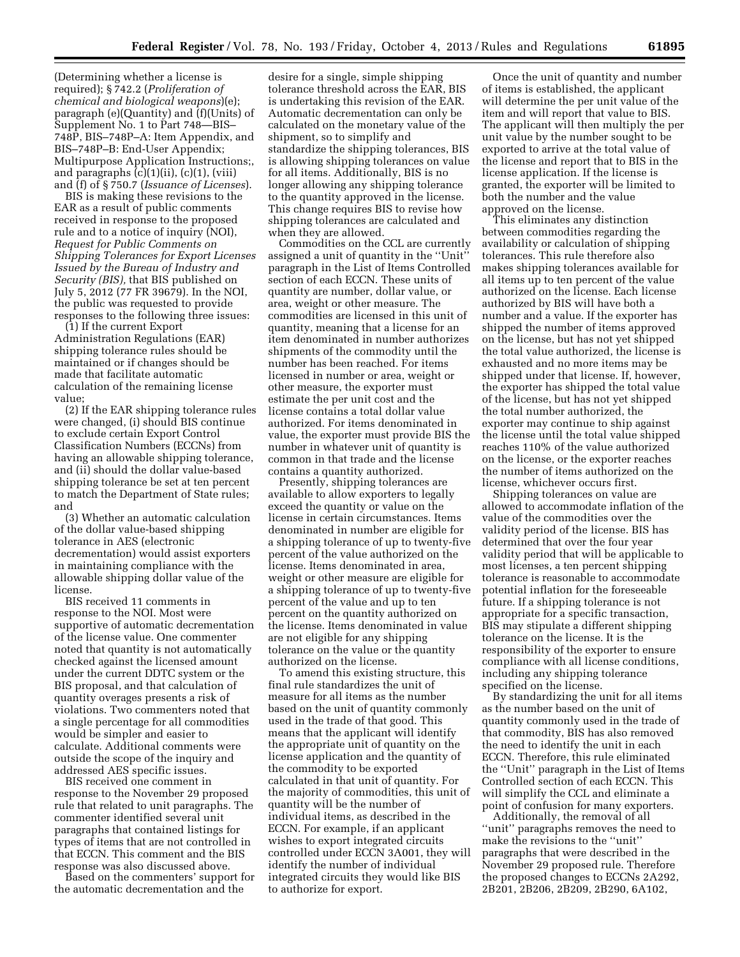(Determining whether a license is required); § 742.2 (*Proliferation of chemical and biological weapons*)(e); paragraph (e)(Quantity) and (f)(Units) of Supplement No. 1 to Part 748—BIS– 748P, BIS–748P–A: Item Appendix, and BIS–748P–B: End-User Appendix; Multipurpose Application Instructions;, and paragraphs (c)(1)(ii), (c)(1), (viii) and (f) of § 750.7 (*Issuance of Licenses*).

BIS is making these revisions to the EAR as a result of public comments received in response to the proposed rule and to a notice of inquiry (NOI), *Request for Public Comments on Shipping Tolerances for Export Licenses Issued by the Bureau of Industry and Security (BIS),* that BIS published on July 5, 2012 (77 FR 39679). In the NOI, the public was requested to provide responses to the following three issues:

(1) If the current Export Administration Regulations (EAR) shipping tolerance rules should be maintained or if changes should be made that facilitate automatic calculation of the remaining license value;

(2) If the EAR shipping tolerance rules were changed, (i) should BIS continue to exclude certain Export Control Classification Numbers (ECCNs) from having an allowable shipping tolerance, and (ii) should the dollar value-based shipping tolerance be set at ten percent to match the Department of State rules; and

(3) Whether an automatic calculation of the dollar value-based shipping tolerance in AES (electronic decrementation) would assist exporters in maintaining compliance with the allowable shipping dollar value of the license.

BIS received 11 comments in response to the NOI. Most were supportive of automatic decrementation of the license value. One commenter noted that quantity is not automatically checked against the licensed amount under the current DDTC system or the BIS proposal, and that calculation of quantity overages presents a risk of violations. Two commenters noted that a single percentage for all commodities would be simpler and easier to calculate. Additional comments were outside the scope of the inquiry and addressed AES specific issues.

BIS received one comment in response to the November 29 proposed rule that related to unit paragraphs. The commenter identified several unit paragraphs that contained listings for types of items that are not controlled in that ECCN. This comment and the BIS response was also discussed above.

Based on the commenters' support for the automatic decrementation and the

desire for a single, simple shipping tolerance threshold across the EAR, BIS is undertaking this revision of the EAR. Automatic decrementation can only be calculated on the monetary value of the shipment, so to simplify and standardize the shipping tolerances, BIS is allowing shipping tolerances on value for all items. Additionally, BIS is no longer allowing any shipping tolerance to the quantity approved in the license. This change requires BIS to revise how shipping tolerances are calculated and when they are allowed.

Commodities on the CCL are currently assigned a unit of quantity in the ''Unit'' paragraph in the List of Items Controlled section of each ECCN. These units of quantity are number, dollar value, or area, weight or other measure. The commodities are licensed in this unit of quantity, meaning that a license for an item denominated in number authorizes shipments of the commodity until the number has been reached. For items licensed in number or area, weight or other measure, the exporter must estimate the per unit cost and the license contains a total dollar value authorized. For items denominated in value, the exporter must provide BIS the number in whatever unit of quantity is common in that trade and the license contains a quantity authorized.

Presently, shipping tolerances are available to allow exporters to legally exceed the quantity or value on the license in certain circumstances. Items denominated in number are eligible for a shipping tolerance of up to twenty-five percent of the value authorized on the license. Items denominated in area, weight or other measure are eligible for a shipping tolerance of up to twenty-five percent of the value and up to ten percent on the quantity authorized on the license. Items denominated in value are not eligible for any shipping tolerance on the value or the quantity authorized on the license.

To amend this existing structure, this final rule standardizes the unit of measure for all items as the number based on the unit of quantity commonly used in the trade of that good. This means that the applicant will identify the appropriate unit of quantity on the license application and the quantity of the commodity to be exported calculated in that unit of quantity. For the majority of commodities, this unit of quantity will be the number of individual items, as described in the ECCN. For example, if an applicant wishes to export integrated circuits controlled under ECCN 3A001, they will identify the number of individual integrated circuits they would like BIS to authorize for export.

Once the unit of quantity and number of items is established, the applicant will determine the per unit value of the item and will report that value to BIS. The applicant will then multiply the per unit value by the number sought to be exported to arrive at the total value of the license and report that to BIS in the license application. If the license is granted, the exporter will be limited to both the number and the value approved on the license.

This eliminates any distinction between commodities regarding the availability or calculation of shipping tolerances. This rule therefore also makes shipping tolerances available for all items up to ten percent of the value authorized on the license. Each license authorized by BIS will have both a number and a value. If the exporter has shipped the number of items approved on the license, but has not yet shipped the total value authorized, the license is exhausted and no more items may be shipped under that license. If, however, the exporter has shipped the total value of the license, but has not yet shipped the total number authorized, the exporter may continue to ship against the license until the total value shipped reaches 110% of the value authorized on the license, or the exporter reaches the number of items authorized on the license, whichever occurs first.

Shipping tolerances on value are allowed to accommodate inflation of the value of the commodities over the validity period of the license. BIS has determined that over the four year validity period that will be applicable to most licenses, a ten percent shipping tolerance is reasonable to accommodate potential inflation for the foreseeable future. If a shipping tolerance is not appropriate for a specific transaction, BIS may stipulate a different shipping tolerance on the license. It is the responsibility of the exporter to ensure compliance with all license conditions, including any shipping tolerance specified on the license.

By standardizing the unit for all items as the number based on the unit of quantity commonly used in the trade of that commodity, BIS has also removed the need to identify the unit in each ECCN. Therefore, this rule eliminated the ''Unit'' paragraph in the List of Items Controlled section of each ECCN. This will simplify the CCL and eliminate a point of confusion for many exporters.

Additionally, the removal of all ''unit'' paragraphs removes the need to make the revisions to the ''unit'' paragraphs that were described in the November 29 proposed rule. Therefore the proposed changes to ECCNs 2A292, 2B201, 2B206, 2B209, 2B290, 6A102,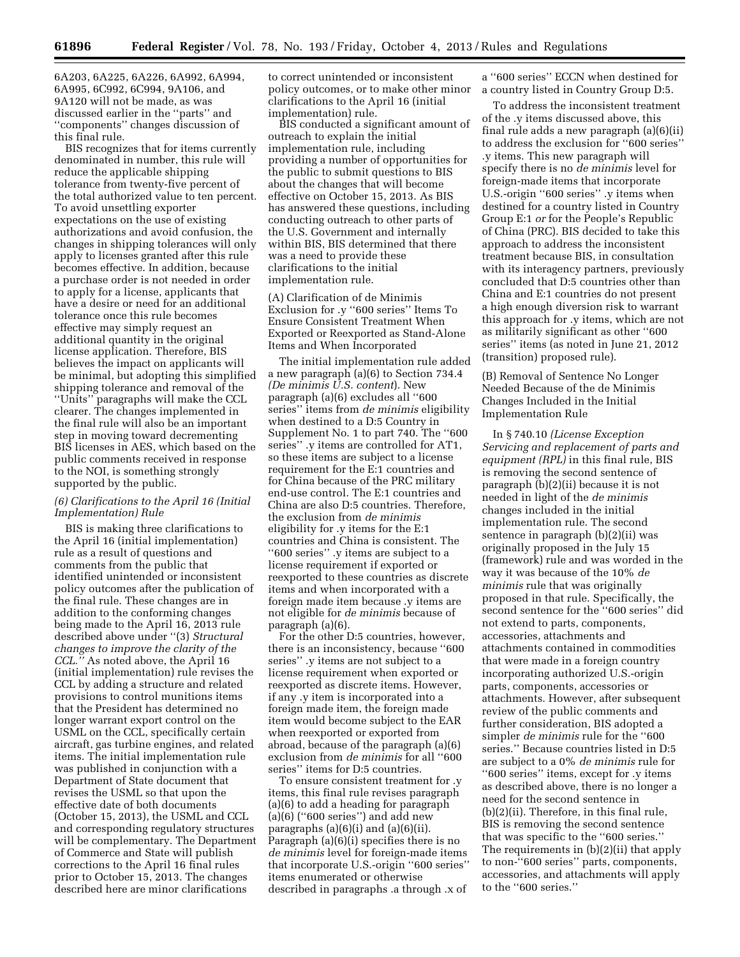6A203, 6A225, 6A226, 6A992, 6A994, 6A995, 6C992, 6C994, 9A106, and 9A120 will not be made, as was discussed earlier in the ''parts'' and ''components'' changes discussion of this final rule.

BIS recognizes that for items currently denominated in number, this rule will reduce the applicable shipping tolerance from twenty-five percent of the total authorized value to ten percent. To avoid unsettling exporter expectations on the use of existing authorizations and avoid confusion, the changes in shipping tolerances will only apply to licenses granted after this rule becomes effective. In addition, because a purchase order is not needed in order to apply for a license, applicants that have a desire or need for an additional tolerance once this rule becomes effective may simply request an additional quantity in the original license application. Therefore, BIS believes the impact on applicants will be minimal, but adopting this simplified shipping tolerance and removal of the ''Units'' paragraphs will make the CCL clearer. The changes implemented in the final rule will also be an important step in moving toward decrementing BIS licenses in AES, which based on the public comments received in response to the NOI, is something strongly supported by the public.

### *(6) Clarifications to the April 16 (Initial Implementation) Rule*

BIS is making three clarifications to the April 16 (initial implementation) rule as a result of questions and comments from the public that identified unintended or inconsistent policy outcomes after the publication of the final rule. These changes are in addition to the conforming changes being made to the April 16, 2013 rule described above under ''(3) *Structural changes to improve the clarity of the CCL.''* As noted above, the April 16 (initial implementation) rule revises the CCL by adding a structure and related provisions to control munitions items that the President has determined no longer warrant export control on the USML on the CCL, specifically certain aircraft, gas turbine engines, and related items. The initial implementation rule was published in conjunction with a Department of State document that revises the USML so that upon the effective date of both documents (October 15, 2013), the USML and CCL and corresponding regulatory structures will be complementary. The Department of Commerce and State will publish corrections to the April 16 final rules prior to October 15, 2013. The changes described here are minor clarifications

to correct unintended or inconsistent policy outcomes, or to make other minor clarifications to the April 16 (initial implementation) rule.

BIS conducted a significant amount of outreach to explain the initial implementation rule, including providing a number of opportunities for the public to submit questions to BIS about the changes that will become effective on October 15, 2013. As BIS has answered these questions, including conducting outreach to other parts of the U.S. Government and internally within BIS, BIS determined that there was a need to provide these clarifications to the initial implementation rule.

(A) Clarification of de Minimis Exclusion for .y ''600 series'' Items To Ensure Consistent Treatment When Exported or Reexported as Stand-Alone Items and When Incorporated

The initial implementation rule added a new paragraph (a)(6) to Section 734.4 *(De minimis U.S. content*). New paragraph (a)(6) excludes all ''600 series'' items from *de minimis* eligibility when destined to a D:5 Country in Supplement No. 1 to part 740. The ''600 series'' .y items are controlled for AT1, so these items are subject to a license requirement for the E:1 countries and for China because of the PRC military end-use control. The E:1 countries and China are also D:5 countries. Therefore, the exclusion from *de minimis*  eligibility for .y items for the E:1 countries and China is consistent. The ''600 series'' .y items are subject to a license requirement if exported or reexported to these countries as discrete items and when incorporated with a foreign made item because .y items are not eligible for *de minimis* because of paragraph (a)(6).

For the other D:5 countries, however, there is an inconsistency, because ''600 series'' .y items are not subject to a license requirement when exported or reexported as discrete items. However, if any .y item is incorporated into a foreign made item, the foreign made item would become subject to the EAR when reexported or exported from abroad, because of the paragraph (a)(6) exclusion from *de minimis* for all ''600 series'' items for D:5 countries.

To ensure consistent treatment for .y items, this final rule revises paragraph (a)(6) to add a heading for paragraph (a) $(6)$  ("600 series") and add new paragraphs  $(a)(6)(i)$  and  $(a)(6)(ii)$ . Paragraph (a)(6)(i) specifies there is no *de minimis* level for foreign-made items that incorporate U.S.-origin ''600 series'' items enumerated or otherwise described in paragraphs .a through .x of

a ''600 series'' ECCN when destined for a country listed in Country Group D:5.

To address the inconsistent treatment of the .y items discussed above, this final rule adds a new paragraph (a)(6)(ii) to address the exclusion for ''600 series'' .y items. This new paragraph will specify there is no *de minimis* level for foreign-made items that incorporate U.S.-origin ''600 series'' .y items when destined for a country listed in Country Group E:1 *or* for the People's Republic of China (PRC). BIS decided to take this approach to address the inconsistent treatment because BIS, in consultation with its interagency partners, previously concluded that D:5 countries other than China and E:1 countries do not present a high enough diversion risk to warrant this approach for .y items, which are not as militarily significant as other ''600 series'' items (as noted in June 21, 2012 (transition) proposed rule).

(B) Removal of Sentence No Longer Needed Because of the de Minimis Changes Included in the Initial Implementation Rule

In § 740.10 *(License Exception Servicing and replacement of parts and equipment (RPL)* in this final rule, BIS is removing the second sentence of paragraph (b)(2)(ii) because it is not needed in light of the *de minimis*  changes included in the initial implementation rule. The second sentence in paragraph (b)(2)(ii) was originally proposed in the July 15 (framework) rule and was worded in the way it was because of the 10% *de minimis* rule that was originally proposed in that rule. Specifically, the second sentence for the ''600 series'' did not extend to parts, components, accessories, attachments and attachments contained in commodities that were made in a foreign country incorporating authorized U.S.-origin parts, components, accessories or attachments. However, after subsequent review of the public comments and further consideration, BIS adopted a simpler *de minimis* rule for the ''600 series.'' Because countries listed in D:5 are subject to a 0% *de minimis* rule for ''600 series'' items, except for .y items as described above, there is no longer a need for the second sentence in (b)(2)(ii). Therefore, in this final rule, BIS is removing the second sentence that was specific to the ''600 series.'' The requirements in (b)(2)(ii) that apply to non-''600 series'' parts, components, accessories, and attachments will apply to the ''600 series.''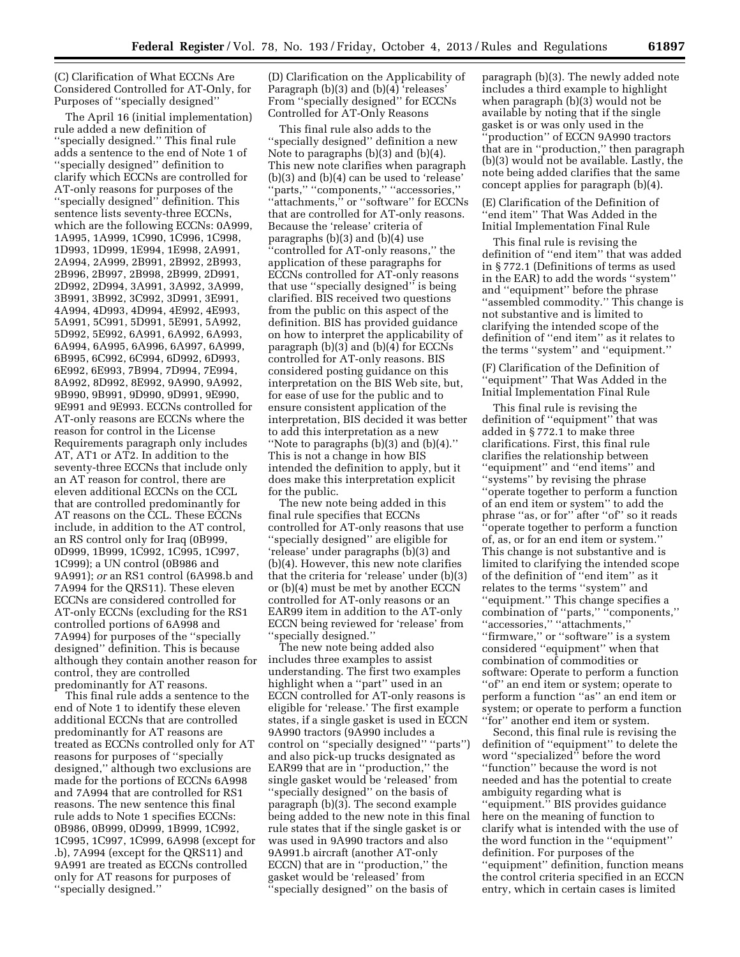(C) Clarification of What ECCNs Are Considered Controlled for AT-Only, for Purposes of ''specially designed''

The April 16 (initial implementation) rule added a new definition of ''specially designed.'' This final rule adds a sentence to the end of Note 1 of ''specially designed'' definition to clarify which ECCNs are controlled for AT-only reasons for purposes of the ''specially designed'' definition. This sentence lists seventy-three ECCNs, which are the following ECCNs: 0A999, 1A995, 1A999, 1C990, 1C996, 1C998, 1D993, 1D999, 1E994, 1E998, 2A991, 2A994, 2A999, 2B991, 2B992, 2B993, 2B996, 2B997, 2B998, 2B999, 2D991, 2D992, 2D994, 3A991, 3A992, 3A999, 3B991, 3B992, 3C992, 3D991, 3E991, 4A994, 4D993, 4D994, 4E992, 4E993, 5A991, 5C991, 5D991, 5E991, 5A992, 5D992, 5E992, 6A991, 6A992, 6A993, 6A994, 6A995, 6A996, 6A997, 6A999, 6B995, 6C992, 6C994, 6D992, 6D993, 6E992, 6E993, 7B994, 7D994, 7E994, 8A992, 8D992, 8E992, 9A990, 9A992, 9B990, 9B991, 9D990, 9D991, 9E990, 9E991 and 9E993. ECCNs controlled for AT-only reasons are ECCNs where the reason for control in the License Requirements paragraph only includes AT, AT1 or AT2. In addition to the seventy-three ECCNs that include only an AT reason for control, there are eleven additional ECCNs on the CCL that are controlled predominantly for AT reasons on the CCL. These ECCNs include, in addition to the AT control, an RS control only for Iraq (0B999, 0D999, 1B999, 1C992, 1C995, 1C997, 1C999); a UN control (0B986 and 9A991); *or* an RS1 control (6A998.b and 7A994 for the QRS11). These eleven ECCNs are considered controlled for AT-only ECCNs (excluding for the RS1 controlled portions of 6A998 and 7A994) for purposes of the ''specially designed'' definition. This is because although they contain another reason for control, they are controlled predominantly for AT reasons.

This final rule adds a sentence to the end of Note 1 to identify these eleven additional ECCNs that are controlled predominantly for AT reasons are treated as ECCNs controlled only for AT reasons for purposes of ''specially designed,'' although two exclusions are made for the portions of ECCNs 6A998 and 7A994 that are controlled for RS1 reasons. The new sentence this final rule adds to Note 1 specifies ECCNs: 0B986, 0B999, 0D999, 1B999, 1C992, 1C995, 1C997, 1C999, 6A998 (except for .b), 7A994 (except for the QRS11) and 9A991 are treated as ECCNs controlled only for AT reasons for purposes of ''specially designed.''

(D) Clarification on the Applicability of Paragraph (b)(3) and (b)(4) 'releases' From ''specially designed'' for ECCNs Controlled for AT-Only Reasons

This final rule also adds to the ''specially designed'' definition a new Note to paragraphs (b)(3) and (b)(4). This new note clarifies when paragraph (b)(3) and (b)(4) can be used to 'release' ''parts,'' ''components,'' ''accessories,'' "attachments," or "software" for ECCNs that are controlled for AT-only reasons. Because the 'release' criteria of paragraphs (b)(3) and (b)(4) use ''controlled for AT-only reasons,'' the application of these paragraphs for ECCNs controlled for AT-only reasons that use ''specially designed'' is being clarified. BIS received two questions from the public on this aspect of the definition. BIS has provided guidance on how to interpret the applicability of paragraph (b)(3) and (b)(4) for ECCNs controlled for AT-only reasons. BIS considered posting guidance on this interpretation on the BIS Web site, but, for ease of use for the public and to ensure consistent application of the interpretation, BIS decided it was better to add this interpretation as a new ''Note to paragraphs (b)(3) and (b)(4).'' This is not a change in how BIS intended the definition to apply, but it does make this interpretation explicit for the public.

The new note being added in this final rule specifies that ECCNs controlled for AT-only reasons that use ''specially designed'' are eligible for 'release' under paragraphs (b)(3) and (b)(4). However, this new note clarifies that the criteria for 'release' under (b)(3) or (b)(4) must be met by another ECCN controlled for AT-only reasons or an EAR99 item in addition to the AT-only ECCN being reviewed for 'release' from ''specially designed.''

The new note being added also includes three examples to assist understanding. The first two examples highlight when a ''part'' used in an ECCN controlled for AT-only reasons is eligible for 'release.' The first example states, if a single gasket is used in ECCN 9A990 tractors (9A990 includes a control on ''specially designed'' ''parts'') and also pick-up trucks designated as EAR99 that are in ''production,'' the single gasket would be 'released' from ''specially designed'' on the basis of paragraph (b)(3). The second example being added to the new note in this final rule states that if the single gasket is or was used in 9A990 tractors and also 9A991.b aircraft (another AT-only ECCN) that are in ''production,'' the gasket would be 'released' from ''specially designed'' on the basis of

paragraph (b)(3). The newly added note includes a third example to highlight when paragraph (b)(3) would not be available by noting that if the single gasket is or was only used in the 'production'' of ECCN 9A990 tractors that are in ''production,'' then paragraph (b)(3) would not be available. Lastly, the note being added clarifies that the same concept applies for paragraph (b)(4).

(E) Clarification of the Definition of ''end item'' That Was Added in the Initial Implementation Final Rule

This final rule is revising the definition of ''end item'' that was added in § 772.1 (Definitions of terms as used in the EAR) to add the words ''system'' and ''equipment'' before the phrase ''assembled commodity.'' This change is not substantive and is limited to clarifying the intended scope of the definition of ''end item'' as it relates to the terms ''system'' and ''equipment.''

(F) Clarification of the Definition of ''equipment'' That Was Added in the Initial Implementation Final Rule

This final rule is revising the definition of ''equipment'' that was added in § 772.1 to make three clarifications. First, this final rule clarifies the relationship between ''equipment'' and ''end items'' and ''systems'' by revising the phrase ''operate together to perform a function of an end item or system'' to add the phrase ''as, or for'' after ''of'' so it reads ''operate together to perform a function of, as, or for an end item or system.'' This change is not substantive and is limited to clarifying the intended scope of the definition of ''end item'' as it relates to the terms ''system'' and ''equipment.'' This change specifies a combination of ''parts,'' ''components,'' ''accessories,'' ''attachments,'' "firmware," or "software" is a system considered ''equipment'' when that combination of commodities or software: Operate to perform a function ''of'' an end item or system; operate to perform a function ''as'' an end item or system; or operate to perform a function ''for'' another end item or system.

Second, this final rule is revising the definition of ''equipment'' to delete the word ''specialized'' before the word ''function'' because the word is not needed and has the potential to create ambiguity regarding what is ''equipment.'' BIS provides guidance here on the meaning of function to clarify what is intended with the use of the word function in the ''equipment'' definition. For purposes of the ''equipment'' definition, function means the control criteria specified in an ECCN entry, which in certain cases is limited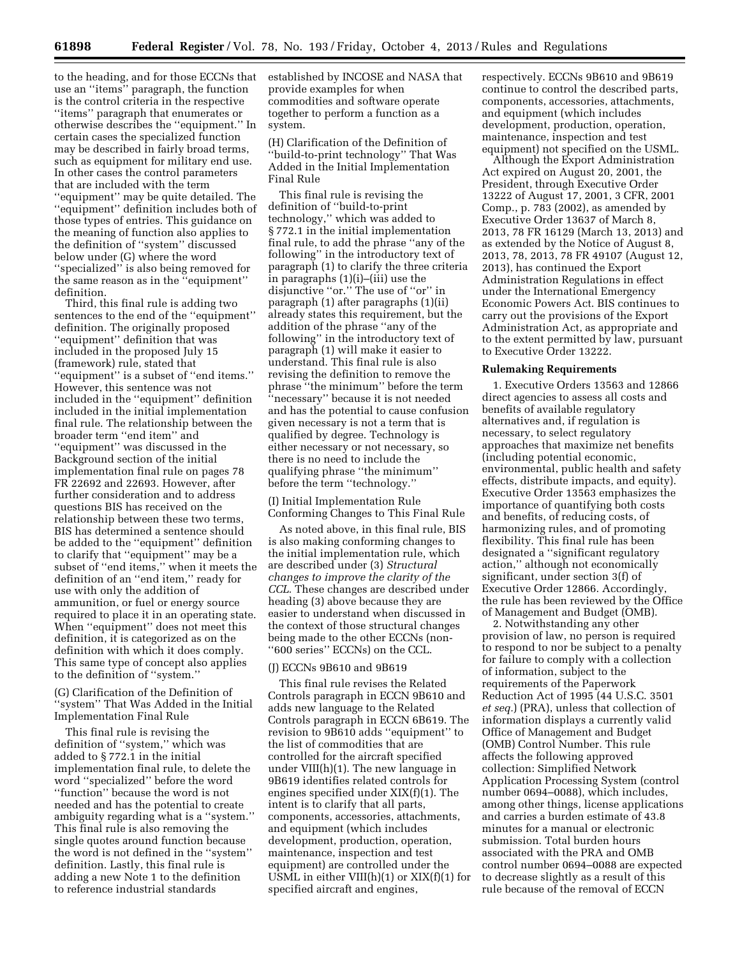to the heading, and for those ECCNs that established by INCOSE and NASA that use an ''items'' paragraph, the function is the control criteria in the respective ''items'' paragraph that enumerates or otherwise describes the ''equipment.'' In certain cases the specialized function may be described in fairly broad terms, such as equipment for military end use. In other cases the control parameters that are included with the term ''equipment'' may be quite detailed. The ''equipment'' definition includes both of those types of entries. This guidance on the meaning of function also applies to the definition of ''system'' discussed below under (G) where the word ''specialized'' is also being removed for the same reason as in the ''equipment'' definition.

Third, this final rule is adding two sentences to the end of the ''equipment'' definition. The originally proposed ''equipment'' definition that was included in the proposed July 15 (framework) rule, stated that ''equipment'' is a subset of ''end items.'' However, this sentence was not included in the ''equipment'' definition included in the initial implementation final rule. The relationship between the broader term ''end item'' and ''equipment'' was discussed in the Background section of the initial implementation final rule on pages 78 FR 22692 and 22693. However, after further consideration and to address questions BIS has received on the relationship between these two terms, BIS has determined a sentence should be added to the ''equipment'' definition to clarify that ''equipment'' may be a subset of ''end items,'' when it meets the definition of an ''end item,'' ready for use with only the addition of ammunition, or fuel or energy source required to place it in an operating state. When ''equipment'' does not meet this definition, it is categorized as on the definition with which it does comply. This same type of concept also applies to the definition of ''system.''

(G) Clarification of the Definition of ''system'' That Was Added in the Initial Implementation Final Rule

This final rule is revising the definition of ''system,'' which was added to § 772.1 in the initial implementation final rule, to delete the word ''specialized'' before the word ''function'' because the word is not needed and has the potential to create ambiguity regarding what is a ''system.'' This final rule is also removing the single quotes around function because the word is not defined in the ''system'' definition. Lastly, this final rule is adding a new Note 1 to the definition to reference industrial standards

provide examples for when commodities and software operate together to perform a function as a system.

(H) Clarification of the Definition of ''build-to-print technology'' That Was Added in the Initial Implementation Final Rule

This final rule is revising the definition of ''build-to-print technology,'' which was added to § 772.1 in the initial implementation final rule, to add the phrase ''any of the following'' in the introductory text of paragraph (1) to clarify the three criteria in paragraphs (1)(i)–(iii) use the disjunctive ''or.'' The use of ''or'' in paragraph (1) after paragraphs (1)(ii) already states this requirement, but the addition of the phrase ''any of the following'' in the introductory text of paragraph (1) will make it easier to understand. This final rule is also revising the definition to remove the phrase ''the minimum'' before the term ''necessary'' because it is not needed and has the potential to cause confusion given necessary is not a term that is qualified by degree. Technology is either necessary or not necessary, so there is no need to include the qualifying phrase ''the minimum'' before the term ''technology.''

(I) Initial Implementation Rule Conforming Changes to This Final Rule

As noted above, in this final rule, BIS is also making conforming changes to the initial implementation rule, which are described under (3) *Structural changes to improve the clarity of the CCL.* These changes are described under heading (3) above because they are easier to understand when discussed in the context of those structural changes being made to the other ECCNs (non- ''600 series'' ECCNs) on the CCL.

#### (J) ECCNs 9B610 and 9B619

This final rule revises the Related Controls paragraph in ECCN 9B610 and adds new language to the Related Controls paragraph in ECCN 6B619. The revision to 9B610 adds ''equipment'' to the list of commodities that are controlled for the aircraft specified under VIII(h)(1). The new language in 9B619 identifies related controls for engines specified under XIX(f)(1). The intent is to clarify that all parts, components, accessories, attachments, and equipment (which includes development, production, operation, maintenance, inspection and test equipment) are controlled under the USML in either VIII(h)(1) or XIX(f)(1) for specified aircraft and engines,

respectively. ECCNs 9B610 and 9B619 continue to control the described parts, components, accessories, attachments, and equipment (which includes development, production, operation, maintenance, inspection and test equipment) not specified on the USML.

Although the Export Administration Act expired on August 20, 2001, the President, through Executive Order 13222 of August 17, 2001, 3 CFR, 2001 Comp., p. 783 (2002), as amended by Executive Order 13637 of March 8, 2013, 78 FR 16129 (March 13, 2013) and as extended by the Notice of August 8, 2013, 78, 2013, 78 FR 49107 (August 12, 2013), has continued the Export Administration Regulations in effect under the International Emergency Economic Powers Act. BIS continues to carry out the provisions of the Export Administration Act, as appropriate and to the extent permitted by law, pursuant to Executive Order 13222.

#### **Rulemaking Requirements**

1. Executive Orders 13563 and 12866 direct agencies to assess all costs and benefits of available regulatory alternatives and, if regulation is necessary, to select regulatory approaches that maximize net benefits (including potential economic, environmental, public health and safety effects, distribute impacts, and equity). Executive Order 13563 emphasizes the importance of quantifying both costs and benefits, of reducing costs, of harmonizing rules, and of promoting flexibility. This final rule has been designated a ''significant regulatory action,'' although not economically significant, under section 3(f) of Executive Order 12866. Accordingly, the rule has been reviewed by the Office of Management and Budget (OMB).

2. Notwithstanding any other provision of law, no person is required to respond to nor be subject to a penalty for failure to comply with a collection of information, subject to the requirements of the Paperwork Reduction Act of 1995 (44 U.S.C. 3501 *et seq.*) (PRA), unless that collection of information displays a currently valid Office of Management and Budget (OMB) Control Number. This rule affects the following approved collection: Simplified Network Application Processing System (control number 0694–0088), which includes, among other things, license applications and carries a burden estimate of 43.8 minutes for a manual or electronic submission. Total burden hours associated with the PRA and OMB control number 0694–0088 are expected to decrease slightly as a result of this rule because of the removal of ECCN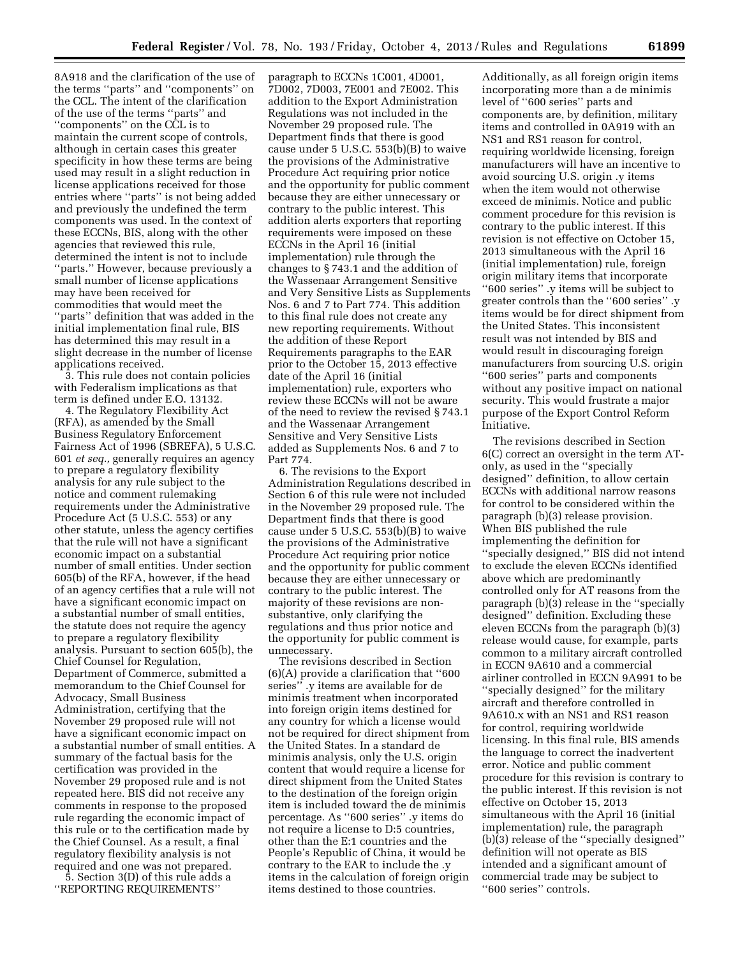8A918 and the clarification of the use of the terms ''parts'' and ''components'' on the CCL. The intent of the clarification of the use of the terms ''parts'' and ''components'' on the CCL is to maintain the current scope of controls, although in certain cases this greater specificity in how these terms are being used may result in a slight reduction in license applications received for those entries where ''parts'' is not being added and previously the undefined the term components was used. In the context of these ECCNs, BIS, along with the other agencies that reviewed this rule, determined the intent is not to include ''parts.'' However, because previously a small number of license applications may have been received for commodities that would meet the ''parts'' definition that was added in the initial implementation final rule, BIS has determined this may result in a slight decrease in the number of license applications received.

3. This rule does not contain policies with Federalism implications as that term is defined under E.O. 13132.

4. The Regulatory Flexibility Act (RFA), as amended by the Small Business Regulatory Enforcement Fairness Act of 1996 (SBREFA), 5 U.S.C. 601 *et seq.,* generally requires an agency to prepare a regulatory flexibility analysis for any rule subject to the notice and comment rulemaking requirements under the Administrative Procedure Act (5 U.S.C. 553) or any other statute, unless the agency certifies that the rule will not have a significant economic impact on a substantial number of small entities. Under section 605(b) of the RFA, however, if the head of an agency certifies that a rule will not have a significant economic impact on a substantial number of small entities, the statute does not require the agency to prepare a regulatory flexibility analysis. Pursuant to section 605(b), the Chief Counsel for Regulation, Department of Commerce, submitted a memorandum to the Chief Counsel for Advocacy, Small Business Administration, certifying that the November 29 proposed rule will not have a significant economic impact on a substantial number of small entities. A summary of the factual basis for the certification was provided in the November 29 proposed rule and is not repeated here. BIS did not receive any comments in response to the proposed rule regarding the economic impact of this rule or to the certification made by the Chief Counsel. As a result, a final regulatory flexibility analysis is not required and one was not prepared.

5. Section 3(D) of this rule adds a ''REPORTING REQUIREMENTS''

paragraph to ECCNs 1C001, 4D001, 7D002, 7D003, 7E001 and 7E002. This addition to the Export Administration Regulations was not included in the November 29 proposed rule. The Department finds that there is good cause under 5 U.S.C. 553(b)(B) to waive the provisions of the Administrative Procedure Act requiring prior notice and the opportunity for public comment because they are either unnecessary or contrary to the public interest. This addition alerts exporters that reporting requirements were imposed on these ECCNs in the April 16 (initial implementation) rule through the changes to § 743.1 and the addition of the Wassenaar Arrangement Sensitive and Very Sensitive Lists as Supplements Nos. 6 and 7 to Part 774. This addition to this final rule does not create any new reporting requirements. Without the addition of these Report Requirements paragraphs to the EAR prior to the October 15, 2013 effective date of the April 16 (initial implementation) rule, exporters who review these ECCNs will not be aware of the need to review the revised § 743.1 and the Wassenaar Arrangement Sensitive and Very Sensitive Lists added as Supplements Nos. 6 and 7 to Part 774.

6. The revisions to the Export Administration Regulations described in Section 6 of this rule were not included in the November 29 proposed rule. The Department finds that there is good cause under 5 U.S.C. 553(b)(B) to waive the provisions of the Administrative Procedure Act requiring prior notice and the opportunity for public comment because they are either unnecessary or contrary to the public interest. The majority of these revisions are nonsubstantive, only clarifying the regulations and thus prior notice and the opportunity for public comment is unnecessary.

The revisions described in Section (6)(A) provide a clarification that ''600 series'' .y items are available for de minimis treatment when incorporated into foreign origin items destined for any country for which a license would not be required for direct shipment from the United States. In a standard de minimis analysis, only the U.S. origin content that would require a license for direct shipment from the United States to the destination of the foreign origin item is included toward the de minimis percentage. As ''600 series'' .y items do not require a license to D:5 countries, other than the E:1 countries and the People's Republic of China, it would be contrary to the EAR to include the .y items in the calculation of foreign origin items destined to those countries.

Additionally, as all foreign origin items incorporating more than a de minimis level of ''600 series'' parts and components are, by definition, military items and controlled in 0A919 with an NS1 and RS1 reason for control, requiring worldwide licensing, foreign manufacturers will have an incentive to avoid sourcing U.S. origin .y items when the item would not otherwise exceed de minimis. Notice and public comment procedure for this revision is contrary to the public interest. If this revision is not effective on October 15, 2013 simultaneous with the April 16 (initial implementation) rule, foreign origin military items that incorporate ''600 series'' .y items will be subject to greater controls than the ''600 series'' .y items would be for direct shipment from the United States. This inconsistent result was not intended by BIS and would result in discouraging foreign manufacturers from sourcing U.S. origin ''600 series'' parts and components without any positive impact on national security. This would frustrate a major purpose of the Export Control Reform Initiative.

The revisions described in Section 6(C) correct an oversight in the term ATonly, as used in the ''specially designed'' definition, to allow certain ECCNs with additional narrow reasons for control to be considered within the paragraph (b)(3) release provision. When BIS published the rule implementing the definition for ''specially designed,'' BIS did not intend to exclude the eleven ECCNs identified above which are predominantly controlled only for AT reasons from the paragraph (b)(3) release in the ''specially designed'' definition. Excluding these eleven ECCNs from the paragraph (b)(3) release would cause, for example, parts common to a military aircraft controlled in ECCN 9A610 and a commercial airliner controlled in ECCN 9A991 to be ''specially designed'' for the military aircraft and therefore controlled in 9A610.x with an NS1 and RS1 reason for control, requiring worldwide licensing. In this final rule, BIS amends the language to correct the inadvertent error. Notice and public comment procedure for this revision is contrary to the public interest. If this revision is not effective on October 15, 2013 simultaneous with the April 16 (initial implementation) rule, the paragraph (b)(3) release of the ''specially designed'' definition will not operate as BIS intended and a significant amount of commercial trade may be subject to ''600 series'' controls.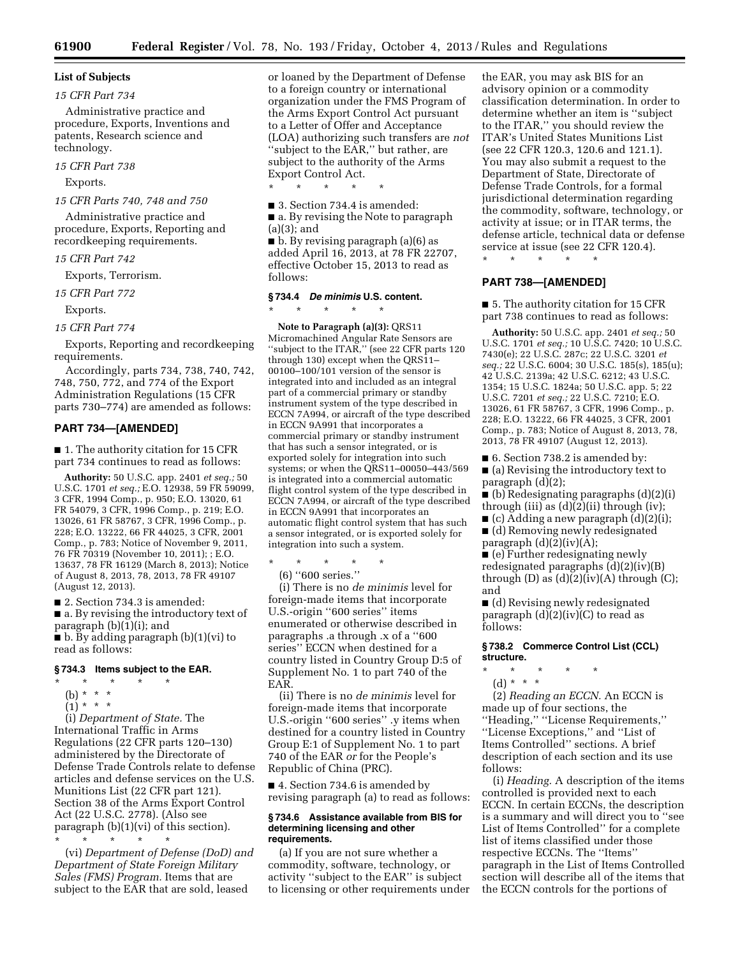### **List of Subjects**

#### *15 CFR Part 734*

Administrative practice and procedure, Exports, Inventions and patents, Research science and technology.

#### *15 CFR Part 738*

Exports.

#### *15 CFR Parts 740, 748 and 750*

Administrative practice and procedure, Exports, Reporting and recordkeeping requirements.

#### *15 CFR Part 742*

Exports, Terrorism.

*15 CFR Part 772* 

Exports.

*15 CFR Part 774* 

Exports, Reporting and recordkeeping requirements.

Accordingly, parts 734, 738, 740, 742, 748, 750, 772, and 774 of the Export Administration Regulations (15 CFR parts 730–774) are amended as follows:

#### **PART 734—[AMENDED]**

■ 1. The authority citation for 15 CFR part 734 continues to read as follows:

**Authority:** 50 U.S.C. app. 2401 *et seq.;* 50 U.S.C. 1701 *et seq.;* E.O. 12938, 59 FR 59099, 3 CFR, 1994 Comp., p. 950; E.O. 13020, 61 FR 54079, 3 CFR, 1996 Comp., p. 219; E.O. 13026, 61 FR 58767, 3 CFR, 1996 Comp., p. 228; E.O. 13222, 66 FR 44025, 3 CFR, 2001 Comp., p. 783; Notice of November 9, 2011, 76 FR 70319 (November 10, 2011); ; E.O. 13637, 78 FR 16129 (March 8, 2013); Notice of August 8, 2013, 78, 2013, 78 FR 49107 (August 12, 2013).

■ 2. Section 734.3 is amended: ■ a. By revising the introductory text of paragraph (b)(1)(i); and  $\blacksquare$  b. By adding paragraph (b)(1)(vi) to read as follows:

#### **§ 734.3 Items subject to the EAR.**

- \* \* \* \* \*
- (b) \* \* \*
- $(1) * * * *$

(i) *Department of State.* The International Traffic in Arms Regulations (22 CFR parts 120–130) administered by the Directorate of Defense Trade Controls relate to defense articles and defense services on the U.S. Munitions List (22 CFR part 121). Section 38 of the Arms Export Control Act (22 U.S.C. 2778). (Also see paragraph (b)(1)(vi) of this section). \* \* \* \* \*

(vi) *Department of Defense (DoD) and Department of State Foreign Military Sales (FMS) Program.* Items that are subject to the EAR that are sold, leased

or loaned by the Department of Defense to a foreign country or international organization under the FMS Program of the Arms Export Control Act pursuant to a Letter of Offer and Acceptance (LOA) authorizing such transfers are *not*  ''subject to the EAR,'' but rather, are subject to the authority of the Arms Export Control Act.

\* \* \* \* \*

■ 3. Section 734.4 is amended:

■ a. By revising the Note to paragraph (a)(3); and

■ b. By revising paragraph (a)(6) as added April 16, 2013, at 78 FR 22707, effective October 15, 2013 to read as follows:

#### **§ 734.4** *De minimis* **U.S. content.**

\* \* \* \* \*

**Note to Paragraph (a)(3):** QRS11 Micromachined Angular Rate Sensors are ''subject to the ITAR,'' (see 22 CFR parts 120 through 130) except when the QRS11– 00100–100/101 version of the sensor is integrated into and included as an integral part of a commercial primary or standby instrument system of the type described in ECCN 7A994, or aircraft of the type described in ECCN 9A991 that incorporates a commercial primary or standby instrument that has such a sensor integrated, or is exported solely for integration into such systems; or when the QRS11–00050–443/569 is integrated into a commercial automatic flight control system of the type described in ECCN 7A994, or aircraft of the type described in ECCN 9A991 that incorporates an automatic flight control system that has such a sensor integrated, or is exported solely for integration into such a system.

\* \* \* \* \* (6) ''600 series.''

(i) There is no *de minimis* level for foreign-made items that incorporate U.S.-origin ''600 series'' items enumerated or otherwise described in paragraphs .a through .x of a ''600 series'' ECCN when destined for a country listed in Country Group D:5 of Supplement No. 1 to part 740 of the EAR.

(ii) There is no *de minimis* level for foreign-made items that incorporate U.S.-origin ''600 series'' .y items when destined for a country listed in Country Group E:1 of Supplement No. 1 to part 740 of the EAR *or* for the People's Republic of China (PRC).

■ 4. Section 734.6 is amended by revising paragraph (a) to read as follows:

#### **§ 734.6 Assistance available from BIS for determining licensing and other requirements.**

(a) If you are not sure whether a commodity, software, technology, or activity ''subject to the EAR'' is subject to licensing or other requirements under

the EAR, you may ask BIS for an advisory opinion or a commodity classification determination. In order to determine whether an item is ''subject to the ITAR,'' you should review the ITAR's United States Munitions List (see 22 CFR 120.3, 120.6 and 121.1). You may also submit a request to the Department of State, Directorate of Defense Trade Controls, for a formal jurisdictional determination regarding the commodity, software, technology, or activity at issue; or in ITAR terms, the defense article, technical data or defense service at issue (see 22 CFR 120.4).

\* \* \* \* \*

### **PART 738—[AMENDED]**

■ 5. The authority citation for 15 CFR part 738 continues to read as follows:

**Authority:** 50 U.S.C. app. 2401 *et seq.;* 50 U.S.C. 1701 *et seq.;* 10 U.S.C. 7420; 10 U.S.C. 7430(e); 22 U.S.C. 287c; 22 U.S.C. 3201 *et seq.;* 22 U.S.C. 6004; 30 U.S.C. 185(s), 185(u); 42 U.S.C. 2139a; 42 U.S.C. 6212; 43 U.S.C. 1354; 15 U.S.C. 1824a; 50 U.S.C. app. 5; 22 U.S.C. 7201 *et seq.;* 22 U.S.C. 7210; E.O. 13026, 61 FR 58767, 3 CFR, 1996 Comp., p. 228; E.O. 13222, 66 FR 44025, 3 CFR, 2001 Comp., p. 783; Notice of August 8, 2013, 78, 2013, 78 FR 49107 (August 12, 2013).

■ 6. Section 738.2 is amended by:

■ (a) Revising the introductory text to paragraph (d)(2);

 $\Box$  (b) Redesignating paragraphs (d)(2)(i) through (iii) as  $(d)(2)(ii)$  through (iv);

 $\blacksquare$  (c) Adding a new paragraph (d)(2)(i);

■ (d) Removing newly redesignated paragraph  $(d)(2)(iv)(A);$ 

■ (e) Further redesignating newly redesignated paragraphs (d)(2)(iv)(B) through (D) as  $(d)(2)(iv)(A)$  through  $(C);$ and

■ (d) Revising newly redesignated paragraph  $(d)(2)(iv)(C)$  to read as follows:

**§ 738.2 Commerce Control List (CCL) structure.** 

\* \* \* \* \* (d) \* \* \*

(2) *Reading an ECCN.* An ECCN is made up of four sections, the ''Heading,'' ''License Requirements,'' ''License Exceptions,'' and ''List of Items Controlled'' sections. A brief description of each section and its use follows:

(i) *Heading.* A description of the items controlled is provided next to each ECCN. In certain ECCNs, the description is a summary and will direct you to ''see List of Items Controlled'' for a complete list of items classified under those respective ECCNs. The ''Items'' paragraph in the List of Items Controlled section will describe all of the items that the ECCN controls for the portions of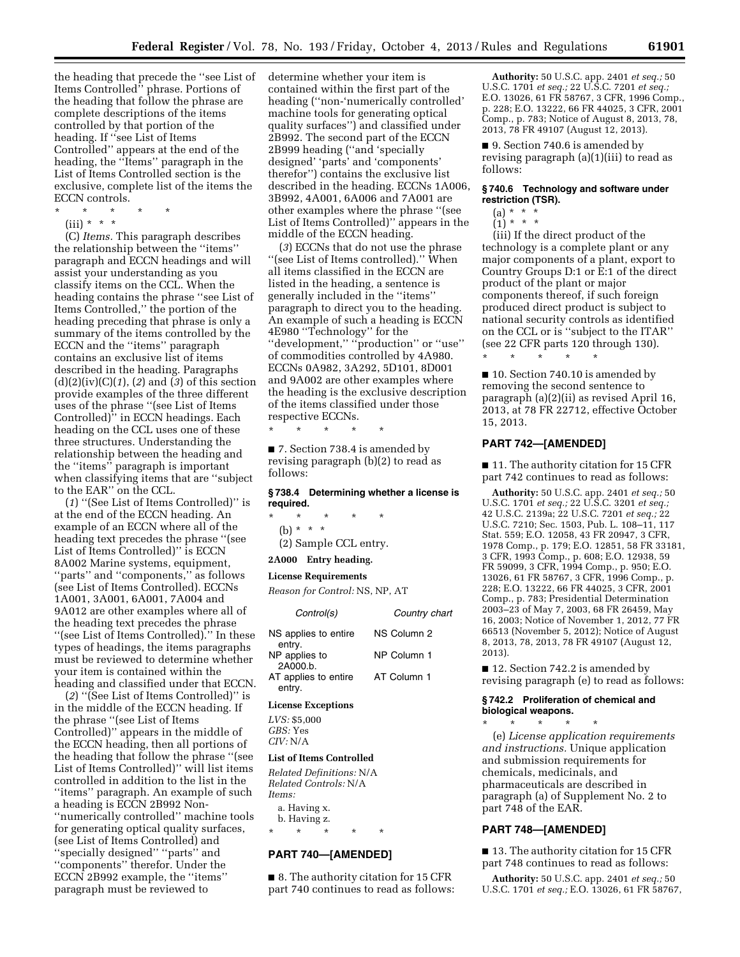the heading that precede the ''see List of Items Controlled'' phrase. Portions of the heading that follow the phrase are complete descriptions of the items controlled by that portion of the heading. If ''see List of Items Controlled'' appears at the end of the heading, the ''Items'' paragraph in the List of Items Controlled section is the exclusive, complete list of the items the ECCN controls.

- \* \* \* \* \*
	- (iii) \* \* \*

(C) *Items.* This paragraph describes the relationship between the ''items'' paragraph and ECCN headings and will assist your understanding as you classify items on the CCL. When the heading contains the phrase ''see List of Items Controlled,'' the portion of the heading preceding that phrase is only a summary of the items controlled by the ECCN and the ''items'' paragraph contains an exclusive list of items described in the heading. Paragraphs (d)(2)(iv)(C)(*1*), (*2*) and (*3*) of this section provide examples of the three different uses of the phrase ''(see List of Items Controlled)<sup>"</sup> in ECCN headings. Each heading on the CCL uses one of these three structures. Understanding the relationship between the heading and the ''items'' paragraph is important when classifying items that are ''subject to the EAR'' on the CCL.

(*1*) ''(See List of Items Controlled)'' is at the end of the ECCN heading. An example of an ECCN where all of the heading text precedes the phrase ''(see List of Items Controlled)'' is ECCN 8A002 Marine systems, equipment, ''parts'' and ''components,'' as follows (see List of Items Controlled). ECCNs 1A001, 3A001, 6A001, 7A004 and 9A012 are other examples where all of the heading text precedes the phrase ''(see List of Items Controlled).'' In these types of headings, the items paragraphs must be reviewed to determine whether your item is contained within the heading and classified under that ECCN.

(*2*) ''(See List of Items Controlled)'' is in the middle of the ECCN heading. If the phrase ''(see List of Items Controlled)'' appears in the middle of the ECCN heading, then all portions of the heading that follow the phrase ''(see List of Items Controlled)'' will list items controlled in addition to the list in the ''items'' paragraph. An example of such a heading is ECCN 2B992 Non- ''numerically controlled'' machine tools for generating optical quality surfaces, (see List of Items Controlled) and ''specially designed'' ''parts'' and ''components'' therefor. Under the ECCN 2B992 example, the ''items'' paragraph must be reviewed to

determine whether your item is contained within the first part of the heading (''non-'numerically controlled' machine tools for generating optical quality surfaces'') and classified under 2B992. The second part of the ECCN 2B999 heading (''and 'specially designed' 'parts' and 'components' therefor'') contains the exclusive list described in the heading. ECCNs 1A006, 3B992, 4A001, 6A006 and 7A001 are other examples where the phrase ''(see List of Items Controlled)'' appears in the middle of the ECCN heading.

(*3*) ECCNs that do not use the phrase ''(see List of Items controlled).'' When all items classified in the ECCN are listed in the heading, a sentence is generally included in the ''items'' paragraph to direct you to the heading. An example of such a heading is ECCN 4E980 ''Technology'' for the ''development,'' ''production'' or ''use'' of commodities controlled by 4A980. ECCNs 0A982, 3A292, 5D101, 8D001 and 9A002 are other examples where the heading is the exclusive description of the items classified under those respective ECCNs.

\* \* \* \* \* ■ 7. Section 738.4 is amended by

revising paragraph (b)(2) to read as follows:

#### **§ 738.4 Determining whether a license is required.**

- \* \* \* \* \*
- (b) \* \* \*
- (2) Sample CCL entry.
- **2A000 Entry heading.**

#### **License Requirements**

*Reason for Control:* NS, NP, AT

| Control(s)                          | Country chart |
|-------------------------------------|---------------|
| NS applies to entire<br>entry.      | NS Column 2   |
| NP applies to<br>2A000 <sub>b</sub> | NP Column 1   |
| AT applies to entire<br>entry.      | AT Column 1   |

#### **License Exceptions**

*LVS:* \$5,000 *GBS:* Yes *CIV:* N/A

#### **List of Items Controlled**

*Related Definitions:* N/A *Related Controls:* N/A *Items:* 

a. Having x.

b. Having z. \* \* \* \* \*

### **PART 740—[AMENDED]**

■ 8. The authority citation for 15 CFR part 740 continues to read as follows:

**Authority:** 50 U.S.C. app. 2401 *et seq.;* 50 U.S.C. 1701 *et seq.;* 22 U.S.C. 7201 *et seq.;*  E.O. 13026, 61 FR 58767, 3 CFR, 1996 Comp., p. 228; E.O. 13222, 66 FR 44025, 3 CFR, 2001 Comp., p. 783; Notice of August 8, 2013, 78, 2013, 78 FR 49107 (August 12, 2013).

■ 9. Section 740.6 is amended by revising paragraph (a)(1)(iii) to read as follows:

### **§ 740.6 Technology and software under restriction (TSR).**

- $(a) * * * *$
- $(1) * * * *$

(iii) If the direct product of the technology is a complete plant or any major components of a plant, export to Country Groups D:1 or E:1 of the direct product of the plant or major components thereof, if such foreign produced direct product is subject to national security controls as identified on the CCL or is ''subject to the ITAR'' (see 22 CFR parts 120 through 130).

■ 10. Section 740.10 is amended by removing the second sentence to paragraph (a)(2)(ii) as revised April 16, 2013, at 78 FR 22712, effective October 15, 2013.

### **PART 742—[AMENDED]**

\* \* \* \* \*

■ 11. The authority citation for 15 CFR part 742 continues to read as follows:

**Authority:** 50 U.S.C. app. 2401 *et seq.;* 50 U.S.C. 1701 *et seq.;* 22 U.S.C. 3201 *et seq.;*  42 U.S.C. 2139a; 22 U.S.C. 7201 *et seq.;* 22 U.S.C. 7210; Sec. 1503, Pub. L. 108–11, 117 Stat. 559; E.O. 12058, 43 FR 20947, 3 CFR, 1978 Comp., p. 179; E.O. 12851, 58 FR 33181, 3 CFR, 1993 Comp., p. 608; E.O. 12938, 59 FR 59099, 3 CFR, 1994 Comp., p. 950; E.O. 13026, 61 FR 58767, 3 CFR, 1996 Comp., p. 228; E.O. 13222, 66 FR 44025, 3 CFR, 2001 Comp., p. 783; Presidential Determination 2003–23 of May 7, 2003, 68 FR 26459, May 16, 2003; Notice of November 1, 2012, 77 FR 66513 (November 5, 2012); Notice of August 8, 2013, 78, 2013, 78 FR 49107 (August 12, 2013).

■ 12. Section 742.2 is amended by revising paragraph (e) to read as follows:

#### **§ 742.2 Proliferation of chemical and biological weapons.**

\* \* \* \* \* (e) *License application requirements and instructions.* Unique application and submission requirements for chemicals, medicinals, and pharmaceuticals are described in paragraph (a) of Supplement No. 2 to part 748 of the EAR.

#### **PART 748—[AMENDED]**

■ 13. The authority citation for 15 CFR part 748 continues to read as follows:

**Authority:** 50 U.S.C. app. 2401 *et seq.;* 50 U.S.C. 1701 *et seq.;* E.O. 13026, 61 FR 58767,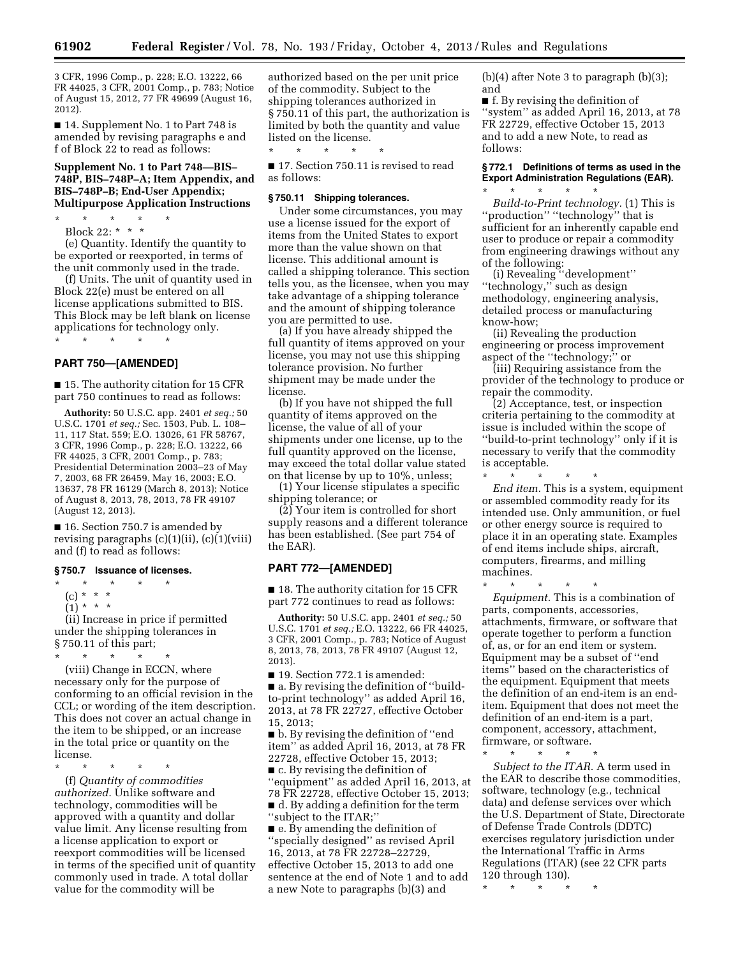3 CFR, 1996 Comp., p. 228; E.O. 13222, 66 FR 44025, 3 CFR, 2001 Comp., p. 783; Notice of August 15, 2012, 77 FR 49699 (August 16, 2012).

■ 14. Supplement No. 1 to Part 748 is amended by revising paragraphs e and f of Block 22 to read as follows:

#### **Supplement No. 1 to Part 748—BIS– 748P, BIS–748P–A; Item Appendix, and BIS–748P–B; End-User Appendix; Multipurpose Application Instructions**

\* \* \* \* \* Block 22: \* \* \*

(e) Quantity. Identify the quantity to be exported or reexported, in terms of the unit commonly used in the trade.

(f) Units. The unit of quantity used in Block 22(e) must be entered on all license applications submitted to BIS. This Block may be left blank on license applications for technology only.

### \* \* \* \* \*

#### **PART 750—[AMENDED]**

■ 15. The authority citation for 15 CFR part 750 continues to read as follows:

**Authority:** 50 U.S.C. app. 2401 *et seq.;* 50 U.S.C. 1701 *et seq.;* Sec. 1503, Pub. L. 108– 11, 117 Stat. 559; E.O. 13026, 61 FR 58767, 3 CFR, 1996 Comp., p. 228; E.O. 13222, 66 FR 44025, 3 CFR, 2001 Comp., p. 783; Presidential Determination 2003–23 of May 7, 2003, 68 FR 26459, May 16, 2003; E.O. 13637, 78 FR 16129 (March 8, 2013); Notice of August 8, 2013, 78, 2013, 78 FR 49107 (August 12, 2013).

■ 16. Section 750.7 is amended by revising paragraphs (c)(1)(ii), (c)(1)(viii) and (f) to read as follows:

#### **§ 750.7 Issuance of licenses.**

\* \* \* \* \*

(c) \* \* \*

 $(1) * * * *$ 

(ii) Increase in price if permitted under the shipping tolerances in § 750.11 of this part;

\* \* \* \* \*

(viii) Change in ECCN, where necessary only for the purpose of conforming to an official revision in the CCL; or wording of the item description. This does not cover an actual change in the item to be shipped, or an increase in the total price or quantity on the license.

\* \* \* \* \*

(f) *Quantity of commodities authorized.* Unlike software and technology, commodities will be approved with a quantity and dollar value limit. Any license resulting from a license application to export or reexport commodities will be licensed in terms of the specified unit of quantity commonly used in trade. A total dollar value for the commodity will be

authorized based on the per unit price of the commodity. Subject to the shipping tolerances authorized in § 750.11 of this part, the authorization is limited by both the quantity and value listed on the license.

■ 17. Section 750.11 is revised to read as follows:

### **§ 750.11 Shipping tolerances.**

\* \* \* \* \*

Under some circumstances, you may use a license issued for the export of items from the United States to export more than the value shown on that license. This additional amount is called a shipping tolerance. This section tells you, as the licensee, when you may take advantage of a shipping tolerance and the amount of shipping tolerance you are permitted to use.

(a) If you have already shipped the full quantity of items approved on your license, you may not use this shipping tolerance provision. No further shipment may be made under the license.

(b) If you have not shipped the full quantity of items approved on the license, the value of all of your shipments under one license, up to the full quantity approved on the license, may exceed the total dollar value stated on that license by up to 10%, unless;

(1) Your license stipulates a specific shipping tolerance; or

(2) Your item is controlled for short supply reasons and a different tolerance has been established. (See part 754 of the EAR).

#### **PART 772—[AMENDED]**

■ 18. The authority citation for 15 CFR part 772 continues to read as follows:

**Authority:** 50 U.S.C. app. 2401 *et seq.;* 50 U.S.C. 1701 *et seq.;* E.O. 13222, 66 FR 44025, 3 CFR, 2001 Comp., p. 783; Notice of August 8, 2013, 78, 2013, 78 FR 49107 (August 12, 2013).

■ 19. Section 772.1 is amended: ■ a. By revising the definition of "buildto-print technology'' as added April 16, 2013, at 78 FR 22727, effective October 15, 2013;

■ b. By revising the definition of ''end item'' as added April 16, 2013, at 78 FR 22728, effective October 15, 2013;

■ c. By revising the definition of ''equipment'' as added April 16, 2013, at 78 FR 22728, effective October 15, 2013; ■ d. By adding a definition for the term

''subject to the ITAR;''  $\blacksquare$  e. By amending the definition of

''specially designed'' as revised April 16, 2013, at 78 FR 22728–22729, effective October 15, 2013 to add one sentence at the end of Note 1 and to add a new Note to paragraphs (b)(3) and

(b)(4) after Note 3 to paragraph (b)(3); and

■ f. By revising the definition of "system" as added April 16, 2013, at 78 FR 22729, effective October 15, 2013 and to add a new Note, to read as follows:

### **§ 772.1 Definitions of terms as used in the Export Administration Regulations (EAR).**

\* \* \* \* \* *Build-to-Print technology.* (1) This is ''production'' ''technology'' that is sufficient for an inherently capable end user to produce or repair a commodity from engineering drawings without any of the following:

(i) Revealing ''development'' ''technology,'' such as design methodology, engineering analysis, detailed process or manufacturing know-how;

(ii) Revealing the production engineering or process improvement aspect of the ''technology;'' or

(iii) Requiring assistance from the provider of the technology to produce or repair the commodity.

(2) Acceptance, test, or inspection criteria pertaining to the commodity at issue is included within the scope of ''build-to-print technology'' only if it is necessary to verify that the commodity is acceptable.

\* \* \* \* \* *End item.* This is a system, equipment or assembled commodity ready for its intended use. Only ammunition, or fuel or other energy source is required to place it in an operating state. Examples of end items include ships, aircraft, computers, firearms, and milling machines.

\* \* \* \* \*

*Equipment.* This is a combination of parts, components, accessories, attachments, firmware, or software that operate together to perform a function of, as, or for an end item or system. Equipment may be a subset of ''end items'' based on the characteristics of the equipment. Equipment that meets the definition of an end-item is an enditem. Equipment that does not meet the definition of an end-item is a part, component, accessory, attachment, firmware, or software.

\* \* \* \* \*

*Subject to the ITAR.* A term used in the EAR to describe those commodities, software, technology (e.g., technical data) and defense services over which the U.S. Department of State, Directorate of Defense Trade Controls (DDTC) exercises regulatory jurisdiction under the International Traffic in Arms Regulations (ITAR) (see 22 CFR parts 120 through 130).

\* \* \* \* \*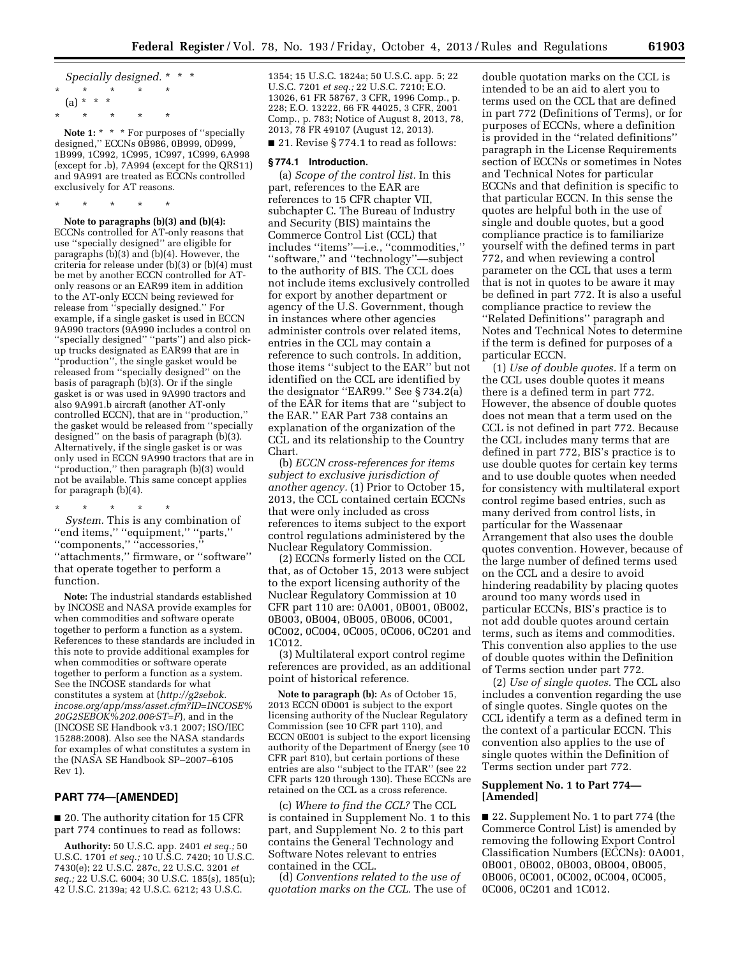*Specially designed.* \* \* \* \* \* \* \* \*  $(a) * * * *$ \* \* \* \* \*

Note 1: \* \* \* For purposes of "specially designed,'' ECCNs 0B986, 0B999, 0D999, 1B999, 1C992, 1C995, 1C997, 1C999, 6A998 (except for .b), 7A994 (except for the QRS11) and 9A991 are treated as ECCNs controlled exclusively for AT reasons.

\* \* \* \* \*

**Note to paragraphs (b)(3) and (b)(4):**  ECCNs controlled for AT-only reasons that use ''specially designed'' are eligible for paragraphs (b)(3) and (b)(4). However, the criteria for release under (b)(3) or (b)(4) must be met by another ECCN controlled for ATonly reasons or an EAR99 item in addition to the AT-only ECCN being reviewed for release from ''specially designed.'' For example, if a single gasket is used in ECCN 9A990 tractors (9A990 includes a control on "specially designed" "parts") and also pickup trucks designated as EAR99 that are in ''production'', the single gasket would be released from ''specially designed'' on the basis of paragraph (b)(3). Or if the single gasket is or was used in 9A990 tractors and also 9A991.b aircraft (another AT-only controlled ECCN), that are in ''production,'' the gasket would be released from ''specially designed'' on the basis of paragraph (b)(3). Alternatively, if the single gasket is or was only used in ECCN 9A990 tractors that are in ''production,'' then paragraph (b)(3) would not be available. This same concept applies for paragraph (b)(4).

\* \* \* \* \*

*System.* This is any combination of ''end items,'' ''equipment,'' ''parts,'' "components," "accessories, ''attachments,'' firmware, or ''software'' that operate together to perform a function.

**Note:** The industrial standards established by INCOSE and NASA provide examples for when commodities and software operate together to perform a function as a system. References to these standards are included in this note to provide additional examples for when commodities or software operate together to perform a function as a system. See the INCOSE standards for what constitutes a system at (*[http://g2sebok.](http://g2sebok.incose.org/app/mss/asset.cfm?ID=INCOSE%20G2SEBOK%202.00&ST=F) [incose.org/app/mss/asset.cfm?ID=INCOSE%](http://g2sebok.incose.org/app/mss/asset.cfm?ID=INCOSE%20G2SEBOK%202.00&ST=F) [20G2SEBOK%202.00&ST=F](http://g2sebok.incose.org/app/mss/asset.cfm?ID=INCOSE%20G2SEBOK%202.00&ST=F)*), and in the (INCOSE SE Handbook v3.1 2007; ISO/IEC 15288:2008). Also see the NASA standards for examples of what constitutes a system in the (NASA SE Handbook SP–2007–6105 Rev 1).

### **PART 774—[AMENDED]**

■ 20. The authority citation for 15 CFR part 774 continues to read as follows:

**Authority:** 50 U.S.C. app. 2401 *et seq.;* 50 U.S.C. 1701 *et seq.;* 10 U.S.C. 7420; 10 U.S.C. 7430(e); 22 U.S.C. 287c, 22 U.S.C. 3201 *et seq.;* 22 U.S.C. 6004; 30 U.S.C. 185(s), 185(u); 42 U.S.C. 2139a; 42 U.S.C. 6212; 43 U.S.C.

1354; 15 U.S.C. 1824a; 50 U.S.C. app. 5; 22 U.S.C. 7201 *et seq.;* 22 U.S.C. 7210; E.O. 13026, 61 FR 58767, 3 CFR, 1996 Comp., p. 228; E.O. 13222, 66 FR 44025, 3 CFR, 2001 Comp., p. 783; Notice of August 8, 2013, 78, 2013, 78 FR 49107 (August 12, 2013).

■ 21. Revise § 774.1 to read as follows:

#### **§ 774.1 Introduction.**

(a) *Scope of the control list.* In this part, references to the EAR are references to 15 CFR chapter VII, subchapter C. The Bureau of Industry and Security (BIS) maintains the Commerce Control List (CCL) that includes ''items''—i.e., ''commodities,'' ''software,'' and ''technology''—subject to the authority of BIS. The CCL does not include items exclusively controlled for export by another department or agency of the U.S. Government, though in instances where other agencies administer controls over related items, entries in the CCL may contain a reference to such controls. In addition, those items ''subject to the EAR'' but not identified on the CCL are identified by the designator ''EAR99.'' See § 734.2(a) of the EAR for items that are ''subject to the EAR.'' EAR Part 738 contains an explanation of the organization of the CCL and its relationship to the Country Chart.

(b) *ECCN cross-references for items subject to exclusive jurisdiction of another agency.* (1) Prior to October 15, 2013, the CCL contained certain ECCNs that were only included as cross references to items subject to the export control regulations administered by the Nuclear Regulatory Commission.

(2) ECCNs formerly listed on the CCL that, as of October 15, 2013 were subject to the export licensing authority of the Nuclear Regulatory Commission at 10 CFR part 110 are: 0A001, 0B001, 0B002, 0B003, 0B004, 0B005, 0B006, 0C001, 0C002, 0C004, 0C005, 0C006, 0C201 and 1C012.

(3) Multilateral export control regime references are provided, as an additional point of historical reference.

**Note to paragraph (b):** As of October 15, 2013 ECCN 0D001 is subject to the export licensing authority of the Nuclear Regulatory Commission (see 10 CFR part 110), and ECCN 0E001 is subject to the export licensing authority of the Department of Energy (see 10 CFR part 810), but certain portions of these entries are also "subject to the ITAR" (see 22 CFR parts 120 through 130). These ECCNs are retained on the CCL as a cross reference.

(c) *Where to find the CCL?* The CCL is contained in Supplement No. 1 to this part, and Supplement No. 2 to this part contains the General Technology and Software Notes relevant to entries contained in the CCL.

(d) *Conventions related to the use of quotation marks on the CCL.* The use of

double quotation marks on the CCL is intended to be an aid to alert you to terms used on the CCL that are defined in part 772 (Definitions of Terms), or for purposes of ECCNs, where a definition is provided in the ''related definitions'' paragraph in the License Requirements section of ECCNs or sometimes in Notes and Technical Notes for particular ECCNs and that definition is specific to that particular ECCN. In this sense the quotes are helpful both in the use of single and double quotes, but a good compliance practice is to familiarize yourself with the defined terms in part 772, and when reviewing a control parameter on the CCL that uses a term that is not in quotes to be aware it may be defined in part 772. It is also a useful compliance practice to review the ''Related Definitions'' paragraph and Notes and Technical Notes to determine if the term is defined for purposes of a particular ECCN.

(1) *Use of double quotes.* If a term on the CCL uses double quotes it means there is a defined term in part 772. However, the absence of double quotes does not mean that a term used on the CCL is not defined in part 772. Because the CCL includes many terms that are defined in part 772, BIS's practice is to use double quotes for certain key terms and to use double quotes when needed for consistency with multilateral export control regime based entries, such as many derived from control lists, in particular for the Wassenaar Arrangement that also uses the double quotes convention. However, because of the large number of defined terms used on the CCL and a desire to avoid hindering readability by placing quotes around too many words used in particular ECCNs, BIS's practice is to not add double quotes around certain terms, such as items and commodities. This convention also applies to the use of double quotes within the Definition of Terms section under part 772.

(2) *Use of single quotes.* The CCL also includes a convention regarding the use of single quotes. Single quotes on the CCL identify a term as a defined term in the context of a particular ECCN. This convention also applies to the use of single quotes within the Definition of Terms section under part 772.

### **Supplement No. 1 to Part 774— [Amended]**

■ 22. Supplement No. 1 to part 774 (the Commerce Control List) is amended by removing the following Export Control Classification Numbers (ECCNs): 0A001, 0B001, 0B002, 0B003, 0B004, 0B005, 0B006, 0C001, 0C002, 0C004, 0C005, 0C006, 0C201 and 1C012.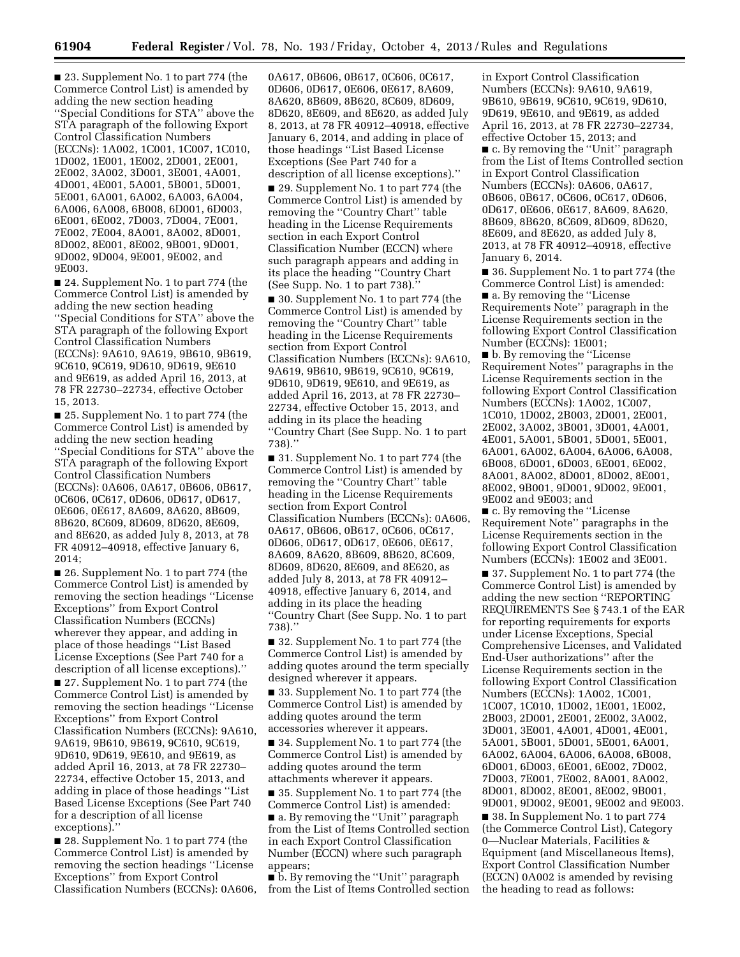■ 23. Supplement No. 1 to part 774 (the Commerce Control List) is amended by adding the new section heading ''Special Conditions for STA'' above the STA paragraph of the following Export Control Classification Numbers (ECCNs): 1A002, 1C001, 1C007, 1C010, 1D002, 1E001, 1E002, 2D001, 2E001, 2E002, 3A002, 3D001, 3E001, 4A001, 4D001, 4E001, 5A001, 5B001, 5D001, 5E001, 6A001, 6A002, 6A003, 6A004, 6A006, 6A008, 6B008, 6D001, 6D003, 6E001, 6E002, 7D003, 7D004, 7E001, 7E002, 7E004, 8A001, 8A002, 8D001, 8D002, 8E001, 8E002, 9B001, 9D001, 9D002, 9D004, 9E001, 9E002, and 9E003.

■ 24. Supplement No. 1 to part 774 (the Commerce Control List) is amended by adding the new section heading ''Special Conditions for STA'' above the STA paragraph of the following Export Control Classification Numbers (ECCNs): 9A610, 9A619, 9B610, 9B619, 9C610, 9C619, 9D610, 9D619, 9E610 and 9E619, as added April 16, 2013, at 78 FR 22730–22734, effective October 15, 2013.

■ 25. Supplement No. 1 to part 774 (the Commerce Control List) is amended by adding the new section heading ''Special Conditions for STA'' above the STA paragraph of the following Export Control Classification Numbers (ECCNs): 0A606, 0A617, 0B606, 0B617, 0C606, 0C617, 0D606, 0D617, 0D617, 0E606, 0E617, 8A609, 8A620, 8B609, 8B620, 8C609, 8D609, 8D620, 8E609, and 8E620, as added July 8, 2013, at 78 FR 40912–40918, effective January 6, 2014;

■ 26. Supplement No. 1 to part 774 (the Commerce Control List) is amended by removing the section headings ''License Exceptions'' from Export Control Classification Numbers (ECCNs) wherever they appear, and adding in place of those headings ''List Based License Exceptions (See Part 740 for a description of all license exceptions).'' ■ 27. Supplement No. 1 to part 774 (the Commerce Control List) is amended by removing the section headings ''License Exceptions'' from Export Control Classification Numbers (ECCNs): 9A610, 9A619, 9B610, 9B619, 9C610, 9C619, 9D610, 9D619, 9E610, and 9E619, as added April 16, 2013, at 78 FR 22730– 22734, effective October 15, 2013, and adding in place of those headings ''List Based License Exceptions (See Part 740 for a description of all license exceptions).''

■ 28. Supplement No. 1 to part 774 (the Commerce Control List) is amended by removing the section headings ''License Exceptions'' from Export Control Classification Numbers (ECCNs): 0A606, 0A617, 0B606, 0B617, 0C606, 0C617, 0D606, 0D617, 0E606, 0E617, 8A609, 8A620, 8B609, 8B620, 8C609, 8D609, 8D620, 8E609, and 8E620, as added July 8, 2013, at 78 FR 40912–40918, effective January 6, 2014, and adding in place of those headings ''List Based License Exceptions (See Part 740 for a description of all license exceptions).''

■ 29. Supplement No. 1 to part 774 (the Commerce Control List) is amended by removing the ''Country Chart'' table heading in the License Requirements section in each Export Control Classification Number (ECCN) where such paragraph appears and adding in its place the heading ''Country Chart (See Supp. No. 1 to part 738).''

■ 30. Supplement No. 1 to part 774 (the Commerce Control List) is amended by removing the ''Country Chart'' table heading in the License Requirements section from Export Control Classification Numbers (ECCNs): 9A610, 9A619, 9B610, 9B619, 9C610, 9C619, 9D610, 9D619, 9E610, and 9E619, as added April 16, 2013, at 78 FR 22730– 22734, effective October 15, 2013, and adding in its place the heading ''Country Chart (See Supp. No. 1 to part 738).''

■ 31. Supplement No. 1 to part 774 (the Commerce Control List) is amended by removing the ''Country Chart'' table heading in the License Requirements section from Export Control Classification Numbers (ECCNs): 0A606, 0A617, 0B606, 0B617, 0C606, 0C617, 0D606, 0D617, 0D617, 0E606, 0E617, 8A609, 8A620, 8B609, 8B620, 8C609, 8D609, 8D620, 8E609, and 8E620, as added July 8, 2013, at 78 FR 40912– 40918, effective January 6, 2014, and adding in its place the heading ''Country Chart (See Supp. No. 1 to part 738).''

■ 32. Supplement No. 1 to part 774 (the Commerce Control List) is amended by adding quotes around the term specially designed wherever it appears.

■ 33. Supplement No. 1 to part 774 (the Commerce Control List) is amended by adding quotes around the term accessories wherever it appears.

■ 34. Supplement No. 1 to part 774 (the Commerce Control List) is amended by adding quotes around the term attachments wherever it appears.

■ 35. Supplement No. 1 to part 774 (the Commerce Control List) is amended: ■ a. By removing the "Unit" paragraph from the List of Items Controlled section in each Export Control Classification Number (ECCN) where such paragraph appears;

■ b. By removing the "Unit" paragraph from the List of Items Controlled section

in Export Control Classification Numbers (ECCNs): 9A610, 9A619, 9B610, 9B619, 9C610, 9C619, 9D610, 9D619, 9E610, and 9E619, as added April 16, 2013, at 78 FR 22730–22734, effective October 15, 2013; and

■ c. By removing the "Unit" paragraph from the List of Items Controlled section in Export Control Classification Numbers (ECCNs): 0A606, 0A617, 0B606, 0B617, 0C606, 0C617, 0D606, 0D617, 0E606, 0E617, 8A609, 8A620, 8B609, 8B620, 8C609, 8D609, 8D620, 8E609, and 8E620, as added July 8, 2013, at 78 FR 40912–40918, effective January 6, 2014.

■ 36. Supplement No. 1 to part 774 (the Commerce Control List) is amended: ■ a. By removing the "License" Requirements Note'' paragraph in the License Requirements section in the following Export Control Classification Number (ECCNs): 1E001;

■ b. By removing the "License" Requirement Notes'' paragraphs in the License Requirements section in the following Export Control Classification Numbers (ECCNs): 1A002, 1C007, 1C010, 1D002, 2B003, 2D001, 2E001, 2E002, 3A002, 3B001, 3D001, 4A001, 4E001, 5A001, 5B001, 5D001, 5E001, 6A001, 6A002, 6A004, 6A006, 6A008, 6B008, 6D001, 6D003, 6E001, 6E002, 8A001, 8A002, 8D001, 8D002, 8E001, 8E002, 9B001, 9D001, 9D002, 9E001, 9E002 and 9E003; and

■ c. By removing the "License Requirement Note'' paragraphs in the License Requirements section in the following Export Control Classification Numbers (ECCNs): 1E002 and 3E001.

■ 37. Supplement No. 1 to part 774 (the Commerce Control List) is amended by adding the new section ''REPORTING REQUIREMENTS See § 743.1 of the EAR for reporting requirements for exports under License Exceptions, Special Comprehensive Licenses, and Validated End-User authorizations'' after the License Requirements section in the following Export Control Classification Numbers (ECCNs): 1A002, 1C001, 1C007, 1C010, 1D002, 1E001, 1E002, 2B003, 2D001, 2E001, 2E002, 3A002, 3D001, 3E001, 4A001, 4D001, 4E001, 5A001, 5B001, 5D001, 5E001, 6A001, 6A002, 6A004, 6A006, 6A008, 6B008, 6D001, 6D003, 6E001, 6E002, 7D002, 7D003, 7E001, 7E002, 8A001, 8A002, 8D001, 8D002, 8E001, 8E002, 9B001, 9D001, 9D002, 9E001, 9E002 and 9E003.

■ 38. In Supplement No. 1 to part 774 (the Commerce Control List), Category 0—Nuclear Materials, Facilities & Equipment (and Miscellaneous Items), Export Control Classification Number (ECCN) 0A002 is amended by revising the heading to read as follows: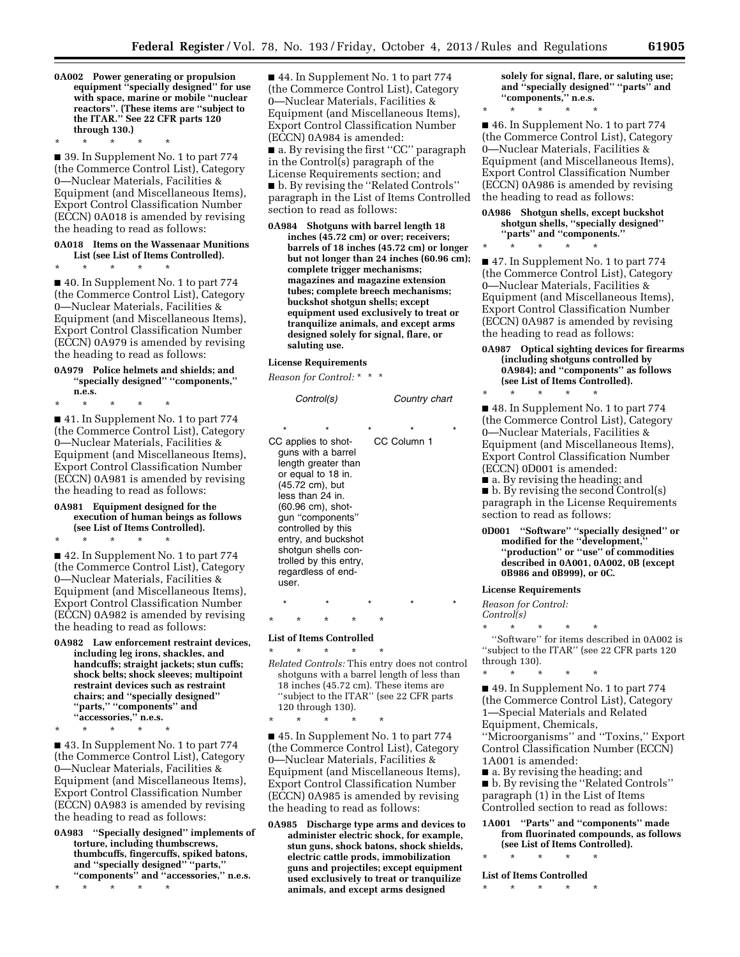**0A002 Power generating or propulsion equipment ''specially designed'' for use with space, marine or mobile ''nuclear reactors''. (These items are ''subject to the ITAR.'' See 22 CFR parts 120 through 130.)** 

\* \* \* \* \*

■ 39. In Supplement No. 1 to part 774 (the Commerce Control List), Category 0—Nuclear Materials, Facilities & Equipment (and Miscellaneous Items), Export Control Classification Number (ECCN) 0A018 is amended by revising the heading to read as follows:

#### **0A018 Items on the Wassenaar Munitions List (see List of Items Controlled).**

\* \* \* \* \*

■ 40. In Supplement No. 1 to part 774 (the Commerce Control List), Category 0—Nuclear Materials, Facilities & Equipment (and Miscellaneous Items), Export Control Classification Number (ECCN) 0A979 is amended by revising the heading to read as follows:

#### **0A979 Police helmets and shields; and ''specially designed'' ''components,'' n.e.s.**

\* \* \* \* \*

■ 41. In Supplement No. 1 to part 774 (the Commerce Control List), Category 0—Nuclear Materials, Facilities & Equipment (and Miscellaneous Items), Export Control Classification Number (ECCN) 0A981 is amended by revising the heading to read as follows:

#### **0A981 Equipment designed for the execution of human beings as follows (see List of Items Controlled).**  \* \* \* \* \*

■ 42. In Supplement No. 1 to part 774 (the Commerce Control List), Category 0—Nuclear Materials, Facilities & Equipment (and Miscellaneous Items), Export Control Classification Number (ECCN) 0A982 is amended by revising

the heading to read as follows:

**0A982 Law enforcement restraint devices, including leg irons, shackles, and handcuffs; straight jackets; stun cuffs; shock belts; shock sleeves; multipoint restraint devices such as restraint chairs; and ''specially designed'' ''parts,'' ''components'' and ''accessories,'' n.e.s.** 

\* \* \* \* \*

■ 43. In Supplement No. 1 to part 774 (the Commerce Control List), Category 0—Nuclear Materials, Facilities & Equipment (and Miscellaneous Items), Export Control Classification Number (ECCN) 0A983 is amended by revising the heading to read as follows:

**0A983 ''Specially designed'' implements of torture, including thumbscrews, thumbcuffs, fingercuffs, spiked batons, and ''specially designed'' ''parts,'' ''components'' and ''accessories,'' n.e.s.** 

\* \* \* \* \*

■ 44. In Supplement No. 1 to part 774 (the Commerce Control List), Category 0—Nuclear Materials, Facilities & Equipment (and Miscellaneous Items), Export Control Classification Number (ECCN) 0A984 is amended: ■ a. By revising the first "CC" paragraph in the Control(s) paragraph of the

License Requirements section; and ■ b. By revising the "Related Controls" paragraph in the List of Items Controlled section to read as follows:

**0A984 Shotguns with barrel length 18 inches (45.72 cm) or over; receivers; barrels of 18 inches (45.72 cm) or longer but not longer than 24 inches (60.96 cm); complete trigger mechanisms; magazines and magazine extension tubes; complete breech mechanisms; buckshot shotgun shells; except equipment used exclusively to treat or tranquilize animals, and except arms designed solely for signal, flare, or saluting use.** 

#### **License Requirements**

*Reason for Control:* \* \* \*

| Control(s)       |                                                                                                                                                                                                                                                                                            |         | Country chart          |  |
|------------------|--------------------------------------------------------------------------------------------------------------------------------------------------------------------------------------------------------------------------------------------------------------------------------------------|---------|------------------------|--|
| $\star$<br>user. | CC applies to shot-<br>guns with a barrel<br>length greater than<br>or equal to 18 in.<br>(45.72 cm), but<br>less than 24 in.<br>(60.96 cm), shot-<br>qun "components"<br>controlled by this<br>entry, and buckshot<br>shotgun shells con-<br>trolled by this entry,<br>regardless of end- | $\star$ | $\star$<br>CC Column 1 |  |
|                  |                                                                                                                                                                                                                                                                                            |         |                        |  |

### \* \* \* \* \* **List of Items Controlled**

\* \* \* \* \* *Related Controls:* This entry does not control shotguns with a barrel length of less than 18 inches (45.72 cm). These items are ''subject to the ITAR'' (see 22 CFR parts 120 through 130).

\* \* \* \* \*

■ 45. In Supplement No. 1 to part 774 (the Commerce Control List), Category 0—Nuclear Materials, Facilities & Equipment (and Miscellaneous Items), Export Control Classification Number (ECCN) 0A985 is amended by revising the heading to read as follows:

**0A985 Discharge type arms and devices to administer electric shock, for example, stun guns, shock batons, shock shields, electric cattle prods, immobilization guns and projectiles; except equipment used exclusively to treat or tranquilize animals, and except arms designed** 

**solely for signal, flare, or saluting use; and ''specially designed'' ''parts'' and ''components,'' n.e.s.** 

\* \* \* \* \*

■ 46. In Supplement No. 1 to part 774 (the Commerce Control List), Category 0—Nuclear Materials, Facilities & Equipment (and Miscellaneous Items), Export Control Classification Number (ECCN) 0A986 is amended by revising the heading to read as follows:

#### **0A986 Shotgun shells, except buckshot shotgun shells, ''specially designed'' ''parts'' and ''components.''**

\* \* \* \* \*

■ 47. In Supplement No. 1 to part 774 (the Commerce Control List), Category 0—Nuclear Materials, Facilities & Equipment (and Miscellaneous Items), Export Control Classification Number (ECCN) 0A987 is amended by revising the heading to read as follows:

#### **0A987 Optical sighting devices for firearms (including shotguns controlled by 0A984); and ''components'' as follows (see List of Items Controlled).**

■ 48. In Supplement No. 1 to part 774 (the Commerce Control List), Category 0—Nuclear Materials, Facilities & Equipment (and Miscellaneous Items), Export Control Classification Number (ECCN) 0D001 is amended:

■ a. By revising the heading; and

\* \* \* \* \*

■ b. By revising the second Control(s) paragraph in the License Requirements section to read as follows:

**0D001 ''Software'' ''specially designed'' or modified for the ''development,'' ''production'' or ''use'' of commodities described in 0A001, 0A002, 0B (except 0B986 and 0B999), or 0C.** 

#### **License Requirements**

*Reason for Control:* 

*Control(s)* 

\* \* \* \* \* ''Software'' for items described in 0A002 is ''subject to the ITAR'' (see 22 CFR parts 120 through 130).

\* \* \* \* \* ■ 49. In Supplement No. 1 to part 774 (the Commerce Control List), Category 1—Special Materials and Related Equipment, Chemicals, ''Microorganisms'' and ''Toxins,'' Export Control Classification Number (ECCN)

1A001 is amended:

■ a. By revising the heading; and ■ b. By revising the ''Related Controls'' paragraph (1) in the List of Items Controlled section to read as follows:

### **1A001 ''Parts'' and ''components'' made from fluorinated compounds, as follows (see List of Items Controlled).**

\* \* \* \* \*

**List of Items Controlled**  \* \* \* \* \*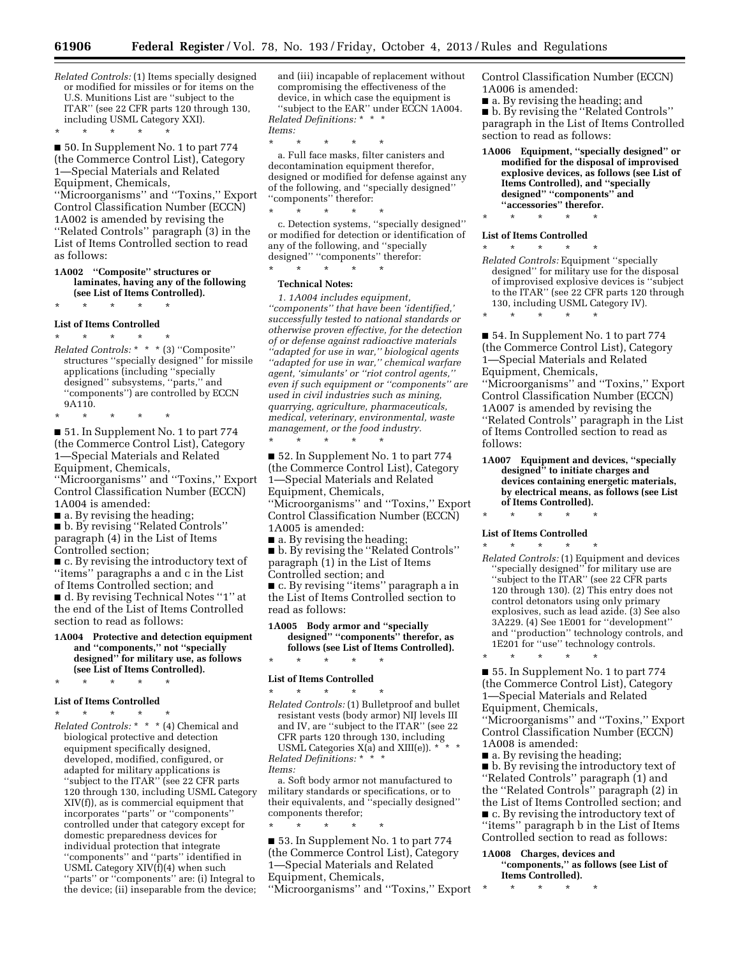*Related Controls:* (1) Items specially designed or modified for missiles or for items on the U.S. Munitions List are ''subject to the ITAR'' (see 22 CFR parts 120 through 130, including USML Category XXI).

\* \* \* \* \* ■ 50. In Supplement No. 1 to part 774 (the Commerce Control List), Category 1—Special Materials and Related Equipment, Chemicals, ''Microorganisms'' and ''Toxins,'' Export

Control Classification Number (ECCN) 1A002 is amended by revising the ''Related Controls'' paragraph (3) in the List of Items Controlled section to read as follows:

#### **1A002 ''Composite'' structures or laminates, having any of the following (see List of Items Controlled).**

\* \* \* \* \*

#### **List of Items Controlled**

\* \* \* \* \* *Related Controls:* \* \* \* (3) ''Composite'' structures ''specially designed'' for missile applications (including ''specially designed'' subsystems, ''parts,'' and ''components'') are controlled by ECCN 9A110.

\* \* \* \* \* ■ 51. In Supplement No. 1 to part 774 (the Commerce Control List), Category 1—Special Materials and Related Equipment, Chemicals, ''Microorganisms'' and ''Toxins,'' Export Control Classification Number (ECCN) 1A004 is amended:

■ a. By revising the heading;

■ b. By revising "Related Controls" paragraph (4) in the List of Items Controlled section;

■ c. By revising the introductory text of ''items'' paragraphs a and c in the List of Items Controlled section; and ■ d. By revising Technical Notes "1" at the end of the List of Items Controlled section to read as follows:

**1A004 Protective and detection equipment and ''components,'' not ''specially designed'' for military use, as follows (see List of Items Controlled).** 

### \* \* \* \* \* **List of Items Controlled**

\* \* \* \* \*

*Related Controls:* \* \* \* (4) Chemical and biological protective and detection equipment specifically designed, developed, modified, configured, or adapted for military applications is ''subject to the ITAR'' (see 22 CFR parts 120 through 130, including USML Category XIV(f)), as is commercial equipment that incorporates ''parts'' or ''components'' controlled under that category except for domestic preparedness devices for individual protection that integrate ''components'' and ''parts'' identified in USML Category XIV(f)(4) when such ''parts'' or ''components'' are: (i) Integral to the device; (ii) inseparable from the device;

and (iii) incapable of replacement without compromising the effectiveness of the device, in which case the equipment is ''subject to the EAR'' under ECCN 1A004. *Related Definitions:* \* \* \* *Items:* 

\* \* \* \* \*

a. Full face masks, filter canisters and decontamination equipment therefor, designed or modified for defense against any of the following, and ''specially designed'' ''components'' therefor:

\* \* \* \* \* c. Detection systems, ''specially designed'' or modified for detection or identification of any of the following, and ''specially designed'' ''components'' therefor:

\* \* \* \* \*

### **Technical Notes:**

*1. 1A004 includes equipment, ''components'' that have been 'identified,' successfully tested to national standards or otherwise proven effective, for the detection of or defense against radioactive materials ''adapted for use in war,'' biological agents ''adapted for use in war,'' chemical warfare agent, 'simulants' or ''riot control agents,'' even if such equipment or ''components'' are used in civil industries such as mining, quarrying, agriculture, pharmaceuticals, medical, veterinary, environmental, waste management, or the food industry.*  \* \* \* \* \*

■ 52. In Supplement No. 1 to part 774 (the Commerce Control List), Category 1—Special Materials and Related Equipment, Chemicals, ''Microorganisms'' and ''Toxins,'' Export Control Classification Number (ECCN) 1A005 is amended:

■ a. By revising the heading;

■ b. By revising the ''Related Controls'' paragraph (1) in the List of Items Controlled section; and

■ c. By revising "items" paragraph a in the List of Items Controlled section to read as follows:

**1A005 Body armor and ''specially designed'' ''components'' therefor, as follows (see List of Items Controlled).**  \* \* \* \* \*

#### **List of Items Controlled**

\* \* \* \* \* *Related Controls:* (1) Bulletproof and bullet resistant vests (body armor) NIJ levels III and IV, are ''subject to the ITAR'' (see 22 and IV, are subject to the 11-<br>CFR parts 120 through 130, including<br> $V_{\text{C}}$  and  $V_{\text{HIGM}}$   $*$   $*$ 

USML Categories  $X(a)$  and  $XIII(e)$ ).  $*$ *Related Definitions:* \* \* \* *Items:* 

a. Soft body armor not manufactured to military standards or specifications, or to their equivalents, and ''specially designed'' components therefor;

\* \* \* \* \* ■ 53. In Supplement No. 1 to part 774 (the Commerce Control List), Category 1—Special Materials and Related Equipment, Chemicals,

''Microorganisms'' and ''Toxins,'' Export

Control Classification Number (ECCN) 1A006 is amended:

■ a. By revising the heading; and

■ b. By revising the "Related Controls" paragraph in the List of Items Controlled section to read as follows:

**1A006 Equipment, ''specially designed'' or modified for the disposal of improvised explosive devices, as follows (see List of Items Controlled), and ''specially designed'' ''components'' and ''accessories'' therefor.** 

\* \* \* \* \*

#### **List of Items Controlled**  \* \* \* \* \*

- *Related Controls:* Equipment ''specially designed'' for military use for the disposal of improvised explosive devices is ''subject to the ITAR'' (see 22 CFR parts 120 through 130, including USML Category IV).
- \* \* \* \* \*

■ 54. In Supplement No. 1 to part 774 (the Commerce Control List), Category 1—Special Materials and Related Equipment, Chemicals, ''Microorganisms'' and ''Toxins,'' Export Control Classification Number (ECCN) 1A007 is amended by revising the ''Related Controls'' paragraph in the List of Items Controlled section to read as follows:

- **1A007 Equipment and devices, ''specially designed'' to initiate charges and devices containing energetic materials, by electrical means, as follows (see List of Items Controlled).**
- \* \* \* \* \*

#### **List of Items Controlled**

\* \* \* \* \* *Related Controls:* (1) Equipment and devices ''specially designed'' for military use are ''subject to the ITAR'' (see 22 CFR parts 120 through 130). (2) This entry does not control detonators using only primary explosives, such as lead azide. (3) See also 3A229. (4) See 1E001 for ''development'' and ''production'' technology controls, and 1E201 for ''use'' technology controls.

\* \* \* \* \* ■ 55. In Supplement No. 1 to part 774 (the Commerce Control List), Category 1—Special Materials and Related Equipment, Chemicals,

''Microorganisms'' and ''Toxins,'' Export Control Classification Number (ECCN) 1A008 is amended:

■ a. By revising the heading;

■ b. By revising the introductory text of ''Related Controls'' paragraph (1) and the ''Related Controls'' paragraph (2) in the List of Items Controlled section; and ■ c. By revising the introductory text of ''items'' paragraph b in the List of Items Controlled section to read as follows:

#### **1A008 Charges, devices and ''components,'' as follows (see List of**

**Items Controlled).**  \* \* \* \* \*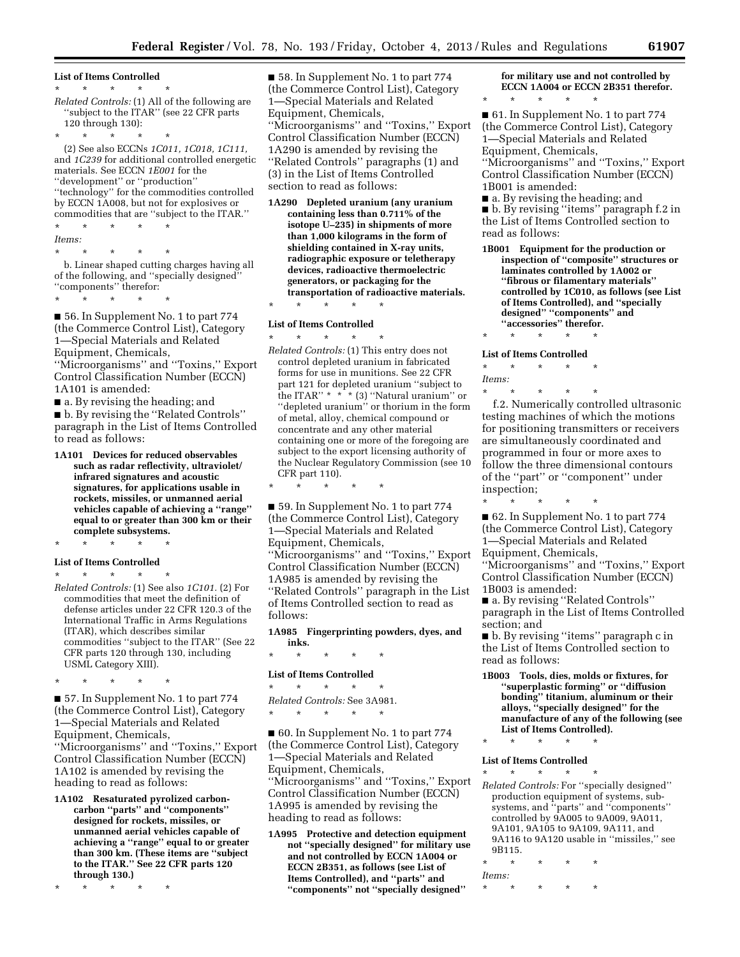#### **List of Items Controlled**

\* \* \* \* \*

*Related Controls:* (1) All of the following are ''subject to the ITAR'' (see 22 CFR parts 120 through 130):

\* \* \* \* \*

(2) See also ECCNs *1C011, 1C018, 1C111,*  and *1C239* for additional controlled energetic materials. See ECCN *1E001* for the ''development'' or ''production'' ''technology'' for the commodities controlled by ECCN 1A008, but not for explosives or commodities that are ''subject to the ITAR.''

- \* \* \* \* \* *Items:*
- 

\* \* \* \* \* b. Linear shaped cutting charges having all of the following, and ''specially designed'' ''components'' therefor:

\* \* \* \* \*

■ 56. In Supplement No. 1 to part 774 (the Commerce Control List), Category 1—Special Materials and Related Equipment, Chemicals,

''Microorganisms'' and ''Toxins,'' Export Control Classification Number (ECCN) 1A101 is amended:

■ a. By revising the heading; and

■ b. By revising the "Related Controls" paragraph in the List of Items Controlled to read as follows:

**1A101 Devices for reduced observables such as radar reflectivity, ultraviolet/ infrared signatures and acoustic signatures, for applications usable in rockets, missiles, or unmanned aerial vehicles capable of achieving a ''range'' equal to or greater than 300 km or their complete subsystems.** 

\* \* \* \* \*

#### **List of Items Controlled**

\* \* \* \* \*

*Related Controls:* (1) See also *1C101.* (2) For commodities that meet the definition of defense articles under 22 CFR 120.3 of the International Traffic in Arms Regulations (ITAR), which describes similar commodities ''subject to the ITAR'' (See 22 CFR parts 120 through 130, including USML Category XIII).

\* \* \* \* \*

■ 57. In Supplement No. 1 to part 774 (the Commerce Control List), Category 1—Special Materials and Related Equipment, Chemicals, ''Microorganisms'' and ''Toxins,'' Export Control Classification Number (ECCN) 1A102 is amended by revising the heading to read as follows:

**1A102 Resaturated pyrolized carboncarbon ''parts'' and ''components'' designed for rockets, missiles, or unmanned aerial vehicles capable of achieving a ''range'' equal to or greater than 300 km. (These items are ''subject to the ITAR.'' See 22 CFR parts 120 through 130.)** 

\* \* \* \* \*

■ 58. In Supplement No. 1 to part 774 (the Commerce Control List), Category 1—Special Materials and Related Equipment, Chemicals, ''Microorganisms'' and ''Toxins,'' Export Control Classification Number (ECCN) 1A290 is amended by revising the ''Related Controls'' paragraphs (1) and (3) in the List of Items Controlled section to read as follows:

- **1A290 Depleted uranium (any uranium containing less than 0.711% of the isotope U–235) in shipments of more than 1,000 kilograms in the form of shielding contained in X-ray units, radiographic exposure or teletherapy devices, radioactive thermoelectric generators, or packaging for the transportation of radioactive materials.**
- \* \* \* \* \*

#### **List of Items Controlled**  \* \* \* \* \*

*Related Controls:* (1) This entry does not control depleted uranium in fabricated forms for use in munitions. See 22 CFR part 121 for depleted uranium ''subject to the ITAR"  $*$   $*$   $*$  (3) "Natural uranium" or ''depleted uranium'' or thorium in the form of metal, alloy, chemical compound or concentrate and any other material containing one or more of the foregoing are subject to the export licensing authority of the Nuclear Regulatory Commission (see 10 CFR part 110).

\* \* \* \* \*

■ 59. In Supplement No. 1 to part 774 (the Commerce Control List), Category 1—Special Materials and Related Equipment, Chemicals, ''Microorganisms'' and ''Toxins,'' Export Control Classification Number (ECCN) 1A985 is amended by revising the ''Related Controls'' paragraph in the List of Items Controlled section to read as follows:

**1A985 Fingerprinting powders, dyes, and inks.** 

\* \* \* \* \*

#### **List of Items Controlled**  \* \* \* \* \*

*Related Controls:* See 3A981.

\* \* \* \* \*

■ 60. In Supplement No. 1 to part 774 (the Commerce Control List), Category 1—Special Materials and Related Equipment, Chemicals, ''Microorganisms'' and ''Toxins,'' Export Control Classification Number (ECCN) 1A995 is amended by revising the heading to read as follows:

**1A995 Protective and detection equipment not ''specially designed'' for military use and not controlled by ECCN 1A004 or ECCN 2B351, as follows (see List of Items Controlled), and ''parts'' and ''components'' not ''specially designed''** 

### **for military use and not controlled by ECCN 1A004 or ECCN 2B351 therefor.**  \* \* \* \* \*

■ 61. In Supplement No. 1 to part 774 (the Commerce Control List), Category 1—Special Materials and Related Equipment, Chemicals, ''Microorganisms'' and ''Toxins,'' Export Control Classification Number (ECCN)

1B001 is amended: ■ a. By revising the heading; and

■ b. By revising ''items'' paragraph f.2 in the List of Items Controlled section to read as follows:

- **1B001 Equipment for the production or inspection of ''composite'' structures or laminates controlled by 1A002 or ''fibrous or filamentary materials'' controlled by 1C010, as follows (see List of Items Controlled), and ''specially designed'' ''components'' and ''accessories'' therefor.**
- \* \* \* \* \*

#### **List of Items Controlled**

\* \* \* \* \* *Items:* 

\* \* \* \* \* f.2. Numerically controlled ultrasonic testing machines of which the motions for positioning transmitters or receivers are simultaneously coordinated and programmed in four or more axes to follow the three dimensional contours of the ''part'' or ''component'' under inspection;

\* \* \* \* \* ■ 62. In Supplement No. 1 to part 774 (the Commerce Control List), Category 1—Special Materials and Related Equipment, Chemicals, ''Microorganisms'' and ''Toxins,'' Export Control Classification Number (ECCN) 1B003 is amended:

■ a. By revising ''Related Controls'' paragraph in the List of Items Controlled section; and

■ b. By revising "items" paragraph c in the List of Items Controlled section to read as follows:

**1B003 Tools, dies, molds or fixtures, for ''superplastic forming'' or ''diffusion bonding'' titanium, aluminum or their alloys, ''specially designed'' for the manufacture of any of the following (see List of Items Controlled).** 

### \* \* \* \* \*

#### **List of Items Controlled**  \* \* \* \* \*

- *Related Controls:* For ''specially designed'' production equipment of systems, subsystems, and ''parts'' and ''components'' controlled by 9A005 to 9A009, 9A011, 9A101, 9A105 to 9A109, 9A111, and 9A116 to 9A120 usable in ''missiles,'' see 9B115.
- \* \* \* \* \* *Items:*
- \* \* \* \* \*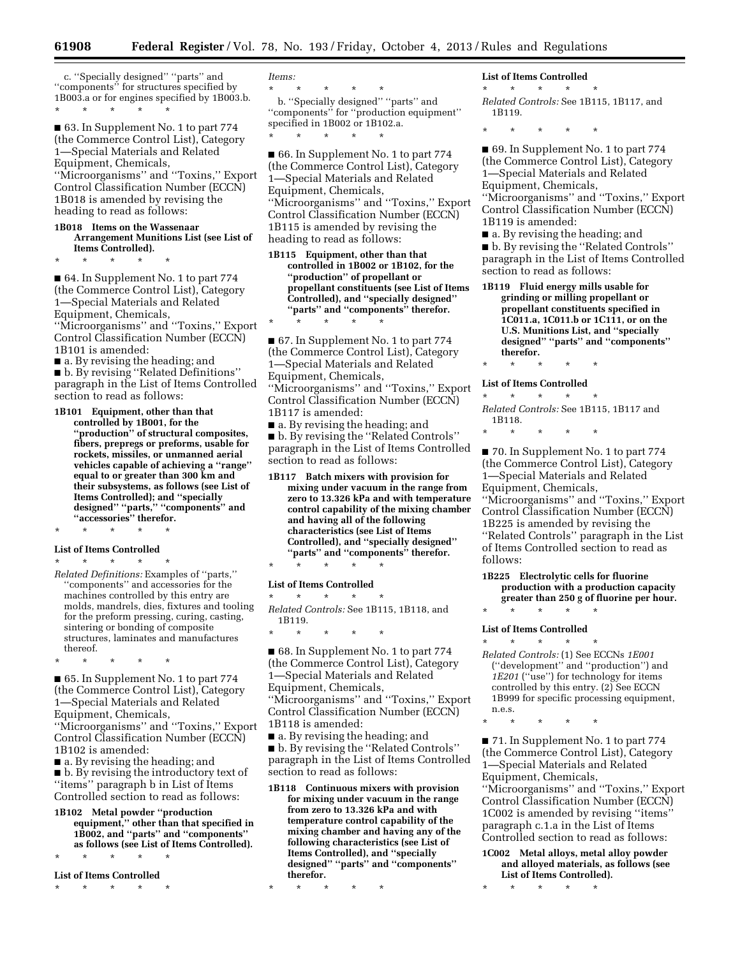c. ''Specially designed'' ''parts'' and "components" for structures specified by 1B003.a or for engines specified by 1B003.b. \* \* \* \* \*

■ 63. In Supplement No. 1 to part 774 (the Commerce Control List), Category 1—Special Materials and Related Equipment, Chemicals, ''Microorganisms'' and ''Toxins,'' Export

Control Classification Number (ECCN) 1B018 is amended by revising the heading to read as follows:

**1B018 Items on the Wassenaar Arrangement Munitions List (see List of Items Controlled).** 

\* \* \* \* \*

■ 64. In Supplement No. 1 to part 774 (the Commerce Control List), Category 1—Special Materials and Related Equipment, Chemicals, ''Microorganisms'' and ''Toxins,'' Export Control Classification Number (ECCN)

1B101 is amended:

■ a. By revising the heading; and ■ b. By revising "Related Definitions" paragraph in the List of Items Controlled section to read as follows:

- **1B101 Equipment, other than that controlled by 1B001, for the**  'production'' of structural composites, **fibers, prepregs or preforms, usable for rockets, missiles, or unmanned aerial vehicles capable of achieving a ''range'' equal to or greater than 300 km and their subsystems, as follows (see List of Items Controlled); and ''specially designed'' ''parts,'' ''components'' and ''accessories'' therefor.**
- \* \* \* \* \*

### **List of Items Controlled**

\* \* \* \* \* *Related Definitions:* Examples of ''parts,'' ''components'' and accessories for the machines controlled by this entry are molds, mandrels, dies, fixtures and tooling for the preform pressing, curing, casting, sintering or bonding of composite structures, laminates and manufactures thereof.

\* \* \* \* \*

■ 65. In Supplement No. 1 to part 774 (the Commerce Control List), Category 1—Special Materials and Related Equipment, Chemicals, ''Microorganisms'' and ''Toxins,'' Export Control Classification Number (ECCN) 1B102 is amended:

■ a. By revising the heading; and

■ b. By revising the introductory text of ''items'' paragraph b in List of Items Controlled section to read as follows:

**1B102 Metal powder ''production equipment,'' other than that specified in 1B002, and ''parts'' and ''components'' as follows (see List of Items Controlled).** 

\* \* \* \* \*

**List of Items Controlled**  \* \* \* \* \*

*Items:* 

\* \* \* \* \*

b. ''Specially designed'' ''parts'' and ''components'' for ''production equipment'' specified in 1B002 or 1B102.a. \* \* \* \* \*

■ 66. In Supplement No. 1 to part 774 (the Commerce Control List), Category 1—Special Materials and Related Equipment, Chemicals, ''Microorganisms'' and ''Toxins,'' Export Control Classification Number (ECCN) 1B115 is amended by revising the heading to read as follows:

**1B115 Equipment, other than that controlled in 1B002 or 1B102, for the ''production'' of propellant or propellant constituents (see List of Items Controlled), and ''specially designed'' ''parts'' and ''components'' therefor.** 

\* \* \* \* \*

■ 67. In Supplement No. 1 to part 774 (the Commerce Control List), Category 1—Special Materials and Related Equipment, Chemicals, ''Microorganisms'' and ''Toxins,'' Export Control Classification Number (ECCN) 1B117 is amended:

■ a. By revising the heading; and ■ b. By revising the "Related Controls" paragraph in the List of Items Controlled section to read as follows:

**1B117 Batch mixers with provision for mixing under vacuum in the range from zero to 13.326 kPa and with temperature control capability of the mixing chamber and having all of the following characteristics (see List of Items Controlled), and ''specially designed'' ''parts'' and ''components'' therefor.**  \* \* \* \* \*

**List of Items Controlled** 

\* \* \* \* \*

*Related Controls:* See 1B115, 1B118, and 1B119.

\* \* \* \* \*

■ 68. In Supplement No. 1 to part 774 (the Commerce Control List), Category 1—Special Materials and Related Equipment, Chemicals, ''Microorganisms'' and ''Toxins,'' Export Control Classification Number (ECCN) 1B118 is amended:

■ a. By revising the heading; and

■ b. By revising the ''Related Controls'' paragraph in the List of Items Controlled section to read as follows:

**1B118 Continuous mixers with provision for mixing under vacuum in the range from zero to 13.326 kPa and with temperature control capability of the mixing chamber and having any of the following characteristics (see List of Items Controlled), and ''specially designed'' ''parts'' and ''components'' therefor.** 

**List of Items Controlled** 

\* \* \* \* \* *Related Controls:* See 1B115, 1B117, and 1B119.

\* \* \* \* \*

■ 69. In Supplement No. 1 to part 774 (the Commerce Control List), Category 1—Special Materials and Related Equipment, Chemicals, ''Microorganisms'' and ''Toxins,'' Export Control Classification Number (ECCN) 1B119 is amended:

■ a. By revising the heading; and

■ b. By revising the "Related Controls" paragraph in the List of Items Controlled section to read as follows:

**1B119 Fluid energy mills usable for grinding or milling propellant or propellant constituents specified in 1C011.a, 1C011.b or 1C111, or on the U.S. Munitions List, and ''specially designed'' ''parts'' and ''components'' therefor.** 

\* \* \* \* \*

**List of Items Controlled** 

\* \* \* \* \* *Related Controls:* See 1B115, 1B117 and 1B118.

\* \* \* \* \*

■ 70. In Supplement No. 1 to part 774 (the Commerce Control List), Category 1—Special Materials and Related Equipment, Chemicals, ''Microorganisms'' and ''Toxins,'' Export

Control Classification Number (ECCN) 1B225 is amended by revising the ''Related Controls'' paragraph in the List of Items Controlled section to read as follows:

**1B225 Electrolytic cells for fluorine production with a production capacity greater than 250 g of fluorine per hour.** 

**List of Items Controlled** 

\* \* \* \* \*

\* \* \* \* \*

*Related Controls:* (1) See ECCNs *1E001*  (''development'' and ''production'') and *1E201* (''use'') for technology for items controlled by this entry. (2) See ECCN 1B999 for specific processing equipment, n.e.s.

\* \* \* \* \*

■ 71. In Supplement No. 1 to part 774 (the Commerce Control List), Category 1—Special Materials and Related Equipment, Chemicals, ''Microorganisms'' and ''Toxins,'' Export

Control Classification Number (ECCN) 1C002 is amended by revising ''items'' paragraph c.1.a in the List of Items Controlled section to read as follows:

**1C002 Metal alloys, metal alloy powder and alloyed materials, as follows (see List of Items Controlled).** 

\* \* \* \* \*

<sup>\* \* \* \* \*</sup>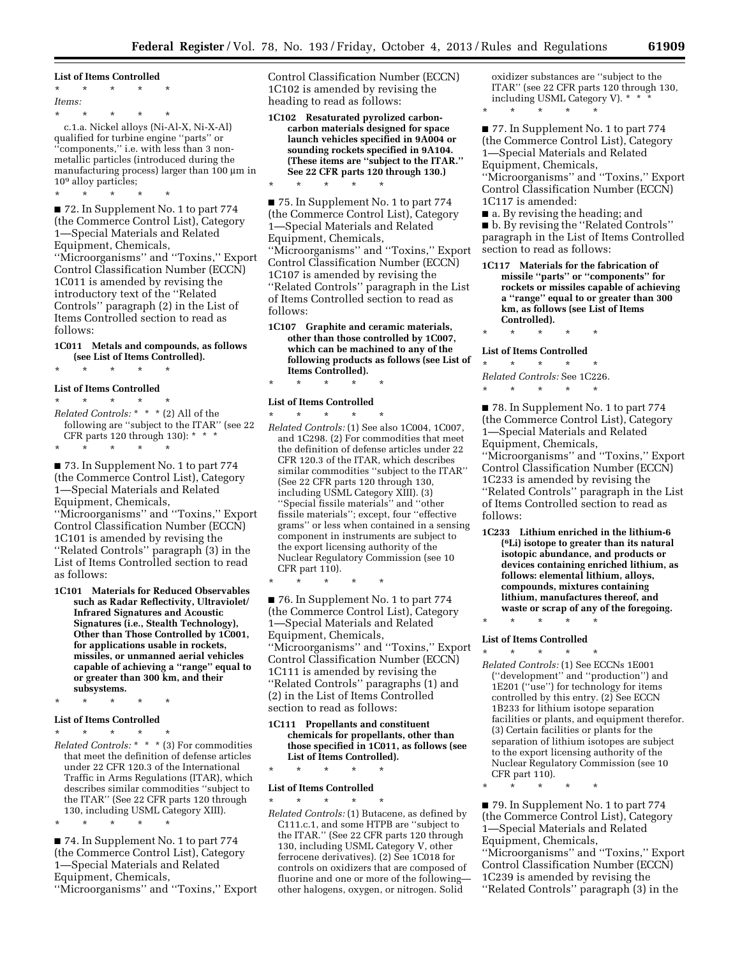**List of Items Controlled**  \* \* \* \* \* *Items:*  \* \* \* \* \*

c.1.a. Nickel alloys (Ni-Al-X, Ni-X-Al) qualified for turbine engine ''parts'' or ''components,'' i.e. with less than 3 nonmetallic particles (introduced during the manufacturing process) larger than  $100 \mu m$  in 109 alloy particles;

\* \* \* \* \* ■ 72. In Supplement No. 1 to part 774 (the Commerce Control List), Category 1—Special Materials and Related Equipment, Chemicals, ''Microorganisms'' and ''Toxins,'' Export Control Classification Number (ECCN) 1C011 is amended by revising the introductory text of the ''Related Controls'' paragraph (2) in the List of Items Controlled section to read as follows:

### **1C011 Metals and compounds, as follows (see List of Items Controlled).**

\* \* \* \* \*

#### **List of Items Controlled**

\* \* \* \* \* *Related Controls:* \* \* \* (2) All of the following are ''subject to the ITAR'' (see 22 CFR parts 120 through 130): \* \* \* \* \* \* \* \*

■ 73. In Supplement No. 1 to part 774 (the Commerce Control List), Category 1—Special Materials and Related Equipment, Chemicals,

''Microorganisms'' and ''Toxins,'' Export Control Classification Number (ECCN) 1C101 is amended by revising the ''Related Controls'' paragraph (3) in the List of Items Controlled section to read as follows:

**1C101 Materials for Reduced Observables such as Radar Reflectivity, Ultraviolet/ Infrared Signatures and Acoustic Signatures (i.e., Stealth Technology), Other than Those Controlled by 1C001, for applications usable in rockets, missiles, or unmanned aerial vehicles capable of achieving a ''range'' equal to or greater than 300 km, and their subsystems.** 

\* \* \* \* \*

#### **List of Items Controlled**

\* \* \* \* \*

\* \* \* \* \*

*Related Controls:* \* \* \* (3) For commodities that meet the definition of defense articles under 22 CFR 120.3 of the International Traffic in Arms Regulations (ITAR), which describes similar commodities ''subject to the ITAR'' (See 22 CFR parts 120 through 130, including USML Category XIII).

■ 74. In Supplement No. 1 to part 774 (the Commerce Control List), Category 1—Special Materials and Related Equipment, Chemicals, ''Microorganisms'' and ''Toxins,'' Export Control Classification Number (ECCN) 1C102 is amended by revising the heading to read as follows:

**1C102 Resaturated pyrolized carboncarbon materials designed for space launch vehicles specified in 9A004 or sounding rockets specified in 9A104. (These items are ''subject to the ITAR.'' See 22 CFR parts 120 through 130.)** 

\* \* \* \* \*

■ 75. In Supplement No. 1 to part 774 (the Commerce Control List), Category 1—Special Materials and Related Equipment, Chemicals, ''Microorganisms'' and ''Toxins,'' Export Control Classification Number (ECCN) 1C107 is amended by revising the ''Related Controls'' paragraph in the List of Items Controlled section to read as follows:

**1C107 Graphite and ceramic materials, other than those controlled by 1C007, which can be machined to any of the following products as follows (see List of Items Controlled).** 

### \* \* \* \* \* **List of Items Controlled**

\* \* \* \* \*

\* \* \* \* \* *Related Controls:* (1) See also 1C004, 1C007, and 1C298. (2) For commodities that meet the definition of defense articles under 22 CFR 120.3 of the ITAR, which describes similar commodities ''subject to the ITAR'' (See 22 CFR parts 120 through 130, including USML Category XIII). (3) ''Special fissile materials'' and ''other fissile materials''; except, four ''effective grams'' or less when contained in a sensing component in instruments are subject to the export licensing authority of the Nuclear Regulatory Commission (see 10 CFR part 110).

■ 76. In Supplement No. 1 to part 774 (the Commerce Control List), Category 1—Special Materials and Related Equipment, Chemicals, ''Microorganisms'' and ''Toxins,'' Export Control Classification Number (ECCN) 1C111 is amended by revising the ''Related Controls'' paragraphs (1) and (2) in the List of Items Controlled section to read as follows:

**1C111 Propellants and constituent chemicals for propellants, other than those specified in 1C011, as follows (see List of Items Controlled).**  \* \* \* \* \*

#### **List of Items Controlled**

\* \* \* \* \* *Related Controls:* (1) Butacene, as defined by C111.c.1, and some HTPB are ''subject to the ITAR.'' (See 22 CFR parts 120 through 130, including USML Category V, other ferrocene derivatives). (2) See 1C018 for controls on oxidizers that are composed of fluorine and one or more of the following other halogens, oxygen, or nitrogen. Solid

oxidizer substances are ''subject to the ITAR'' (see 22 CFR parts 120 through 130, including USML Category V). \* \* \* \* \* \* \* \*

■ 77. In Supplement No. 1 to part 774 (the Commerce Control List), Category 1—Special Materials and Related Equipment, Chemicals,

''Microorganisms'' and ''Toxins,'' Export Control Classification Number (ECCN) 1C117 is amended:

■ a. By revising the heading; and ■ b. By revising the "Related Controls" paragraph in the List of Items Controlled section to read as follows:

**1C117 Materials for the fabrication of missile ''parts'' or ''components'' for rockets or missiles capable of achieving a ''range'' equal to or greater than 300 km, as follows (see List of Items Controlled).** 

\* \* \* \* \*

**List of Items Controlled** 

\* \* \* \* \* *Related Controls:* See 1C226. \* \* \* \* \*

■ 78. In Supplement No. 1 to part 774 (the Commerce Control List), Category 1—Special Materials and Related Equipment, Chemicals,

''Microorganisms'' and ''Toxins,'' Export Control Classification Number (ECCN) 1C233 is amended by revising the ''Related Controls'' paragraph in the List of Items Controlled section to read as follows:

**1C233 Lithium enriched in the lithium-6 (6Li) isotope to greater than its natural isotopic abundance, and products or devices containing enriched lithium, as follows: elemental lithium, alloys, compounds, mixtures containing lithium, manufactures thereof, and waste or scrap of any of the foregoing.**  \* \* \* \* \*

#### **List of Items Controlled**

\* \* \* \* \* *Related Controls:* (1) See ECCNs 1E001 (''development'' and ''production'') and 1E201 (''use'') for technology for items controlled by this entry. (2) See ECCN 1B233 for lithium isotope separation facilities or plants, and equipment therefor. (3) Certain facilities or plants for the separation of lithium isotopes are subject to the export licensing authority of the Nuclear Regulatory Commission (see 10 CFR part 110).

\* \* \* \* \*

■ 79. In Supplement No. 1 to part 774 (the Commerce Control List), Category 1—Special Materials and Related Equipment, Chemicals,

''Microorganisms'' and ''Toxins,'' Export Control Classification Number (ECCN) 1C239 is amended by revising the ''Related Controls'' paragraph (3) in the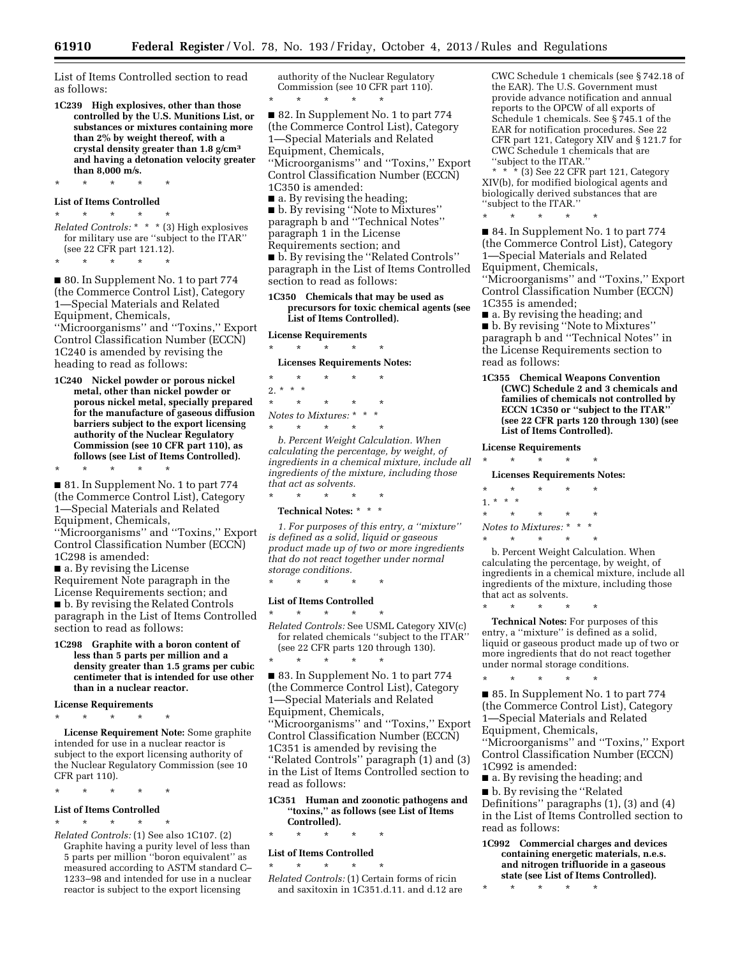List of Items Controlled section to read as follows:

**1C239 High explosives, other than those controlled by the U.S. Munitions List, or substances or mixtures containing more than 2% by weight thereof, with a crystal density greater than 1.8 g/cm3 and having a detonation velocity greater than 8,000 m/s.** 

\* \* \* \* \* **List of Items Controlled** 

\* \* \* \* \*

*Related Controls:* \* \* \* (3) High explosives for military use are ''subject to the ITAR'' (see 22 CFR part 121.12). \* \* \* \* \*

■ 80. In Supplement No. 1 to part 774 (the Commerce Control List), Category 1—Special Materials and Related Equipment, Chemicals, ''Microorganisms'' and ''Toxins,'' Export Control Classification Number (ECCN) 1C240 is amended by revising the heading to read as follows:

**1C240 Nickel powder or porous nickel metal, other than nickel powder or porous nickel metal, specially prepared for the manufacture of gaseous diffusion barriers subject to the export licensing authority of the Nuclear Regulatory Commission (see 10 CFR part 110), as follows (see List of Items Controlled).** 

\* \* \* \* \* ■ 81. In Supplement No. 1 to part 774 (the Commerce Control List), Category 1—Special Materials and Related Equipment, Chemicals, ''Microorganisms'' and ''Toxins,'' Export

Control Classification Number (ECCN) 1C298 is amended:

- a. By revising the License Requirement Note paragraph in the License Requirements section; and ■ b. By revising the Related Controls paragraph in the List of Items Controlled section to read as follows:
- **1C298 Graphite with a boron content of less than 5 parts per million and a density greater than 1.5 grams per cubic centimeter that is intended for use other than in a nuclear reactor.**

**License Requirements** 

\* \* \* \* \*

**License Requirement Note:** Some graphite intended for use in a nuclear reactor is subject to the export licensing authority of the Nuclear Regulatory Commission (see 10 CFR part 110).

\* \* \* \* \*

### **List of Items Controlled**

\* \* \* \* \* *Related Controls:* (1) See also 1C107. (2) Graphite having a purity level of less than 5 parts per million ''boron equivalent'' as measured according to ASTM standard C– 1233–98 and intended for use in a nuclear reactor is subject to the export licensing

authority of the Nuclear Regulatory Commission (see 10 CFR part 110).

\* \* \* \* \*

■ 82. In Supplement No. 1 to part 774 (the Commerce Control List), Category 1—Special Materials and Related Equipment, Chemicals, ''Microorganisms'' and ''Toxins,'' Export Control Classification Number (ECCN) 1C350 is amended: ■ a. By revising the heading;

■ b. By revising ''Note to Mixtures'' paragraph b and ''Technical Notes'' paragraph 1 in the License Requirements section; and ■ b. By revising the ''Related Controls'' paragraph in the List of Items Controlled section to read as follows:

#### **1C350 Chemicals that may be used as precursors for toxic chemical agents (see List of Items Controlled).**

### **License Requirements**  \* \* \* \* \*

**Licenses Requirements Notes:** 

\* \* \* \* \* 2. \* \* \* \* \* \* \* \* *Notes to Mixtures:* \* \* \*  $\star$   $\star$   $\star$ 

*b. Percent Weight Calculation. When calculating the percentage, by weight, of ingredients in a chemical mixture, include all ingredients of the mixture, including those that act as solvents.*  \* \* \* \* \*

**Technical Notes:** \* \* \*

*1. For purposes of this entry, a ''mixture'' is defined as a solid, liquid or gaseous product made up of two or more ingredients that do not react together under normal storage conditions.* 

\* \* \* \* \*

\* \* \* \* \*

#### **List of Items Controlled**

\* \* \* \* \* *Related Controls:* See USML Category XIV(c) for related chemicals ''subject to the ITAR'' (see 22 CFR parts 120 through 130).

■ 83. In Supplement No. 1 to part 774 (the Commerce Control List), Category 1—Special Materials and Related Equipment, Chemicals, ''Microorganisms'' and ''Toxins,'' Export Control Classification Number (ECCN) 1C351 is amended by revising the ''Related Controls'' paragraph (1) and (3) in the List of Items Controlled section to read as follows:

**1C351 Human and zoonotic pathogens and ''toxins,'' as follows (see List of Items Controlled).** 

### \* \* \* \* \*

**List of Items Controlled**  \* \* \* \* \*

*Related Controls:* (1) Certain forms of ricin and saxitoxin in 1C351.d.11. and d.12 are CWC Schedule 1 chemicals (see § 742.18 of the EAR). The U.S. Government must provide advance notification and annual reports to the OPCW of all exports of Schedule 1 chemicals. See § 745.1 of the EAR for notification procedures. See 22 CFR part 121, Category XIV and § 121.7 for CWC Schedule 1 chemicals that are ''subject to the ITAR.''

\* \* \* (3) See 22 CFR part 121, Category XIV(b), for modified biological agents and biologically derived substances that are ''subject to the ITAR.''

\* \* \* \* \* ■ 84. In Supplement No. 1 to part 774 (the Commerce Control List), Category 1—Special Materials and Related Equipment, Chemicals,

''Microorganisms'' and ''Toxins,'' Export Control Classification Number (ECCN) 1C355 is amended;

■ a. By revising the heading; and ■ b. By revising "Note to Mixtures" paragraph b and ''Technical Notes'' in the License Requirements section to

read as follows:

**1C355 Chemical Weapons Convention (CWC) Schedule 2 and 3 chemicals and families of chemicals not controlled by ECCN 1C350 or ''subject to the ITAR'' (see 22 CFR parts 120 through 130) (see List of Items Controlled).** 

**License Requirements**  \* \* \* \* \*

**Licenses Requirements Notes:**  \* \* \* \* \* 1. \* \* \* \* \* \* \* \* *Notes to Mixtures:* \* \* \* \* \* \* \* \*

b. Percent Weight Calculation. When calculating the percentage, by weight, of ingredients in a chemical mixture, include all ingredients of the mixture, including those that act as solvents.

\* \* \* \* \* **Technical Notes:** For purposes of this entry, a ''mixture'' is defined as a solid, liquid or gaseous product made up of two or more ingredients that do not react together under normal storage conditions.

■ 85. In Supplement No. 1 to part 774 (the Commerce Control List), Category 1—Special Materials and Related Equipment, Chemicals, ''Microorganisms'' and ''Toxins,'' Export Control Classification Number (ECCN) 1C992 is amended:

■ a. By revising the heading; and

■ b. By revising the "Related

\* \* \* \* \*

Definitions'' paragraphs (1), (3) and (4) in the List of Items Controlled section to read as follows:

**1C992 Commercial charges and devices containing energetic materials, n.e.s. and nitrogen trifluoride in a gaseous state (see List of Items Controlled).** 

\* \* \* \* \*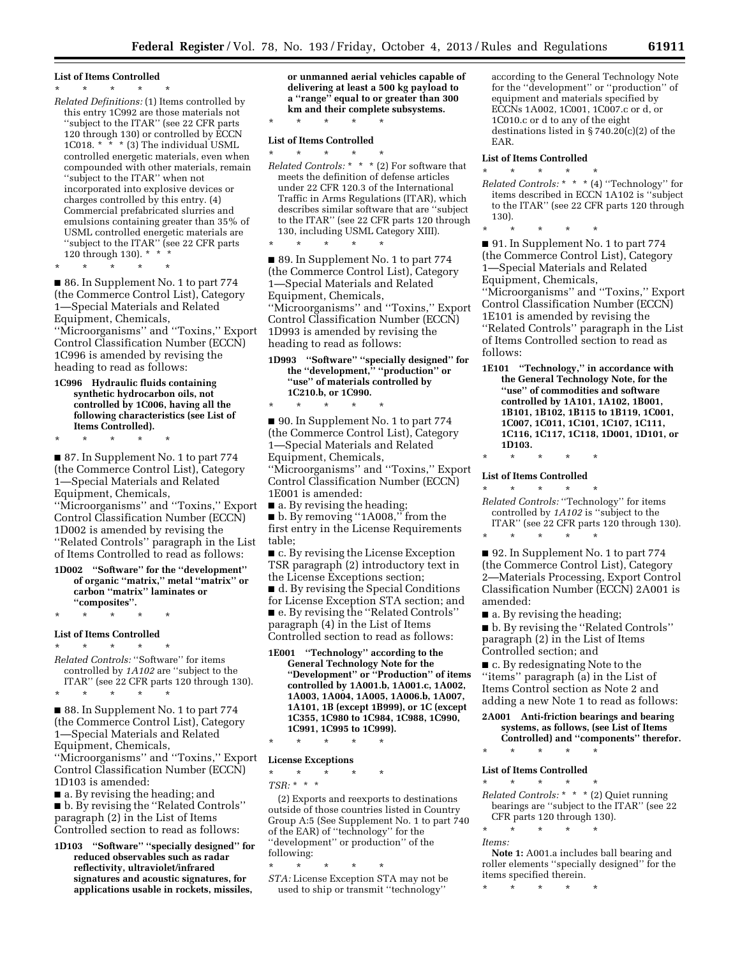#### **List of Items Controlled**

#### \* \* \* \* \*

*Related Definitions:* (1) Items controlled by this entry 1C992 are those materials not ''subject to the ITAR'' (see 22 CFR parts 120 through 130) or controlled by ECCN 1C018. \* \* \* (3) The individual USML controlled energetic materials, even when compounded with other materials, remain ''subject to the ITAR'' when not incorporated into explosive devices or charges controlled by this entry. (4) Commercial prefabricated slurries and emulsions containing greater than 35% of USML controlled energetic materials are "subject to the ITAR" (see 22 CFR parts 120 through 130). \* \* \*

\* \* \* \* \*

■ 86. In Supplement No. 1 to part 774 (the Commerce Control List), Category 1—Special Materials and Related Equipment, Chemicals, ''Microorganisms'' and ''Toxins,'' Export Control Classification Number (ECCN) 1C996 is amended by revising the heading to read as follows:

**1C996 Hydraulic fluids containing synthetic hydrocarbon oils, not controlled by 1C006, having all the following characteristics (see List of Items Controlled).** 

\* \* \* \* \*

■ 87. In Supplement No. 1 to part 774 (the Commerce Control List), Category 1—Special Materials and Related Equipment, Chemicals, ''Microorganisms'' and ''Toxins,'' Export Control Classification Number (ECCN) 1D002 is amended by revising the ''Related Controls'' paragraph in the List of Items Controlled to read as follows:

**1D002 ''Software'' for the ''development'' of organic ''matrix,'' metal ''matrix'' or carbon ''matrix'' laminates or ''composites''.** 

\* \* \* \* \*

**List of Items Controlled** 

 $\star$   $\star$   $\star$ *Related Controls:* ''Software'' for items controlled by *1A102* are ''subject to the ITAR'' (see 22 CFR parts 120 through 130).

\* \* \* \* \*

■ 88. In Supplement No. 1 to part 774 (the Commerce Control List), Category 1—Special Materials and Related Equipment, Chemicals,

''Microorganisms'' and ''Toxins,'' Export Control Classification Number (ECCN) 1D103 is amended:

■ a. By revising the heading; and ■ b. By revising the "Related Controls" paragraph (2) in the List of Items Controlled section to read as follows:

**1D103 ''Software'' ''specially designed'' for reduced observables such as radar reflectivity, ultraviolet/infrared signatures and acoustic signatures, for applications usable in rockets, missiles,** 

**or unmanned aerial vehicles capable of delivering at least a 500 kg payload to a ''range'' equal to or greater than 300 km and their complete subsystems.** 

### \* \* \* \* \* **List of Items Controlled**

\* \* \* \* \*

\* \* \* \* \* *Related Controls:* \* \* \* (2) For software that meets the definition of defense articles under 22 CFR 120.3 of the International Traffic in Arms Regulations (ITAR), which describes similar software that are ''subject to the ITAR'' (see 22 CFR parts 120 through 130, including USML Category XIII).

■ 89. In Supplement No. 1 to part 774 (the Commerce Control List), Category 1—Special Materials and Related Equipment, Chemicals, ''Microorganisms'' and ''Toxins,'' Export Control Classification Number (ECCN) 1D993 is amended by revising the heading to read as follows:

**1D993 ''Software'' ''specially designed'' for the ''development,'' ''production'' or ''use'' of materials controlled by 1C210.b, or 1C990.**  \* \* \* \* \*

■ 90. In Supplement No. 1 to part 774 (the Commerce Control List), Category 1—Special Materials and Related Equipment, Chemicals, ''Microorganisms'' and ''Toxins,'' Export Control Classification Number (ECCN) 1E001 is amended: ■ a. By revising the heading;

■ b. By removing "1A008," from the first entry in the License Requirements

table; ■ c. By revising the License Exception TSR paragraph (2) introductory text in

the License Exceptions section; ■ d. By revising the Special Conditions for License Exception STA section; and ■ e. By revising the "Related Controls" paragraph (4) in the List of Items Controlled section to read as follows:

**1E001 ''Technology'' according to the General Technology Note for the ''Development'' or ''Production'' of items controlled by 1A001.b, 1A001.c, 1A002, 1A003, 1A004, 1A005, 1A006.b, 1A007, 1A101, 1B (except 1B999), or 1C (except 1C355, 1C980 to 1C984, 1C988, 1C990, 1C991, 1C995 to 1C999).** 

**License Exceptions** 

\* \* \* \* \* *TSR:* \* \* \*

\* \* \* \* \*

(2) Exports and reexports to destinations outside of those countries listed in Country Group A:5 (See Supplement No. 1 to part 740 of the EAR) of ''technology'' for the "development" or production" of the following:

\* \* \* \* \*

*STA:* License Exception STA may not be used to ship or transmit ''technology''

according to the General Technology Note for the ''development'' or ''production'' of equipment and materials specified by ECCNs 1A002, 1C001, 1C007.c or d, or 1C010.c or d to any of the eight destinations listed in  $\S 740.20(c)(2)$  of the EAR.

#### **List of Items Controlled**

 $\star$   $\star$   $\star$ *Related Controls:* \* \* \* (4) ''Technology'' for items described in ECCN 1A102 is ''subject to the ITAR'' (see 22 CFR parts 120 through 130).

\* \* \* \* \*

■ 91. In Supplement No. 1 to part 774 (the Commerce Control List), Category 1—Special Materials and Related Equipment, Chemicals,

''Microorganisms'' and ''Toxins,'' Export Control Classification Number (ECCN) 1E101 is amended by revising the ''Related Controls'' paragraph in the List of Items Controlled section to read as follows:

**1E101 ''Technology,'' in accordance with the General Technology Note, for the ''use'' of commodities and software controlled by 1A101, 1A102, 1B001, 1B101, 1B102, 1B115 to 1B119, 1C001, 1C007, 1C011, 1C101, 1C107, 1C111, 1C116, 1C117, 1C118, 1D001, 1D101, or 1D103.** 

## \* \* \* \* \*

\* \* \* \* \*

**List of Items Controlled**  \* \* \* \* \*

*Related Controls:* ''Technology'' for items controlled by *1A102* is ''subject to the ITAR'' (see 22 CFR parts 120 through 130).

■ 92. In Supplement No. 1 to part 774 (the Commerce Control List), Category 2—Materials Processing, Export Control Classification Number (ECCN) 2A001 is amended:

■ a. By revising the heading;

■ b. By revising the "Related Controls" paragraph (2) in the List of Items Controlled section; and

■ c. By redesignating Note to the ''items'' paragraph (a) in the List of Items Control section as Note 2 and adding a new Note 1 to read as follows:

#### **2A001 Anti-friction bearings and bearing systems, as follows, (see List of Items Controlled) and ''components'' therefor.**

### \* \* \* \* \* **List of Items Controlled**

\* \* \* \* \*

*Related Controls:* \* \* \* (2) Quiet running bearings are ''subject to the ITAR'' (see 22 CFR parts 120 through 130).

\* \* \* \* \* *Items:* 

**Note 1:** A001.a includes ball bearing and roller elements ''specially designed'' for the items specified therein.

\* \* \* \* \*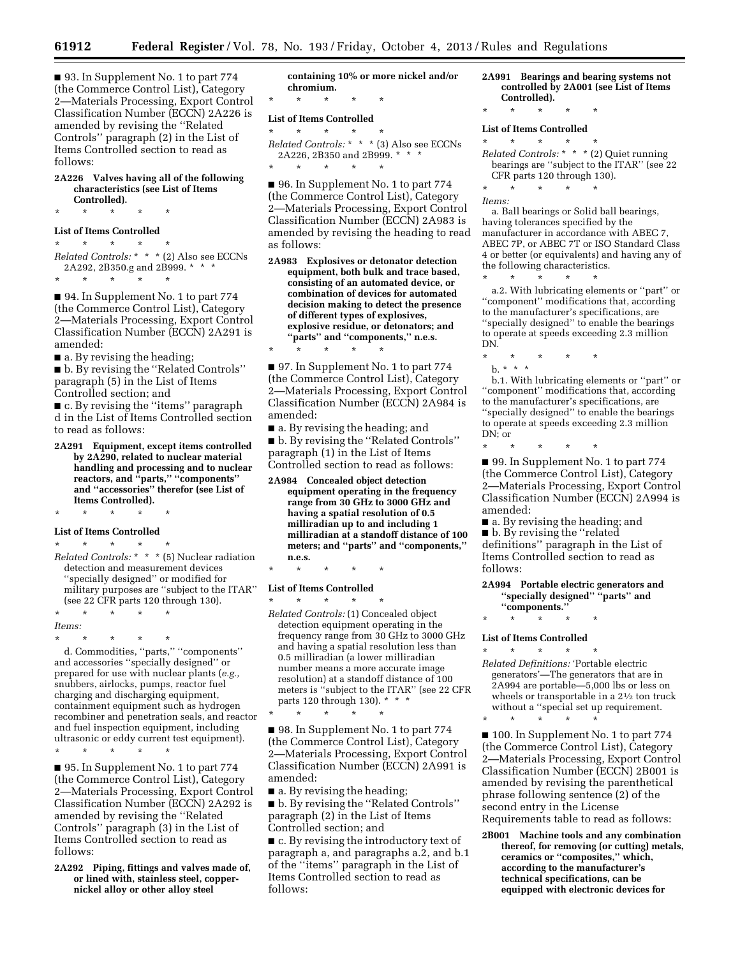■ 93. In Supplement No. 1 to part 774 (the Commerce Control List), Category 2—Materials Processing, Export Control Classification Number (ECCN) 2A226 is amended by revising the ''Related Controls'' paragraph (2) in the List of Items Controlled section to read as follows:

**2A226 Valves having all of the following characteristics (see List of Items Controlled).** 

\* \* \* \* \*

### **List of Items Controlled**

\* \* \* \* \* *Related Controls:* \* \* \* (2) Also see ECCNs 2A292, 2B350.g and 2B999. \* \* \* \* \* \* \* \*

■ 94. In Supplement No. 1 to part 774 (the Commerce Control List), Category 2—Materials Processing, Export Control Classification Number (ECCN) 2A291 is amended:

 $\blacksquare$  a. By revising the heading;

■ b. By revising the "Related Controls" paragraph (5) in the List of Items Controlled section; and

■ c. By revising the "items" paragraph d in the List of Items Controlled section to read as follows:

**2A291 Equipment, except items controlled by 2A290, related to nuclear material handling and processing and to nuclear reactors, and ''parts,'' ''components'' and ''accessories'' therefor (see List of Items Controlled).** 

\* \* \* \* \*

# **List of Items Controlled**

\* \* \* \* \* *Related Controls:* \* \* \* (5) Nuclear radiation detection and measurement devices ''specially designed'' or modified for military purposes are ''subject to the ITAR'' (see 22 CFR parts 120 through 130).

\* \* \* \* \* *Items:* 

\* \* \* \* \*

d. Commodities, ''parts,'' ''components'' and accessories ''specially designed'' or prepared for use with nuclear plants (*e.g.,*  snubbers, airlocks, pumps, reactor fuel charging and discharging equipment, containment equipment such as hydrogen recombiner and penetration seals, and reactor and fuel inspection equipment, including ultrasonic or eddy current test equipment).

\* \* \* \* \*

■ 95. In Supplement No. 1 to part 774 (the Commerce Control List), Category 2—Materials Processing, Export Control Classification Number (ECCN) 2A292 is amended by revising the ''Related Controls'' paragraph (3) in the List of Items Controlled section to read as follows:

**2A292 Piping, fittings and valves made of, or lined with, stainless steel, coppernickel alloy or other alloy steel** 

**containing 10% or more nickel and/or chromium.**  \* \* \* \* \*

### **List of Items Controlled**

- $\star$   $\star$   $\star$ *Related Controls:* \* \* \* (3) Also see ECCNs 2A226, 2B350 and 2B999. \* \* \*
- \* \* \* \* \*

\* \* \* \* \*

■ 96. In Supplement No. 1 to part 774 (the Commerce Control List), Category 2—Materials Processing, Export Control Classification Number (ECCN) 2A983 is amended by revising the heading to read as follows:

**2A983 Explosives or detonator detection equipment, both bulk and trace based, consisting of an automated device, or combination of devices for automated decision making to detect the presence of different types of explosives, explosive residue, or detonators; and ''parts'' and ''components,'' n.e.s.** 

■ 97. In Supplement No. 1 to part 774 (the Commerce Control List), Category 2—Materials Processing, Export Control Classification Number (ECCN) 2A984 is amended:

■ a. By revising the heading; and ■ b. By revising the "Related Controls" paragraph (1) in the List of Items Controlled section to read as follows:

**2A984 Concealed object detection equipment operating in the frequency range from 30 GHz to 3000 GHz and having a spatial resolution of 0.5 milliradian up to and including 1 milliradian at a standoff distance of 100 meters; and ''parts'' and ''components,'' n.e.s.** 

\* \* \* \* \*

#### **List of Items Controlled**

\* \* \* \* \* *Related Controls:* (1) Concealed object detection equipment operating in the frequency range from 30 GHz to 3000 GHz and having a spatial resolution less than 0.5 milliradian (a lower milliradian number means a more accurate image resolution) at a standoff distance of 100 meters is ''subject to the ITAR'' (see 22 CFR parts 120 through 130). \* \* \*

\* \* \* \* \* ■ 98. In Supplement No. 1 to part 774 (the Commerce Control List), Category 2—Materials Processing, Export Control Classification Number (ECCN) 2A991 is

amended:

■ a. By revising the heading;

■ b. By revising the ''Related Controls'' paragraph (2) in the List of Items Controlled section; and

■ c. By revising the introductory text of paragraph a, and paragraphs a.2, and b.1 of the ''items'' paragraph in the List of Items Controlled section to read as follows:

#### **2A991 Bearings and bearing systems not controlled by 2A001 (see List of Items Controlled).**

\* \* \* \* \*

#### **List of Items Controlled**

\* \* \* \* \*

*Related Controls:* \* \* \* (2) Quiet running bearings are ''subject to the ITAR'' (see 22 CFR parts 120 through 130).

\* \* \* \* \*

*Items:* 

a. Ball bearings or Solid ball bearings, having tolerances specified by the manufacturer in accordance with ABEC 7, ABEC 7P, or ABEC 7T or ISO Standard Class 4 or better (or equivalents) and having any of the following characteristics.

\* \* \* \* \* a.2. With lubricating elements or ''part'' or ''component'' modifications that, according to the manufacturer's specifications, are ''specially designed'' to enable the bearings to operate at speeds exceeding 2.3 million DN.

- \* \* \* \* \*
- b. \* \* \*

b.1. With lubricating elements or ''part'' or ''component'' modifications that, according to the manufacturer's specifications, are ''specially designed'' to enable the bearings to operate at speeds exceeding 2.3 million DN; or

\* \* \* \* \*

■ 99. In Supplement No. 1 to part 774 (the Commerce Control List), Category 2—Materials Processing, Export Control Classification Number (ECCN) 2A994 is amended:

■ a. By revising the heading; and ■ b. By revising the "related definitions'' paragraph in the List of Items Controlled section to read as follows:

**2A994 Portable electric generators and ''specially designed'' ''parts'' and ''components.''** 

\* \* \* \* \*

#### **List of Items Controlled**

\* \* \* \* \* *Related Definitions:* 'Portable electric generators'—The generators that are in 2A994 are portable—5,000 lbs or less on wheels or transportable in a 21/2 ton truck without a ''special set up requirement. \* \* \* \* \*

■ 100. In Supplement No. 1 to part 774 (the Commerce Control List), Category 2—Materials Processing, Export Control Classification Number (ECCN) 2B001 is amended by revising the parenthetical phrase following sentence (2) of the second entry in the License Requirements table to read as follows:

**2B001 Machine tools and any combination thereof, for removing (or cutting) metals, ceramics or ''composites,'' which, according to the manufacturer's technical specifications, can be equipped with electronic devices for**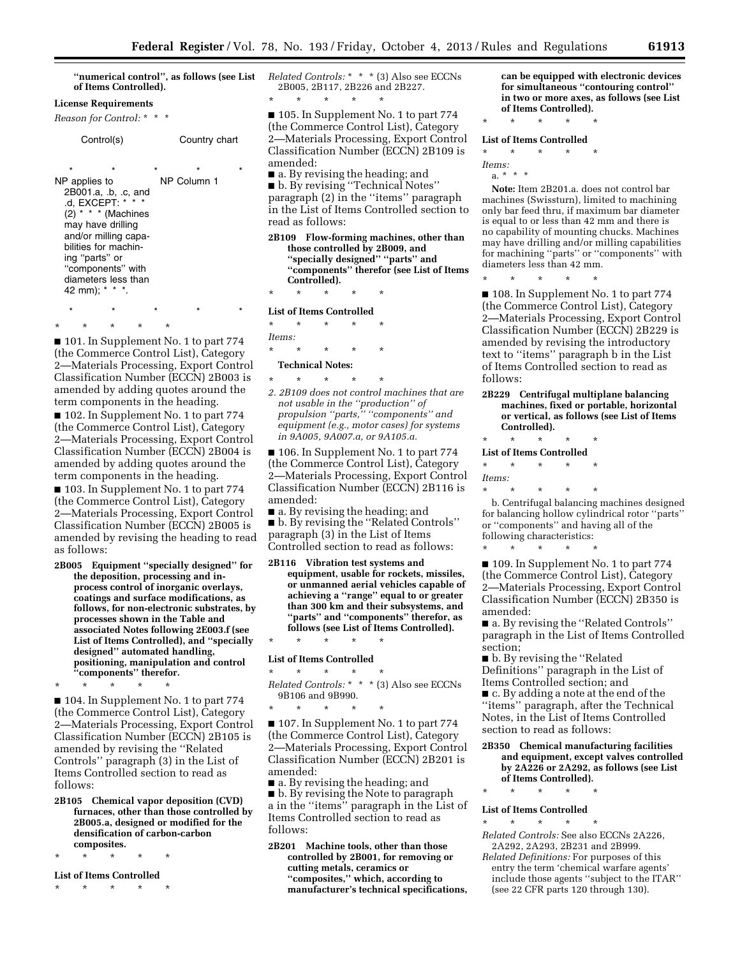**''numerical control'', as follows (see List of Items Controlled).** 

#### **License Requirements**

*Reason for Control:* \* \* \*

```
Control(s) Country chart
```
\* \* \* \* \* NP applies to 2B001.a, .b, .c, and .d, EXCEPT: \*  $(2)$  \* \* \* (Machines may have drilling and/or milling capabilities for machining ''parts'' or ''components'' with diameters less than 42 mm); \* \* \*. NP Column 1

\* \* \* \* \* ■ 101. In Supplement No. 1 to part 774 (the Commerce Control List), Category 2—Materials Processing, Export Control Classification Number (ECCN) 2B003 is amended by adding quotes around the term components in the heading.

\* \* \* \* \*

■ 102. In Supplement No. 1 to part 774 (the Commerce Control List), Category 2—Materials Processing, Export Control Classification Number (ECCN) 2B004 is amended by adding quotes around the term components in the heading.

■ 103. In Supplement No. 1 to part 774 (the Commerce Control List), Category 2—Materials Processing, Export Control Classification Number (ECCN) 2B005 is amended by revising the heading to read as follows:

**2B005 Equipment ''specially designed'' for the deposition, processing and inprocess control of inorganic overlays, coatings and surface modifications, as follows, for non-electronic substrates, by processes shown in the Table and associated Notes following 2E003.f (see List of Items Controlled), and ''specially designed'' automated handling, positioning, manipulation and control ''components'' therefor.** 

\* \* \* \* \*

■ 104. In Supplement No. 1 to part 774 (the Commerce Control List), Category 2—Materials Processing, Export Control Classification Number (ECCN) 2B105 is amended by revising the ''Related Controls'' paragraph (3) in the List of Items Controlled section to read as follows:

**2B105 Chemical vapor deposition (CVD) furnaces, other than those controlled by 2B005.a, designed or modified for the densification of carbon-carbon composites.** 

\* \* \* \* \*

**List of Items Controlled**  \* \* \* \* \*

*Related Controls:* \* \* \* (3) Also see ECCNs 2B005, 2B117, 2B226 and 2B227. \* \* \* \* \*

■ 105. In Supplement No. 1 to part 774 (the Commerce Control List), Category 2—Materials Processing, Export Control Classification Number (ECCN) 2B109 is amended:

■ a. By revising the heading; and ■ b. By revising ''Technical Notes'' paragraph (2) in the ''items'' paragraph in the List of Items Controlled section to read as follows:

**2B109 Flow-forming machines, other than those controlled by 2B009, and ''specially designed'' ''parts'' and ''components'' therefor (see List of Items Controlled).** 

\* \* \* \* \* **List of Items Controlled** 

\* \* \* \* \* *Items:*  \* \* \* \* \*

#### **Technical Notes:**

\* \* \* \* \*

*2. 2B109 does not control machines that are not usable in the ''production'' of propulsion ''parts,'' ''components'' and equipment (e.g., motor cases) for systems in 9A005, 9A007.a, or 9A105.a.* 

■ 106. In Supplement No. 1 to part 774 (the Commerce Control List), Category 2—Materials Processing, Export Control Classification Number (ECCN) 2B116 is amended:

■ a. By revising the heading; and ■ b. By revising the "Related Controls"

paragraph (3) in the List of Items Controlled section to read as follows:

**2B116 Vibration test systems and equipment, usable for rockets, missiles, or unmanned aerial vehicles capable of achieving a ''range'' equal to or greater than 300 km and their subsystems, and ''parts'' and ''components'' therefor, as follows (see List of Items Controlled).** 

### \* \* \* \* \* **List of Items Controlled**

\* \* \* \* \* *Related Controls:* \* \* \* (3) Also see ECCNs 9B106 and 9B990.

\* \* \* \* \*

■ 107. In Supplement No. 1 to part 774 (the Commerce Control List), Category 2—Materials Processing, Export Control Classification Number (ECCN) 2B201 is amended:

■ a. By revising the heading; and ■ b. By revising the Note to paragraph

a in the ''items'' paragraph in the List of Items Controlled section to read as follows:

**2B201 Machine tools, other than those controlled by 2B001, for removing or cutting metals, ceramics or ''composites,'' which, according to manufacturer's technical specifications,**  **can be equipped with electronic devices for simultaneous ''contouring control'' in two or more axes, as follows (see List of Items Controlled).** 

## \* \* \* \* \*

### **List of Items Controlled**

\* \* \* \* \* *Items:* 

a. \* \* \*

**Note:** Item 2B201.a. does not control bar machines (Swissturn), limited to machining only bar feed thru, if maximum bar diameter is equal to or less than 42 mm and there is no capability of mounting chucks. Machines may have drilling and/or milling capabilities for machining ''parts'' or ''components'' with diameters less than 42 mm.

\* \* \* \* \*

■ 108. In Supplement No. 1 to part 774 (the Commerce Control List), Category 2—Materials Processing, Export Control Classification Number (ECCN) 2B229 is amended by revising the introductory text to ''items'' paragraph b in the List of Items Controlled section to read as follows:

**2B229 Centrifugal multiplane balancing machines, fixed or portable, horizontal or vertical, as follows (see List of Items Controlled).** 

\* \* \* \* \*

**List of Items Controlled**  \* \* \* \* \*

*Items:* 

\* \* \* \* \*

\* \* \* \* \*

b. Centrifugal balancing machines designed for balancing hollow cylindrical rotor ''parts'' or ''components'' and having all of the following characteristics:

■ 109. In Supplement No. 1 to part 774 (the Commerce Control List), Category 2—Materials Processing, Export Control Classification Number (ECCN) 2B350 is amended:

■ a. By revising the "Related Controls" paragraph in the List of Items Controlled section;

■ b. By revising the ''Related Definitions'' paragraph in the List of Items Controlled section; and

■ c. By adding a note at the end of the ''items'' paragraph, after the Technical Notes, in the List of Items Controlled section to read as follows:

- **2B350 Chemical manufacturing facilities and equipment, except valves controlled by 2A226 or 2A292, as follows (see List of Items Controlled).**
- \* \* \* \* \*

#### **List of Items Controlled**  \* \* \* \* \*

*Related Controls:* See also ECCNs 2A226, 2A292, 2A293, 2B231 and 2B999.

*Related Definitions:* For purposes of this entry the term 'chemical warfare agents' include those agents ''subject to the ITAR'' (see 22 CFR parts 120 through 130).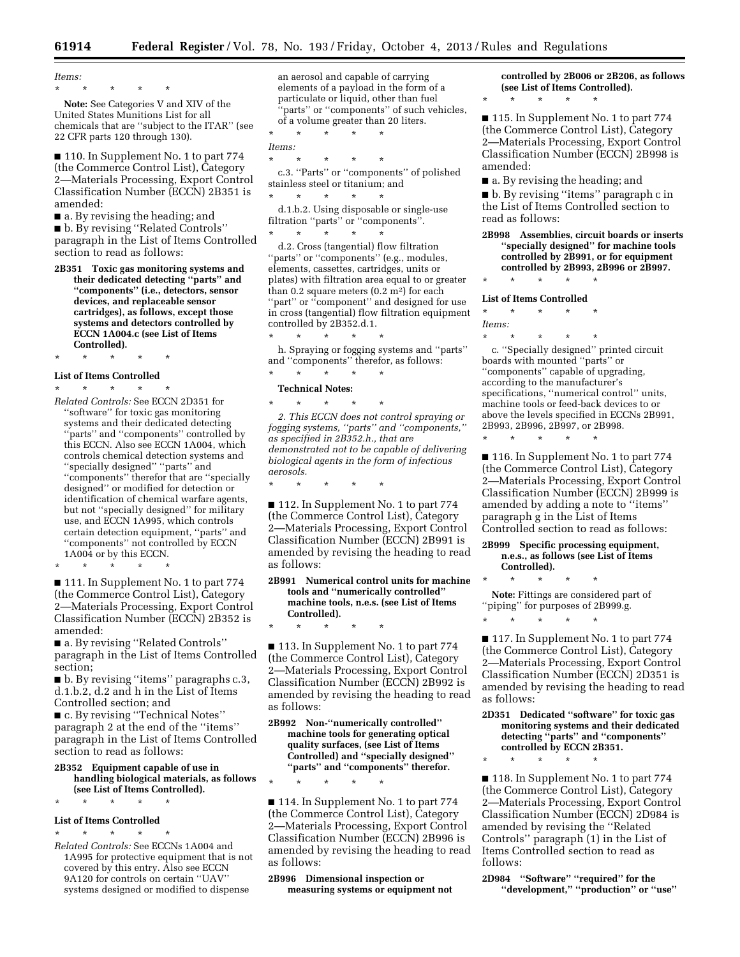*Items:*  \* \* \* \* \*

**Note:** See Categories V and XIV of the United States Munitions List for all chemicals that are ''subject to the ITAR'' (see 22 CFR parts 120 through 130).

■ 110. In Supplement No. 1 to part 774 (the Commerce Control List), Category 2—Materials Processing, Export Control Classification Number (ECCN) 2B351 is amended:

■ a. By revising the heading; and

■ b. By revising "Related Controls" paragraph in the List of Items Controlled section to read as follows:

**2B351 Toxic gas monitoring systems and their dedicated detecting ''parts'' and ''components'' (i.e., detectors, sensor devices, and replaceable sensor cartridges), as follows, except those systems and detectors controlled by ECCN 1A004.c (see List of Items Controlled).** 

\* \* \* \* \*

#### **List of Items Controlled**

 $\star$   $\star$   $\star$ *Related Controls:* See ECCN 2D351 for ''software'' for toxic gas monitoring systems and their dedicated detecting ''parts'' and ''components'' controlled by this ECCN. Also see ECCN 1A004, which controls chemical detection systems and ''specially designed'' ''parts'' and ''components'' therefor that are ''specially designed'' or modified for detection or identification of chemical warfare agents, but not ''specially designed'' for military use, and ECCN 1A995, which controls certain detection equipment, ''parts'' and ''components'' not controlled by ECCN 1A004 or by this ECCN.

\* \* \* \* \*

■ 111. In Supplement No. 1 to part 774 (the Commerce Control List), Category 2—Materials Processing, Export Control Classification Number (ECCN) 2B352 is amended:

■ a. By revising "Related Controls" paragraph in the List of Items Controlled section;

■ b. By revising "items" paragraphs c.3, d.1.b.2, d.2 and h in the List of Items Controlled section; and

■ c. By revising "Technical Notes" paragraph 2 at the end of the ''items'' paragraph in the List of Items Controlled section to read as follows:

#### **2B352 Equipment capable of use in handling biological materials, as follows (see List of Items Controlled).**

\* \* \* \* \*

#### **List of Items Controlled**

\* \* \* \* \*

*Related Controls:* See ECCNs 1A004 and 1A995 for protective equipment that is not covered by this entry. Also see ECCN 9A120 for controls on certain ''UAV'' systems designed or modified to dispense

an aerosol and capable of carrying elements of a payload in the form of a particulate or liquid, other than fuel 'parts'' or "components" of such vehicles, of a volume greater than 20 liters.

\* \* \* \* \* *Items:* 

\* \* \* \* \*

c.3. ''Parts'' or ''components'' of polished stainless steel or titanium; and \* \* \* \* \*

d.1.b.2. Using disposable or single-use filtration ''parts'' or ''components''. \* \* \* \* \*

d.2. Cross (tangential) flow filtration "parts" or "components" (e.g., modules, elements, cassettes, cartridges, units or plates) with filtration area equal to or greater than 0.2 square meters (0.2 m2) for each "part" or "component" and designed for use in cross (tangential) flow filtration equipment controlled by 2B352.d.1. \* \* \* \* \*

h. Spraying or fogging systems and ''parts'' and ''components'' therefor, as follows:

### \* \* \* \* \* **Technical Notes:**

\* \* \* \* \*

*2. This ECCN does not control spraying or fogging systems, ''parts'' and ''components,'' as specified in 2B352.h., that are demonstrated not to be capable of delivering biological agents in the form of infectious aerosols.* 

\* \* \* \* \*

\* \* \* \* \*

\* \* \* \* \*

■ 112. In Supplement No. 1 to part 774 (the Commerce Control List), Category 2—Materials Processing, Export Control Classification Number (ECCN) 2B991 is amended by revising the heading to read as follows:

**2B991 Numerical control units for machine tools and ''numerically controlled'' machine tools, n.e.s. (see List of Items Controlled).** 

■ 113. In Supplement No. 1 to part 774 (the Commerce Control List), Category 2—Materials Processing, Export Control Classification Number (ECCN) 2B992 is amended by revising the heading to read as follows:

**2B992 Non-''numerically controlled'' machine tools for generating optical quality surfaces, (see List of Items Controlled) and ''specially designed'' ''parts'' and ''components'' therefor.** 

■ 114. In Supplement No. 1 to part 774 (the Commerce Control List), Category 2—Materials Processing, Export Control Classification Number (ECCN) 2B996 is amended by revising the heading to read as follows:

**2B996 Dimensional inspection or measuring systems or equipment not**  **controlled by 2B006 or 2B206, as follows (see List of Items Controlled).** 

■ 115. In Supplement No. 1 to part 774 (the Commerce Control List), Category 2—Materials Processing, Export Control Classification Number (ECCN) 2B998 is amended:

■ a. By revising the heading; and

\* \* \* \* \*

■ b. By revising "items" paragraph c in the List of Items Controlled section to read as follows:

**2B998 Assemblies, circuit boards or inserts ''specially designed'' for machine tools controlled by 2B991, or for equipment controlled by 2B993, 2B996 or 2B997.**  \* \* \* \* \*

### **List of Items Controlled**

\* \* \* \* \*

*Items:* 

\* \* \* \* \* c. ''Specially designed'' printed circuit boards with mounted ''parts'' or ''components'' capable of upgrading, according to the manufacturer's specifications, ''numerical control'' units, machine tools or feed-back devices to or above the levels specified in ECCNs 2B991, 2B993, 2B996, 2B997, or 2B998. \* \* \* \* \*

■ 116. In Supplement No. 1 to part 774 (the Commerce Control List), Category 2—Materials Processing, Export Control Classification Number (ECCN) 2B999 is amended by adding a note to ''items'' paragraph g in the List of Items Controlled section to read as follows:

**2B999 Specific processing equipment, n.e.s., as follows (see List of Items Controlled).** 

**Note:** Fittings are considered part of 'piping'' for purposes of 2B999.g.

\* \* \* \* \* ■ 117. In Supplement No. 1 to part 774

(the Commerce Control List), Category 2—Materials Processing, Export Control Classification Number (ECCN) 2D351 is amended by revising the heading to read as follows:

**2D351 Dedicated ''software'' for toxic gas monitoring systems and their dedicated detecting ''parts'' and ''components'' controlled by ECCN 2B351.** 

\* \* \* \* \*

\* \* \* \* \*

■ 118. In Supplement No. 1 to part 774 (the Commerce Control List), Category 2—Materials Processing, Export Control Classification Number (ECCN) 2D984 is amended by revising the ''Related Controls'' paragraph (1) in the List of Items Controlled section to read as follows:

**2D984 ''Software'' ''required'' for the ''development,'' ''production'' or ''use''**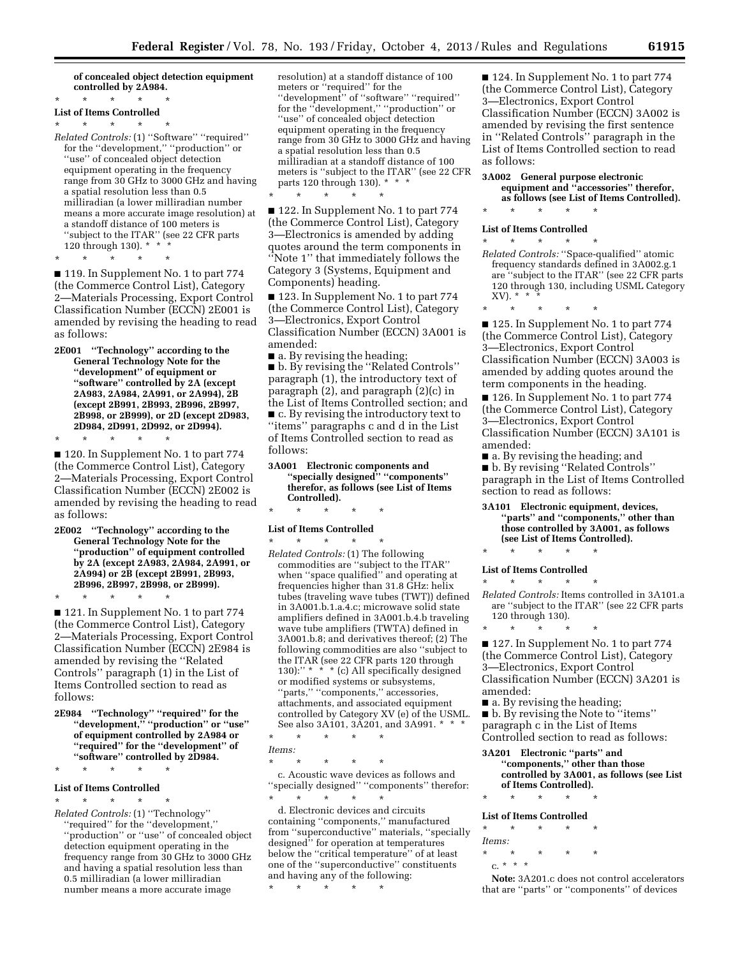#### **of concealed object detection equipment controlled by 2A984.**

#### \* \* \* \* \* **List of Items Controlled**

#### \* \* \* \* \*

*Related Controls:* (1) ''Software'' ''required'' for the ''development,'' ''production'' or ''use'' of concealed object detection equipment operating in the frequency range from 30 GHz to 3000 GHz and having a spatial resolution less than 0.5 milliradian (a lower milliradian number means a more accurate image resolution) at a standoff distance of 100 meters is ''subject to the ITAR'' (see 22 CFR parts 120 through 130). \* \* \*

\* \* \* \* \*

■ 119. In Supplement No. 1 to part 774 (the Commerce Control List), Category 2—Materials Processing, Export Control Classification Number (ECCN) 2E001 is amended by revising the heading to read as follows:

**2E001 ''Technology'' according to the General Technology Note for the ''development'' of equipment or ''software'' controlled by 2A (except 2A983, 2A984, 2A991, or 2A994), 2B (except 2B991, 2B993, 2B996, 2B997, 2B998, or 2B999), or 2D (except 2D983, 2D984, 2D991, 2D992, or 2D994).**  \* \* \* \* \*

■ 120. In Supplement No. 1 to part 774 (the Commerce Control List), Category 2—Materials Processing, Export Control Classification Number (ECCN) 2E002 is amended by revising the heading to read as follows:

**2E002 ''Technology'' according to the General Technology Note for the ''production'' of equipment controlled by 2A (except 2A983, 2A984, 2A991, or 2A994) or 2B (except 2B991, 2B993, 2B996, 2B997, 2B998, or 2B999).** 

\* \* \* \* \*

■ 121. In Supplement No. 1 to part 774 (the Commerce Control List), Category 2—Materials Processing, Export Control Classification Number (ECCN) 2E984 is amended by revising the ''Related Controls'' paragraph (1) in the List of Items Controlled section to read as follows:

**2E984 ''Technology'' ''required'' for the ''development,'' ''production'' or ''use'' of equipment controlled by 2A984 or ''required'' for the ''development'' of ''software'' controlled by 2D984.** 

#### **List of Items Controlled**  \* \* \* \* \*

\* \* \* \* \*

*Related Controls:* (1) ''Technology'' ''required'' for the ''development,'' ''production'' or ''use'' of concealed object detection equipment operating in the frequency range from 30 GHz to 3000 GHz and having a spatial resolution less than 0.5 milliradian (a lower milliradian number means a more accurate image

resolution) at a standoff distance of 100 meters or ''required'' for the ''development'' of ''software'' ''required'' for the ''development,'' ''production'' or ''use'' of concealed object detection equipment operating in the frequency range from 30 GHz to 3000 GHz and having a spatial resolution less than 0.5 milliradian at a standoff distance of 100 meters is ''subject to the ITAR'' (see 22 CFR parts 120 through 130).  $*$ 

\* \* \* \* \* ■ 122. In Supplement No. 1 to part 774 (the Commerce Control List), Category 3—Electronics is amended by adding quotes around the term components in ''Note 1'' that immediately follows the Category 3 (Systems, Equipment and Components) heading.

■ 123. In Supplement No. 1 to part 774 (the Commerce Control List), Category 3—Electronics, Export Control Classification Number (ECCN) 3A001 is amended:

■ a. By revising the heading; ■ b. By revising the "Related Controls" paragraph (1), the introductory text of paragraph (2), and paragraph (2)(c) in the List of Items Controlled section; and ■ c. By revising the introductory text to ''items'' paragraphs c and d in the List of Items Controlled section to read as follows:

**3A001 Electronic components and ''specially designed'' ''components'' therefor, as follows (see List of Items Controlled).** 

### \* \* \* \* \* **List of Items Controlled**  \* \* \* \* \*

*Related Controls:* (1) The following commodities are ''subject to the ITAR'' when ''space qualified'' and operating at frequencies higher than 31.8 GHz: helix tubes (traveling wave tubes (TWT)) defined in 3A001.b.1.a.4.c; microwave solid state amplifiers defined in 3A001.b.4.b traveling wave tube amplifiers (TWTA) defined in 3A001.b.8; and derivatives thereof; (2) The following commodities are also ''subject to the ITAR (see 22 CFR parts 120 through 130):"  $*$   $*$   $*$  (c) All specifically designed or modified systems or subsystems, "parts," "components," accessories, attachments, and associated equipment controlled by Category XV (e) of the USML. See also 3A101, 3A201, and 3A991. \* \* \*

\* \* \* \* \* *Items:* 

\* \* \* \* \* c. Acoustic wave devices as follows and ''specially designed'' ''components'' therefor: \* \* \* \* \*

d. Electronic devices and circuits containing ''components,'' manufactured from ''superconductive'' materials, ''specially designed'' for operation at temperatures below the ''critical temperature'' of at least one of the ''superconductive'' constituents and having any of the following:

\* \* \* \* \*

■ 124. In Supplement No. 1 to part 774 (the Commerce Control List), Category 3—Electronics, Export Control Classification Number (ECCN) 3A002 is amended by revising the first sentence in ''Related Controls'' paragraph in the List of Items Controlled section to read as follows:

**3A002 General purpose electronic equipment and ''accessories'' therefor, as follows (see List of Items Controlled).** 

\* \* \* \* \*

#### **List of Items Controlled**  \* \* \* \* \*

- *Related Controls:* ''Space-qualified'' atomic frequency standards defined in 3A002.g.1 are ''subject to the ITAR'' (see 22 CFR parts 120 through 130, including USML Category XV). \* \* \*
- \* \* \* \* \*

■ 125. In Supplement No. 1 to part 774 (the Commerce Control List), Category 3—Electronics, Export Control Classification Number (ECCN) 3A003 is amended by adding quotes around the term components in the heading.

■ 126. In Supplement No. 1 to part 774 (the Commerce Control List), Category 3—Electronics, Export Control Classification Number (ECCN) 3A101 is amended:

■ a. By revising the heading; and

■ b. By revising "Related Controls" paragraph in the List of Items Controlled section to read as follows:

**3A101 Electronic equipment, devices, ''parts'' and ''components,'' other than those controlled by 3A001, as follows (see List of Items Controlled).** 

### \* \* \* \* \* **List of Items Controlled**

\* \* \* \* \*

*Related Controls:* Items controlled in 3A101.a are ''subject to the ITAR'' (see 22 CFR parts 120 through 130).

\* \* \* \* \* ■ 127. In Supplement No. 1 to part 774 (the Commerce Control List), Category 3—Electronics, Export Control Classification Number (ECCN) 3A201 is

amended:

■ a. By revising the heading; ■ b. By revising the Note to ''items'' paragraph c in the List of Items Controlled section to read as follows:

- **3A201 Electronic ''parts'' and ''components,'' other than those controlled by 3A001, as follows (see List of Items Controlled).**
- \* \* \* \* \*

### **List of Items Controlled**

\* \* \* \* \* *Items:* 

\* \* \* \* \*

c. \* \* \*

**Note:** 3A201.c does not control accelerators that are ''parts'' or ''components'' of devices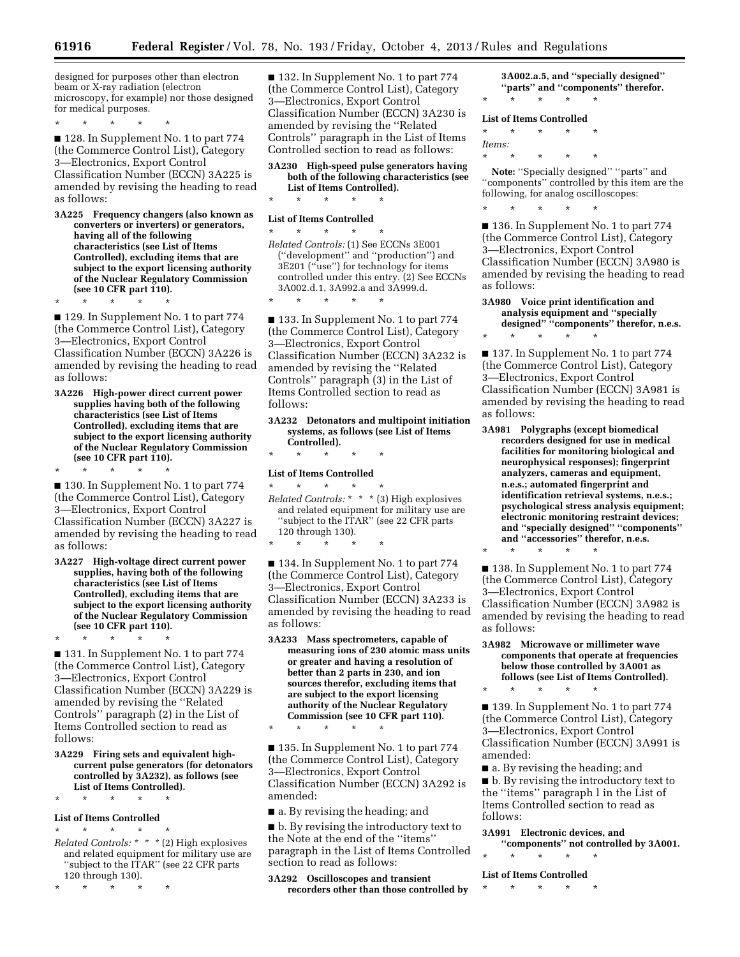designed for purposes other than electron beam or X-ray radiation (electron microscopy, for example) nor those designed for medical purposes.

\* \* \* \* \*

\* \* \* \* \*

■ 128. In Supplement No. 1 to part 774 (the Commerce Control List), Category 3—Electronics, Export Control Classification Number (ECCN) 3A225 is amended by revising the heading to read as follows:

**3A225 Frequency changers (also known as converters or inverters) or generators, having all of the following characteristics (see List of Items Controlled), excluding items that are subject to the export licensing authority of the Nuclear Regulatory Commission (see 10 CFR part 110).** 

■ 129. In Supplement No. 1 to part 774 (the Commerce Control List), Category 3—Electronics, Export Control Classification Number (ECCN) 3A226 is amended by revising the heading to read as follows:

**3A226 High-power direct current power supplies having both of the following characteristics (see List of Items Controlled), excluding items that are subject to the export licensing authority of the Nuclear Regulatory Commission (see 10 CFR part 110).** 

\* \* \* \* \* ■ 130. In Supplement No. 1 to part 774 (the Commerce Control List), Category 3—Electronics, Export Control Classification Number (ECCN) 3A227 is amended by revising the heading to read as follows:

**3A227 High-voltage direct current power supplies, having both of the following characteristics (see List of Items Controlled), excluding items that are subject to the export licensing authority of the Nuclear Regulatory Commission (see 10 CFR part 110).** 

■ 131. In Supplement No. 1 to part 774 (the Commerce Control List), Category 3—Electronics, Export Control Classification Number (ECCN) 3A229 is amended by revising the ''Related Controls'' paragraph (2) in the List of Items Controlled section to read as follows:

**3A229 Firing sets and equivalent highcurrent pulse generators (for detonators controlled by 3A232), as follows (see List of Items Controlled).** 

### \* \* \* \* \* **List of Items Controlled**

\* \* \* \* \*

- \* \* \* \* \* *Related Controls: \* \* \** (2) High explosives and related equipment for military use are ''subject to the ITAR'' (see 22 CFR parts 120 through 130).
- \* \* \* \* \*

■ 132. In Supplement No. 1 to part 774 (the Commerce Control List), Category 3—Electronics, Export Control Classification Number (ECCN) 3A230 is amended by revising the ''Related Controls'' paragraph in the List of Items Controlled section to read as follows:

**3A230 High-speed pulse generators having both of the following characteristics (see List of Items Controlled).** 

\* \* \* \* \* **List of Items Controlled** 

\* \* \* \* \*

\* \* \* \* \* *Related Controls:* (1) See ECCNs 3E001 (''development'' and ''production'') and 3E201 ("use") for technology for items controlled under this entry. (2) See ECCNs 3A002.d.1, 3A992.a and 3A999.d.

■ 133. In Supplement No. 1 to part 774 (the Commerce Control List), Category 3—Electronics, Export Control Classification Number (ECCN) 3A232 is amended by revising the ''Related Controls'' paragraph (3) in the List of Items Controlled section to read as follows:

**3A232 Detonators and multipoint initiation systems, as follows (see List of Items Controlled).** 

\* \* \* \* \*

**List of Items Controlled** 

\* \* \* \* \*

\* \* \* \* \* *Related Controls:* \* \* \* (3) High explosives and related equipment for military use are ''subject to the ITAR'' (see 22 CFR parts 120 through 130).

■ 134. In Supplement No. 1 to part 774 (the Commerce Control List), Category 3—Electronics, Export Control Classification Number (ECCN) 3A233 is amended by revising the heading to read as follows:

**3A233 Mass spectrometers, capable of measuring ions of 230 atomic mass units or greater and having a resolution of better than 2 parts in 230, and ion sources therefor, excluding items that are subject to the export licensing authority of the Nuclear Regulatory Commission (see 10 CFR part 110).**  \* \* \* \* \*

■ 135. In Supplement No. 1 to part 774 (the Commerce Control List), Category 3—Electronics, Export Control Classification Number (ECCN) 3A292 is amended:

■ a. By revising the heading; and

■ b. By revising the introductory text to the Note at the end of the ''items'' paragraph in the List of Items Controlled section to read as follows:

**3A292 Oscilloscopes and transient recorders other than those controlled by** 

**3A002.a.5, and ''specially designed'' ''parts'' and ''components'' therefor.**  \* \* \* \* \*

#### **List of Items Controlled**

\* \* \* \* \*

\* \* \* \* \*

*Items:* 

Note: "Specially designed" "parts" and ''components'' controlled by this item are the following, for analog oscilloscopes:

\* \* \* \* \*

\* \* \* \* \*

\* \* \* \* \*

■ 136. In Supplement No. 1 to part 774 (the Commerce Control List), Category 3—Electronics, Export Control Classification Number (ECCN) 3A980 is amended by revising the heading to read as follows:

#### **3A980 Voice print identification and analysis equipment and ''specially designed'' ''components'' therefor, n.e.s.**

■ 137. In Supplement No. 1 to part 774 (the Commerce Control List), Category 3—Electronics, Export Control Classification Number (ECCN) 3A981 is amended by revising the heading to read as follows:

**3A981 Polygraphs (except biomedical recorders designed for use in medical facilities for monitoring biological and neurophysical responses); fingerprint analyzers, cameras and equipment, n.e.s.; automated fingerprint and identification retrieval systems, n.e.s.; psychological stress analysis equipment; electronic monitoring restraint devices; and ''specially designed'' ''components'' and ''accessories'' therefor, n.e.s.** 

■ 138. In Supplement No. 1 to part 774 (the Commerce Control List), Category 3—Electronics, Export Control Classification Number (ECCN) 3A982 is amended by revising the heading to read as follows:

#### **3A982 Microwave or millimeter wave components that operate at frequencies below those controlled by 3A001 as follows (see List of Items Controlled).**

\* \* \* \* \* ■ 139. In Supplement No. 1 to part 774 (the Commerce Control List), Category 3—Electronics, Export Control Classification Number (ECCN) 3A991 is amended:

■ a. By revising the heading; and ■ b. By revising the introductory text to the ''items'' paragraph l in the List of Items Controlled section to read as follows:

- **3A991 Electronic devices, and**
- **''components'' not controlled by 3A001.**  \* \* \* \* \*

**List of Items Controlled** 

\* \* \* \* \*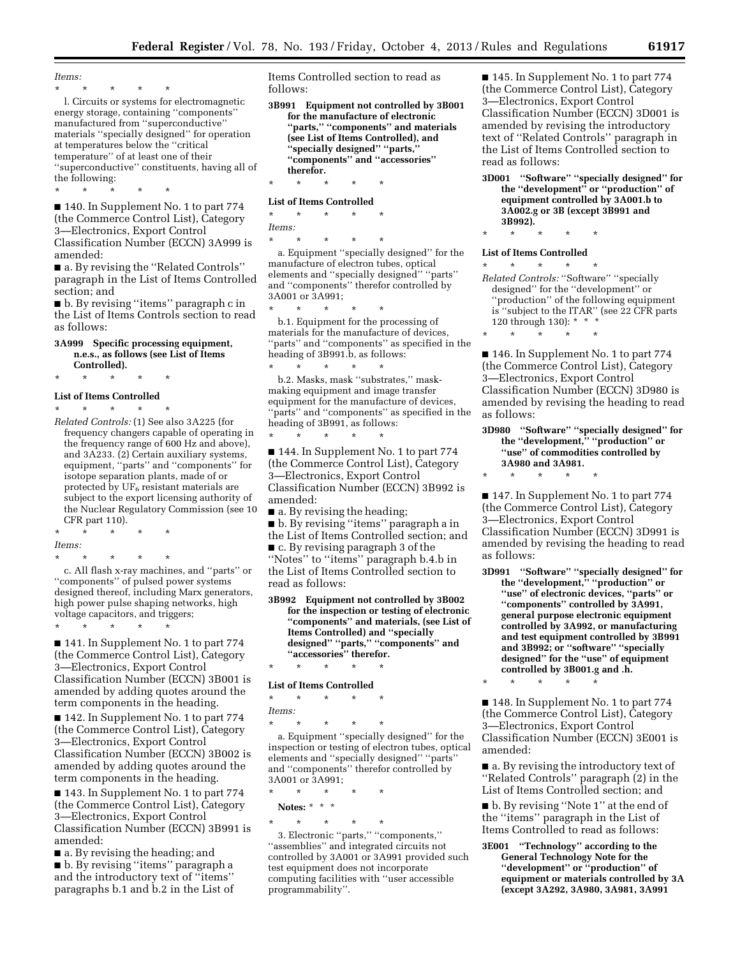*Items:* 

\* \* \* \* \*

\* \* \* \* \*

l. Circuits or systems for electromagnetic energy storage, containing ''components'' manufactured from ''superconductive'' materials ''specially designed'' for operation at temperatures below the ''critical temperature'' of at least one of their ''superconductive'' constituents, having all of the following:

■ 140. In Supplement No. 1 to part 774 (the Commerce Control List), Category 3—Electronics, Export Control Classification Number (ECCN) 3A999 is amended:

■ a. By revising the "Related Controls" paragraph in the List of Items Controlled section; and

■ b. By revising ''items'' paragraph c in the List of Items Controls section to read as follows:

#### **3A999 Specific processing equipment, n.e.s., as follows (see List of Items Controlled).**

\* \* \* \* \*

### **List of Items Controlled**

\* \* \* \* \*

*Related Controls:* (1) See also 3A225 (for frequency changers capable of operating in the frequency range of 600 Hz and above), and 3A233. (2) Certain auxiliary systems, equipment, ''parts'' and ''components'' for isotope separation plants, made of or protected by UF6 resistant materials are subject to the export licensing authority of the Nuclear Regulatory Commission (see 10 CFR part 110).

\* \* \* \* \* *Items:* 

\* \* \* \* \*

c. All flash x-ray machines, and ''parts'' or ''components'' of pulsed power systems designed thereof, including Marx generators, high power pulse shaping networks, high voltage capacitors, and triggers;

\* \* \* \* \* ■ 141. In Supplement No. 1 to part 774 (the Commerce Control List), Category 3—Electronics, Export Control Classification Number (ECCN) 3B001 is amended by adding quotes around the term components in the heading.

■ 142. In Supplement No. 1 to part 774 (the Commerce Control List), Category 3—Electronics, Export Control Classification Number (ECCN) 3B002 is amended by adding quotes around the term components in the heading.

■ 143. In Supplement No. 1 to part 774 (the Commerce Control List), Category 3—Electronics, Export Control Classification Number (ECCN) 3B991 is amended:

■ a. By revising the heading; and ■ b. By revising "items" paragraph a and the introductory text of ''items'' paragraphs b.1 and b.2 in the List of Items Controlled section to read as follows:

**3B991 Equipment not controlled by 3B001 for the manufacture of electronic ''parts,'' ''components'' and materials (see List of Items Controlled), and ''specially designed'' ''parts,'' ''components'' and ''accessories'' therefor.**  \* \* \* \* \*

**List of Items Controlled** 

\* \* \* \* \* *Items:*  \* \* \* \* \*

a. Equipment ''specially designed'' for the manufacture of electron tubes, optical elements and ''specially designed'' ''parts'' and ''components'' therefor controlled by 3A001 or 3A991;

\* \* \* \* \* b.1. Equipment for the processing of materials for the manufacture of devices, 'parts'' and "components" as specified in the heading of 3B991.b, as follows: \* \* \* \* \*

b.2. Masks, mask ''substrates,'' maskmaking equipment and image transfer equipment for the manufacture of devices, "parts" and "components" as specified in the heading of 3B991, as follows:

■ 144. In Supplement No. 1 to part 774 (the Commerce Control List), Category 3—Electronics, Export Control Classification Number (ECCN) 3B992 is amended:

■ a. By revising the heading;

\* \* \* \* \*

■ b. By revising ''items'' paragraph a in the List of Items Controlled section; and ■ c. By revising paragraph 3 of the ''Notes'' to ''items'' paragraph b.4.b in the List of Items Controlled section to read as follows:

**3B992 Equipment not controlled by 3B002 for the inspection or testing of electronic ''components'' and materials, (see List of Items Controlled) and ''specially designed'' ''parts,'' ''components'' and ''accessories'' therefor.** 

#### **List of Items Controlled**

\* \* \* \* \*

\* \* \* \* \*

*Items:* 

\* \* \* \* \*

a. Equipment ''specially designed'' for the inspection or testing of electron tubes, optical elements and ''specially designed'' ''parts'' and ''components'' therefor controlled by  $3A001$  or  $3A991$ ;<br>\* \* \* \*

\* \* \* \* \*

**Notes:** \* \* \*

\* \* \* \* \* 3. Electronic ''parts,'' ''components,'' ''assemblies'' and integrated circuits not controlled by 3A001 or 3A991 provided such test equipment does not incorporate computing facilities with ''user accessible programmability''.

■ 145. In Supplement No. 1 to part 774 (the Commerce Control List), Category 3—Electronics, Export Control Classification Number (ECCN) 3D001 is amended by revising the introductory text of ''Related Controls'' paragraph in the List of Items Controlled section to read as follows:

**3D001 ''Software'' ''specially designed'' for the ''development'' or ''production'' of equipment controlled by 3A001.b to 3A002.g or 3B (except 3B991 and 3B992).** 

## \* \* \* \* \*

**List of Items Controlled**  \* \* \* \* \*

\* \* \* \* \*

*Related Controls:* ''Software'' ''specially designed'' for the ''development'' or ''production'' of the following equipment is ''subject to the ITAR'' (see 22 CFR parts 120 through 130): \* \* \*

■ 146. In Supplement No. 1 to part 774 (the Commerce Control List), Category 3—Electronics, Export Control Classification Number (ECCN) 3D980 is amended by revising the heading to read as follows:

#### **3D980 ''Software'' ''specially designed'' for the ''development,'' ''production'' or ''use'' of commodities controlled by 3A980 and 3A981.**

\* \* \* \* \*

■ 147. In Supplement No. 1 to part 774 (the Commerce Control List), Category 3—Electronics, Export Control Classification Number (ECCN) 3D991 is amended by revising the heading to read as follows:

**3D991 ''Software'' ''specially designed'' for the ''development,'' ''production'' or ''use'' of electronic devices, ''parts'' or ''components'' controlled by 3A991, general purpose electronic equipment controlled by 3A992, or manufacturing and test equipment controlled by 3B991 and 3B992; or ''software'' ''specially designed'' for the ''use'' of equipment controlled by 3B001.g and .h.** 

\* \* \* \* \*

■ 148. In Supplement No. 1 to part 774 (the Commerce Control List), Category 3—Electronics, Export Control Classification Number (ECCN) 3E001 is amended:

■ a. By revising the introductory text of ''Related Controls'' paragraph (2) in the List of Items Controlled section; and

■ b. By revising "Note 1" at the end of the ''items'' paragraph in the List of Items Controlled to read as follows:

**3E001 ''Technology'' according to the General Technology Note for the ''development'' or ''production'' of equipment or materials controlled by 3A (except 3A292, 3A980, 3A981, 3A991**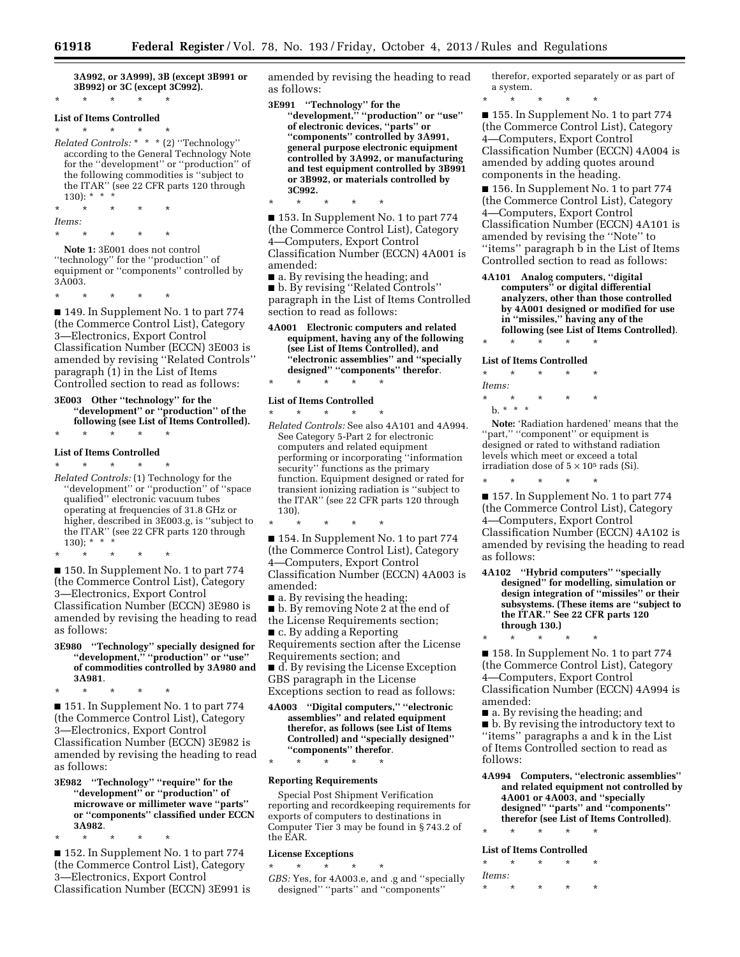\* \* \* \* \*

**3A992, or 3A999), 3B (except 3B991 or 3B992) or 3C (except 3C992).**  \* \* \* \* \*

#### **List of Items Controlled**

\* \* \* \* \* *Related Controls:* \* \* \* (2) ''Technology'' according to the General Technology Note for the ''development'' or ''production'' of the following commodities is ''subject to the ITAR'' (see 22 CFR parts 120 through 130):  $*$ 

\* \* \* \* \* *Items:*  \* \* \* \* \*

**Note 1:** 3E001 does not control ''technology'' for the ''production'' of equipment or ''components'' controlled by 3A003.

\* \* \* \* \*

■ 149. In Supplement No. 1 to part 774 (the Commerce Control List), Category 3—Electronics, Export Control Classification Number (ECCN) 3E003 is amended by revising ''Related Controls'' paragraph (1) in the List of Items Controlled section to read as follows:

#### **3E003 Other ''technology'' for the ''development'' or ''production'' of the following (see List of Items Controlled).**

### \* \* \* \* \* **List of Items Controlled**

\* \* \* \* \*

*Related Controls:* (1) Technology for the ''development'' or ''production'' of ''space qualified'' electronic vacuum tubes operating at frequencies of 31.8 GHz or higher, described in 3E003.g, is ''subject to the ITAR'' (see 22 CFR parts 120 through 130); \* \* \*

\* \* \* \* \* ■ 150. In Supplement No. 1 to part 774 (the Commerce Control List), Category 3—Electronics, Export Control Classification Number (ECCN) 3E980 is amended by revising the heading to read as follows:

#### **3E980 ''Technology'' specially designed for ''development,'' ''production'' or ''use'' of commodities controlled by 3A980 and 3A981**.

\* \* \* \* \* ■ 151. In Supplement No. 1 to part 774 (the Commerce Control List), Category 3—Electronics, Export Control Classification Number (ECCN) 3E982 is amended by revising the heading to read

as follows:

**3E982 ''Technology'' ''require'' for the ''development'' or ''production'' of microwave or millimeter wave ''parts'' or ''components'' classified under ECCN 3A982**.

\* \* \* \* \* ■ 152. In Supplement No. 1 to part 774 (the Commerce Control List), Category 3—Electronics, Export Control Classification Number (ECCN) 3E991 is amended by revising the heading to read as follows:

**3E991 ''Technology'' for the ''development,'' ''production'' or ''use'' of electronic devices, ''parts'' or ''components'' controlled by 3A991, general purpose electronic equipment controlled by 3A992, or manufacturing and test equipment controlled by 3B991 or 3B992, or materials controlled by 3C992.** 

■ 153. In Supplement No. 1 to part 774 (the Commerce Control List), Category 4—Computers, Export Control Classification Number (ECCN) 4A001 is amended:

■ a. By revising the heading; and ■ b. By revising ''Related Controls'' paragraph in the List of Items Controlled section to read as follows:

**4A001 Electronic computers and related equipment, having any of the following (see List of Items Controlled), and ''electronic assemblies'' and ''specially designed'' ''components'' therefor**. \* \* \* \* \*

#### **List of Items Controlled**

\* \* \* \* \* *Related Controls:* See also 4A101 and 4A994. See Category 5-Part 2 for electronic computers and related equipment performing or incorporating ''information security'' functions as the primary function. Equipment designed or rated for transient ionizing radiation is ''subject to the ITAR'' (see 22 CFR parts 120 through 130).

■ 154. In Supplement No. 1 to part 774 (the Commerce Control List), Category 4—Computers, Export Control Classification Number (ECCN) 4A003 is amended:

■ a. By revising the heading;

- b. By removing Note 2 at the end of the License Requirements section;
- c. By adding a Reporting

\* \* \* \* \*

Requirements section after the License Requirements section; and

■ d. By revising the License Exception GBS paragraph in the License Exceptions section to read as follows:

**4A003 ''Digital computers,'' ''electronic assemblies'' and related equipment therefor, as follows (see List of Items Controlled) and ''specially designed'' ''components'' therefor**.

\* \* \* \* \*

#### **Reporting Requirements**

Special Post Shipment Verification reporting and recordkeeping requirements for exports of computers to destinations in Computer Tier 3 may be found in § 743.2 of the EAR.

#### **License Exceptions**

- \* \* \* \* \*
- *GBS:* Yes, for 4A003.e, and .g and ''specially designed'' ''parts'' and ''components''

therefor, exported separately or as part of a system.

\* \* \* \* \* ■ 155. In Supplement No. 1 to part 774 (the Commerce Control List), Category 4—Computers, Export Control Classification Number (ECCN) 4A004 is amended by adding quotes around components in the heading.

■ 156. In Supplement No. 1 to part 774 (the Commerce Control List), Category 4—Computers, Export Control Classification Number (ECCN) 4A101 is amended by revising the ''Note'' to ''items'' paragraph b in the List of Items Controlled section to read as follows:

**4A101 Analog computers, ''digital computers'' or digital differential analyzers, other than those controlled by 4A001 designed or modified for use in ''missiles,'' having any of the following (see List of Items Controlled)**. \* \* \* \* \*

#### **List of Items Controlled**

| $\star$ | ÷         | ÷        | ÷ | ÷ |
|---------|-----------|----------|---|---|
| Items:  |           |          |   |   |
| $\star$ | ÷         | $^\star$ | ÷ |   |
|         | $h.*.*.*$ |          |   |   |

**Note:** 'Radiation hardened' means that the 'part," "component" or equipment is designed or rated to withstand radiation levels which meet or exceed a total irradiation dose of  $5 \times 10^5$  rads (Si).

\* \* \* \* \* ■ 157. In Supplement No. 1 to part 774 (the Commerce Control List), Category 4—Computers, Export Control Classification Number (ECCN) 4A102 is amended by revising the heading to read as follows:

- **4A102 ''Hybrid computers'' ''specially designed'' for modelling, simulation or design integration of ''missiles'' or their subsystems. (These items are ''subject to the ITAR.'' See 22 CFR parts 120 through 130.)**
- \* \* \* \* \*

■ 158. In Supplement No. 1 to part 774 (the Commerce Control List), Category 4—Computers, Export Control Classification Number (ECCN) 4A994 is amended:

■ a. By revising the heading; and ■ **b.** By revising the introductory text to ''items'' paragraphs a and k in the List of Items Controlled section to read as follows:

- **4A994 Computers, ''electronic assemblies'' and related equipment not controlled by 4A001 or 4A003, and ''specially designed'' ''parts'' and ''components'' therefor (see List of Items Controlled)**.
- \* \* \* \* \*

#### **List of Items Controlled**

| $\star$ | ÷ | ÷ | ÷ | $^\star$ |
|---------|---|---|---|----------|
| Items:  |   |   |   |          |
| $\star$ | ÷ | ÷ | ÷ | ÷        |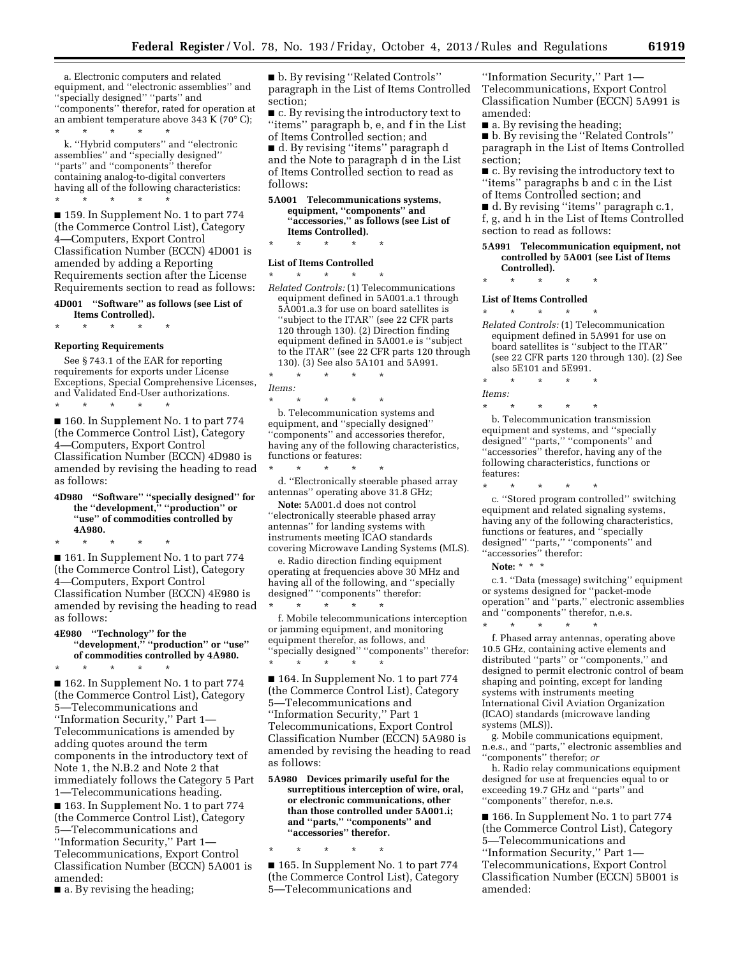a. Electronic computers and related equipment, and ''electronic assemblies'' and ''specially designed'' ''parts'' and ''components'' therefor, rated for operation at an ambient temperature above 343 K (70 $^{\circ}$  C); \* \* \* \* \*

k. ''Hybrid computers'' and ''electronic assemblies'' and ''specially designed'' ''parts'' and ''components'' therefor containing analog-to-digital converters having all of the following characteristics: \* \* \* \* \*

■ 159. In Supplement No. 1 to part 774 (the Commerce Control List), Category 4—Computers, Export Control Classification Number (ECCN) 4D001 is amended by adding a Reporting Requirements section after the License Requirements section to read as follows:

#### **4D001 ''Software'' as follows (see List of Items Controlled).**

\* \* \* \* \*

#### **Reporting Requirements**

See § 743.1 of the EAR for reporting requirements for exports under License Exceptions, Special Comprehensive Licenses, and Validated End-User authorizations.

\* \* \* \* \* ■ 160. In Supplement No. 1 to part 774 (the Commerce Control List), Category 4—Computers, Export Control Classification Number (ECCN) 4D980 is amended by revising the heading to read as follows:

**4D980 ''Software'' ''specially designed'' for the ''development,'' ''production'' or ''use'' of commodities controlled by 4A980.** 

\* \* \* \* \* ■ 161. In Supplement No. 1 to part 774 (the Commerce Control List), Category 4—Computers, Export Control Classification Number (ECCN) 4E980 is amended by revising the heading to read as follows:

**4E980 ''Technology'' for the ''development,'' ''production'' or ''use'' of commodities controlled by 4A980.** 

\* \* \* \* \*

■ 162. In Supplement No. 1 to part 774 (the Commerce Control List), Category 5—Telecommunications and ''Information Security,'' Part 1— Telecommunications is amended by adding quotes around the term components in the introductory text of Note 1, the N.B.2 and Note 2 that immediately follows the Category 5 Part 1—Telecommunications heading.

■ 163. In Supplement No. 1 to part 774 (the Commerce Control List), Category 5—Telecommunications and ''Information Security,'' Part 1— Telecommunications, Export Control Classification Number (ECCN) 5A001 is amended:

■ a. By revising the heading;

■ b. By revising "Related Controls" paragraph in the List of Items Controlled section;

■ c. By revising the introductory text to ''items'' paragraph b, e, and f in the List of Items Controlled section; and ■ d. By revising ''items'' paragraph d and the Note to paragraph d in the List of Items Controlled section to read as

follows: **5A001 Telecommunications systems,** 

### **equipment, ''components'' and ''accessories,'' as follows (see List of Items Controlled).**

\* \* \* \* \*

#### **List of Items Controlled**

\* \* \* \* \* *Related Controls:* (1) Telecommunications equipment defined in 5A001.a.1 through 5A001.a.3 for use on board satellites is ''subject to the ITAR'' (see 22 CFR parts 120 through 130). (2) Direction finding equipment defined in 5A001.e is ''subject to the ITAR'' (see 22 CFR parts 120 through 130). (3) See also 5A101 and 5A991.

\* \* \* \* \* *Items:* 

\* \* \* \* \*

b. Telecommunication systems and equipment, and ''specially designed'' ''components'' and accessories therefor, having any of the following characteristics, functions or features:

\* \* \* \* \* d. ''Electronically steerable phased array antennas'' operating above 31.8 GHz;

**Note:** 5A001.d does not control ''electronically steerable phased array antennas'' for landing systems with instruments meeting ICAO standards covering Microwave Landing Systems (MLS).

e. Radio direction finding equipment operating at frequencies above 30 MHz and having all of the following, and ''specially designed'' ''components'' therefor:

\* \* \* \* \* f. Mobile telecommunications interception or jamming equipment, and monitoring equipment therefor, as follows, and ''specially designed'' ''components'' therefor: \* \* \* \* \*

■ 164. In Supplement No. 1 to part 774 (the Commerce Control List), Category 5—Telecommunications and ''Information Security,'' Part 1 Telecommunications, Export Control Classification Number (ECCN) 5A980 is amended by revising the heading to read as follows:

**5A980 Devices primarily useful for the surreptitious interception of wire, oral, or electronic communications, other than those controlled under 5A001.i; and ''parts,'' ''components'' and ''accessories'' therefor.** 

\* \* \* \* \* ■ 165. In Supplement No. 1 to part 774 (the Commerce Control List), Category 5—Telecommunications and

''Information Security,'' Part 1— Telecommunications, Export Control Classification Number (ECCN) 5A991 is amended:

■ a. By revising the heading;

■ b. By revising the "Related Controls" paragraph in the List of Items Controlled section;

■ c. By revising the introductory text to ''items'' paragraphs b and c in the List of Items Controlled section; and

■ d. By revising "items" paragraph c.1, f, g, and h in the List of Items Controlled section to read as follows:

#### **5A991 Telecommunication equipment, not controlled by 5A001 (see List of Items Controlled).**

\* \* \* \* \*

#### **List of Items Controlled**  \* \* \* \* \*

*Related Controls:* (1) Telecommunication equipment defined in 5A991 for use on board satellites is ''subject to the ITAR'' (see 22 CFR parts 120 through 130). (2) See also 5E101 and 5E991.

\* \* \* \* \* *Items:* 

\* \* \* \* \* b. Telecommunication transmission equipment and systems, and ''specially designed'' ''parts,'' ''components'' and "accessories" therefor, having any of the following characteristics, functions or features:

\* \* \* \* \* c. ''Stored program controlled'' switching equipment and related signaling systems, having any of the following characteristics, functions or features, and ''specially designed'' ''parts,'' ''components'' and ''accessories'' therefor:

**Note:** \* \* \*

c.1. ''Data (message) switching'' equipment or systems designed for ''packet-mode operation'' and ''parts,'' electronic assemblies and ''components'' therefor, n.e.s.

\* \* \* \* \* f. Phased array antennas, operating above 10.5 GHz, containing active elements and distributed ''parts'' or ''components,'' and designed to permit electronic control of beam shaping and pointing, except for landing systems with instruments meeting International Civil Aviation Organization (ICAO) standards (microwave landing

systems (MLS)). g. Mobile communications equipment, n.e.s., and ''parts,'' electronic assemblies and ''components'' therefor; *or* 

h. Radio relay communications equipment designed for use at frequencies equal to or exceeding 19.7 GHz and ''parts'' and ''components'' therefor, n.e.s.

■ 166. In Supplement No. 1 to part 774 (the Commerce Control List), Category 5—Telecommunications and ''Information Security,'' Part 1— Telecommunications, Export Control Classification Number (ECCN) 5B001 is amended: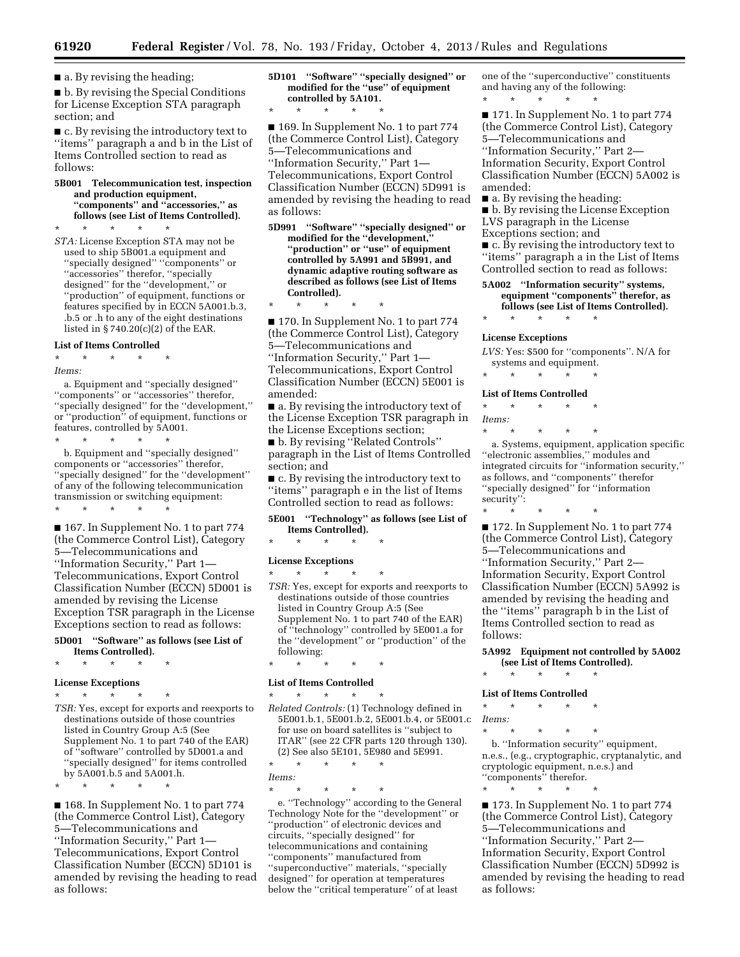■ a. By revising the heading;

■ b. By revising the Special Conditions for License Exception STA paragraph section; and

■ c. By revising the introductory text to ''items'' paragraph a and b in the List of Items Controlled section to read as follows:

**5B001 Telecommunication test, inspection and production equipment, ''components'' and ''accessories,'' as follows (see List of Items Controlled).** 

\* \* \* \* \* *STA:* License Exception STA may not be used to ship 5B001.a equipment and ''specially designed'' ''components'' or ''accessories'' therefor, ''specially designed'' for the ''development,'' or ''production'' of equipment, functions or features specified by in ECCN 5A001.b.3, .b.5 or .h to any of the eight destinations listed in  $\S 740.20(c)(2)$  of the EAR.

#### **List of Items Controlled**

#### \* \* \* \* \* *Items:*

a. Equipment and ''specially designed'' ''components'' or ''accessories'' therefor, ''specially designed'' for the ''development,'' or ''production'' of equipment, functions or features, controlled by 5A001. \* \* \* \* \*

b. Equipment and ''specially designed'' components or ''accessories'' therefor, ''specially designed'' for the ''development'' of any of the following telecommunication transmission or switching equipment:

\* \* \* \* \*

■ 167. In Supplement No. 1 to part 774 (the Commerce Control List), Category 5—Telecommunications and ''Information Security,'' Part 1— Telecommunications, Export Control Classification Number (ECCN) 5D001 is amended by revising the License Exception TSR paragraph in the License Exceptions section to read as follows:

#### **5D001 ''Software'' as follows (see List of Items Controlled).**

\* \* \* \* \*

#### **License Exceptions**

- \* \* \* \* \*
- *TSR:* Yes, except for exports and reexports to destinations outside of those countries listed in Country Group A:5 (See Supplement No. 1 to part 740 of the EAR) of ''software'' controlled by 5D001.a and ''specially designed'' for items controlled by 5A001.b.5 and 5A001.h.
- \* \* \* \* \*

■ 168. In Supplement No. 1 to part 774 (the Commerce Control List), Category 5—Telecommunications and ''Information Security,'' Part 1— Telecommunications, Export Control Classification Number (ECCN) 5D101 is amended by revising the heading to read as follows:

**5D101 ''Software'' ''specially designed'' or modified for the ''use'' of equipment controlled by 5A101.** 

\* \* \* \* \*

■ 169. In Supplement No. 1 to part 774 (the Commerce Control List), Category 5—Telecommunications and ''Information Security,'' Part 1— Telecommunications, Export Control Classification Number (ECCN) 5D991 is amended by revising the heading to read as follows:

**5D991 ''Software'' ''specially designed'' or modified for the ''development,'' ''production'' or ''use'' of equipment controlled by 5A991 and 5B991, and dynamic adaptive routing software as described as follows (see List of Items Controlled).** 

\* \* \* \* \* ■ 170. In Supplement No. 1 to part 774 (the Commerce Control List), Category 5—Telecommunications and ''Information Security,'' Part 1—

Telecommunications, Export Control Classification Number (ECCN) 5E001 is amended:

■ a. By revising the introductory text of the License Exception TSR paragraph in the License Exceptions section;

■ b. By revising ''Related Controls'' paragraph in the List of Items Controlled section; and

■ c. By revising the introductory text to ''items'' paragraph e in the list of Items Controlled section to read as follows:

**5E001 ''Technology'' as follows (see List of Items Controlled).** 

\* \* \* \* \*

#### **License Exceptions**

\* \* \* \* \* *TSR:* Yes, except for exports and reexports to destinations outside of those countries listed in Country Group A:5 (See Supplement No. 1 to part 740 of the EAR) of ''technology'' controlled by 5E001.a for the ''development'' or ''production'' of the following:

\* \* \* \* \*

### **List of Items Controlled**

\* \* \* \* \* *Related Controls:* (1) Technology defined in 5E001.b.1, 5E001.b.2, 5E001.b.4, or 5E001.c for use on board satellites is ''subject to ITAR'' (see 22 CFR parts 120 through 130). (2) See also 5E101, 5E980 and 5E991.

\* \* \* \* \* *Items:* 

\* \* \* \* \*

e. ''Technology'' according to the General Technology Note for the ''development'' or ''production'' of electronic devices and circuits, ''specially designed'' for telecommunications and containing ''components'' manufactured from ''superconductive'' materials, ''specially designed'' for operation at temperatures below the ''critical temperature'' of at least

one of the ''superconductive'' constituents and having any of the following: \* \* \* \* \*

■ 171. In Supplement No. 1 to part 774 (the Commerce Control List), Category 5—Telecommunications and ''Information Security,'' Part 2— Information Security, Export Control Classification Number (ECCN) 5A002 is amended:

■ a. By revising the heading:

■ b. By revising the License Exception LVS paragraph in the License Exceptions section; and

■ c. By revising the introductory text to ''items'' paragraph a in the List of Items Controlled section to read as follows:

**5A002 ''Information security'' systems, equipment ''components'' therefor, as follows (see List of Items Controlled).** 

#### **License Exceptions**

*LVS:* Yes: \$500 for ''components''. N/A for systems and equipment.

\* \* \* \* \*

\* \* \* \* \*

**List of Items Controlled**  \* \* \* \* \*

*Items:* 

\* \* \* \* \* a. Systems, equipment, application specific ''electronic assemblies,'' modules and integrated circuits for ''information security,'' as follows, and ''components'' therefor ''specially designed'' for ''information security'':

\* \* \* \* \*

■ 172. In Supplement No. 1 to part 774 (the Commerce Control List), Category 5—Telecommunications and ''Information Security,'' Part 2— Information Security, Export Control Classification Number (ECCN) 5A992 is amended by revising the heading and the ''items'' paragraph b in the List of Items Controlled section to read as follows:

**5A992 Equipment not controlled by 5A002 (see List of Items Controlled).** 

\* \* \* \* \*

### **List of Items Controlled**

- \* \* \* \* \*
- *Items:*

\* \* \* \* \* b. ''Information security'' equipment, n.e.s., (e.g., cryptographic, cryptanalytic, and cryptologic equipment, n.e.s.) and ''components'' therefor.

\* \* \* \* \*

■ 173. In Supplement No. 1 to part 774 (the Commerce Control List), Category 5—Telecommunications and ''Information Security,'' Part 2— Information Security, Export Control Classification Number (ECCN) 5D992 is amended by revising the heading to read as follows: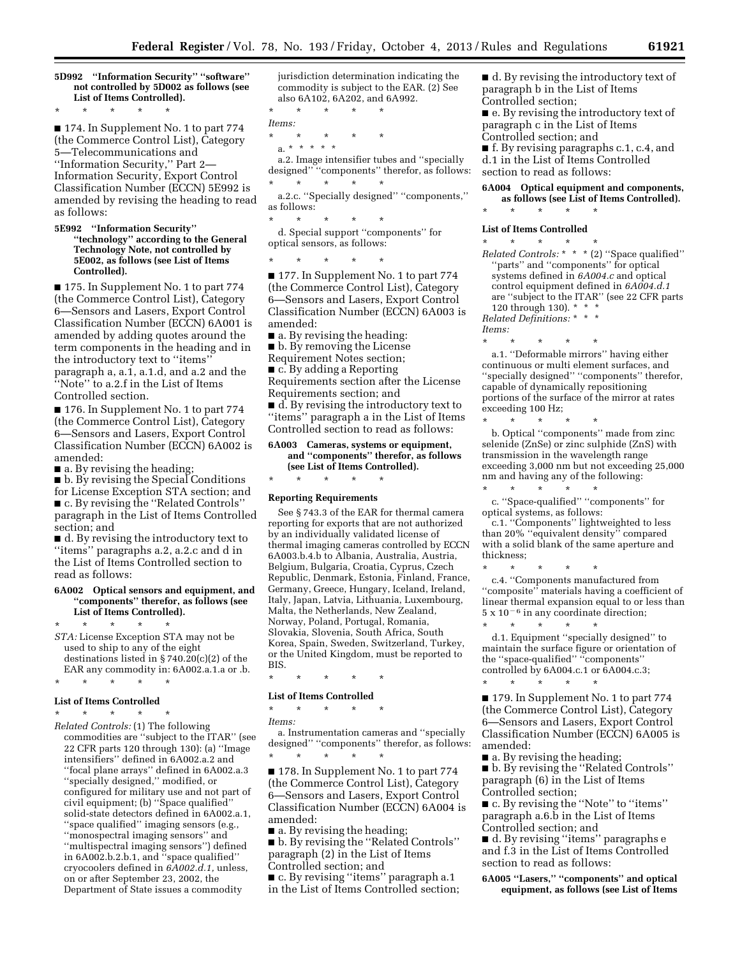**5D992 ''Information Security'' ''software'' not controlled by 5D002 as follows (see List of Items Controlled).** 

■ 174. In Supplement No. 1 to part 774 (the Commerce Control List), Category 5—Telecommunications and ''Information Security,'' Part 2— Information Security, Export Control Classification Number (ECCN) 5E992 is

\* \* \* \* \*

amended by revising the heading to read as follows:

**5E992 ''Information Security'' ''technology'' according to the General Technology Note, not controlled by 5E002, as follows (see List of Items Controlled).** 

■ 175. In Supplement No. 1 to part 774 (the Commerce Control List), Category 6—Sensors and Lasers, Export Control Classification Number (ECCN) 6A001 is amended by adding quotes around the term components in the heading and in the introductory text to ''items'' paragraph a, a.1, a.1.d, and a.2 and the 'Note" to a.2.f in the List of Items Controlled section.

■ 176. In Supplement No. 1 to part 774 (the Commerce Control List), Category 6—Sensors and Lasers, Export Control Classification Number (ECCN) 6A002 is amended:

 $\blacksquare$  a. By revising the heading;

■ b. By revising the Special Conditions for License Exception STA section; and ■ c. By revising the ''Related Controls'' paragraph in the List of Items Controlled

section; and ■ d. By revising the introductory text to ''items'' paragraphs a.2, a.2.c and d in the List of Items Controlled section to

#### **6A002 Optical sensors and equipment, and ''components'' therefor, as follows (see List of Items Controlled).**

\* \* \* \* \* *STA:* License Exception STA may not be used to ship to any of the eight destinations listed in § 740.20(c)(2) of the EAR any commodity in: 6A002.a.1.a or .b.

### \* \* \* \* \* **List of Items Controlled**

read as follows:

\* \* \* \* \* *Related Controls:* (1) The following commodities are ''subject to the ITAR'' (see 22 CFR parts 120 through 130): (a) ''Image intensifiers'' defined in 6A002.a.2 and ''focal plane arrays'' defined in 6A002.a.3 ''specially designed,'' modified, or configured for military use and not part of civil equipment; (b) ''Space qualified'' solid-state detectors defined in 6A002.a.1, ''space qualified'' imaging sensors (e.g., ''monospectral imaging sensors'' and ''multispectral imaging sensors'') defined in 6A002.b.2.b.1, and ''space qualified'' cryocoolers defined in *6A002.d.1,* unless, on or after September 23, 2002, the Department of State issues a commodity

jurisdiction determination indicating the commodity is subject to the EAR. (2) See also 6A102, 6A202, and 6A992.

\* \* \* \* \*

*Items:*  \* \* \* \* \*

a. \* \* \* \* \* a.2. Image intensifier tubes and ''specially designed'' ''components'' therefor, as follows: \* \* \* \* \*

a.2.c. ''Specially designed'' ''components,'' as follows:

\* \* \* \* \* d. Special support ''components'' for optical sensors, as follows:

\* \* \* \* \*

■ 177. In Supplement No. 1 to part 774 (the Commerce Control List), Category 6—Sensors and Lasers, Export Control Classification Number (ECCN) 6A003 is amended:

 $\blacksquare$  a. By revising the heading:

■ b. By removing the License

Requirement Notes section;

■ c. By adding a Reporting

Requirements section after the License Requirements section; and

■ d. By revising the introductory text to ''items'' paragraph a in the List of Items Controlled section to read as follows:

#### **6A003 Cameras, systems or equipment, and ''components'' therefor, as follows (see List of Items Controlled).**

### \* \* \* \* \* **Reporting Requirements**

See § 743.3 of the EAR for thermal camera reporting for exports that are not authorized by an individually validated license of thermal imaging cameras controlled by ECCN 6A003.b.4.b to Albania, Australia, Austria, Belgium, Bulgaria, Croatia, Cyprus, Czech Republic, Denmark, Estonia, Finland, France, Germany, Greece, Hungary, Iceland, Ireland, Italy, Japan, Latvia, Lithuania, Luxembourg, Malta, the Netherlands, New Zealand, Norway, Poland, Portugal, Romania, Slovakia, Slovenia, South Africa, South Korea, Spain, Sweden, Switzerland, Turkey, or the United Kingdom, must be reported to BIS.

\* \* \* \* \*

#### **List of Items Controlled**

\* \* \* \* \*

*Items:* 

a. Instrumentation cameras and ''specially designed'' ''components'' therefor, as follows: \* \* \* \* \*

■ 178. In Supplement No. 1 to part 774 (the Commerce Control List), Category 6—Sensors and Lasers, Export Control Classification Number (ECCN) 6A004 is amended:

■ a. By revising the heading;

■ b. By revising the "Related Controls" paragraph (2) in the List of Items Controlled section; and

■ c. By revising "items" paragraph a.1 in the List of Items Controlled section; ■ d. By revising the introductory text of paragraph b in the List of Items Controlled section;

■ e. By revising the introductory text of paragraph c in the List of Items Controlled section; and

■ f. By revising paragraphs c.1, c.4, and d.1 in the List of Items Controlled section to read as follows:

#### **6A004 Optical equipment and components, as follows (see List of Items Controlled).**

## \* \* \* \* \* **List of Items Controlled**

\* \* \* \* \* *Related Controls:* \* \* \* (2) ''Space qualified'' "parts" and "components" for optical systems defined in *6A004.c* and optical control equipment defined in *6A004.d.1*  are ''subject to the ITAR'' (see 22 CFR parts 120 through 130). \* \* \* *Related Definitions:* \* \* \*

*Items:* 

\* \* \* \* \* a.1. ''Deformable mirrors'' having either continuous or multi element surfaces, and ''specially designed'' ''components'' therefor, capable of dynamically repositioning portions of the surface of the mirror at rates exceeding 100 Hz;

\* \* \* \* \* b. Optical ''components'' made from zinc selenide (ZnSe) or zinc sulphide (ZnS) with transmission in the wavelength range exceeding 3,000 nm but not exceeding 25,000 nm and having any of the following: \* \* \* \* \*

c. ''Space-qualified'' ''components'' for optical systems, as follows:

c.1. ''Components'' lightweighted to less than 20% ''equivalent density'' compared with a solid blank of the same aperture and thickness;

\* \* \* \* \* c.4. ''Components manufactured from "composite" materials having a coefficient of linear thermal expansion equal to or less than  $5 \times 10^{-6}$  in any coordinate direction;

\* \* \* \* \* d.1. Equipment ''specially designed'' to maintain the surface figure or orientation of the ''space-qualified'' ''components'' controlled by 6A004.c.1 or 6A004.c.3;  $\star$   $\qquad$   $\star$   $\qquad$   $\star$ 

■ 179. In Supplement No. 1 to part 774 (the Commerce Control List), Category 6—Sensors and Lasers, Export Control Classification Number (ECCN) 6A005 is amended:

■ a. By revising the heading; ■ b. By revising the "Related Controls"

paragraph (6) in the List of Items Controlled section;

■ c. By revising the "Note" to "items" paragraph a.6.b in the List of Items Controlled section; and

■ d. By revising ''items'' paragraphs e and f.3 in the List of Items Controlled section to read as follows:

**6A005 ''Lasers,'' ''components'' and optical equipment, as follows (see List of Items**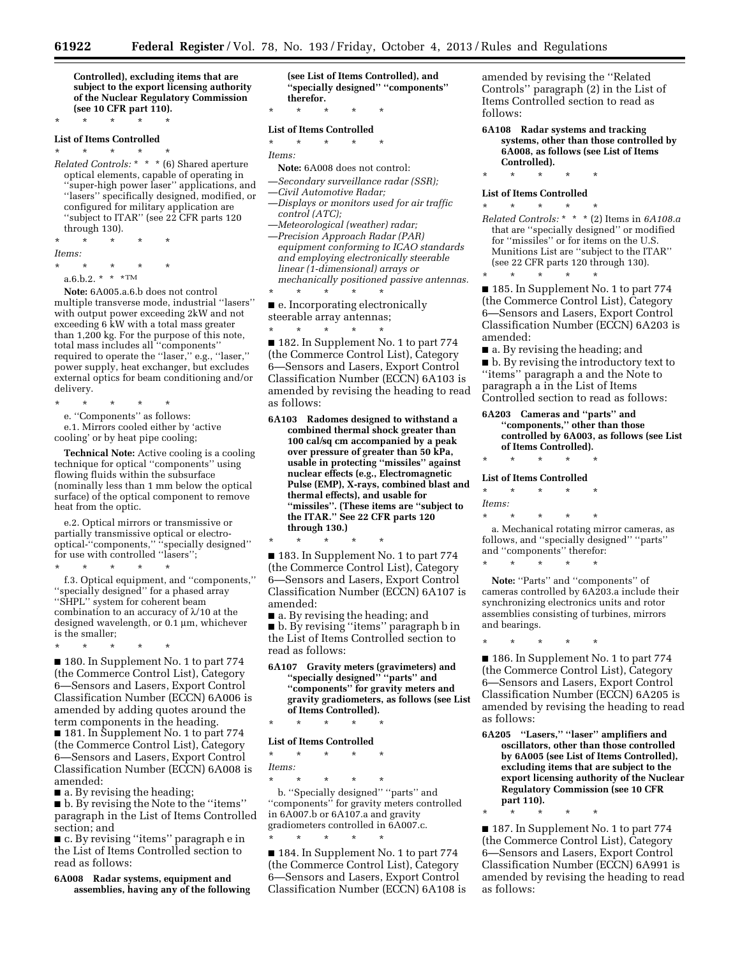**Controlled), excluding items that are subject to the export licensing authority of the Nuclear Regulatory Commission (see 10 CFR part 110).** 

### \* \* \* \* \* **List of Items Controlled**

\* \* \* \* \* *Related Controls:* \* \* \* (6) Shared aperture optical elements, capable of operating in 'super-high power laser'' applications, and ''lasers'' specifically designed, modified, or configured for military application are ''subject to ITAR'' (see 22 CFR parts 120 through 130).

\* \* \* \* \* *Items:*  \* \* \* \* \*

 $a.6.b.2.*$  \* \* $TM$ 

**Note:** 6A005.a.6.b does not control multiple transverse mode, industrial ''lasers'' with output power exceeding 2kW and not exceeding 6 kW with a total mass greater than 1,200 kg. For the purpose of this note, total mass includes all ''components'' required to operate the ''laser,'' e.g., ''laser,'' power supply, heat exchanger, but excludes external optics for beam conditioning and/or delivery.

\* \* \* \* \* e. ''Components'' as follows: e.1. Mirrors cooled either by 'active

cooling' or by heat pipe cooling;

**Technical Note:** Active cooling is a cooling technique for optical ''components'' using flowing fluids within the subsurface (nominally less than 1 mm below the optical surface) of the optical component to remove heat from the optic.

e.2. Optical mirrors or transmissive or partially transmissive optical or electrooptical-''components,'' ''specially designed'' for use with controlled ''lasers'';

\* \* \* \* \*

f.3. Optical equipment, and ''components,'' 'specially designed'' for a phased array ''SHPL'' system for coherent beam combination to an accuracy of  $\lambda$ /10 at the designed wavelength, or  $0.1 \mu m$ , whichever is the smaller;

\* \* \* \* \*

■ 180. In Supplement No. 1 to part 774 (the Commerce Control List), Category 6—Sensors and Lasers, Export Control Classification Number (ECCN) 6A006 is amended by adding quotes around the term components in the heading.

■ 181. In Supplement No. 1 to part 774 (the Commerce Control List), Category 6—Sensors and Lasers, Export Control Classification Number (ECCN) 6A008 is amended:

■ a. By revising the heading;

■ b. By revising the Note to the "items" paragraph in the List of Items Controlled section; and

■ c. By revising "items" paragraph e in the List of Items Controlled section to read as follows:

**6A008 Radar systems, equipment and assemblies, having any of the following**  **(see List of Items Controlled), and ''specially designed'' ''components'' therefor.** 

\* \* \* \* \*

#### **List of Items Controlled**

- \* \* \* \* \* *Items:*
- **Note:** 6A008 does not control:
- —*Secondary surveillance radar (SSR);* 
	- —*Civil Automotive Radar;*
- —*Displays or monitors used for air traffic control (ATC);*
- —*Meteorological (weather) radar;*  —*Precision Approach Radar (PAR) equipment conforming to ICAO standards and employing electronically steerable linear (1-dimensional) arrays or mechanically positioned passive antennas.*
- \* \* \* \* \*

■ e. Incorporating electronically steerable array antennas;

\* \* \* \* \*

■ 182. In Supplement No. 1 to part 774 (the Commerce Control List), Category 6—Sensors and Lasers, Export Control Classification Number (ECCN) 6A103 is amended by revising the heading to read as follows:

**6A103 Radomes designed to withstand a combined thermal shock greater than 100 cal/sq cm accompanied by a peak over pressure of greater than 50 kPa, usable in protecting ''missiles'' against nuclear effects (e.g., Electromagnetic Pulse (EMP), X-rays, combined blast and thermal effects), and usable for ''missiles''. (These items are ''subject to the ITAR.'' See 22 CFR parts 120 through 130.)** 

\* \* \* \* \*

■ 183. In Supplement No. 1 to part 774 (the Commerce Control List), Category 6—Sensors and Lasers, Export Control Classification Number (ECCN) 6A107 is amended:

■ a. By revising the heading; and

■ b. By revising "items" paragraph b in the List of Items Controlled section to read as follows:

**6A107 Gravity meters (gravimeters) and ''specially designed'' ''parts'' and ''components'' for gravity meters and gravity gradiometers, as follows (see List of Items Controlled).** 

\* \* \* \* \*

#### **List of Items Controlled**

\* \* \* \* \* *Items:* 

\* \* \* \* \* b. ''Specially designed'' ''parts'' and ''components'' for gravity meters controlled in 6A007.b or 6A107.a and gravity gradiometers controlled in 6A007.c. \* \* \* \* \*

■ 184. In Supplement No. 1 to part 774 (the Commerce Control List), Category 6—Sensors and Lasers, Export Control Classification Number (ECCN) 6A108 is amended by revising the ''Related Controls'' paragraph (2) in the List of Items Controlled section to read as follows:

#### **6A108 Radar systems and tracking systems, other than those controlled by 6A008, as follows (see List of Items Controlled).**

\* \* \* \* \*

#### **List of Items Controlled**

\* \* \* \* \* *Related Controls:* \* \* \* (2) Items in *6A108.a*  that are ''specially designed'' or modified for ''missiles'' or for items on the U.S. Munitions List are ''subject to the ITAR'' (see 22 CFR parts 120 through 130).

\* \* \* \* \* ■ 185. In Supplement No. 1 to part 774 (the Commerce Control List), Category 6—Sensors and Lasers, Export Control Classification Number (ECCN) 6A203 is amended:

■ a. By revising the heading; and ■ b. By revising the introductory text to ''items'' paragraph a and the Note to paragraph a in the List of Items Controlled section to read as follows:

**6A203 Cameras and ''parts'' and ''components,'' other than those controlled by 6A003, as follows (see List of Items Controlled).** 

\* \* \* \* \*

**List of Items Controlled**  \* \* \* \* \*

### *Items:*

\* \* \* \* \*

a. Mechanical rotating mirror cameras, as follows, and ''specially designed'' ''parts'' and ''components'' therefor:

\* \* \* \* \*

Note: "Parts" and "components" of cameras controlled by 6A203.a include their synchronizing electronics units and rotor assemblies consisting of turbines, mirrors and bearings.

\* \* \* \* \*

■ 186. In Supplement No. 1 to part 774 (the Commerce Control List), Category 6—Sensors and Lasers, Export Control Classification Number (ECCN) 6A205 is amended by revising the heading to read as follows:

- **6A205 ''Lasers,'' ''laser'' amplifiers and oscillators, other than those controlled by 6A005 (see List of Items Controlled), excluding items that are subject to the export licensing authority of the Nuclear Regulatory Commission (see 10 CFR part 110).**
- \* \* \* \* \*

■ 187. In Supplement No. 1 to part 774 (the Commerce Control List), Category 6—Sensors and Lasers, Export Control Classification Number (ECCN) 6A991 is amended by revising the heading to read as follows: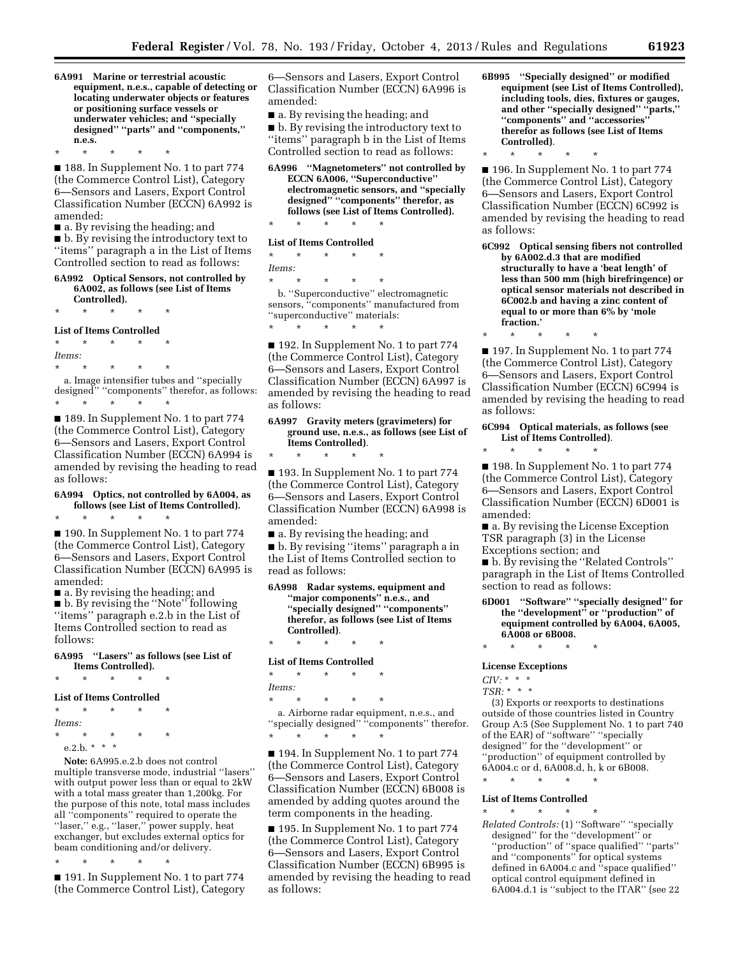**6A991 Marine or terrestrial acoustic equipment, n.e.s., capable of detecting or locating underwater objects or features or positioning surface vessels or underwater vehicles; and ''specially designed'' ''parts'' and ''components,'' n.e.s.** 

\* \* \* \* \* ■ 188. In Supplement No. 1 to part 774 (the Commerce Control List), Category 6—Sensors and Lasers, Export Control Classification Number (ECCN) 6A992 is amended:

■ a. By revising the heading; and

■ b. By revising the introductory text to ''items'' paragraph a in the List of Items Controlled section to read as follows:

#### **6A992 Optical Sensors, not controlled by 6A002, as follows (see List of Items Controlled).**

\* \* \* \* \*

#### **List of Items Controlled**

\* \* \* \* \*

\* \* \* \* \* *Items:*  \* \* \* \* \* a. Image intensifier tubes and ''specially designed'' ''components'' therefor, as follows:

■ 189. In Supplement No. 1 to part 774 (the Commerce Control List), Category 6—Sensors and Lasers, Export Control Classification Number (ECCN) 6A994 is amended by revising the heading to read as follows:

## **6A994 Optics, not controlled by 6A004, as follows (see List of Items Controlled).**

\* \* \* \* \*

■ 190. In Supplement No. 1 to part 774 (the Commerce Control List), Category 6—Sensors and Lasers, Export Control Classification Number (ECCN) 6A995 is amended:

■ a. By revising the heading; and ■ b. By revising the ''Note'' following ''items'' paragraph e.2.b in the List of Items Controlled section to read as follows:

### **6A995 ''Lasers'' as follows (see List of Items Controlled).**

\* \* \* \* \*

#### **List of Items Controlled**

\* \* \* \* \*

*Items:* 

\* \* \* \* \*

e.2.b. \* \* \*

**Note:** 6A995.e.2.b does not control multiple transverse mode, industrial ''lasers'' with output power less than or equal to 2kW with a total mass greater than 1,200kg. For the purpose of this note, total mass includes all ''components'' required to operate the "laser," e.g., "laser," power supply, heat exchanger, but excludes external optics for beam conditioning and/or delivery.

\* \* \* \* \* ■ 191. In Supplement No. 1 to part 774 (the Commerce Control List), Category

6—Sensors and Lasers, Export Control Classification Number (ECCN) 6A996 is amended:

■ a. By revising the heading; and

■ b. By revising the introductory text to ''items'' paragraph b in the List of Items Controlled section to read as follows:

**6A996 ''Magnetometers'' not controlled by ECCN 6A006, ''Superconductive'' electromagnetic sensors, and ''specially designed'' ''components'' therefor, as follows (see List of Items Controlled).** 

### \* \* \* \* \* **List of Items Controlled**

\* \* \* \* \* *Items:* 

\* \* \* \* \*

\* \* \* \* \*

b. ''Superconductive'' electromagnetic sensors, ''components'' manufactured from ''superconductive'' materials:

■ 192. In Supplement No. 1 to part 774 (the Commerce Control List), Category 6—Sensors and Lasers, Export Control Classification Number (ECCN) 6A997 is amended by revising the heading to read as follows:

#### **6A997 Gravity meters (gravimeters) for ground use, n.e.s., as follows (see List of Items Controlled)**.

\* \* \* \* \* ■ 193. In Supplement No. 1 to part 774 (the Commerce Control List), Category 6—Sensors and Lasers, Export Control Classification Number (ECCN) 6A998 is amended:

■ a. By revising the heading; and

■ b. By revising "items" paragraph a in the List of Items Controlled section to read as follows:

**6A998 Radar systems, equipment and ''major components'' n.e.s., and ''specially designed'' ''components'' therefor, as follows (see List of Items Controlled)**.

### \* \* \* \* \* **List of Items Controlled**

| $\star$ | ÷ | ÷ | $^\star$ | ÷   |  |  |
|---------|---|---|----------|-----|--|--|
| Items:  |   |   |          |     |  |  |
| . .     |   |   | . .      | . . |  |  |

\* \* \* \* \* a. Airborne radar equipment, n.e.s., and ''specially designed'' ''components'' therefor.

\* \* \* \* \* ■ 194. In Supplement No. 1 to part 774 (the Commerce Control List), Category 6—Sensors and Lasers, Export Control Classification Number (ECCN) 6B008 is amended by adding quotes around the term components in the heading.

■ 195. In Supplement No. 1 to part 774 (the Commerce Control List), Category 6—Sensors and Lasers, Export Control Classification Number (ECCN) 6B995 is amended by revising the heading to read as follows:

- **6B995 ''Specially designed'' or modified equipment (see List of Items Controlled), including tools, dies, fixtures or gauges, and other ''specially designed'' ''parts,'' ''components'' and ''accessories'' therefor as follows (see List of Items Controlled)**.
- \* \* \* \* \*

■ 196. In Supplement No. 1 to part 774 (the Commerce Control List), Category 6—Sensors and Lasers, Export Control Classification Number (ECCN) 6C992 is amended by revising the heading to read as follows:

- **6C992 Optical sensing fibers not controlled by 6A002.d.3 that are modified structurally to have a 'beat length' of less than 500 mm (high birefringence) or optical sensor materials not described in 6C002.b and having a zinc content of equal to or more than 6% by 'mole fraction.'**
- \* \* \* \* \*

■ 197. In Supplement No. 1 to part 774 (the Commerce Control List), Category 6—Sensors and Lasers, Export Control Classification Number (ECCN) 6C994 is amended by revising the heading to read as follows:

#### **6C994 Optical materials, as follows (see List of Items Controlled)**.

\* \* \* \* \* ■ 198. In Supplement No. 1 to part 774 (the Commerce Control List), Category 6—Sensors and Lasers, Export Control Classification Number (ECCN) 6D001 is amended:

■ a. By revising the License Exception TSR paragraph (3) in the License Exceptions section; and

■ b. By revising the ''Related Controls'' paragraph in the List of Items Controlled section to read as follows:

**6D001 ''Software'' ''specially designed'' for the ''development'' or ''production'' of equipment controlled by 6A004, 6A005, 6A008 or 6B008.** 

\* \* \* \* \*

**License Exceptions** 

*CIV:* \* \* \*

*TSR:* \* \* \*

(3) Exports or reexports to destinations outside of those countries listed in Country Group A:5 (See Supplement No. 1 to part 740 of the EAR) of ''software'' ''specially designed'' for the ''development'' or ''production'' of equipment controlled by 6A004.c or d, 6A008.d, h, k or 6B008.

\* \* \* \* \*

#### **List of Items Controlled**  \* \* \* \* \*

*Related Controls:* (1) ''Software'' ''specially designed'' for the ''development'' or ''production'' of ''space qualified'' ''parts'' and ''components'' for optical systems defined in 6A004.c and ''space qualified'' optical control equipment defined in 6A004.d.1 is ''subject to the ITAR'' (see 22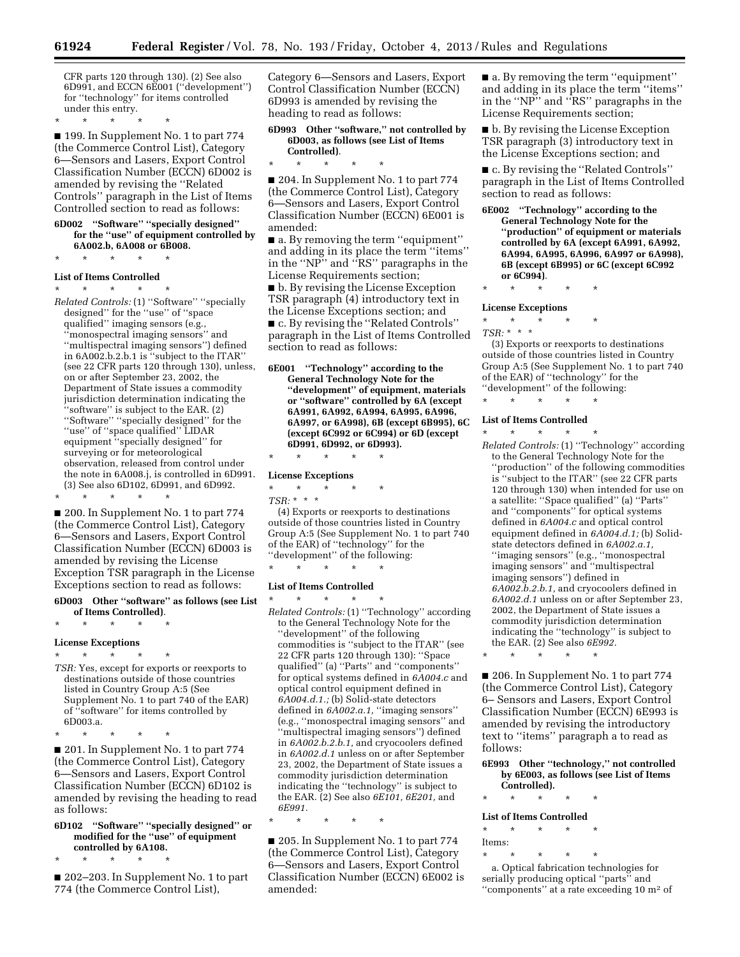CFR parts 120 through 130). (2) See also 6D991, and ECCN 6E001 (''development'') for ''technology'' for items controlled under this entry.

\* \* \* \* \*

■ 199. In Supplement No. 1 to part 774 (the Commerce Control List), Category 6—Sensors and Lasers, Export Control Classification Number (ECCN) 6D002 is amended by revising the ''Related Controls'' paragraph in the List of Items Controlled section to read as follows:

#### **6D002 ''Software'' ''specially designed'' for the ''use'' of equipment controlled by 6A002.b, 6A008 or 6B008.**

\* \* \* \* \*

### **List of Items Controlled**

\* \* \* \* \* *Related Controls:* (1) ''Software'' ''specially designed'' for the ''use'' of ''space qualified'' imaging sensors (e.g., ''monospectral imaging sensors'' and ''multispectral imaging sensors'') defined in 6A002.b.2.b.1 is ''subject to the ITAR'' (see 22 CFR parts 120 through 130), unless, on or after September 23, 2002, the Department of State issues a commodity jurisdiction determination indicating the ''software'' is subject to the EAR. (2) ''Software'' ''specially designed'' for the "use" of "space qualified" LIDAR equipment ''specially designed'' for surveying or for meteorological observation, released from control under the note in 6A008.j, is controlled in 6D991. (3) See also 6D102, 6D991, and 6D992. \* \* \* \* \*

■ 200. In Supplement No. 1 to part 774 (the Commerce Control List), Category 6—Sensors and Lasers, Export Control Classification Number (ECCN) 6D003 is amended by revising the License Exception TSR paragraph in the License Exceptions section to read as follows:

#### **6D003 Other ''software'' as follows (see List of Items Controlled)**.

\* \* \* \* \*

### **License Exceptions**

### \* \* \* \* \*

- *TSR:* Yes, except for exports or reexports to destinations outside of those countries listed in Country Group A:5 (See Supplement No. 1 to part 740 of the EAR) of ''software'' for items controlled by 6D003.a.
- \* \* \* \* \*

■ 201. In Supplement No. 1 to part 774 (the Commerce Control List), Category 6—Sensors and Lasers, Export Control Classification Number (ECCN) 6D102 is amended by revising the heading to read as follows:

### **6D102 ''Software'' ''specially designed'' or modified for the ''use'' of equipment controlled by 6A108.**

\* \* \* \* \*

■ 202-203. In Supplement No. 1 to part 774 (the Commerce Control List),

Category 6—Sensors and Lasers, Export Control Classification Number (ECCN) 6D993 is amended by revising the heading to read as follows:

#### **6D993 Other ''software,'' not controlled by 6D003, as follows (see List of Items Controlled)**.

\* \* \* \* \*

■ 204. In Supplement No. 1 to part 774 (the Commerce Control List), Category 6—Sensors and Lasers, Export Control Classification Number (ECCN) 6E001 is amended:

■ a. By removing the term "equipment" and adding in its place the term ''items'' in the ''NP'' and ''RS'' paragraphs in the License Requirements section;

■ b. By revising the License Exception TSR paragraph (4) introductory text in the License Exceptions section; and ■ c. By revising the ''Related Controls'' paragraph in the List of Items Controlled section to read as follows:

**6E001 ''Technology'' according to the General Technology Note for the ''development'' of equipment, materials or ''software'' controlled by 6A (except 6A991, 6A992, 6A994, 6A995, 6A996, 6A997, or 6A998), 6B (except 6B995), 6C (except 6C992 or 6C994) or 6D (except 6D991, 6D992, or 6D993).** 

## \* \* \* \* \*

- **License Exceptions**  \* \* \* \* \*
- *TSR:* \* \* \*

(4) Exports or reexports to destinations outside of those countries listed in Country Group A:5 (See Supplement No. 1 to part 740 of the EAR) of ''technology'' for the ''development'' of the following:

### \* \* \* \* \*

- **List of Items Controlled**  \* \* \* \* \*
- *Related Controls:* (1) ''Technology'' according to the General Technology Note for the ''development'' of the following commodities is ''subject to the ITAR'' (see 22 CFR parts 120 through 130): ''Space qualified'' (a) ''Parts'' and ''components'' for optical systems defined in *6A004.c* and optical control equipment defined in *6A004.d.1.;* (b) Solid-state detectors defined in *6A002.a.1,* ''imaging sensors'' (e.g., ''monospectral imaging sensors'' and ''multispectral imaging sensors'') defined in *6A002.b.2.b.1,* and cryocoolers defined in *6A002.d.1* unless on or after September 23, 2002, the Department of State issues a commodity jurisdiction determination indicating the ''technology'' is subject to the EAR. (2) See also *6E101, 6E201,* and *6E991.*

\* \* \* \* \*

■ 205. In Supplement No. 1 to part 774 (the Commerce Control List), Category 6—Sensors and Lasers, Export Control Classification Number (ECCN) 6E002 is amended:

■ a. By removing the term "equipment" and adding in its place the term ''items'' in the ''NP'' and ''RS'' paragraphs in the License Requirements section;

■ b. By revising the License Exception TSR paragraph (3) introductory text in the License Exceptions section; and

■ c. By revising the "Related Controls" paragraph in the List of Items Controlled section to read as follows:

**6E002 ''Technology'' according to the General Technology Note for the ''production'' of equipment or materials controlled by 6A (except 6A991, 6A992, 6A994, 6A995, 6A996, 6A997 or 6A998), 6B (except 6B995) or 6C (except 6C992 or 6C994)**.

### \* \* \* \* \*

#### **License Exceptions**

\* \* \* \* \*

*TSR:* \* \* \* (3) Exports or reexports to destinations outside of those countries listed in Country Group A:5 (See Supplement No. 1 to part 740 of the EAR) of ''technology'' for the ''development'' of the following:

\* \* \* \* \*

#### **List of Items Controlled**

\* \* \* \* \* *Related Controls:* (1) ''Technology'' according to the General Technology Note for the ''production'' of the following commodities is ''subject to the ITAR'' (see 22 CFR parts 120 through 130) when intended for use on a satellite: ''Space qualified'' (a) ''Parts'' and ''components'' for optical systems defined in *6A004.c* and optical control equipment defined in *6A004.d.1;* (b) Solidstate detectors defined in *6A002.a.1,*  ''imaging sensors'' (e.g., ''monospectral imaging sensors'' and ''multispectral imaging sensors'') defined in *6A002.b.2.b.1,* and cryocoolers defined in *6A002.d.1* unless on or after September 23, 2002, the Department of State issues a commodity jurisdiction determination indicating the ''technology'' is subject to the EAR. (2) See also *6E992.* 

\* \* \* \* \*

■ 206. In Supplement No. 1 to part 774 (the Commerce Control List), Category 6– Sensors and Lasers, Export Control Classification Number (ECCN) 6E993 is amended by revising the introductory text to ''items'' paragraph a to read as follows:

#### **6E993 Other ''technology,'' not controlled by 6E003, as follows (see List of Items Controlled).**

\* \* \* \* \*

**List of Items Controlled** 

### \* \* \* \* \*

Items:

\* \* \* \* \* a. Optical fabrication technologies for serially producing optical "parts" and ''components'' at a rate exceeding 10 m2 of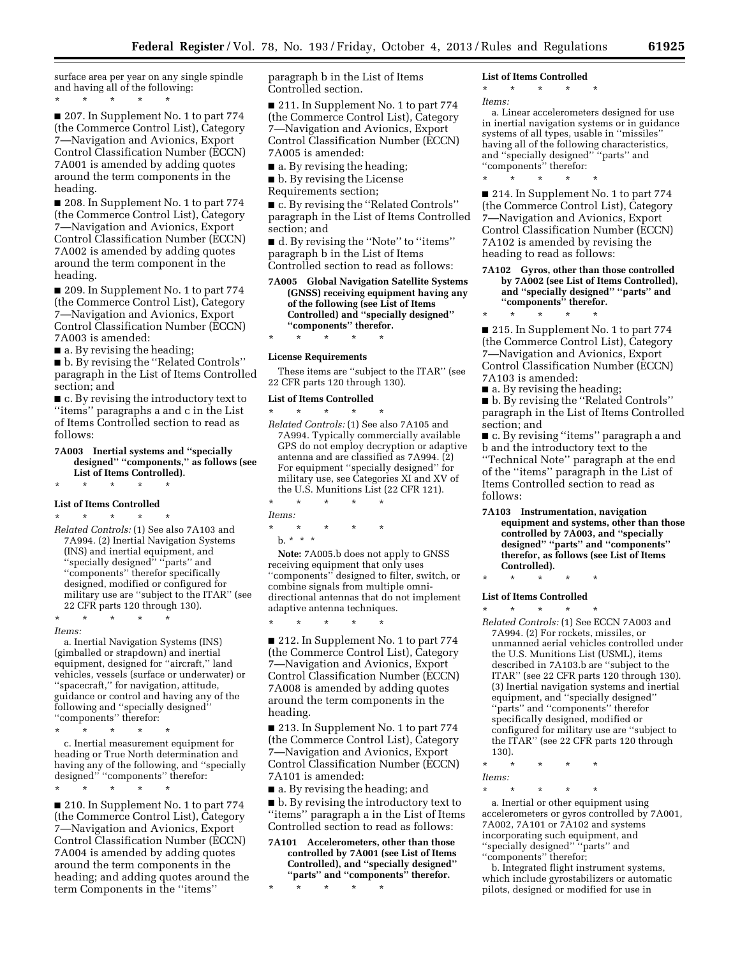surface area per year on any single spindle and having all of the following: \* \* \* \* \*

■ 207. In Supplement No. 1 to part 774 (the Commerce Control List), Category 7—Navigation and Avionics, Export Control Classification Number (ECCN) 7A001 is amended by adding quotes around the term components in the heading.

■ 208. In Supplement No. 1 to part 774 (the Commerce Control List), Category 7—Navigation and Avionics, Export Control Classification Number (ECCN) 7A002 is amended by adding quotes around the term component in the heading.

■ 209. In Supplement No. 1 to part 774 (the Commerce Control List), Category 7—Navigation and Avionics, Export Control Classification Number (ECCN) 7A003 is amended:

■ a. By revising the heading;

■ b. By revising the "Related Controls" paragraph in the List of Items Controlled section; and

■ c. By revising the introductory text to ''items'' paragraphs a and c in the List of Items Controlled section to read as follows:

**7A003 Inertial systems and ''specially designed'' ''components,'' as follows (see List of Items Controlled).** 

### \* \* \* \* \* **List of Items Controlled**

\* \* \* \* \*

*Related Controls:* (1) See also 7A103 and 7A994. (2) Inertial Navigation Systems (INS) and inertial equipment, and ''specially designed'' ''parts'' and ''components'' therefor specifically designed, modified or configured for military use are ''subject to the ITAR'' (see 22 CFR parts 120 through 130).

*Items:* 

a. Inertial Navigation Systems (INS) (gimballed or strapdown) and inertial equipment, designed for ''aircraft,'' land vehicles, vessels (surface or underwater) or ''spacecraft,'' for navigation, attitude, guidance or control and having any of the following and ''specially designed'' "components" therefor:

\* \* \* \* \*

\* \* \* \* \*

c. Inertial measurement equipment for heading or True North determination and having any of the following, and ''specially designed'' ''components'' therefor: \* \* \* \* \*

■ 210. In Supplement No. 1 to part 774 (the Commerce Control List), Category 7—Navigation and Avionics, Export Control Classification Number (ECCN) 7A004 is amended by adding quotes around the term components in the heading; and adding quotes around the term Components in the ''items''

paragraph b in the List of Items Controlled section.

■ 211. In Supplement No. 1 to part 774 (the Commerce Control List), Category 7—Navigation and Avionics, Export Control Classification Number (ECCN) 7A005 is amended:

■ a. By revising the heading;

■ b. By revising the License

Requirements section;

■ c. By revising the "Related Controls" paragraph in the List of Items Controlled section; and

■ d. By revising the "Note" to "items" paragraph b in the List of Items Controlled section to read as follows:

#### **7A005 Global Navigation Satellite Systems (GNSS) receiving equipment having any of the following (see List of Items Controlled) and ''specially designed'' ''components'' therefor.**  \* \* \* \* \*

#### **License Requirements**

These items are ''subject to the ITAR'' (see 22 CFR parts 120 through 130).

#### **List of Items Controlled**

\* \* \* \* \* *Related Controls:* (1) See also 7A105 and 7A994. Typically commercially available GPS do not employ decryption or adaptive antenna and are classified as 7A994. (2) For equipment ''specially designed'' for military use, see Categories XI and XV of the U.S. Munitions List (22 CFR 121). \* \* \* \* \*

*Items:* 

\* \* \* \* \*

b. \* \* \*

**Note:** 7A005.b does not apply to GNSS receiving equipment that only uses ''components'' designed to filter, switch, or combine signals from multiple omnidirectional antennas that do not implement adaptive antenna techniques.

\* \* \* \* \*

■ 212. In Supplement No. 1 to part 774 (the Commerce Control List), Category 7—Navigation and Avionics, Export Control Classification Number (ECCN) 7A008 is amended by adding quotes around the term components in the heading.

■ 213. In Supplement No. 1 to part 774 (the Commerce Control List), Category 7—Navigation and Avionics, Export Control Classification Number (ECCN) 7A101 is amended:

■ a. By revising the heading; and

■ b. By revising the introductory text to ''items'' paragraph a in the List of Items Controlled section to read as follows:

**7A101 Accelerometers, other than those controlled by 7A001 (see List of Items Controlled), and ''specially designed'' ''parts'' and ''components'' therefor.** 

\* \* \* \* \*

#### **List of Items Controlled**

\* \* \* \* \*

*Items:* 

a. Linear accelerometers designed for use in inertial navigation systems or in guidance systems of all types, usable in ''missiles'' having all of the following characteristics, and ''specially designed'' ''parts'' and ''components'' therefor: \* \* \* \* \*

■ 214. In Supplement No. 1 to part 774 (the Commerce Control List), Category 7—Navigation and Avionics, Export Control Classification Number (ECCN) 7A102 is amended by revising the heading to read as follows:

**7A102 Gyros, other than those controlled by 7A002 (see List of Items Controlled), and ''specially designed'' ''parts'' and ''components'' therefor.** 

\* \* \* \* \* ■ 215. In Supplement No. 1 to part 774 (the Commerce Control List), Category 7—Navigation and Avionics, Export Control Classification Number (ECCN) 7A103 is amended:

■ a. By revising the heading;

■ b. By revising the ''Related Controls'' paragraph in the List of Items Controlled section; and

■ c. By revising "items" paragraph a and b and the introductory text to the

''Technical Note'' paragraph at the end of the ''items'' paragraph in the List of Items Controlled section to read as follows:

**7A103 Instrumentation, navigation equipment and systems, other than those controlled by 7A003, and ''specially designed'' ''parts'' and ''components'' therefor, as follows (see List of Items Controlled).** 

\* \* \* \* \*

#### **List of Items Controlled**  \* \* \* \* \*

*Related Controls:* (1) See ECCN 7A003 and 7A994. (2) For rockets, missiles, or unmanned aerial vehicles controlled under the U.S. Munitions List (USML), items described in 7A103.b are ''subject to the ITAR'' (see 22 CFR parts 120 through 130). (3) Inertial navigation systems and inertial equipment, and ''specially designed'' ''parts'' and ''components'' therefor specifically designed, modified or configured for military use are ''subject to the ITAR'' (see 22 CFR parts 120 through 130).

\* \* \* \* \* *Items:* 

\* \* \* \* \*

a. Inertial or other equipment using accelerometers or gyros controlled by 7A001, 7A002, 7A101 or 7A102 and systems incorporating such equipment, and ''specially designed'' ''parts'' and ''components'' therefor;

b. Integrated flight instrument systems, which include gyrostabilizers or automatic pilots, designed or modified for use in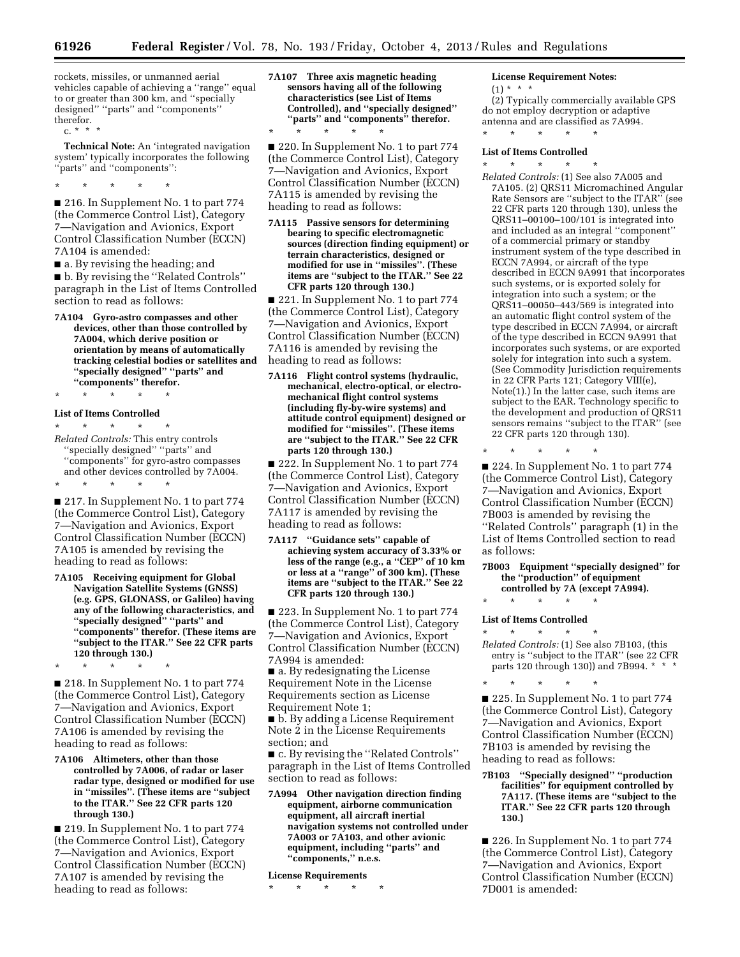rockets, missiles, or unmanned aerial vehicles capable of achieving a ''range'' equal to or greater than 300 km, and ''specially designed'' ''parts'' and ''components'' therefor. c. \* \* \*

**Technical Note:** An 'integrated navigation system' typically incorporates the following ''parts'' and ''components'':

\* \* \* \* \*

■ 216. In Supplement No. 1 to part 774 (the Commerce Control List), Category 7—Navigation and Avionics, Export Control Classification Number (ECCN) 7A104 is amended:

■ a. By revising the heading; and

■ b. By revising the "Related Controls" paragraph in the List of Items Controlled section to read as follows:

**7A104 Gyro-astro compasses and other devices, other than those controlled by 7A004, which derive position or orientation by means of automatically tracking celestial bodies or satellites and ''specially designed'' ''parts'' and ''components'' therefor.** 

\* \* \* \* \*

#### **List of Items Controlled**

\* \* \* \* \*

\* \* \* \* \* *Related Controls:* This entry controls ''specially designed'' ''parts'' and ''components'' for gyro-astro compasses and other devices controlled by 7A004.

■ 217. In Supplement No. 1 to part 774 (the Commerce Control List), Category 7—Navigation and Avionics, Export Control Classification Number (ECCN) 7A105 is amended by revising the heading to read as follows:

**7A105 Receiving equipment for Global Navigation Satellite Systems (GNSS) (e.g. GPS, GLONASS, or Galileo) having any of the following characteristics, and ''specially designed'' ''parts'' and ''components'' therefor. (These items are ''subject to the ITAR.'' See 22 CFR parts 120 through 130.)** 

\* \* \* \* \*

■ 218. In Supplement No. 1 to part 774 (the Commerce Control List), Category 7—Navigation and Avionics, Export Control Classification Number (ECCN) 7A106 is amended by revising the heading to read as follows:

**7A106 Altimeters, other than those controlled by 7A006, of radar or laser radar type, designed or modified for use in ''missiles''. (These items are ''subject to the ITAR.'' See 22 CFR parts 120 through 130.)** 

■ 219. In Supplement No. 1 to part 774 (the Commerce Control List), Category 7—Navigation and Avionics, Export Control Classification Number (ECCN) 7A107 is amended by revising the heading to read as follows:

**7A107 Three axis magnetic heading sensors having all of the following characteristics (see List of Items Controlled), and ''specially designed'' ''parts'' and ''components'' therefor.**  \* \* \* \* \*

■ 220. In Supplement No. 1 to part 774 (the Commerce Control List), Category 7—Navigation and Avionics, Export Control Classification Number (ECCN) 7A115 is amended by revising the heading to read as follows:

**7A115 Passive sensors for determining bearing to specific electromagnetic sources (direction finding equipment) or terrain characteristics, designed or modified for use in ''missiles''. (These items are ''subject to the ITAR.'' See 22 CFR parts 120 through 130.)** 

■ 221. In Supplement No. 1 to part 774 (the Commerce Control List), Category 7—Navigation and Avionics, Export Control Classification Number (ECCN) 7A116 is amended by revising the heading to read as follows:

**7A116 Flight control systems (hydraulic, mechanical, electro-optical, or electromechanical flight control systems (including fly-by-wire systems) and attitude control equipment) designed or modified for ''missiles''. (These items are ''subject to the ITAR.'' See 22 CFR parts 120 through 130.)** 

■ 222. In Supplement No. 1 to part 774 (the Commerce Control List), Category 7—Navigation and Avionics, Export Control Classification Number (ECCN) 7A117 is amended by revising the heading to read as follows:

**7A117 ''Guidance sets'' capable of achieving system accuracy of 3.33% or less of the range (e.g., a ''CEP'' of 10 km or less at a ''range'' of 300 km). (These items are ''subject to the ITAR.'' See 22 CFR parts 120 through 130.)** 

■ 223. In Supplement No. 1 to part 774 (the Commerce Control List), Category 7—Navigation and Avionics, Export Control Classification Number (ECCN) 7A994 is amended:

■ a. By redesignating the License Requirement Note in the License Requirements section as License Requirement Note 1;

■ b. By adding a License Requirement Note 2 in the License Requirements section; and

■ c. By revising the "Related Controls" paragraph in the List of Items Controlled section to read as follows:

**7A994 Other navigation direction finding equipment, airborne communication equipment, all aircraft inertial navigation systems not controlled under 7A003 or 7A103, and other avionic equipment, including ''parts'' and ''components,'' n.e.s.** 

**License Requirements** 

\* \* \* \* \*

**License Requirement Notes:** 

 $(1) * * * *$ 

(2) Typically commercially available GPS do not employ decryption or adaptive antenna and are classified as 7A994. \* \* \* \* \*

**List of Items Controlled**  \* \* \* \* \*

*Related Controls:* (1) See also 7A005 and 7A105. (2) QRS11 Micromachined Angular Rate Sensors are ''subject to the ITAR'' (see 22 CFR parts 120 through 130), unless the QRS11–00100–100/101 is integrated into and included as an integral ''component'' of a commercial primary or standby instrument system of the type described in ECCN 7A994, or aircraft of the type described in ECCN 9A991 that incorporates such systems, or is exported solely for integration into such a system; or the QRS11–00050–443/569 is integrated into an automatic flight control system of the type described in ECCN 7A994, or aircraft of the type described in ECCN 9A991 that incorporates such systems, or are exported solely for integration into such a system. (See Commodity Jurisdiction requirements in 22 CFR Parts 121; Category VIII(e), Note(1).) In the latter case, such items are subject to the EAR. Technology specific to the development and production of QRS11 sensors remains ''subject to the ITAR'' (see 22 CFR parts 120 through 130).

\* \* \* \* \*

■ 224. In Supplement No. 1 to part 774 (the Commerce Control List), Category 7—Navigation and Avionics, Export Control Classification Number (ECCN) 7B003 is amended by revising the ''Related Controls'' paragraph (1) in the List of Items Controlled section to read as follows:

**7B003 Equipment ''specially designed'' for the ''production'' of equipment controlled by 7A (except 7A994).** 

\* \* \* \* \* **List of Items Controlled** 

\* \* \* \* \* *Related Controls:* (1) See also 7B103, (this entry is ''subject to the ITAR'' (see 22 CFR parts 120 through 130)) and 7B994. \* \* \*

\* \* \* \* \* ■ 225. In Supplement No. 1 to part 774 (the Commerce Control List), Category 7—Navigation and Avionics, Export Control Classification Number (ECCN) 7B103 is amended by revising the heading to read as follows:

**7B103 ''Specially designed'' ''production facilities'' for equipment controlled by 7A117. (These items are ''subject to the ITAR.'' See 22 CFR parts 120 through 130.)** 

■ 226. In Supplement No. 1 to part 774 (the Commerce Control List), Category 7—Navigation and Avionics, Export Control Classification Number (ECCN) 7D001 is amended: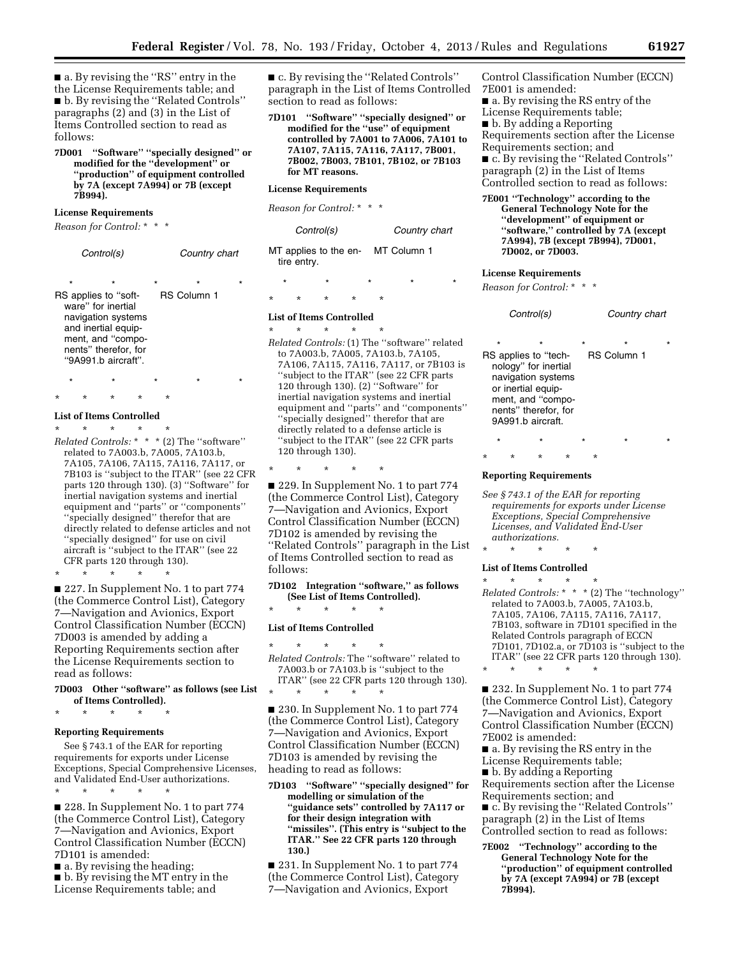■ a. By revising the "RS" entry in the the License Requirements table; and ■ b. By revising the "Related Controls" paragraphs (2) and (3) in the List of Items Controlled section to read as follows:

**7D001 ''Software'' ''specially designed'' or modified for the ''development'' or ''production'' of equipment controlled by 7A (except 7A994) or 7B (except 7B994).** 

#### **License Requirements**

*Reason for Control:* \* \* \*

|         | Control(s)                                                                                                                                                       |         | Country chart           |  |
|---------|------------------------------------------------------------------------------------------------------------------------------------------------------------------|---------|-------------------------|--|
| $\star$ | ÷<br>RS applies to "soft-<br>ware" for inertial<br>navigation systems<br>and inertial equip-<br>ment, and "compo-<br>nents" therefor, for<br>"9A991.b aircraft". | $\star$ | ÷<br><b>RS Column 1</b> |  |
|         |                                                                                                                                                                  |         |                         |  |

### \* \* \* \* \* **List of Items Controlled**

\* \* \* \* \* *Related Controls:* \* \* \* (2) The ''software'' related to 7A003.b, 7A005, 7A103.b, 7A105, 7A106, 7A115, 7A116, 7A117, or 7B103 is ''subject to the ITAR'' (see 22 CFR parts 120 through 130). (3) ''Software'' for inertial navigation systems and inertial equipment and ''parts'' or ''components'' ''specially designed'' therefor that are directly related to defense articles and not ''specially designed'' for use on civil aircraft is ''subject to the ITAR'' (see 22 CFR parts 120 through 130).

\* \* \* \* \* ■ 227. In Supplement No. 1 to part 774 (the Commerce Control List), Category 7—Navigation and Avionics, Export Control Classification Number (ECCN) 7D003 is amended by adding a Reporting Requirements section after the License Requirements section to read as follows:

#### **7D003 Other ''software'' as follows (see List of Items Controlled).**

\* \* \* \* \*

#### **Reporting Requirements**

See § 743.1 of the EAR for reporting requirements for exports under License Exceptions, Special Comprehensive Licenses, and Validated End-User authorizations. \* \* \* \* \*

■ 228. In Supplement No. 1 to part 774 (the Commerce Control List), Category 7—Navigation and Avionics, Export Control Classification Number (ECCN) 7D101 is amended:

■ a. By revising the heading;

■ b. By revising the MT entry in the License Requirements table; and

■ c. By revising the "Related Controls" paragraph in the List of Items Controlled section to read as follows:

**7D101 ''Software'' ''specially designed'' or modified for the ''use'' of equipment controlled by 7A001 to 7A006, 7A101 to 7A107, 7A115, 7A116, 7A117, 7B001, 7B002, 7B003, 7B101, 7B102, or 7B103 for MT reasons.** 

#### **License Requirements**

*Reason for Control:* \* \* \*

| Control(s)                                       | Country chart |
|--------------------------------------------------|---------------|
| MT applies to the en- MT Column 1<br>tire entry. |               |

### \* \* \* \* \* \* \* \* \* \*

### **List of Items Controlled**

\* \* \* \* \* *Related Controls:* (1) The ''software'' related to 7A003.b, 7A005, 7A103.b, 7A105, 7A106, 7A115, 7A116, 7A117, or 7B103 is ''subject to the ITAR'' (see 22 CFR parts 120 through 130). (2) ''Software'' for inertial navigation systems and inertial equipment and ''parts'' and ''components'' ''specially designed'' therefor that are directly related to a defense article is ''subject to the ITAR'' (see 22 CFR parts 120 through 130).

\* \* \* \* \*

■ 229. In Supplement No. 1 to part 774 (the Commerce Control List), Category 7—Navigation and Avionics, Export Control Classification Number (ECCN) 7D102 is amended by revising the ''Related Controls'' paragraph in the List of Items Controlled section to read as follows:

**7D102 Integration ''software,'' as follows (See List of Items Controlled).** 

### \* \* \* \* \* **List of Items Controlled**

\* \* \* \* \* *Related Controls:* The ''software'' related to 7A003.b or 7A103.b is ''subject to the ITAR'' (see 22 CFR parts 120 through 130). \* \* \* \* \*

■ 230. In Supplement No. 1 to part 774 (the Commerce Control List), Category 7—Navigation and Avionics, Export Control Classification Number (ECCN) 7D103 is amended by revising the heading to read as follows:

**7D103 ''Software'' ''specially designed'' for modelling or simulation of the ''guidance sets'' controlled by 7A117 or for their design integration with ''missiles''. (This entry is ''subject to the ITAR.'' See 22 CFR parts 120 through 130.)** 

■ 231. In Supplement No. 1 to part 774 (the Commerce Control List), Category 7—Navigation and Avionics, Export

Control Classification Number (ECCN) 7E001 is amended:

■ a. By revising the RS entry of the License Requirements table; ■ b. By adding a Reporting Requirements section after the License Requirements section; and ■ c. By revising the "Related Controls"

paragraph (2) in the List of Items Controlled section to read as follows:

**7E001 ''Technology'' according to the General Technology Note for the ''development'' of equipment or ''software,'' controlled by 7A (except 7A994), 7B (except 7B994), 7D001, 7D002, or 7D003.** 

#### **License Requirements**

*Reason for Control:* \* \* \*

| Control(s)                                                                                                                                                            | Country chart                |
|-----------------------------------------------------------------------------------------------------------------------------------------------------------------------|------------------------------|
| $\star$<br>RS applies to "tech-<br>nology" for inertial<br>navigation systems<br>or inertial equip-<br>ment, and "compo-<br>nents" therefor, for<br>9A991 b aircraft. | ÷<br>÷<br><b>RS Column 1</b> |

\* \* \* \* \*

### \* \* \* \* \* **Reporting Requirements**

*See § 743.1 of the EAR for reporting requirements for exports under License Exceptions, Special Comprehensive Licenses, and Validated End-User authorizations.* 

### \* \* \* \* \* **List of Items Controlled**

\* \* \* \* \*

\* \* \* \* \* *Related Controls:* \* \* \* (2) The ''technology'' related to 7A003.b, 7A005, 7A103.b, 7A105, 7A106, 7A115, 7A116, 7A117, 7B103, software in 7D101 specified in the Related Controls paragraph of ECCN 7D101, 7D102.a, or 7D103 is ''subject to the ITAR'' (see 22 CFR parts 120 through 130).

■ 232. In Supplement No. 1 to part 774 (the Commerce Control List), Category 7—Navigation and Avionics, Export Control Classification Number (ECCN) 7E002 is amended:

■ a. By revising the RS entry in the License Requirements table;

■ b. By adding a Reporting Requirements section after the License Requirements section; and

■ c. By revising the "Related Controls" paragraph (2) in the List of Items Controlled section to read as follows:

**7E002 ''Technology'' according to the General Technology Note for the ''production'' of equipment controlled by 7A (except 7A994) or 7B (except 7B994).**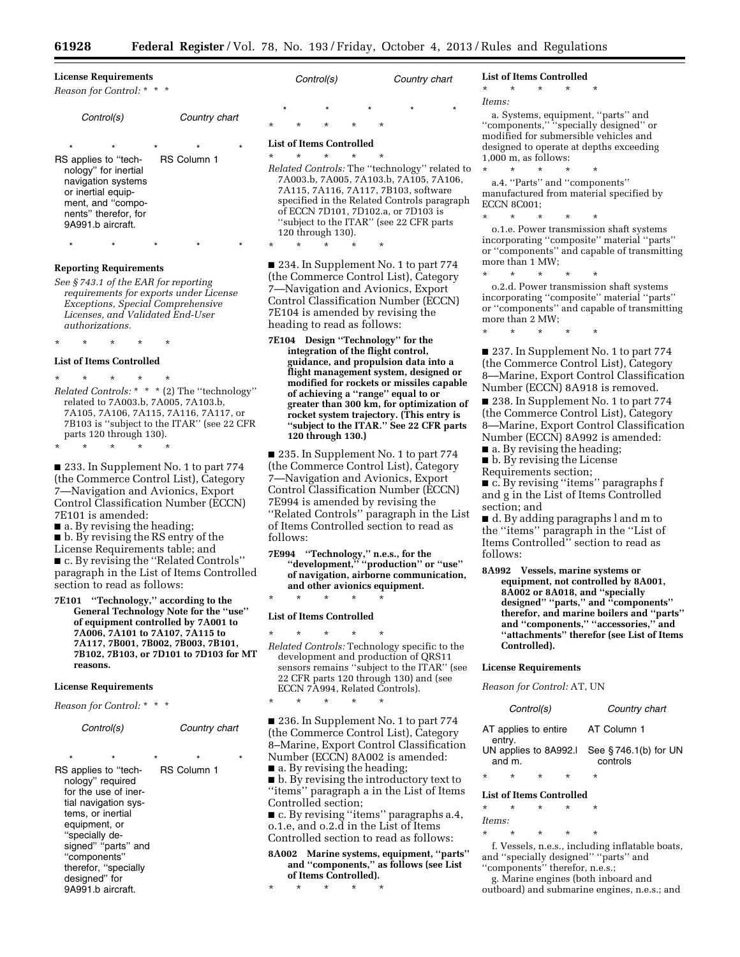| <b>License Requirements</b><br>Reason for Control: * * *                                                                                                               | C:oni                                    |                                                                                                             |
|------------------------------------------------------------------------------------------------------------------------------------------------------------------------|------------------------------------------|-------------------------------------------------------------------------------------------------------------|
| Control(s)                                                                                                                                                             | Country chart                            | $\star$<br>$\star$<br>$\star$                                                                               |
| $\star$<br>$\star$<br>$\star$<br>RS applies to "tech-<br>nology" for inertial<br>navigation systems<br>or inertial equip-<br>ment, and "compo-<br>nents" therefor, for | $\star$<br>$\star$<br><b>RS Column 1</b> | <b>List of Iten</b><br>÷<br>$\star$<br>Related Cc<br>7A003.b<br>7A115,7<br>specified<br>of ECCN<br>"subject |

#### **Reporting Requirements**

*See § 743.1 of the EAR for reporting requirements for exports under License Exceptions, Special Comprehensive Licenses, and Validated End-User authorizations.* 

\* \* \* \* \*

\* \* \* \* \*

\* \* \* \* \*

#### **List of Items Controlled**

\* \* \* \* \* *Related Controls:* \* \* \* (2) The ''technology'' related to 7A003.b, 7A005, 7A103.b, 7A105, 7A106, 7A115, 7A116, 7A117, or 7B103 is ''subject to the ITAR'' (see 22 CFR parts 120 through 130).

■ 233. In Supplement No. 1 to part 774 (the Commerce Control List), Category 7—Navigation and Avionics, Export Control Classification Number (ECCN) 7E101 is amended:

■ a. By revising the heading;

■ b. By revising the RS entry of the License Requirements table; and ■ c. By revising the ''Related Controls'' paragraph in the List of Items Controlled section to read as follows:

**7E101 ''Technology,'' according to the General Technology Note for the ''use'' of equipment controlled by 7A001 to 7A006, 7A101 to 7A107, 7A115 to 7A117, 7B001, 7B002, 7B003, 7B101, 7B102, 7B103, or 7D101 to 7D103 for MT reasons.** 

#### **License Requirements**

*Reason for Control:* \* \* \*

| Control(s)                                                                                                                          | Country chart                      |  |
|-------------------------------------------------------------------------------------------------------------------------------------|------------------------------------|--|
| $\star$<br>$\star$<br>RS applies to "tech-<br>nology" required<br>for the use of iner-<br>tial navigation sys-<br>tems, or inertial | $\star$<br>÷<br><b>RS Column 1</b> |  |
|                                                                                                                                     |                                    |  |

equipment, or ''specially designed" "parts" and ''components'' therefor, ''specially designed'' for

9A991.b aircraft.

| Control(s) |         |         |         | Country chart |         |         |
|------------|---------|---------|---------|---------------|---------|---------|
| $\star$    |         | $\star$ |         | $\star$       | $\star$ | $\star$ |
| $\star$    | $\star$ | $\star$ | $\star$ | $\star$       |         |         |

#### **List of Items Controlled**

\* \* \* \* \*

\* \* \* \* \* *Related Controls:* The ''technology'' related to 7A003.b, 7A005, 7A103.b, 7A105, 7A106, 7A115, 7A116, 7A117, 7B103, software d in the Related Controls paragraph 7D101, 7D102.a, or 7D103 is to the ITAR" (see 22 CFR parts 120 through 130).

■ 234. In Supplement No. 1 to part 774 (the Commerce Control List), Category 7—Navigation and Avionics, Export Control Classification Number (ECCN) 7E104 is amended by revising the heading to read as follows:

**7E104 Design ''Technology'' for the integration of the flight control, guidance, and propulsion data into a flight management system, designed or modified for rockets or missiles capable of achieving a ''range'' equal to or greater than 300 km, for optimization of rocket system trajectory. (This entry is ''subject to the ITAR.'' See 22 CFR parts 120 through 130.)** 

■ 235. In Supplement No. 1 to part 774 (the Commerce Control List), Category 7—Navigation and Avionics, Export Control Classification Number (ECCN) 7E994 is amended by revising the ''Related Controls'' paragraph in the List of Items Controlled section to read as follows:

**7E994 ''Technology,'' n.e.s., for the ''development,'' ''production'' or ''use'' of navigation, airborne communication, and other avionics equipment.** 

### \* \* \* \* \* **List of Items Controlled**

\* \* \* \* \*

\* \* \* \* \* *Related Controls:* Technology specific to the development and production of QRS11 sensors remains "subject to the ITAR" (see 22 CFR parts 120 through 130) and (see ECCN 7A994, Related Controls).

■ 236. In Supplement No. 1 to part 774 (the Commerce Control List), Category 8–Marine, Export Control Classification Number (ECCN) 8A002 is amended: ■ a. By revising the heading;

■ b. By revising the introductory text to ''items'' paragraph a in the List of Items Controlled section;

■ c. By revising "items" paragraphs a.4, o.1.e, and o.2.d in the List of Items Controlled section to read as follows:

**8A002 Marine systems, equipment, ''parts'' and ''components,'' as follows (see List of Items Controlled).** 

\* \* \* \* \*

#### **List of Items Controlled**

### \* \* \* \* \*

*Items:* 

a. Systems, equipment, ''parts'' and ''components,'' ''specially designed'' or modified for submersible vehicles and designed to operate at depths exceeding 1,000 m, as follows:

\* \* \* \* \* a.4. ''Parts'' and ''components'' manufactured from material specified by ECCN 8C001;

\* \* \* \* \* o.1.e. Power transmission shaft systems incorporating ''composite'' material ''parts'' or ''components'' and capable of transmitting more than 1 MW;

\* \* \* \* \* o.2.d. Power transmission shaft systems incorporating ''composite'' material ''parts'' or ''components'' and capable of transmitting more than 2 MW;

\* \* \* \* \*

■ 237. In Supplement No. 1 to part 774 (the Commerce Control List), Category 8—Marine, Export Control Classification Number (ECCN) 8A918 is removed.

■ 238. In Supplement No. 1 to part 774 (the Commerce Control List), Category 8—Marine, Export Control Classification Number (ECCN) 8A992 is amended:

■ a. By revising the heading;

■ b. By revising the License Requirements section;

■ c. By revising "items" paragraphs f and g in the List of Items Controlled

section; and

■ d. By adding paragraphs l and m to the ''items'' paragraph in the ''List of Items Controlled'' section to read as follows:

**8A992 Vessels, marine systems or equipment, not controlled by 8A001, 8A002 or 8A018, and ''specially designed'' ''parts,'' and ''components'' therefor, and marine boilers and ''parts'' and ''components,'' ''accessories,'' and ''attachments'' therefor (see List of Items Controlled).** 

#### **License Requirements**

*Reason for Control:* AT, UN

|                                 |        | Control(s) |   | Country chart                    |
|---------------------------------|--------|------------|---|----------------------------------|
| AT applies to entire<br>entry.  |        |            |   | AT Column 1                      |
| UN applies to 8A992.I<br>and m. |        |            |   | See §746.1(b) for UN<br>controls |
| $\star$                         | $\ast$ | ×          | * | *                                |

### **List of Items Controlled**

\* \* \* \* \* *Items:* 

\* \* \* \* \*

f. Vessels, n.e.s., including inflatable boats, and ''specially designed'' ''parts'' and ''components'' therefor, n.e.s.;

g. Marine engines (both inboard and

outboard) and submarine engines, n.e.s.; and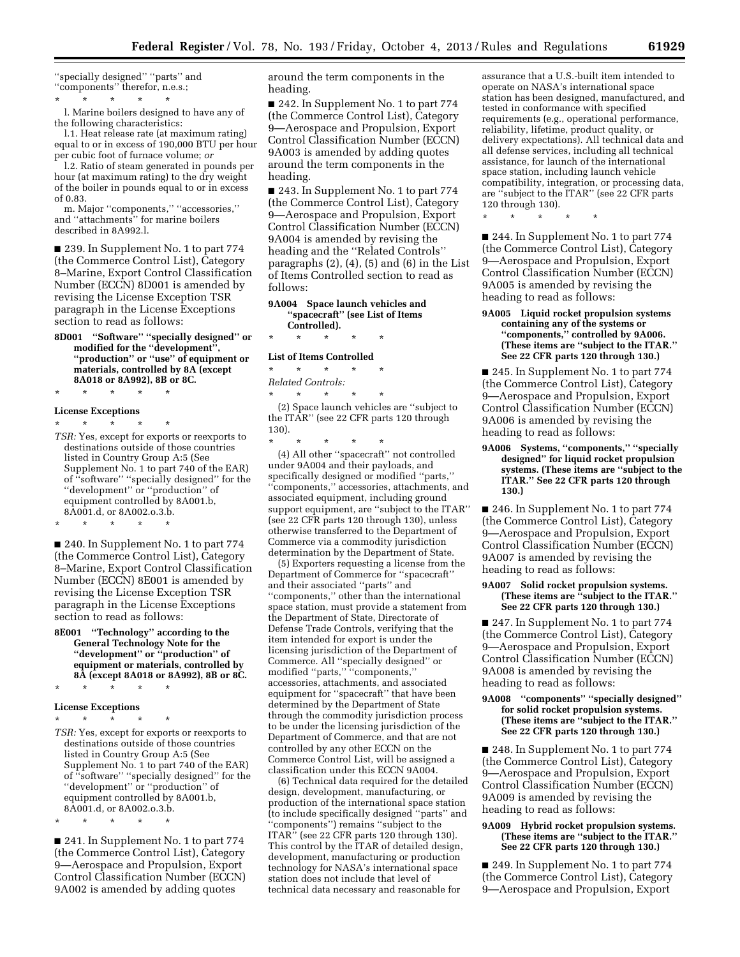''specially designed'' ''parts'' and ''components'' therefor, n.e.s.; \* \* \* \* \*

l. Marine boilers designed to have any of the following characteristics:

l.1. Heat release rate (at maximum rating) equal to or in excess of 190,000 BTU per hour per cubic foot of furnace volume; *or* 

l.2. Ratio of steam generated in pounds per hour (at maximum rating) to the dry weight of the boiler in pounds equal to or in excess of 0.83.

m. Major ''components,'' ''accessories,'' and ''attachments'' for marine boilers described in 8A992.l.

■ 239. In Supplement No. 1 to part 774 (the Commerce Control List), Category 8–Marine, Export Control Classification Number (ECCN) 8D001 is amended by revising the License Exception TSR paragraph in the License Exceptions section to read as follows:

**8D001 ''Software'' ''specially designed'' or modified for the ''development'', ''production'' or ''use'' of equipment or materials, controlled by 8A (except 8A018 or 8A992), 8B or 8C.** 

\* \* \* \* \*

#### **License Exceptions**

\* \* \* \* \*

*TSR:* Yes, except for exports or reexports to destinations outside of those countries listed in Country Group A:5 (See Supplement No. 1 to part 740 of the EAR) of ''software'' ''specially designed'' for the ''development'' or ''production'' of equipment controlled by 8A001.b, 8A001.d, or 8A002.o.3.b.

\* \* \* \* \*

■ 240. In Supplement No. 1 to part 774 (the Commerce Control List), Category 8–Marine, Export Control Classification Number (ECCN) 8E001 is amended by revising the License Exception TSR paragraph in the License Exceptions section to read as follows:

**8E001 ''Technology'' according to the General Technology Note for the ''development'' or ''production'' of equipment or materials, controlled by 8A (except 8A018 or 8A992), 8B or 8C.** 

#### **License Exceptions**

 $*$  \*

\* \* \* \* \*

*TSR:* Yes, except for exports or reexports to destinations outside of those countries listed in Country Group A:5 (See Supplement No. 1 to part 740 of the EAR) of ''software'' ''specially designed'' for the ''development'' or ''production'' of equipment controlled by 8A001.b, 8A001.d, or 8A002.o.3.b.

\* \* \* \* \*

■ 241. In Supplement No. 1 to part 774 (the Commerce Control List), Category 9—Aerospace and Propulsion, Export Control Classification Number (ECCN) 9A002 is amended by adding quotes

around the term components in the heading.

■ 242. In Supplement No. 1 to part 774 (the Commerce Control List), Category 9—Aerospace and Propulsion, Export Control Classification Number (ECCN) 9A003 is amended by adding quotes around the term components in the heading.

■ 243. In Supplement No. 1 to part 774 (the Commerce Control List), Category 9—Aerospace and Propulsion, Export Control Classification Number (ECCN) 9A004 is amended by revising the heading and the ''Related Controls'' paragraphs (2), (4), (5) and (6) in the List of Items Controlled section to read as follows:

**9A004 Space launch vehicles and ''spacecraft'' (see List of Items Controlled).** 

\* \* \* \* \*

#### **List of Items Controlled**  \* \* \* \* \*

*Related Controls:* 

\* \* \* \* \* (2) Space launch vehicles are ''subject to

the ITAR'' (see 22 CFR parts 120 through 130).

\* \* \* \* \* (4) All other ''spacecraft'' not controlled under 9A004 and their payloads, and specifically designed or modified ''parts,'' ''components,'' accessories, attachments, and associated equipment, including ground support equipment, are ''subject to the ITAR'' (see 22 CFR parts 120 through 130), unless otherwise transferred to the Department of Commerce via a commodity jurisdiction determination by the Department of State.

(5) Exporters requesting a license from the Department of Commerce for ''spacecraft'' and their associated ''parts'' and ''components,'' other than the international space station, must provide a statement from the Department of State, Directorate of Defense Trade Controls, verifying that the item intended for export is under the licensing jurisdiction of the Department of Commerce. All ''specially designed'' or modified ''parts,'' ''components,'' accessories, attachments, and associated equipment for ''spacecraft'' that have been determined by the Department of State through the commodity jurisdiction process to be under the licensing jurisdiction of the Department of Commerce, and that are not controlled by any other ECCN on the Commerce Control List, will be assigned a classification under this ECCN 9A004.

(6) Technical data required for the detailed design, development, manufacturing, or production of the international space station (to include specifically designed ''parts'' and ''components'') remains ''subject to the ITAR'' (see 22 CFR parts 120 through 130). This control by the ITAR of detailed design, development, manufacturing or production technology for NASA's international space station does not include that level of technical data necessary and reasonable for

assurance that a U.S.-built item intended to operate on NASA's international space station has been designed, manufactured, and tested in conformance with specified requirements (e.g., operational performance, reliability, lifetime, product quality, or delivery expectations). All technical data and all defense services, including all technical assistance, for launch of the international space station, including launch vehicle compatibility, integration, or processing data, are ''subject to the ITAR'' (see 22 CFR parts 120 through 130).

\* \* \* \* \*

■ 244. In Supplement No. 1 to part 774 (the Commerce Control List), Category 9—Aerospace and Propulsion, Export Control Classification Number (ECCN) 9A005 is amended by revising the heading to read as follows:

**9A005 Liquid rocket propulsion systems containing any of the systems or ''components,'' controlled by 9A006. (These items are ''subject to the ITAR.'' See 22 CFR parts 120 through 130.)** 

■ 245. In Supplement No. 1 to part 774 (the Commerce Control List), Category 9—Aerospace and Propulsion, Export Control Classification Number (ECCN) 9A006 is amended by revising the heading to read as follows:

**9A006 Systems, ''components,'' ''specially designed'' for liquid rocket propulsion systems. (These items are ''subject to the ITAR.'' See 22 CFR parts 120 through 130.)** 

■ 246. In Supplement No. 1 to part 774 (the Commerce Control List), Category 9—Aerospace and Propulsion, Export Control Classification Number (ECCN) 9A007 is amended by revising the heading to read as follows:

#### **9A007 Solid rocket propulsion systems. (These items are ''subject to the ITAR.'' See 22 CFR parts 120 through 130.)**

■ 247. In Supplement No. 1 to part 774 (the Commerce Control List), Category 9—Aerospace and Propulsion, Export Control Classification Number (ECCN) 9A008 is amended by revising the heading to read as follows:

**9A008 ''components'' ''specially designed'' for solid rocket propulsion systems. (These items are ''subject to the ITAR.'' See 22 CFR parts 120 through 130.)** 

■ 248. In Supplement No. 1 to part 774 (the Commerce Control List), Category 9—Aerospace and Propulsion, Export Control Classification Number (ECCN) 9A009 is amended by revising the heading to read as follows:

#### **9A009 Hybrid rocket propulsion systems. (These items are ''subject to the ITAR.'' See 22 CFR parts 120 through 130.)**

■ 249. In Supplement No. 1 to part 774 (the Commerce Control List), Category 9—Aerospace and Propulsion, Export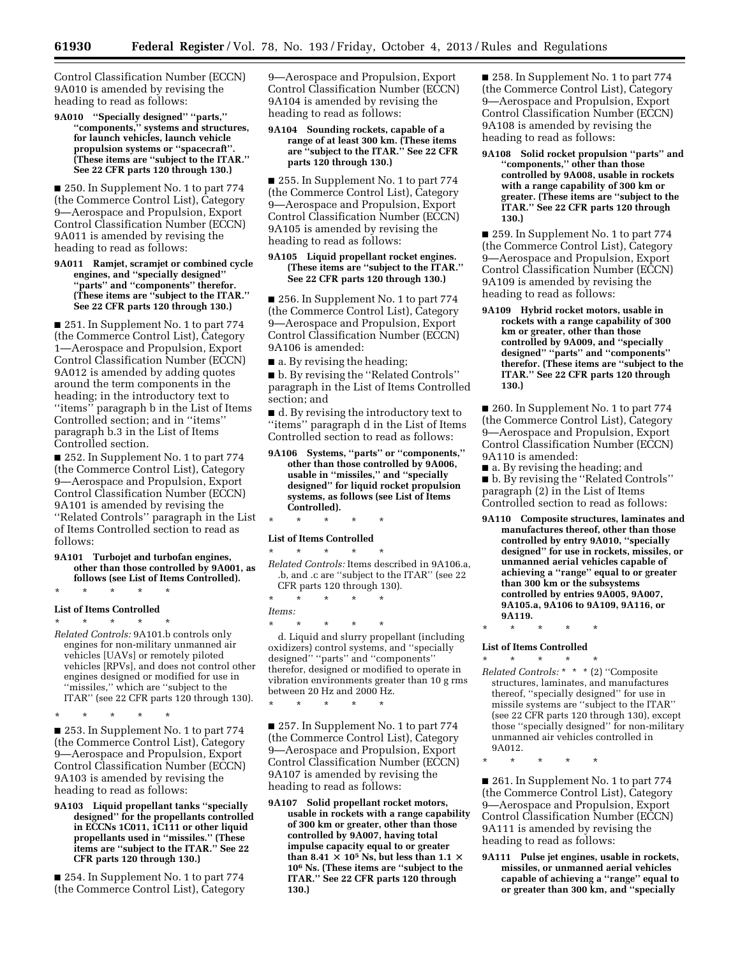Control Classification Number (ECCN) 9A010 is amended by revising the heading to read as follows:

**9A010 ''Specially designed'' ''parts,'' ''components,'' systems and structures, for launch vehicles, launch vehicle propulsion systems or ''spacecraft''. (These items are ''subject to the ITAR.'' See 22 CFR parts 120 through 130.)** 

■ 250. In Supplement No. 1 to part 774 (the Commerce Control List), Category 9—Aerospace and Propulsion, Export Control Classification Number (ECCN) 9A011 is amended by revising the heading to read as follows:

#### **9A011 Ramjet, scramjet or combined cycle engines, and ''specially designed'' ''parts'' and ''components'' therefor. (These items are ''subject to the ITAR.'' See 22 CFR parts 120 through 130.)**

■ 251. In Supplement No. 1 to part 774 (the Commerce Control List), Category 1—Aerospace and Propulsion, Export Control Classification Number (ECCN) 9A012 is amended by adding quotes around the term components in the heading; in the introductory text to ''items'' paragraph b in the List of Items Controlled section; and in ''items'' paragraph b.3 in the List of Items Controlled section.

■ 252. In Supplement No. 1 to part 774 (the Commerce Control List), Category 9—Aerospace and Propulsion, Export Control Classification Number (ECCN) 9A101 is amended by revising the ''Related Controls'' paragraph in the List of Items Controlled section to read as follows:

**9A101 Turbojet and turbofan engines, other than those controlled by 9A001, as follows (see List of Items Controlled).** 

### \* \* \* \* \* **List of Items Controlled**

\* \* \* \* \* *Related Controls:* 9A101.b controls only engines for non-military unmanned air vehicles [UAVs] or remotely piloted vehicles [RPVs], and does not control other engines designed or modified for use in ''missiles,'' which are ''subject to the ITAR'' (see 22 CFR parts 120 through 130).

\* \* \* \* \* ■ 253. In Supplement No. 1 to part 774 (the Commerce Control List), Category 9—Aerospace and Propulsion, Export Control Classification Number (ECCN) 9A103 is amended by revising the heading to read as follows:

**9A103 Liquid propellant tanks ''specially designed'' for the propellants controlled in ECCNs 1C011, 1C111 or other liquid propellants used in ''missiles.'' (These items are ''subject to the ITAR.'' See 22 CFR parts 120 through 130.)** 

■ 254. In Supplement No. 1 to part 774 (the Commerce Control List), Category 9—Aerospace and Propulsion, Export Control Classification Number (ECCN) 9A104 is amended by revising the heading to read as follows:

#### **9A104 Sounding rockets, capable of a range of at least 300 km. (These items are ''subject to the ITAR.'' See 22 CFR parts 120 through 130.)**

■ 255. In Supplement No. 1 to part 774 (the Commerce Control List), Category 9—Aerospace and Propulsion, Export Control Classification Number (ECCN) 9A105 is amended by revising the heading to read as follows:

#### **9A105 Liquid propellant rocket engines. (These items are ''subject to the ITAR.'' See 22 CFR parts 120 through 130.)**

■ 256. In Supplement No. 1 to part 774 (the Commerce Control List), Category 9—Aerospace and Propulsion, Export Control Classification Number (ECCN) 9A106 is amended:

■ a. By revising the heading;

■ b. By revising the "Related Controls" paragraph in the List of Items Controlled section; and

■ d. By revising the introductory text to ''items'' paragraph d in the List of Items Controlled section to read as follows:

**9A106 Systems, ''parts'' or ''components,'' other than those controlled by 9A006, usable in ''missiles,'' and ''specially designed'' for liquid rocket propulsion systems, as follows (see List of Items Controlled).** 

### \* \* \* \* \* **List of Items Controlled**

\* \* \* \* \*

- *Related Controls:* Items described in 9A106.a, .b, and .c are ''subject to the ITAR'' (see 22 CFR parts 120 through 130).
- \* \* \* \* \*
- *Items:*

\* \* \* \* \* d. Liquid and slurry propellant (including oxidizers) control systems, and ''specially designed'' ''parts'' and ''components'' therefor, designed or modified to operate in vibration environments greater than 10 g rms between 20 Hz and 2000 Hz.

\* \* \* \* \* ■ 257. In Supplement No. 1 to part 774

(the Commerce Control List), Category 9—Aerospace and Propulsion, Export Control Classification Number (ECCN) 9A107 is amended by revising the heading to read as follows:

**9A107 Solid propellant rocket motors, usable in rockets with a range capability of 300 km or greater, other than those controlled by 9A007, having total impulse capacity equal to or greater than 8.41**  $\times$  10<sup>5</sup> **Ns, but less than 1.1**  $\times$ **106 Ns. (These items are ''subject to the ITAR.'' See 22 CFR parts 120 through 130.)** 

■ 258. In Supplement No. 1 to part 774 (the Commerce Control List), Category 9—Aerospace and Propulsion, Export Control Classification Number (ECCN) 9A108 is amended by revising the heading to read as follows:

**9A108 Solid rocket propulsion ''parts'' and ''components,'' other than those controlled by 9A008, usable in rockets with a range capability of 300 km or greater. (These items are ''subject to the ITAR.'' See 22 CFR parts 120 through 130.)** 

■ 259. In Supplement No. 1 to part 774 (the Commerce Control List), Category 9—Aerospace and Propulsion, Export Control Classification Number (ECCN) 9A109 is amended by revising the heading to read as follows:

**9A109 Hybrid rocket motors, usable in rockets with a range capability of 300 km or greater, other than those controlled by 9A009, and ''specially designed'' ''parts'' and ''components'' therefor. (These items are ''subject to the ITAR.'' See 22 CFR parts 120 through 130.)** 

■ 260. In Supplement No. 1 to part 774 (the Commerce Control List), Category 9—Aerospace and Propulsion, Export Control Classification Number (ECCN) 9A110 is amended:

■ a. By revising the heading; and ■ b. By revising the "Related Controls" paragraph (2) in the List of Items Controlled section to read as follows:

**9A110 Composite structures, laminates and manufactures thereof, other than those controlled by entry 9A010, ''specially designed'' for use in rockets, missiles, or unmanned aerial vehicles capable of achieving a ''range'' equal to or greater than 300 km or the subsystems controlled by entries 9A005, 9A007, 9A105.a, 9A106 to 9A109, 9A116, or 9A119.** 

\* \* \* \* \* **List of Items Controlled** 

\* \* \* \* \* *Related Controls:* \* \* \* (2) ''Composite structures, laminates, and manufactures thereof, ''specially designed'' for use in missile systems are ''subject to the ITAR'' (see 22 CFR parts 120 through 130), except those ''specially designed'' for non-military unmanned air vehicles controlled in 9A012.

■ 261. In Supplement No. 1 to part 774 (the Commerce Control List), Category 9—Aerospace and Propulsion, Export Control Classification Number (ECCN) 9A111 is amended by revising the heading to read as follows:

**9A111 Pulse jet engines, usable in rockets, missiles, or unmanned aerial vehicles capable of achieving a ''range'' equal to or greater than 300 km, and ''specially** 

<sup>\* \* \* \* \*</sup>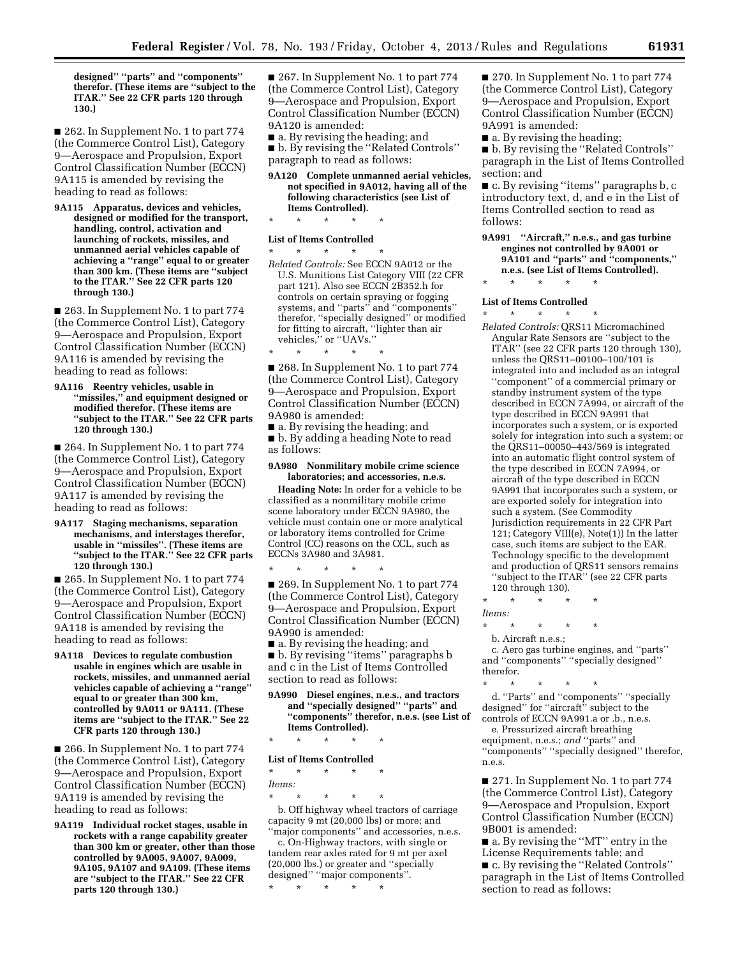**designed'' ''parts'' and ''components'' therefor. (These items are ''subject to the ITAR.'' See 22 CFR parts 120 through 130.)** 

■ 262. In Supplement No. 1 to part 774 (the Commerce Control List), Category 9—Aerospace and Propulsion, Export Control Classification Number (ECCN) 9A115 is amended by revising the heading to read as follows:

**9A115 Apparatus, devices and vehicles, designed or modified for the transport, handling, control, activation and launching of rockets, missiles, and unmanned aerial vehicles capable of achieving a ''range'' equal to or greater than 300 km. (These items are ''subject to the ITAR.'' See 22 CFR parts 120 through 130.)** 

■ 263. In Supplement No. 1 to part 774 (the Commerce Control List), Category 9—Aerospace and Propulsion, Export Control Classification Number (ECCN) 9A116 is amended by revising the heading to read as follows:

**9A116 Reentry vehicles, usable in ''missiles,'' and equipment designed or modified therefor. (These items are ''subject to the ITAR.'' See 22 CFR parts 120 through 130.)** 

■ 264. In Supplement No. 1 to part 774 (the Commerce Control List), Category 9—Aerospace and Propulsion, Export Control Classification Number (ECCN) 9A117 is amended by revising the heading to read as follows:

#### **9A117 Staging mechanisms, separation mechanisms, and interstages therefor, usable in ''missiles''. (These items are ''subject to the ITAR.'' See 22 CFR parts 120 through 130.)**

■ 265. In Supplement No. 1 to part 774 (the Commerce Control List), Category 9—Aerospace and Propulsion, Export Control Classification Number (ECCN) 9A118 is amended by revising the heading to read as follows:

**9A118 Devices to regulate combustion usable in engines which are usable in rockets, missiles, and unmanned aerial vehicles capable of achieving a ''range'' equal to or greater than 300 km, controlled by 9A011 or 9A111. (These items are ''subject to the ITAR.'' See 22 CFR parts 120 through 130.)** 

■ 266. In Supplement No. 1 to part 774 (the Commerce Control List), Category 9—Aerospace and Propulsion, Export Control Classification Number (ECCN) 9A119 is amended by revising the heading to read as follows:

**9A119 Individual rocket stages, usable in rockets with a range capability greater than 300 km or greater, other than those controlled by 9A005, 9A007, 9A009, 9A105, 9A107 and 9A109. (These items are ''subject to the ITAR.'' See 22 CFR parts 120 through 130.)** 

■ 267. In Supplement No. 1 to part 774 (the Commerce Control List), Category 9—Aerospace and Propulsion, Export Control Classification Number (ECCN) 9A120 is amended:

■ a. By revising the heading; and

■ b. By revising the "Related Controls" paragraph to read as follows:

#### **9A120 Complete unmanned aerial vehicles, not specified in 9A012, having all of the following characteristics (see List of Items Controlled).**

\* \* \* \* \*

\* \* \* \* \*

#### **List of Items Controlled**

\* \* \* \* \* *Related Controls:* See ECCN 9A012 or the U.S. Munitions List Category VIII (22 CFR part 121). Also see ECCN 2B352.h for controls on certain spraying or fogging systems, and ''parts'' and ''components'' therefor, ''specially designed'' or modified for fitting to aircraft, ''lighter than air vehicles," or "UAVs."

■ 268. In Supplement No. 1 to part 774 (the Commerce Control List), Category 9—Aerospace and Propulsion, Export Control Classification Number (ECCN) 9A980 is amended:

■ a. By revising the heading; and ■ b. By adding a heading Note to read as follows:

#### **9A980 Nonmilitary mobile crime science laboratories; and accessories, n.e.s.**

**Heading Note:** In order for a vehicle to be classified as a nonmilitary mobile crime scene laboratory under ECCN 9A980, the vehicle must contain one or more analytical or laboratory items controlled for Crime Control (CC) reasons on the CCL, such as ECCNs 3A980 and 3A981.

\* \* \* \* \*

■ 269. In Supplement No. 1 to part 774 (the Commerce Control List), Category 9—Aerospace and Propulsion, Export Control Classification Number (ECCN) 9A990 is amended:

■ a. By revising the heading; and ■ b. By revising "items" paragraphs b and c in the List of Items Controlled section to read as follows:

**9A990 Diesel engines, n.e.s., and tractors and ''specially designed'' ''parts'' and ''components'' therefor, n.e.s. (see List of Items Controlled).** 

\* \* \* \* \*

### **List of Items Controlled**

\* \* \* \* \*

#### *Items:*

\* \* \* \* \*

b. Off highway wheel tractors of carriage capacity 9 mt (20,000 lbs) or more; and ''major components'' and accessories, n.e.s.

c. On-Highway tractors, with single or tandem rear axles rated for 9 mt per axel (20,000 lbs.) or greater and ''specially designed'' ''major components''.

\* \* \* \* \*

■ 270. In Supplement No. 1 to part 774 (the Commerce Control List), Category 9—Aerospace and Propulsion, Export Control Classification Number (ECCN) 9A991 is amended:

■ a. By revising the heading;

■ b. By revising the "Related Controls" paragraph in the List of Items Controlled section; and

■ c. By revising "items" paragraphs b, c introductory text, d, and e in the List of Items Controlled section to read as follows:

- **9A991 ''Aircraft,'' n.e.s., and gas turbine engines not controlled by 9A001 or 9A101 and ''parts'' and ''components,'' n.e.s. (see List of Items Controlled).**
- \* \* \* \* \*

#### **List of Items Controlled**

\* \* \* \* \* *Related Controls:* QRS11 Micromachined Angular Rate Sensors are ''subject to the ITAR'' (see 22 CFR parts 120 through 130), unless the QRS11–00100–100/101 is integrated into and included as an integral ''component'' of a commercial primary or standby instrument system of the type described in ECCN 7A994, or aircraft of the type described in ECCN 9A991 that incorporates such a system, or is exported solely for integration into such a system; or the QRS11–00050–443/569 is integrated into an automatic flight control system of the type described in ECCN 7A994, or aircraft of the type described in ECCN 9A991 that incorporates such a system, or are exported solely for integration into such a system. (See Commodity Jurisdiction requirements in 22 CFR Part 121; Category VIII(e), Note(1)) In the latter case, such items are subject to the EAR. Technology specific to the development and production of QRS11 sensors remains "subject to the ITAR" (see 22 CFR parts 120 through 130).

\* \* \* \* \*

*Items:* 

b. Aircraft n.e.s.;

\* \* \* \* \*

c. Aero gas turbine engines, and ''parts'' and ''components'' ''specially designed'' therefor.

\* \* \* \* \* d. ''Parts'' and ''components'' ''specially designed'' for ''aircraft'' subject to the controls of ECCN 9A991.a or .b., n.e.s.

e. Pressurized aircraft breathing equipment, n.e.s.; *and* ''parts'' and ''components'' ''specially designed'' therefor, n.e.s.

■ 271. In Supplement No. 1 to part 774 (the Commerce Control List), Category 9—Aerospace and Propulsion, Export Control Classification Number (ECCN) 9B001 is amended:

■ a. By revising the "MT" entry in the License Requirements table; and

■ c. By revising the "Related Controls" paragraph in the List of Items Controlled section to read as follows: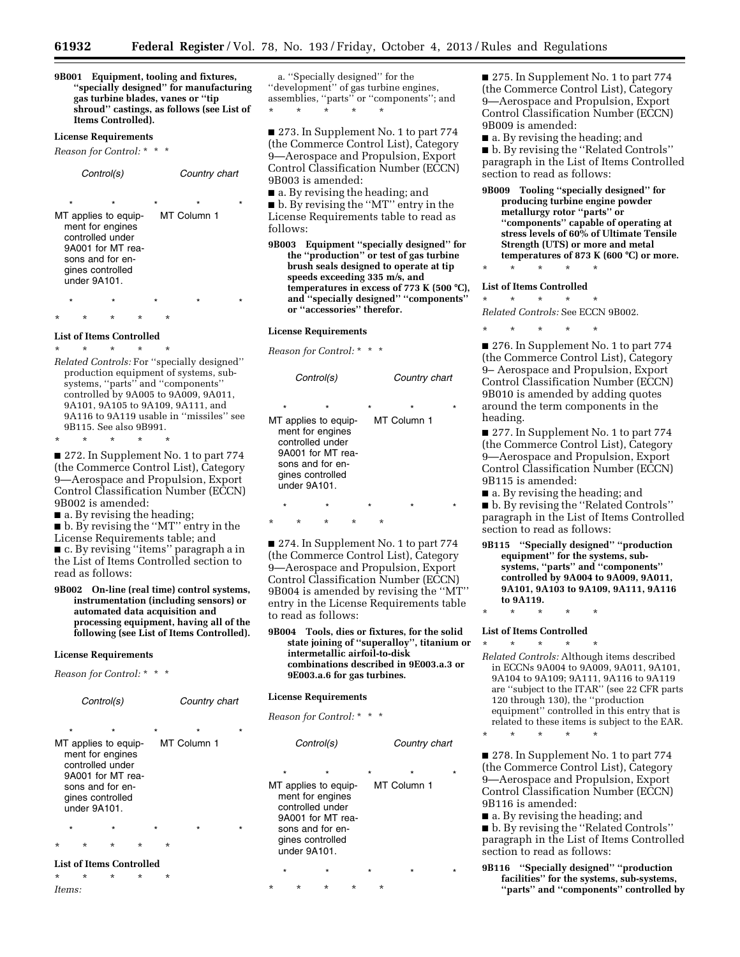**9B001 Equipment, tooling and fixtures, ''specially designed'' for manufacturing gas turbine blades, vanes or ''tip shroud'' castings, as follows (see List of Items Controlled).** 

### **License Requirements**

*Reason for Control:* \* \* \*

| Control(s)                                                                                                                                                |                             | Country chart |  |  |  |
|-----------------------------------------------------------------------------------------------------------------------------------------------------------|-----------------------------|---------------|--|--|--|
| $\star$<br>÷<br>MT applies to equip-<br>ment for engines<br>controlled under<br>9A001 for MT rea-<br>sons and for en-<br>gines controlled<br>under 9A101. | $\star$<br>÷<br>MT Column 1 |               |  |  |  |
|                                                                                                                                                           |                             |               |  |  |  |

\* \* \* \* \*

\* \* \* \* \* **List of Items Controlled** 

\* \* \* \* \* *Related Controls:* For ''specially designed'' production equipment of systems, subsystems, ''parts'' and ''components'' controlled by 9A005 to 9A009, 9A011, 9A101, 9A105 to 9A109, 9A111, and 9A116 to 9A119 usable in ''missiles'' see 9B115. See also 9B991. \* \* \* \* \*

■ 272. In Supplement No. 1 to part 774 (the Commerce Control List), Category 9—Aerospace and Propulsion, Export Control Classification Number (ECCN) 9B002 is amended:

■ a. By revising the heading;

■ b. By revising the "MT" entry in the License Requirements table; and ■ c. By revising ''items'' paragraph a in the List of Items Controlled section to read as follows:

**9B002 On-line (real time) control systems, instrumentation (including sensors) or automated data acquisition and processing equipment, having all of the following (see List of Items Controlled).** 

#### **License Requirements**

*Reason for Control:* \* \* \*

| Control(s)               |                                                                                                                                                                                                           |         |         | Country chart |  |   |  |         |  |   |
|--------------------------|-----------------------------------------------------------------------------------------------------------------------------------------------------------------------------------------------------------|---------|---------|---------------|--|---|--|---------|--|---|
|                          | $\star$<br>$\star$<br>$\star$<br>$\star$<br>÷<br>MT Column 1<br>MT applies to equip-<br>ment for engines<br>controlled under<br>9A001 for MT rea-<br>sons and for en-<br>gines controlled<br>under 9A101. |         |         |               |  |   |  |         |  |   |
|                          | $\star$                                                                                                                                                                                                   |         | $\star$ |               |  |   |  | $\star$ |  | ÷ |
| $\star$                  |                                                                                                                                                                                                           | ÷       | $\star$ | ÷             |  | ÷ |  |         |  |   |
| List of Items Controlled |                                                                                                                                                                                                           |         |         |               |  |   |  |         |  |   |
| $\star$                  |                                                                                                                                                                                                           | $\star$ | $\star$ | $^\star$      |  | ÷ |  |         |  |   |

*Items:* 

a. ''Specially designed'' for the ''development'' of gas turbine engines, assemblies, ''parts'' or ''components''; and \* \* \* \* \*

■ 273. In Supplement No. 1 to part 774 (the Commerce Control List), Category 9—Aerospace and Propulsion, Export Control Classification Number (ECCN) 9B003 is amended:

■ a. By revising the heading; and ■ b. By revising the "MT" entry in the License Requirements table to read as follows:

**9B003 Equipment ''specially designed'' for the ''production'' or test of gas turbine brush seals designed to operate at tip speeds exceeding 335 m/s, and temperatures in excess of 773 K (500** ≥**C), and ''specially designed'' ''components'' or ''accessories'' therefor.** 

#### **License Requirements**

*Reason for Control:* \* \* \*

| Control(s) |         |                                  |                                                                                                                  |         |             | Country chart |  |  |
|------------|---------|----------------------------------|------------------------------------------------------------------------------------------------------------------|---------|-------------|---------------|--|--|
|            | $\star$ | gines controlled<br>under 9A101. | $\star$<br>MT applies to equip-<br>ment for engines<br>controlled under<br>9A001 for MT rea-<br>sons and for en- | $\star$ | MT Column 1 | $\star$       |  |  |
|            | $\star$ |                                  | $\star$                                                                                                          |         |             | $\star$       |  |  |
|            |         | ÷                                | ÷                                                                                                                |         | ÷           |               |  |  |

■ 274. In Supplement No. 1 to part 774 (the Commerce Control List), Category 9—Aerospace and Propulsion, Export Control Classification Number (ECCN) 9B004 is amended by revising the ''MT'' entry in the License Requirements table to read as follows:

**9B004 Tools, dies or fixtures, for the solid state joining of ''superalloy'', titanium or intermetallic airfoil-to-disk combinations described in 9E003.a.3 or 9E003.a.6 for gas turbines.** 

*Control(s) Country chart* 

#### **License Requirements**

*Reason for Control:* \* \* \*

|  |                         |                                                                                                                                      | ovana y viidit |         |   |                        |  |
|--|-------------------------|--------------------------------------------------------------------------------------------------------------------------------------|----------------|---------|---|------------------------|--|
|  | $\star$<br>under 9A101. | $\star$<br>MT applies to equip-<br>ment for engines<br>controlled under<br>9A001 for MT rea-<br>sons and for en-<br>gines controlled |                | $\star$ |   | $\star$<br>MT Column 1 |  |
|  | $\star$                 |                                                                                                                                      |                |         |   | ÷                      |  |
|  | ÷                       | $^\star$                                                                                                                             |                |         | * |                        |  |

■ 275. In Supplement No. 1 to part 774 (the Commerce Control List), Category 9—Aerospace and Propulsion, Export Control Classification Number (ECCN) 9B009 is amended:

■ a. By revising the heading; and

■ b. By revising the "Related Controls" paragraph in the List of Items Controlled section to read as follows:

**9B009 Tooling ''specially designed'' for producing turbine engine powder metallurgy rotor ''parts'' or ''components'' capable of operating at stress levels of 60% of Ultimate Tensile Strength (UTS) or more and metal temperatures of 873 K (600** ≥**C) or more.** 

### \* \* \* \* \* **List of Items Controlled**

\* \* \* \* \* *Related Controls:* See ECCN 9B002.

\* \* \* \* \*

■ 276. In Supplement No. 1 to part 774 (the Commerce Control List), Category 9– Aerospace and Propulsion, Export Control Classification Number (ECCN) 9B010 is amended by adding quotes around the term components in the heading.

■ 277. In Supplement No. 1 to part 774 (the Commerce Control List), Category 9—Aerospace and Propulsion, Export Control Classification Number (ECCN) 9B115 is amended:

■ a. By revising the heading; and

■ b. By revising the ''Related Controls'' paragraph in the List of Items Controlled section to read as follows:

**9B115 ''Specially designed'' ''production equipment'' for the systems, subsystems, ''parts'' and ''components'' controlled by 9A004 to 9A009, 9A011, 9A101, 9A103 to 9A109, 9A111, 9A116 to 9A119.** 

### \* \* \* \* \* **List of Items Controlled**

\* \* \* \* \*

\* \* \* \* \*

*Related Controls:* Although items described in ECCNs 9A004 to 9A009, 9A011, 9A101, 9A104 to 9A109; 9A111, 9A116 to 9A119 are ''subject to the ITAR'' (see 22 CFR parts 120 through 130), the ''production equipment'' controlled in this entry that is related to these items is subject to the EAR.

■ 278. In Supplement No. 1 to part 774 (the Commerce Control List), Category 9—Aerospace and Propulsion, Export Control Classification Number (ECCN) 9B116 is amended:

■ a. By revising the heading; and

■ b. By revising the ''Related Controls'' paragraph in the List of Items Controlled section to read as follows:

**9B116 ''Specially designed'' ''production facilities'' for the systems, sub-systems, ''parts'' and ''components'' controlled by**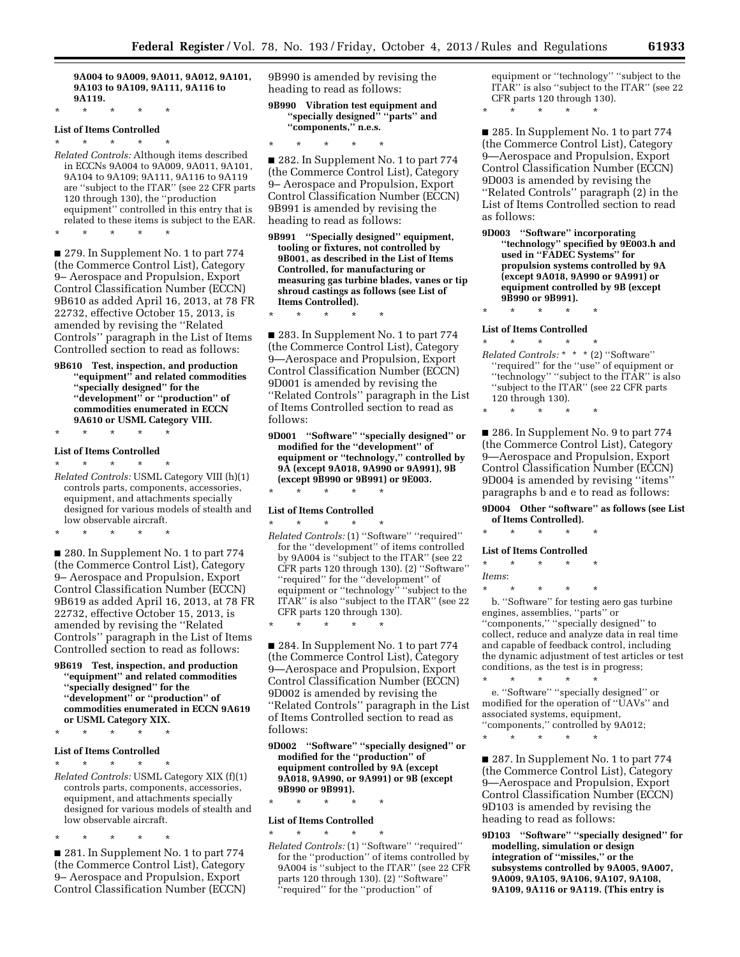**9A004 to 9A009, 9A011, 9A012, 9A101, 9A103 to 9A109, 9A111, 9A116 to 9A119.** 

\* \* \* \* \*

### **List of Items Controlled**  \* \* \* \* \*

*Related Controls:* Although items described in ECCNs 9A004 to 9A009, 9A011, 9A101, 9A104 to 9A109; 9A111, 9A116 to 9A119 are ''subject to the ITAR'' (see 22 CFR parts 120 through 130), the ''production equipment'' controlled in this entry that is related to these items is subject to the EAR.

\* \* \* \* \*

■ 279. In Supplement No. 1 to part 774 (the Commerce Control List), Category 9– Aerospace and Propulsion, Export Control Classification Number (ECCN) 9B610 as added April 16, 2013, at 78 FR 22732, effective October 15, 2013, is amended by revising the ''Related Controls'' paragraph in the List of Items Controlled section to read as follows:

**9B610 Test, inspection, and production ''equipment'' and related commodities ''specially designed'' for the ''development'' or ''production'' of commodities enumerated in ECCN 9A610 or USML Category VIII.** 

### \* \* \* \* \* **List of Items Controlled**

\* \* \* \* \* *Related Controls:* USML Category VIII (h)(1) controls parts, components, accessories, equipment, and attachments specially designed for various models of stealth and low observable aircraft.

\* \* \* \* \*

■ 280. In Supplement No. 1 to part 774 (the Commerce Control List), Category 9– Aerospace and Propulsion, Export Control Classification Number (ECCN) 9B619 as added April 16, 2013, at 78 FR 22732, effective October 15, 2013, is amended by revising the ''Related Controls'' paragraph in the List of Items Controlled section to read as follows:

**9B619 Test, inspection, and production ''equipment'' and related commodities ''specially designed'' for the ''development'' or ''production'' of commodities enumerated in ECCN 9A619 or USML Category XIX.** 

### \* \* \* \* \*

#### **List of Items Controlled**  \* \* \* \* \*

*Related Controls:* USML Category XIX (f)(1) controls parts, components, accessories, equipment, and attachments specially designed for various models of stealth and low observable aircraft.

\* \* \* \* \*

■ 281. In Supplement No. 1 to part 774 (the Commerce Control List), Category 9– Aerospace and Propulsion, Export Control Classification Number (ECCN) 9B990 is amended by revising the heading to read as follows:

**9B990 Vibration test equipment and ''specially designed'' ''parts'' and ''components,'' n.e.s.** 

\* \* \* \* \*

■ 282. In Supplement No. 1 to part 774 (the Commerce Control List), Category 9– Aerospace and Propulsion, Export Control Classification Number (ECCN) 9B991 is amended by revising the heading to read as follows:

**9B991 ''Specially designed'' equipment, tooling or fixtures, not controlled by 9B001, as described in the List of Items Controlled, for manufacturing or measuring gas turbine blades, vanes or tip shroud castings as follows (see List of Items Controlled).** 

\* \* \* \* \*

■ 283. In Supplement No. 1 to part 774 (the Commerce Control List), Category 9—Aerospace and Propulsion, Export Control Classification Number (ECCN) 9D001 is amended by revising the ''Related Controls'' paragraph in the List of Items Controlled section to read as follows:

**9D001 ''Software'' ''specially designed'' or modified for the ''development'' of equipment or ''technology,'' controlled by 9A (except 9A018, 9A990 or 9A991), 9B (except 9B990 or 9B991) or 9E003.** 

### \* \* \* \* \* **List of Items Controlled**

\* \* \* \* \* *Related Controls:* (1) ''Software'' ''required'' for the ''development'' of items controlled by 9A004 is ''subject to the ITAR'' (see 22 CFR parts 120 through 130). (2) ''Software'' ''required'' for the ''development'' of equipment or "technology" "subject to the ITAR'' is also ''subject to the ITAR'' (see 22 CFR parts 120 through 130).

\* \* \* \* \* ■ 284. In Supplement No. 1 to part 774 (the Commerce Control List), Category 9—Aerospace and Propulsion, Export Control Classification Number (ECCN)

9D002 is amended by revising the ''Related Controls'' paragraph in the List of Items Controlled section to read as follows:

**9D002 ''Software'' ''specially designed'' or modified for the ''production'' of equipment controlled by 9A (except 9A018, 9A990, or 9A991) or 9B (except 9B990 or 9B991).** 

### \* \* \* \* \* **List of Items Controlled**

\* \* \* \* \* *Related Controls:* (1) ''Software'' ''required'' for the ''production'' of items controlled by 9A004 is ''subject to the ITAR'' (see 22 CFR parts 120 through 130). (2) ''Software'' ''required'' for the ''production'' of

equipment or ''technology'' ''subject to the ITAR'' is also ''subject to the ITAR'' (see 22 CFR parts 120 through 130).

■ 285. In Supplement No. 1 to part 774 (the Commerce Control List), Category 9—Aerospace and Propulsion, Export Control Classification Number (ECCN) 9D003 is amended by revising the ''Related Controls'' paragraph (2) in the List of Items Controlled section to read as follows:

**9D003 ''Software'' incorporating ''technology'' specified by 9E003.h and used in ''FADEC Systems'' for propulsion systems controlled by 9A (except 9A018, 9A990 or 9A991) or equipment controlled by 9B (except 9B990 or 9B991).** 

### \* \* \* \* \* **List of Items Controlled**  \* \* \* \* \*

\* \* \* \* \*

*Related Controls:* \* \* \* (2) ''Software'' ''required'' for the ''use'' of equipment or ''technology'' ''subject to the ITAR'' is also ''subject to the ITAR'' (see 22 CFR parts 120 through 130).

\* \* \* \* \*

■ 286. In Supplement No. 9 to part 774 (the Commerce Control List), Category 9—Aerospace and Propulsion, Export Control Classification Number (ECCN) 9D004 is amended by revising ''items'' paragraphs b and e to read as follows:

**9D004 Other ''software'' as follows (see List of Items Controlled).** 

\* \* \* \* \*

### **List of Items Controlled**

| $\star$ | ÷ | ÷ | ÷ |  |
|---------|---|---|---|--|
| Items:  |   |   |   |  |

\* \* \* \* \*

b. ''Software'' for testing aero gas turbine engines, assemblies, ''parts'' or ''components,'' ''specially designed'' to collect, reduce and analyze data in real time and capable of feedback control, including the dynamic adjustment of test articles or test conditions, as the test is in progress;

\* \* \* \* \* e. ''Software'' ''specially designed'' or modified for the operation of ''UAVs'' and associated systems, equipment, ''components,'' controlled by 9A012; \* \* \* \* \*

■ 287. In Supplement No. 1 to part 774 (the Commerce Control List), Category 9—Aerospace and Propulsion, Export Control Classification Number (ECCN) 9D103 is amended by revising the heading to read as follows:

**9D103 ''Software'' ''specially designed'' for modelling, simulation or design integration of ''missiles,'' or the subsystems controlled by 9A005, 9A007, 9A009, 9A105, 9A106, 9A107, 9A108, 9A109, 9A116 or 9A119. (This entry is**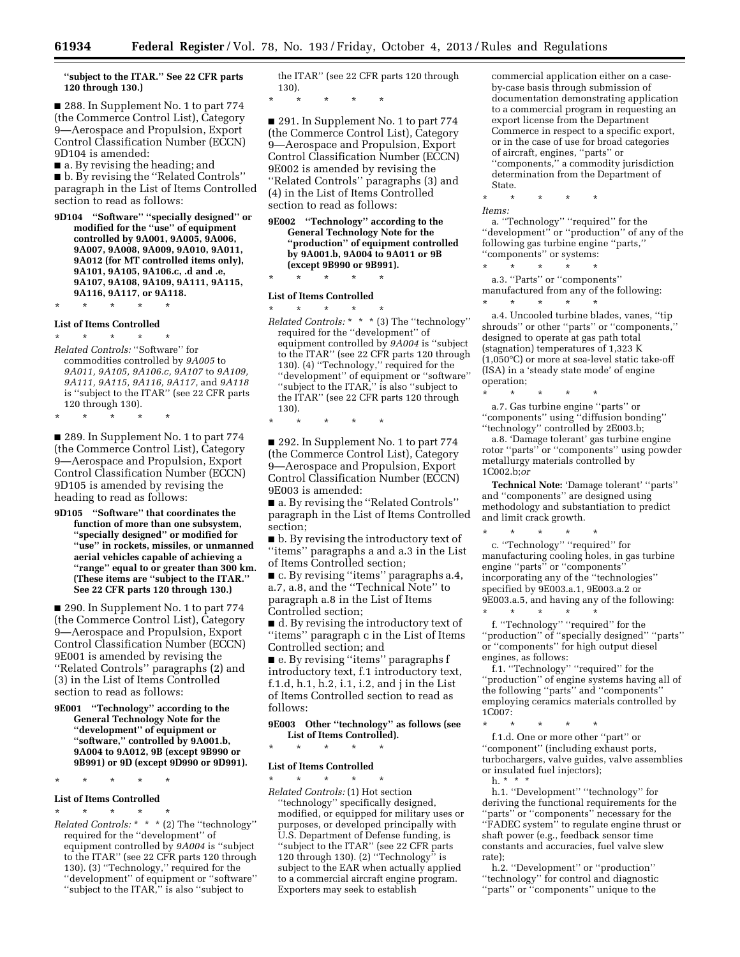**''subject to the ITAR.'' See 22 CFR parts 120 through 130.)** 

■ 288. In Supplement No. 1 to part 774 (the Commerce Control List), Category 9—Aerospace and Propulsion, Export Control Classification Number (ECCN) 9D104 is amended:

■ a. By revising the heading; and ■ b. By revising the "Related Controls" paragraph in the List of Items Controlled section to read as follows:

**9D104 ''Software'' ''specially designed'' or modified for the ''use'' of equipment controlled by 9A001, 9A005, 9A006, 9A007, 9A008, 9A009, 9A010, 9A011, 9A012 (for MT controlled items only), 9A101, 9A105, 9A106.c, .d and .e, 9A107, 9A108, 9A109, 9A111, 9A115, 9A116, 9A117, or 9A118.** 

\* \* \* \* \*

\* \* \* \* \*

#### **List of Items Controlled**

\* \* \* \* \* *Related Controls:* ''Software'' for commodities controlled by *9A005* to *9A011, 9A105, 9A106.c, 9A107* to *9A109, 9A111, 9A115, 9A116, 9A117,* and *9A118*  is ''subject to the ITAR'' (see 22 CFR parts 120 through 130).

■ 289. In Supplement No. 1 to part 774 (the Commerce Control List), Category 9—Aerospace and Propulsion, Export Control Classification Number (ECCN) 9D105 is amended by revising the heading to read as follows:

**9D105 ''Software'' that coordinates the function of more than one subsystem, ''specially designed'' or modified for ''use'' in rockets, missiles, or unmanned aerial vehicles capable of achieving a ''range'' equal to or greater than 300 km. (These items are ''subject to the ITAR.'' See 22 CFR parts 120 through 130.)** 

■ 290. In Supplement No. 1 to part 774 (the Commerce Control List), Category 9—Aerospace and Propulsion, Export Control Classification Number (ECCN) 9E001 is amended by revising the ''Related Controls'' paragraphs (2) and (3) in the List of Items Controlled section to read as follows:

**9E001 ''Technology'' according to the General Technology Note for the ''development'' of equipment or ''software,'' controlled by 9A001.b, 9A004 to 9A012, 9B (except 9B990 or 9B991) or 9D (except 9D990 or 9D991).** 

\* \* \* \* \*

#### **List of Items Controlled**

\* \* \* \* \* *Related Controls:* \* \* \* (2) The ''technology'' required for the ''development'' of equipment controlled by *9A004* is ''subject to the ITAR'' (see 22 CFR parts 120 through 130). (3) ''Technology,'' required for the ''development'' of equipment or ''software'' ''subject to the ITAR,'' is also ''subject to

the ITAR'' (see 22 CFR parts 120 through 130).

\* \* \* \* \*

■ 291. In Supplement No. 1 to part 774 (the Commerce Control List), Category 9—Aerospace and Propulsion, Export Control Classification Number (ECCN) 9E002 is amended by revising the ''Related Controls'' paragraphs (3) and (4) in the List of Items Controlled section to read as follows:

**9E002 ''Technology'' according to the General Technology Note for the ''production'' of equipment controlled by 9A001.b, 9A004 to 9A011 or 9B (except 9B990 or 9B991).** 

#### \* \* \* \* \*

**List of Items Controlled**  \* \* \* \* \*

*Related Controls:* \* \* \* (3) The ''technology'' required for the ''development'' of equipment controlled by *9A004* is ''subject to the ITAR'' (see 22 CFR parts 120 through 130). (4) ''Technology,'' required for the ''development'' of equipment or ''software'' ''subject to the ITAR,'' is also ''subject to the ITAR'' (see 22 CFR parts 120 through 130).

### \* \* \* \* \*

■ 292. In Supplement No. 1 to part 774 (the Commerce Control List), Category 9—Aerospace and Propulsion, Export Control Classification Number (ECCN) 9E003 is amended:

■ a. By revising the "Related Controls" paragraph in the List of Items Controlled section;

■ b. By revising the introductory text of ''items'' paragraphs a and a.3 in the List of Items Controlled section;

■ c. By revising ''items'' paragraphs a.4, a.7, a.8, and the ''Technical Note'' to paragraph a.8 in the List of Items Controlled section;

■ d. By revising the introductory text of ''items'' paragraph c in the List of Items Controlled section; and

■ e. By revising "items" paragraphs f introductory text, f.1 introductory text, f.1.d, h.1, h.2, i.1, i.2, and j in the List of Items Controlled section to read as follows:

#### **9E003 Other ''technology'' as follows (see List of Items Controlled).**

\* \* \* \* \*

#### **List of Items Controlled**

\* \* \* \* \* *Related Controls:* (1) Hot section ''technology'' specifically designed, modified, or equipped for military uses or purposes, or developed principally with U.S. Department of Defense funding, is ''subject to the ITAR'' (see 22 CFR parts 120 through 130).  $(2)$  "Technology" is subject to the EAR when actually applied to a commercial aircraft engine program. Exporters may seek to establish

commercial application either on a caseby-case basis through submission of documentation demonstrating application to a commercial program in requesting an export license from the Department Commerce in respect to a specific export, or in the case of use for broad categories of aircraft, engines, ''parts'' or ''components,'' a commodity jurisdiction determination from the Department of State.

\* \* \* \* \*

*Items:* 

a. ''Technology'' ''required'' for the ''development'' or ''production'' of any of the following gas turbine engine ''parts,'' ''components'' or systems:

\* \* \* \* \* a.3. ''Parts'' or ''components'' manufactured from any of the following: \* \* \* \* \*

a.4. Uncooled turbine blades, vanes, ''tip shrouds'' or other ''parts'' or ''components,'' designed to operate at gas path total (stagnation) temperatures of 1,323 K (1,050°C) or more at sea-level static take-off (ISA) in a 'steady state mode' of engine operation;

\* \* \* \* \* a.7. Gas turbine engine ''parts'' or ''components'' using ''diffusion bonding'' ''technology'' controlled by 2E003.b;

a.8. 'Damage tolerant' gas turbine engine rotor ''parts'' or ''components'' using powder metallurgy materials controlled by 1C002.b;*or* 

**Technical Note:** 'Damage tolerant' ''parts'' and ''components'' are designed using methodology and substantiation to predict and limit crack growth.

\* \* \* \* \* c. ''Technology'' ''required'' for manufacturing cooling holes, in gas turbine engine ''parts'' or ''components'' incorporating any of the ''technologies'' specified by 9E003.a.1, 9E003.a.2 or 9E003.a.5, and having any of the following:

\* \* \* \* \* f. ''Technology'' ''required'' for the ''production'' of ''specially designed'' ''parts'' or ''components'' for high output diesel engines, as follows:

f.1. ''Technology'' ''required'' for the ''production'' of engine systems having all of the following ''parts'' and ''components'' employing ceramics materials controlled by 1C007:

\* \* \* \* \*

f.1.d. One or more other ''part'' or ''component'' (including exhaust ports, turbochargers, valve guides, valve assemblies or insulated fuel injectors); h. \* \* \*

h.1. ''Development'' ''technology'' for deriving the functional requirements for the ''parts'' or ''components'' necessary for the "FADEC system" to regulate engine thrust or shaft power (e.g., feedback sensor time constants and accuracies, fuel valve slew rate);

h.2. ''Development'' or ''production'' ''technology'' for control and diagnostic "parts" or "components" unique to the